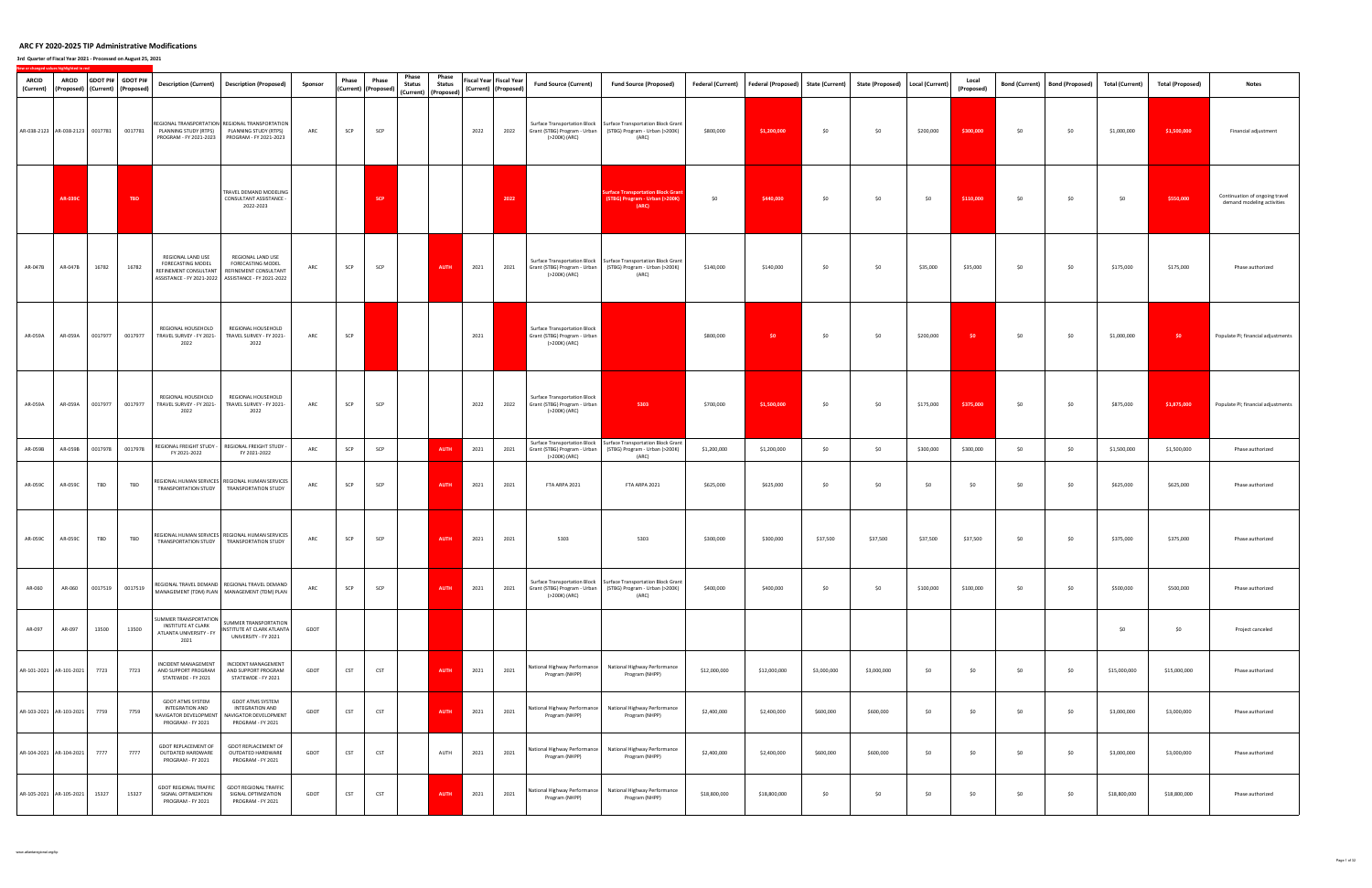| ARCID<br>(Current) | <b>ARCID</b><br>(Proposed) (Current) (Proposed) |         | GDOT PI# GDOT PI# | <b>Description (Current)</b>                                                                    | <b>Description (Proposed)</b>                                                                                                                   | Sponsor | Phase      | Phase<br>(Current) (Proposed) | Phase<br><b>Status</b><br>(Current) (Proposed) | Phase<br><b>Status</b> |      | Fiscal Year Fiscal Year<br>(Current) (Proposed) | <b>Fund Source (Current)</b>                                                         | <b>Fund Source (Proposed)</b>                                                                                                               | <b>Federal (Current)</b> | Federal (Proposed) State (Current) |             | State (Proposed)   Local (Current) |           | Local<br>(Proposed) |     | Bond (Current)   Bond (Proposed) | <b>Total (Current)</b> | <b>Total (Proposed)</b> | <b>Notes</b>                                                 |
|--------------------|-------------------------------------------------|---------|-------------------|-------------------------------------------------------------------------------------------------|-------------------------------------------------------------------------------------------------------------------------------------------------|---------|------------|-------------------------------|------------------------------------------------|------------------------|------|-------------------------------------------------|--------------------------------------------------------------------------------------|---------------------------------------------------------------------------------------------------------------------------------------------|--------------------------|------------------------------------|-------------|------------------------------------|-----------|---------------------|-----|----------------------------------|------------------------|-------------------------|--------------------------------------------------------------|
|                    | AR-038-2123 AR-038-2123 0017781 0017781         |         |                   |                                                                                                 | REGIONAL TRANSPORTATION REGIONAL TRANSPORTATION<br>PLANNING STUDY (RTPS) PLANNING STUDY (RTPS)<br>PROGRAM - FY 2021-2023 PROGRAM - FY 2021-2023 | ARC     | SCP        | SCP                           |                                                |                        | 2022 | 2022                                            | (>200K) (ARC)                                                                        | Surface Transportation Block   Surface Transportation Block Grant<br>Grant (STBG) Program - Urban   (STBG) Program - Urban (>200K)<br>(ARC) | \$800,000                | \$1,200,000                        | \$0         | \$0                                | \$200,000 | \$300,000           | \$0 | \$0                              | \$1,000,000            | \$1,500,000             | Financial adjustment                                         |
|                    | <b>AR-039C</b>                                  |         | TBD               |                                                                                                 | TRAVEL DEMAND MODELING<br>CONSULTANT ASSISTANCE -<br>2022-2023                                                                                  |         |            | <b>SCP</b>                    |                                                |                        |      | 2022                                            |                                                                                      | <b>Surface Transportation Block Grant</b><br>(STBG) Program - Urban (>200K)<br>(ARC)                                                        | \$0                      | \$440,000                          | \$0         | \$0                                | \$0       | \$110,000           | \$0 | \$0                              | \$0                    | \$550,000               | Continuation of ongoing travel<br>demand modeling activities |
| AR-047B            | AR-047B                                         | 16782   | 16782             | REGIONAL LAND USE<br>FORECASTING MODEL<br>REFINEMENT CONSULTANT                                 | REGIONAL LAND USE<br>FORECASTING MODEL<br>REFINEMENT CONSULTANT<br>ASSISTANCE - FY 2021-2022 ASSISTANCE - FY 2021-2022                          | ARC     | SCP        | SCP                           |                                                | <b>AUTH</b>            | 2021 | 2021                                            | Grant (STBG) Program - Urban<br>(>200K) (ARC)                                        | Surface Transportation Block   Surface Transportation Block Grant<br>(STBG) Program - Urban (>200K)<br>(ARC)                                | \$140,000                | \$140,000                          | \$0         | \$0                                | \$35,000  | \$35,000            | \$0 | \$0                              | \$175,000              | \$175,000               | Phase authorized                                             |
| AR-059A            | AR-059A                                         | 0017977 | 0017977           | REGIONAL HOUSEHOLD<br>TRAVEL SURVEY - FY 2021-<br>2022                                          | REGIONAL HOUSEHOLD<br>TRAVEL SURVEY - FY 2021-<br>2022                                                                                          | ARC     | SCP        |                               |                                                |                        | 2021 |                                                 | Surface Transportation Block<br>Grant (STBG) Program - Urban<br>(>200K) (ARC)        |                                                                                                                                             | \$800,000                | \$0                                | \$0         | \$0                                | \$200,000 | $50 -$              | \$0 | \$0                              | \$1,000,000            | \$0                     | Populate PI; financial adjustments                           |
| AR-059A            | AR-059A                                         | 0017977 | 0017977           | REGIONAL HOUSEHOLD<br>TRAVEL SURVEY - FY 2021-<br>2022                                          | REGIONAL HOUSEHOLD<br>TRAVEL SURVEY - FY 2021-<br>2022                                                                                          | ARC     | SCP        | SCP                           |                                                |                        | 2022 | 2022                                            | <b>Surface Transportation Block</b><br>Grant (STBG) Program - Urban<br>(>200K) (ARC) | 5303                                                                                                                                        | \$700,000                | \$1,500,000                        | \$0         | \$0                                | \$175,000 | \$375,000           | \$0 | \$0                              | \$875,000              | \$1,875,000             | Populate PI; financial adjustments                           |
| AR-059B            | AR-059B                                         | 0017978 | 0017978           | REGIONAL FREIGHT STUDY -<br>FY 2021-2022                                                        | REGIONAL FREIGHT STUDY -<br>FY 2021-2022                                                                                                        | ARC     | SCP        | SCP                           |                                                | <b>AUTH</b>            | 2021 | 2021                                            | Grant (STBG) Program - Urban<br>(>200K) (ARC)                                        | Surface Transportation Block   Surface Transportation Block Grant<br>(STBG) Program - Urban (>200K)<br>(ARC)                                | \$1,200,000              | \$1,200,000                        | \$0         | \$0                                | \$300,000 | \$300,000           | \$0 | \$0                              | \$1,500,000            | \$1,500,000             | Phase authorized                                             |
| AR-059C            | AR-059C                                         | TBD     | TBD               |                                                                                                 | REGIONAL HUMAN SERVICES   REGIONAL HUMAN SERVICES<br>TRANSPORTATION STUDY TRANSPORTATION STUDY                                                  | ARC     | SCP        | SCP                           |                                                | <b>AUTH</b>            | 2021 | 2021                                            | FTA ARPA 2021                                                                        | FTA ARPA 2021                                                                                                                               | \$625,000                | \$625,000                          | \$0         | \$0                                | \$0       | \$0                 | \$0 | \$0                              | \$625,000              | \$625,000               | Phase authorized                                             |
| AR-059C            | AR-059C                                         | TBD     | TBD               |                                                                                                 | REGIONAL HUMAN SERVICES REGIONAL HUMAN SERVICES<br>TRANSPORTATION STUDY TRANSPORTATION STUDY                                                    | ARC     | SCP        | SCP                           |                                                | <b>AUTH</b>            | 2021 | 2021                                            | 5303                                                                                 | 5303                                                                                                                                        | \$300,000                | \$300,000                          | \$37,500    | \$37,500                           | \$37,500  | \$37,500            | \$0 | \$0                              | \$375,000              | \$375,000               | Phase authorized                                             |
| AR-060             | AR-060                                          | 0017519 | 0017519           |                                                                                                 | REGIONAL TRAVEL DEMAND REGIONAL TRAVEL DEMAND<br>MANAGEMENT (TDM) PLAN   MANAGEMENT (TDM) PLAN                                                  | ARC     | SCP        | SCP                           |                                                | <b>AUTH</b>            | 2021 | 2021                                            | (>200K) (ARC)                                                                        | Surface Transportation Block   Surface Transportation Block Grant<br>Grant (STBG) Program - Urban (STBG) Program - Urban (>200K)<br>(ARC)   | \$400,000                | \$400,000                          | \$0         | \$0                                | \$100,000 | \$100,000           | \$0 | \$0                              | \$500,000              | \$500,000               | Phase authorized                                             |
| AR-097             | AR-097                                          | 13500   | 13500             | SUMMER TRANSPORTATION<br>INSTITUTE AT CLARK<br>ATLANTA UNIVERSITY - FY<br>2021                  | SUMMER TRANSPORTATION<br>INSTITUTE AT CLARK ATLANTA<br>UNIVERSITY - FY 2021                                                                     | GDOT    |            |                               |                                                |                        |      |                                                 |                                                                                      |                                                                                                                                             |                          |                                    |             |                                    |           |                     |     |                                  | \$0                    | \$0                     | Project canceled                                             |
|                    | AR-101-2021 AR-101-2021                         | 7723    | 7723              | INCIDENT MANAGEMENT<br>AND SUPPORT PROGRAM<br>STATEWIDE - FY 2021                               | INCIDENT MANAGEMENT<br>AND SUPPORT PROGRAM<br>STATEWIDE - FY 2021                                                                               | GDOT    | CST        | <b>CST</b>                    |                                                | <b>AUTH</b>            | 2021 | 2021                                            | National Highway Performance<br>Program (NHPP)                                       | National Highway Performance<br>Program (NHPP)                                                                                              | \$12,000,000             | \$12,000,000                       | \$3,000,000 | \$3,000,000                        | \$0       | \$0                 | \$0 | \$0                              | \$15,000,000           | \$15,000,000            | Phase authorized                                             |
|                    | AR-103-2021 AR-103-2021                         | 7759    | 7759              | <b>GDOT ATMS SYSTEM</b><br>INTEGRATION AND<br><b>NAVIGATOR DEVELOPMENT</b><br>PROGRAM - FY 2021 | GDOT ATMS SYSTEM<br>INTEGRATION AND<br>NAVIGATOR DEVELOPMENT<br>PROGRAM - FY 2021                                                               | GDOT    | <b>CST</b> | CST                           |                                                | <b>AUTH</b>            | 2021 | 2021                                            | Program (NHPP)                                                                       | National Highway Performance National Highway Performance<br>Program (NHPP)                                                                 | \$2,400,000              | \$2,400,000                        | \$600,000   | \$600,000                          | \$0       | \$0                 | \$0 | \$0                              | \$3,000,000            | \$3,000,000             | Phase authorized                                             |
|                    | AR-104-2021 AR-104-2021                         | 7777    | 7777              | GDOT REPLACEMENT OF<br>OUTDATED HARDWARE<br>PROGRAM - FY 2021                                   | GDOT REPLACEMENT OF<br>OUTDATED HARDWARE<br>PROGRAM - FY 2021                                                                                   | GDOT    | <b>CST</b> | <b>CST</b>                    |                                                | AUTH                   | 2021 | 2021                                            | Program (NHPP)                                                                       | National Highway Performance   National Highway Performance<br>Program (NHPP)                                                               | \$2,400,000              | \$2,400,000                        | \$600,000   | \$600,000                          | \$0       | \$0                 | \$0 | \$0                              | \$3,000,000            | \$3,000,000             | Phase authorized                                             |
|                    | AR-105-2021 AR-105-2021                         | 15327   | 15327             | <b>GDOT REGIONAL TRAFFIC</b><br>SIGNAL OPTIMIZATION<br>PROGRAM - FY 2021                        | <b>GDOT REGIONAL TRAFFIC</b><br>SIGNAL OPTIMIZATION<br>PROGRAM - FY 2021                                                                        | GDOT    | <b>CST</b> | <b>CST</b>                    |                                                | <b>AUTH</b>            | 2021 | 2021                                            | Program (NHPP)                                                                       | National Highway Performance   National Highway Performance<br>Program (NHPP)                                                               | \$18,800,000             | \$18,800,000                       | \$0         | \$0                                | \$0       | \$0                 | \$0 | \$0                              | \$18,800,000           | \$18,800,000            | Phase authorized                                             |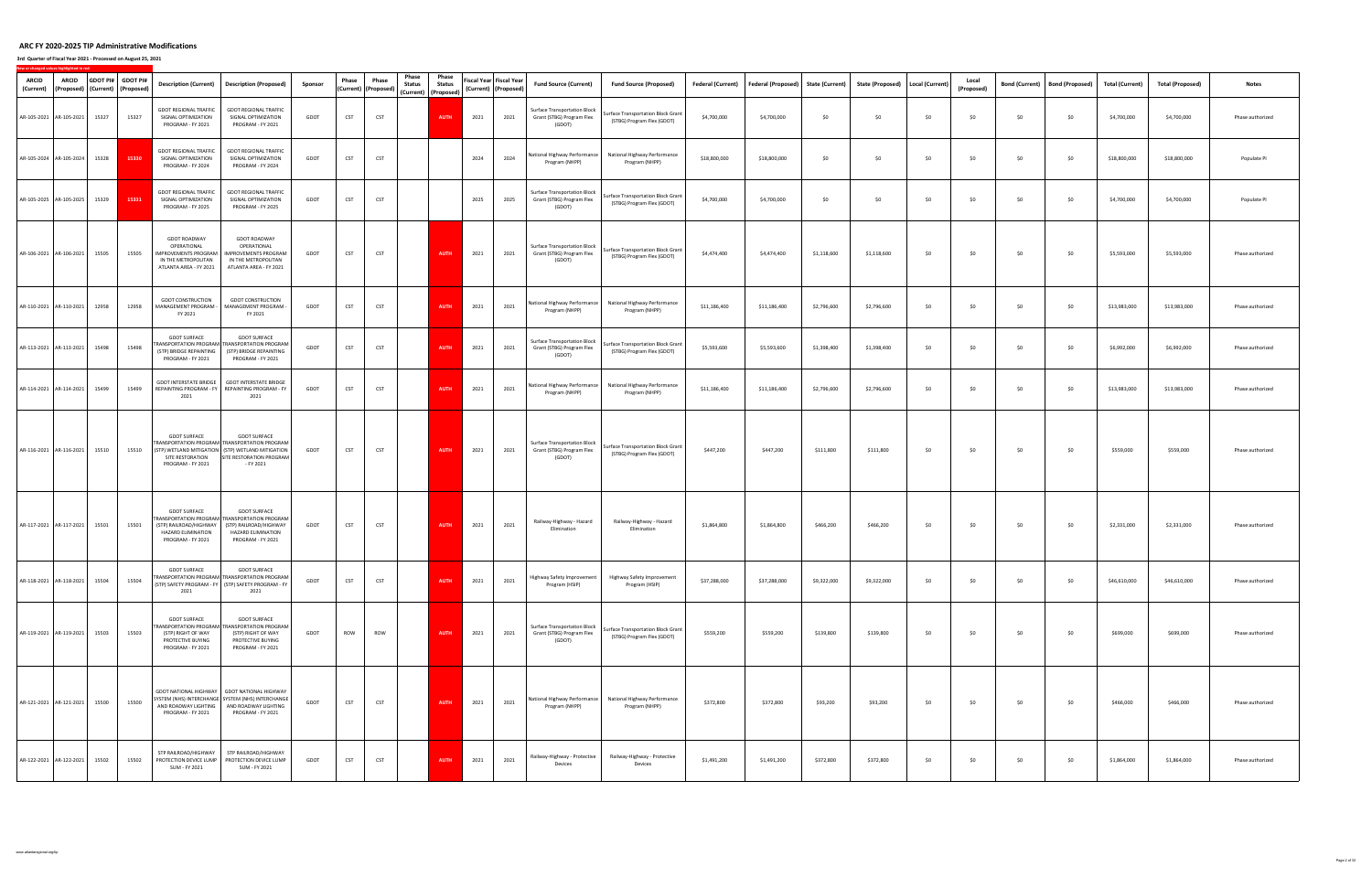| ARCID<br>(Current)        | <b>ARCID</b>                  |       | GDOT PI# GDOT PI#<br>(Proposed)   (Current)   (Proposed) | <b>Description (Current)</b>                                                                               | <b>Description (Proposed)</b>                                                                                                                                       | Sponsor | Phase      | Phase<br>(Current) (Proposed) | Phase<br><b>Status</b> | Phase<br><b>Status</b><br>(Current) (Proposed) |      | Fiscal Year Fiscal Year<br>(Current) (Proposed) | <b>Fund Source (Current)</b>                                               | <b>Fund Source (Proposed)</b>                                                 | <b>Federal (Current)</b> | Federal (Proposed) | <b>State (Current)</b> | State (Proposed)   Local (Current) |     | Local<br>(Proposed) | <b>Bond (Current)</b> | <b>Bond (Proposed)</b> | <b>Total (Current)</b> | <b>Total (Proposed)</b> | <b>Notes</b>     |
|---------------------------|-------------------------------|-------|----------------------------------------------------------|------------------------------------------------------------------------------------------------------------|---------------------------------------------------------------------------------------------------------------------------------------------------------------------|---------|------------|-------------------------------|------------------------|------------------------------------------------|------|-------------------------------------------------|----------------------------------------------------------------------------|-------------------------------------------------------------------------------|--------------------------|--------------------|------------------------|------------------------------------|-----|---------------------|-----------------------|------------------------|------------------------|-------------------------|------------------|
| AR-105-2021 AR-105-2021   |                               | 15327 | 15327                                                    | <b>GDOT REGIONAL TRAFFIC</b><br>SIGNAL OPTIMIZATION<br>PROGRAM - FY 2021                                   | <b>GDOT REGIONAL TRAFFIC</b><br>SIGNAL OPTIMIZATION<br>PROGRAM - FY 2021                                                                                            | GDOT    | <b>CST</b> | <b>CST</b>                    |                        | <b>AUTH</b>                                    | 2021 | 2021                                            | <b>Surface Transportation Block</b><br>Grant (STBG) Program Flex<br>(GDOT) | <b>Surface Transportation Block Grant</b><br>(STBG) Program Flex (GDOT)       | \$4,700,000              | \$4,700,000        | \$0                    | \$0                                | \$0 | \$0                 | \$0                   | \$0                    | \$4,700,000            | \$4,700,000             | Phase authorized |
| AR-105-2024 AR-105-2024   |                               | 15328 | 15330                                                    | <b>GDOT REGIONAL TRAFFIC</b><br>SIGNAL OPTIMIZATION<br>PROGRAM - FY 2024                                   | <b>GDOT REGIONAL TRAFFIC</b><br>SIGNAL OPTIMIZATION<br>PROGRAM - FY 2024                                                                                            | GDOT    | CST        | CST                           |                        |                                                | 2024 | 2024                                            | Program (NHPP)                                                             | National Highway Performance National Highway Performance<br>Program (NHPP)   | \$18,800,000             | \$18,800,000       | \$0                    | \$0                                | \$0 | \$0                 | \$0                   | \$0                    | \$18,800,000           | \$18,800,000            | Populate PI      |
| AR-105-2025 AR-105-2025   |                               | 15329 | 15331                                                    | <b>GDOT REGIONAL TRAFFIC</b><br>SIGNAL OPTIMIZATION<br>PROGRAM - FY 2025                                   | <b>GDOT REGIONAL TRAFFIC</b><br>SIGNAL OPTIMIZATION<br>PROGRAM - FY 2025                                                                                            | GDOT    | CST        | <b>CST</b>                    |                        |                                                | 2025 | 2025                                            | Surface Transportation Block<br>Grant (STBG) Program Flex<br>(GDOT)        | <b>Surface Transportation Block Grant</b><br>(STBG) Program Flex (GDOT)       | \$4,700,000              | \$4,700,000        | \$0                    | \$0                                | \$0 | \$0                 | \$0                   | \$0                    | \$4,700,000            | \$4,700,000             | Populate PI      |
| AR-106-2021   AR-106-2021 |                               | 15505 | 15505                                                    | <b>GDOT ROADWAY</b><br>OPERATIONAL<br>MPROVEMENTS PROGRAM<br>IN THE METROPOLITAN<br>ATLANTA AREA - FY 2021 | <b>GDOT ROADWAY</b><br>OPERATIONAL<br><b>IMPROVEMENTS PROGRAM</b><br>IN THE METROPOLITAN<br>ATLANTA AREA - FY 2021                                                  | GDOT    | <b>CST</b> | CST                           |                        | <b>AUTH</b>                                    | 2021 | 2021                                            | Surface Transportation Block<br>Grant (STBG) Program Flex<br>(GDOT)        | Surface Transportation Block Grant<br>(STBG) Program Flex (GDOT)              | \$4,474,400              | \$4,474,400        | \$1,118,600            | \$1,118,600                        | \$0 | \$0                 | \$0                   | \$0                    | \$5,593,000            | \$5,593,000             | Phase authorized |
| AR-110-2021 AR-110-2021   |                               | 12958 | 12958                                                    | <b>GDOT CONSTRUCTION</b><br>MANAGEMENT PROGRAM -<br>FY 2021                                                | <b>GDOT CONSTRUCTION</b><br>MANAGEMENT PROGRAM -<br>FY 2021                                                                                                         | GDOT    | <b>CST</b> | <b>CST</b>                    |                        | <b>AUTH</b>                                    | 2021 | 2021                                            | Program (NHPP)                                                             | National Highway Performance National Highway Performance<br>Program (NHPP)   | \$11,186,400             | \$11,186,400       | \$2,796,600            | \$2,796,600                        | \$0 | \$0                 | \$0                   | \$0                    | \$13,983,000           | \$13,983,000            | Phase authorized |
| AR-113-2021   AR-113-2021 |                               | 15498 | 15498                                                    | <b>GDOT SURFACE</b><br>(STP) BRIDGE REPAINTING<br>PROGRAM - FY 2021                                        | <b>GDOT SURFACE</b><br>RANSPORTATION PROGRAM TRANSPORTATION PROGRAM<br>(STP) BRIDGE REPAINTING<br>PROGRAM - FY 2021                                                 | GDOT    | CST        | CST                           |                        | AUTH                                           | 2021 | 2021                                            | <b>Surface Transportation Block</b><br>Grant (STBG) Program Flex<br>(GDOT) | <b>Surface Transportation Block Grant</b><br>(STBG) Program Flex (GDOT)       | \$5,593,600              | \$5,593,600        | \$1,398,400            | \$1,398,400                        | \$0 | \$0                 | \$0                   | \$0                    | \$6,992,000            | \$6,992,000             | Phase authorized |
| AR-114-2021 AR-114-2021   |                               | 15499 | 15499                                                    | <b>GDOT INTERSTATE BRIDGE</b><br>REPAINTING PROGRAM - FY<br>2021                                           | <b>GDOT INTERSTATE BRIDGE</b><br>REPAINTING PROGRAM - FY<br>2021                                                                                                    | GDOT    | CST        | CST                           |                        | <b>AUTH</b>                                    | 2021 | 2021                                            | Program (NHPP)                                                             | National Highway Performance   National Highway Performance<br>Program (NHPP) | \$11,186,400             | \$11,186,400       | \$2,796,600            | \$2,796,600                        | \$0 | \$0                 | \$0                   | \$0                    | \$13,983,000           | \$13,983,000            | Phase authorized |
| AR-116-2021   AR-116-2021 |                               | 15510 | 15510                                                    | <b>GDOT SURFACE</b><br>SITE RESTORATION<br>PROGRAM - FY 2021                                               | <b>GDOT SURFACE</b><br>RANSPORTATION PROGRAM TRANSPORTATION PROGRAM<br>(STP) WETLAND MITIGATION   (STP) WETLAND MITIGATION<br>SITE RESTORATION PROGRAM<br>- FY 2021 | GDOT    | CST        | <b>CST</b>                    |                        | <b>AUTH</b>                                    | 2021 | 2021                                            | <b>Surface Transportation Block</b><br>Grant (STBG) Program Flex<br>(GDOT) | <b>Surface Transportation Block Grant</b><br>(STBG) Program Flex (GDOT)       | \$447,200                | \$447,200          | \$111,800              | \$111,800                          | \$0 | \$0                 | \$0                   | \$0                    | \$559,000              | \$559,000               | Phase authorized |
| AR-117-2021 AR-117-2021   |                               | 15501 | 15501                                                    | <b>GDOT SURFACE</b><br>(STP) RAILROAD/HIGHWAY<br>HAZARD ELIMINATION<br>PROGRAM - FY 2021                   | <b>GDOT SURFACE</b><br>RANSPORTATION PROGRAM TRANSPORTATION PROGRAM<br>(STP) RAILROAD/HIGHWAY<br>HAZARD ELIMINATION<br>PROGRAM - FY 2021                            | GDOT    | CST        | CST                           |                        | <b>AUTH</b>                                    | 2021 | 2021                                            | Railway-Highway - Hazard<br>Elimination                                    | Railway-Highway - Hazard<br>Elimination                                       | \$1,864,800              | \$1,864,800        | \$466,200              | \$466,200                          | \$0 | \$0                 | \$0                   | \$0                    | \$2,331,000            | \$2,331,000             | Phase authorized |
|                           | AR-118-2021 AR-118-2021 15504 |       | 15504                                                    | <b>GDOT SURFACE</b><br>2021                                                                                | <b>GDOT SURFACE</b><br>TRANSPORTATION PROGRAM TRANSPORTATION PROGRAM<br>(STP) SAFETY PROGRAM - FY   (STP) SAFETY PROGRAM - FY<br>2021                               | GDOT    | <b>CST</b> | CST                           |                        | <b>AUTH</b>                                    | 2021 | 2021                                            | Highway Safety Improvement<br>Program (HSIP)                               | Highway Safety Improvement<br>Program (HSIP)                                  | \$37,288,000             | \$37,288,000       | \$9,322,000            | \$9,322,000                        | \$0 | \$0                 | \$0                   | \$0                    | \$46,610,000           | \$46,610,000            | Phase authorized |
|                           | AR-119-2021 AR-119-2021 15503 |       | 15503                                                    | <b>GDOT SURFACE</b><br>(STP) RIGHT OF WAY<br>PROTECTIVE BUYING<br>PROGRAM - FY 2021                        | <b>GDOT SURFACE</b><br>RANSPORTATION PROGRAM TRANSPORTATION PROGRAM<br>(STP) RIGHT OF WAY<br>PROTECTIVE BUYING<br>PROGRAM - FY 2021                                 | GDOT    | ROW        | ROW                           |                        | <b>AUTH</b>                                    | 2021 | 2021                                            | Surface Transportation Block<br>Grant (STBG) Program Flex<br>(GDOT)        | Surface Transportation Block Grant<br>(STBG) Program Flex (GDOT)              | \$559,200                | \$559,200          | \$139,800              | \$139,800                          | \$0 | \$0                 | \$0                   | \$0                    | \$699,000              | \$699,000               | Phase authorized |
|                           | AR-121-2021 AR-121-2021 15500 |       | 15500                                                    | PROGRAM - FY 2021                                                                                          | GDOT NATIONAL HIGHWAY GDOT NATIONAL HIGHWAY<br>SYSTEM (NHS) INTERCHANGE SYSTEM (NHS) INTERCHANGE<br>AND ROADWAY LIGHTING AND ROADWAY LIGHTING<br>PROGRAM - FY 2021  | GDOT    | CST        | CST                           |                        | <b>AUTH</b>                                    | 2021 | 2021                                            | Program (NHPP)                                                             | National Highway Performance National Highway Performance<br>Program (NHPP)   | \$372,800                | \$372,800          | \$93,200               | \$93,200                           | \$0 | \$0                 | \$0                   | \$0                    | \$466,000              | \$466,000               | Phase authorized |
| AR-122-2021 AR-122-2021   |                               | 15502 | 15502                                                    | STP RAILROAD/HIGHWAY<br>SUM - FY 2021                                                                      | STP RAILROAD/HIGHWAY<br>PROTECTION DEVICE LUMP   PROTECTION DEVICE LUMP<br>SUM - FY 2021                                                                            | GDOT    | <b>CST</b> | <b>CST</b>                    |                        | <b>AUTH</b>                                    | 2021 | 2021                                            | Railway-Highway - Protective<br>Devices                                    | Railway-Highway - Protective<br>Devices                                       | \$1,491,200              | \$1,491,200        | \$372,800              | \$372,800                          | \$0 | \$0                 | \$0                   | \$0                    | \$1,864,000            | \$1,864,000             | Phase authorized |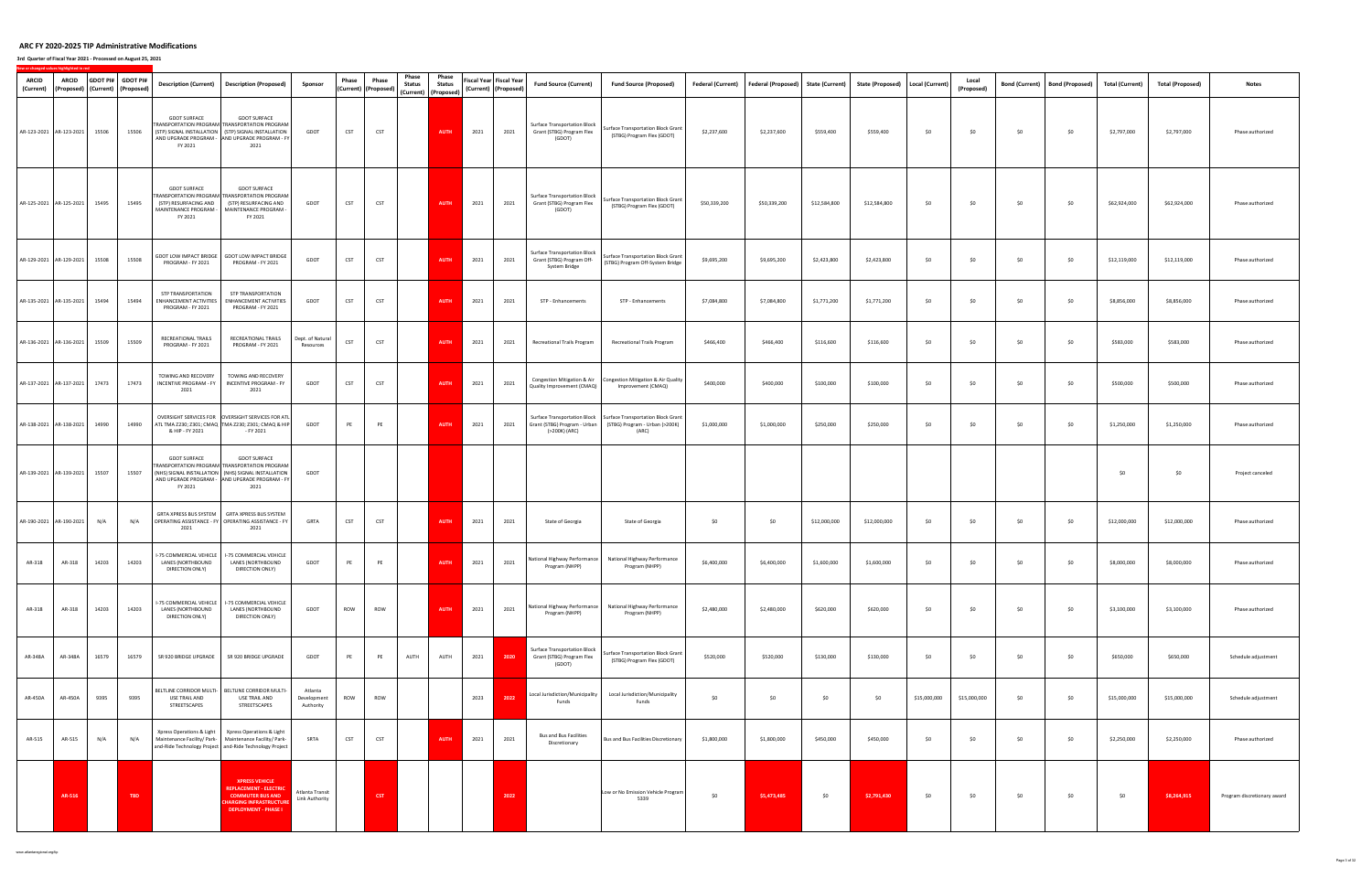| <b>ARCID</b><br>(Current) | <b>ARCID</b><br>(Proposed) |       | GDOT PI# GDOT PI#<br>(Current) (Proposed) | <b>Description (Current)</b>                                                                                          | <b>Description (Proposed)</b>                                                                                                                                                                | Sponsor                             | Phase      | Phase<br>(Current) (Proposed) | Phase<br><b>Status</b> | Phase<br><b>Status</b><br>(Current) (Proposed) |      | Fiscal Year Fiscal Year<br>(Current) (Proposed) | <b>Fund Source (Current)</b>                                                         | <b>Fund Source (Proposed)</b>                                                 | Federal (Current) | Federal (Proposed) State (Current) |              | <b>State (Proposed)</b> | Local (Current) | Local<br>(Proposed) | <b>Bond (Current)</b> | <b>Bond (Proposed)</b> | <b>Total (Current)</b> | <b>Total (Proposed)</b> | <b>Notes</b>                |
|---------------------------|----------------------------|-------|-------------------------------------------|-----------------------------------------------------------------------------------------------------------------------|----------------------------------------------------------------------------------------------------------------------------------------------------------------------------------------------|-------------------------------------|------------|-------------------------------|------------------------|------------------------------------------------|------|-------------------------------------------------|--------------------------------------------------------------------------------------|-------------------------------------------------------------------------------|-------------------|------------------------------------|--------------|-------------------------|-----------------|---------------------|-----------------------|------------------------|------------------------|-------------------------|-----------------------------|
| AR-123-2021 AR-123-2021   |                            | 15506 | 15506                                     | <b>GDOT SURFACE</b><br>FY 2021                                                                                        | <b>GDOT SURFACE</b><br><b>FRANSPORTATION PROGRAM TRANSPORTATION PROGRAM</b><br>(STP) SIGNAL INSTALLATION (STP) SIGNAL INSTALLATION<br>AND UPGRADE PROGRAM - AND UPGRADE PROGRAM - FY<br>2021 | GDOT                                | <b>CST</b> | CST                           |                        | <b>AUTH</b>                                    | 2021 | 2021                                            | Surface Transportation Block<br>Grant (STBG) Program Flex<br>(GDOT)                  | Surface Transportation Block Grant<br>(STBG) Program Flex (GDOT)              | \$2,237,600       | \$2,237,600                        | \$559,400    | \$559,400               | \$0             | \$0                 | \$0                   | \$0                    | \$2,797,000            | \$2,797,000             | Phase authorized            |
| AR-125-2021 AR-125-2021   |                            | 15495 | 15495                                     | <b>GDOT SURFACE</b><br>(STP) RESURFACING AND<br>MAINTENANCE PROGRAM -<br>FY 2021                                      | <b>GDOT SURFACE</b><br><b>TRANSPORTATION PROGRAM TRANSPORTATION PROGRAM</b><br>(STP) RESURFACING AND<br>MAINTENANCE PROGRAM -<br>FY 2021                                                     | GDOT                                | <b>CST</b> | <b>CST</b>                    |                        | <b>AUTH</b>                                    | 2021 | 2021                                            | Surface Transportation Block<br>Grant (STBG) Program Flex<br>(GDOT)                  | Surface Transportation Block Grant<br>(STBG) Program Flex (GDOT)              | \$50,339,200      | \$50,339,200                       | \$12,584,800 | \$12,584,800            | \$0             | \$0                 | \$0                   | \$0                    | \$62,924,000           | \$62,924,000            | Phase authorized            |
| AR-129-2021 AR-129-2021   |                            | 15508 | 15508                                     | GDOT LOW IMPACT BRIDGE<br>PROGRAM - FY 2021                                                                           | <b>GDOT LOW IMPACT BRIDGE</b><br>PROGRAM - FY 2021                                                                                                                                           | GDOT                                | <b>CST</b> | CST                           |                        | <b>AUTH</b>                                    | 2021 | 2021                                            | Surface Transportation Block<br>Grant (STBG) Program Off-<br>System Bridge           | Surface Transportation Block Grant<br>(STBG) Program Off-System Bridge        | \$9,695,200       | \$9,695,200                        | \$2,423,800  | \$2,423,800             | \$0             | \$0                 | \$0                   | \$0                    | \$12,119,000           | \$12,119,000            | Phase authorized            |
| AR-135-2021 AR-135-2021   |                            | 15494 | 15494                                     | STP TRANSPORTATION<br>ENHANCEMENT ACTIVITIES<br>PROGRAM - FY 2021                                                     | STP TRANSPORTATION<br>ENHANCEMENT ACTIVITIES<br>PROGRAM - FY 2021                                                                                                                            | GDOT                                | CST        | <b>CST</b>                    |                        | <b>AUTH</b>                                    | 2021 | 2021                                            | STP - Enhancements                                                                   | STP - Enhancements                                                            | \$7,084,800       | \$7,084,800                        | \$1,771,200  | \$1,771,200             | \$0             | \$0                 | \$0                   | \$0                    | \$8,856,000            | \$8,856,000             | Phase authorized            |
| AR-136-2021 AR-136-2021   |                            | 15509 | 15509                                     | RECREATIONAL TRAILS<br>PROGRAM - FY 2021                                                                              | RECREATIONAL TRAILS<br>PROGRAM - FY 2021                                                                                                                                                     | Dept. of Natural<br>Resources       | CST        | CST                           |                        | <b>AUTH</b>                                    | 2021 | 2021                                            | Recreational Trails Program                                                          | Recreational Trails Program                                                   | \$466,400         | \$466,400                          | \$116,600    | \$116,600               | \$0             | \$0                 | \$0                   | \$0                    | \$583,000              | \$583,000               | Phase authorized            |
| AR-137-2021 AR-137-2021   |                            | 17473 | 17473                                     | TOWING AND RECOVERY<br><b>INCENTIVE PROGRAM - FY</b><br>2021                                                          | TOWING AND RECOVERY<br>INCENTIVE PROGRAM - FY<br>2021                                                                                                                                        | GDOT                                | <b>CST</b> | CST                           |                        | <b>AUTH</b>                                    | 2021 | 2021                                            | Congestion Mitigation & Air<br>Quality Improvement (CMAQ)                            | Congestion Mitigation & Air Quality<br>Improvement (CMAQ)                     | \$400,000         | \$400,000                          | \$100,000    | \$100,000               | \$0             | \$0                 | \$0                   | \$0                    | \$500,000              | \$500,000               | Phase authorized            |
| AR-138-2021 AR-138-2021   |                            | 14990 | 14990                                     | & HIP - FY 2021                                                                                                       | OVERSIGHT SERVICES FOR OVERSIGHT SERVICES FOR ATL<br>ATL TMA Z230; Z301; CMAQ TMA Z230; Z301; CMAQ & HIP<br>- FY 2021                                                                        | GDOT                                | PE         | PE                            |                        | <b>AUTH</b>                                    | 2021 | 2021                                            | <b>Surface Transportation Block</b><br>Grant (STBG) Program - Urban<br>(>200K) (ARC) | Surface Transportation Block Grant<br>(STBG) Program - Urban (>200K)<br>(ARC) | \$1,000,000       | \$1,000,000                        | \$250,000    | \$250,000               | \$0             | \$0                 | \$0                   | \$0                    | \$1,250,000            | \$1,250,000             | Phase authorized            |
| AR-139-2021 AR-139-2021   |                            | 15507 | 15507                                     | <b>GDOT SURFACE</b><br>FY 2021                                                                                        | <b>GDOT SURFACE</b><br><b>TRANSPORTATION PROGRAM TRANSPORTATION PROGRAM</b><br>(NHS) SIGNAL INSTALLATION (NHS) SIGNAL INSTALLATION<br>AND UPGRADE PROGRAM - AND UPGRADE PROGRAM - FY<br>2021 | GDOT                                |            |                               |                        |                                                |      |                                                 |                                                                                      |                                                                               |                   |                                    |              |                         |                 |                     |                       |                        | \$0                    | \$0                     | Project canceled            |
| AR-190-2021 AR-190-2021   |                            | N/A   | N/A                                       | GRTA XPRESS BUS SYSTEM<br>OPERATING ASSISTANCE - FY OPERATING ASSISTANCE - FY<br>2021                                 | GRTA XPRESS BUS SYSTEM<br>2021                                                                                                                                                               | GRTA                                | <b>CST</b> | <b>CST</b>                    |                        | <b>AUTH</b>                                    | 2021 | 2021                                            | State of Georgia                                                                     | State of Georgia                                                              | \$0               | \$0                                | \$12,000,000 | \$12,000,000            | \$0             | \$0                 | \$0                   | \$0                    | \$12,000,000           | \$12,000,000            | Phase authorized            |
| AR-318                    | AR-318                     | 14203 | 14203                                     | I-75 COMMERCIAL VEHICLE<br>LANES (NORTHBOUND<br>DIRECTION ONLY)                                                       | I-75 COMMERCIAL VEHICLE<br>LANES (NORTHBOUND<br>DIRECTION ONLY)                                                                                                                              | GDOT                                | PE         | PE                            |                        | <b>AUTH</b>                                    | 2021 | 2021                                            | National Highway Performance<br>Program (NHPP)                                       | National Highway Performance<br>Program (NHPP)                                | \$6,400,000       | \$6,400,000                        | \$1,600,000  | \$1,600,000             | \$0             | \$0                 | \$0                   | \$0                    | \$8,000,000            | \$8,000,000             | Phase authorized            |
| AR-318                    | AR-318                     | 14203 | 14203                                     | I-75 COMMERCIAL VEHICLE<br>LANES (NORTHBOUND<br>DIRECTION ONLY)                                                       | I-75 COMMERCIAL VEHICLE<br>LANES (NORTHBOUND<br>DIRECTION ONLY)                                                                                                                              | GDOT                                | ROW        | <b>ROW</b>                    |                        | <b>AUTH</b>                                    | 2021 | 2021                                            | National Highway Performance<br>Program (NHPP)                                       | National Highway Performance<br>Program (NHPP)                                | \$2,480,000       | \$2,480,000                        | \$620,000    | \$620,000               | \$0             | \$0                 | \$0                   | \$0                    | \$3,100,000            | \$3,100,000             | Phase authorized            |
| AR-348A                   | AR-348A                    | 16579 | 16579                                     | SR 920 BRIDGE UPGRADE                                                                                                 | SR 920 BRIDGE UPGRADE                                                                                                                                                                        | GDOT                                | PE         | PE                            | AUTH                   | AUTH                                           | 2021 | 2020                                            | Surface Transportation Block<br>Grant (STBG) Program Flex<br>(GDOT)                  | Surface Transportation Block Grant<br>(STBG) Program Flex (GDOT)              | \$520,000         | \$520,000                          | \$130,000    | \$130,000               | \$0             | \$0                 | \$0                   | \$0                    | \$650,000              | \$650,000               | Schedule adjustment         |
| AR-450A                   | AR-450A                    | 9395  | 9395                                      | BELTLINE CORRIDOR MULTI-<br>USE TRAIL AND<br>STREETSCAPES                                                             | BELTLINE CORRIDOR MULTI-<br>USE TRAIL AND<br>STREETSCAPES                                                                                                                                    | Atlanta<br>Development<br>Authority | ROW        | ROW                           |                        |                                                | 2023 | 2022                                            | Local Jurisdiction/Municipality<br>Funds                                             | Local Jurisdiction/Municipality<br>Funds                                      | \$0               | \$0                                | \$0          | \$0                     | \$15,000,000    | \$15,000,000        | \$0                   | \$0                    | \$15,000,000           | \$15,000,000            | Schedule adjustment         |
| AR-515                    | AR-515                     | N/A   | N/A                                       | Xpress Operations & Light<br>Maintenance Facility/ Park-<br>and-Ride Technology Project   and-Ride Technology Project | Xpress Operations & Light<br>Maintenance Facility/ Park-                                                                                                                                     | SRTA                                | CST        | <b>CST</b>                    |                        | <b>AUTH</b>                                    | 2021 | 2021                                            | <b>Bus and Bus Facilities</b><br>Discretionary                                       | Bus and Bus Facilities Discretionary                                          | \$1,800,000       | \$1,800,000                        | \$450,000    | \$450,000               | \$0             | \$0                 | \$0                   | \$0                    | \$2,250,000            | \$2,250,000             | Phase authorized            |
|                           | AR-516                     |       | TBD                                       |                                                                                                                       | <b>XPRESS VEHICLE</b><br><b>REPLACEMENT - ELECTRIC</b><br><b>COMMUTER BUS AND</b><br><b>HARGING INFRASTRUCTURI</b><br><b>DEPLOYMENT - PHASE I</b>                                            | Atlanta Transit<br>Link Authority   |            | CST                           |                        |                                                |      | 2022                                            |                                                                                      | Low or No Emission Vehicle Program<br>5339                                    | \$0               | \$5,473,485                        | \$0          | \$2,791,430             | \$0             | \$0                 | \$0                   | \$0                    | \$0                    | \$8,264,915             | Program discretionary award |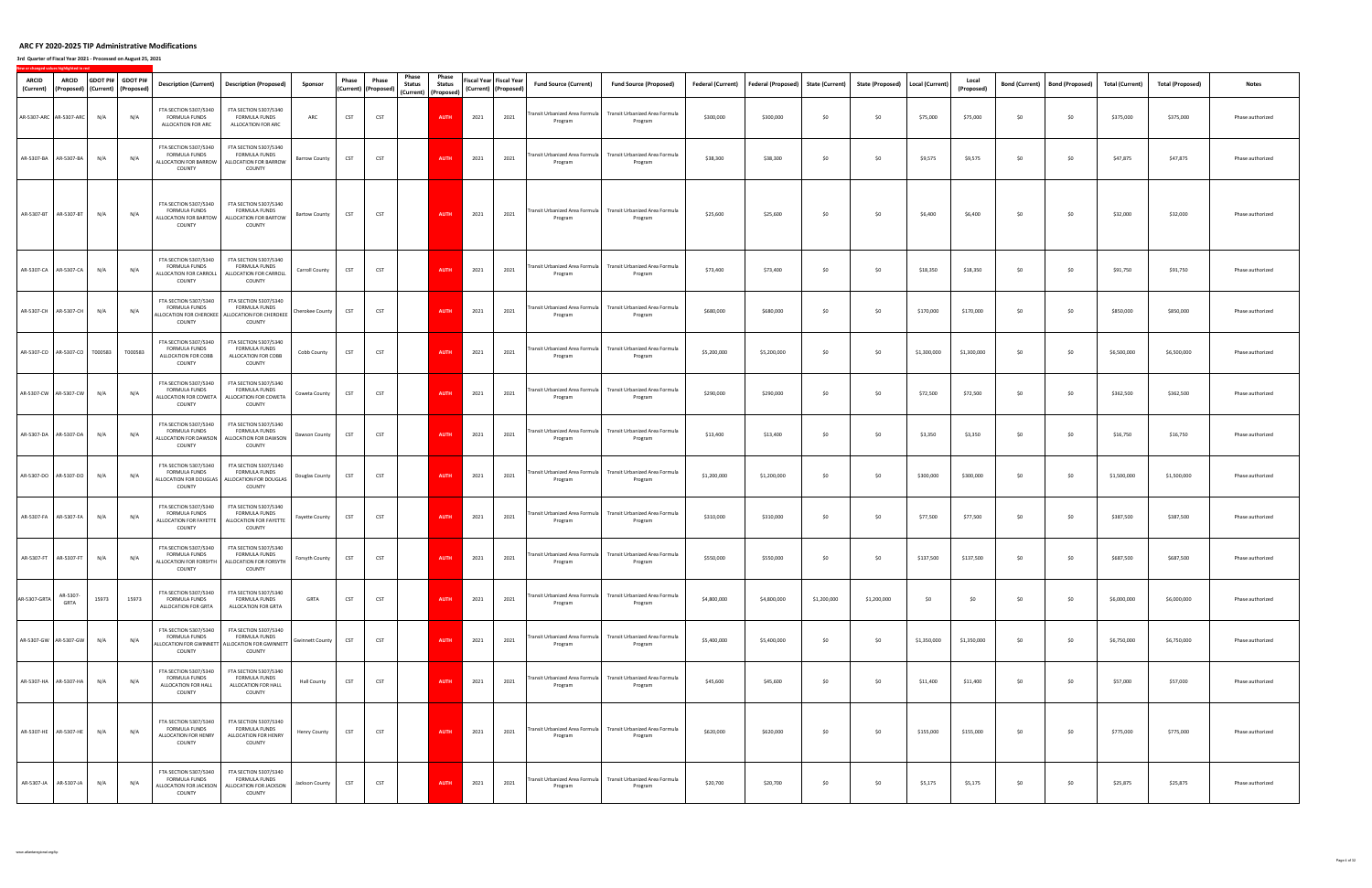#### **3rd Quarter of Fiscal Year 2021 ‐ Processed on August 25, 2021**

| <b>ARCID</b><br>(Current)     | <b>ARCID</b><br>(Proposed) (Current) |       | GDOT PI# GDOT PI#<br>(Proposed) | <b>Description (Current)</b>                                                      | <b>Description (Proposed)</b>                                                                              | Sponsor                | Phase      | Phase<br>(Current) (Proposed) | Phase<br><b>Status</b><br>(Current) (Proposed) | Phase<br><b>Status</b> |      | Fiscal Year Fiscal Year<br>(Current) (Proposed) | <b>Fund Source (Current)</b>              | <b>Fund Source (Proposed)</b>                                              | Federal (Current) | Federal (Proposed) State (Current) |             | State (Proposed)   Local (Current) |             | Local<br>(Proposed) | <b>Bond (Current)</b> | <b>Bond (Proposed)</b> | <b>Total (Current)</b> | <b>Total (Proposed)</b> | <b>Notes</b>     |
|-------------------------------|--------------------------------------|-------|---------------------------------|-----------------------------------------------------------------------------------|------------------------------------------------------------------------------------------------------------|------------------------|------------|-------------------------------|------------------------------------------------|------------------------|------|-------------------------------------------------|-------------------------------------------|----------------------------------------------------------------------------|-------------------|------------------------------------|-------------|------------------------------------|-------------|---------------------|-----------------------|------------------------|------------------------|-------------------------|------------------|
| AR-5307-ARC AR-5307-ARC       |                                      | N/A   | N/A                             | FTA SECTION 5307/5340<br><b>FORMULA FUNDS</b><br>ALLOCATION FOR ARC               | FTA SECTION 5307/5340<br>FORMULA FUNDS<br>ALLOCATION FOR ARC                                               | ARC                    | <b>CST</b> | CST                           |                                                | <b>AUTH</b>            | 2021 | 2021                                            | Program                                   | Transit Urbanized Area Formula   Transit Urbanized Area Formula<br>Program | \$300,000         | \$300,000                          | \$0         | \$0                                | \$75,000    | \$75,000            | \$0                   | \$0                    | \$375,000              | \$375,000               | Phase authorized |
| AR-5307-BA AR-5307-BA         |                                      | N/A   | N/A                             | FTA SECTION 5307/5340<br>FORMULA FUNDS<br><b>ALLOCATION FOR BARROW</b><br>COUNTY  | FTA SECTION 5307/5340<br><b>FORMULA FUNDS</b><br>ALLOCATION FOR BARROW<br>COUNTY                           | <b>Barrow County</b>   | <b>CST</b> | <b>CST</b>                    |                                                | <b>AUTH</b>            | 2021 | 2021                                            | Program                                   | Transit Urbanized Area Formula Transit Urbanized Area Formula<br>Program   | \$38,300          | \$38,300                           | \$0         | \$0                                | \$9,575     | \$9,575             | \$0                   | \$0                    | \$47,875               | \$47,875                | Phase authorized |
| AR-5307-BT AR-5307-BT         |                                      | N/A   | N/A                             | FTA SECTION 5307/5340<br>FORMULA FUNDS<br>ALLOCATION FOR BARTOW<br>COUNTY         | FTA SECTION 5307/5340<br><b>FORMULA FUNDS</b><br>ALLOCATION FOR BARTOW<br>COUNTY                           | <b>Bartow County</b>   | <b>CST</b> | CST                           |                                                | <b>AUTH</b>            | 2021 | 2021                                            | Program                                   | Transit Urbanized Area Formula Transit Urbanized Area Formula<br>Program   | \$25,600          | \$25,600                           | \$0         | \$0                                | \$6,400     | \$6,400             | \$0                   | \$0                    | \$32,000               | \$32,000                | Phase authorized |
| AR-5307-CA AR-5307-CA         |                                      | N/A   | N/A                             | FTA SECTION 5307/5340<br>FORMULA FUNDS<br>ALLOCATION FOR CARROLL<br>COUNTY        | FTA SECTION 5307/5340<br>FORMULA FUNDS<br>ALLOCATION FOR CARROLL<br>COUNTY                                 | Carroll County         | <b>CST</b> | <b>CST</b>                    |                                                | <b>AUTH</b>            | 2021 | 2021                                            | Transit Urbanized Area Formula<br>Program | Transit Urbanized Area Formula<br>Program                                  | \$73,400          | \$73,400                           | \$0         | \$0                                | \$18,350    | \$18,350            | \$0                   | \$0                    | \$91,750               | \$91,750                | Phase authorized |
| AR-5307-CH AR-5307-CH         |                                      | N/A   | N/A                             | FTA SECTION 5307/5340<br>FORMULA FUNDS<br>COUNTY                                  | FTA SECTION 5307/5340<br><b>FORMULA FUNDS</b><br>ALLOCATION FOR CHEROKEE ALLOCATION FOR CHEROKEE<br>COUNTY | Cherokee County        | <b>CST</b> | CST                           |                                                | <b>AUTH</b>            | 2021 | 2021                                            | Transit Urbanized Area Formula<br>Program | Transit Urbanized Area Formula<br>Program                                  | \$680,000         | \$680,000                          | \$0         | \$0                                | \$170,000   | \$170,000           | \$0                   | \$0                    | \$850,000              | \$850,000               | Phase authorized |
| AR-5307-CO AR-5307-CO T000583 |                                      |       | T000583                         | FTA SECTION 5307/5340<br>FORMULA FUNDS<br>ALLOCATION FOR COBB<br>COUNTY           | FTA SECTION 5307/5340<br>FORMULA FUNDS<br>ALLOCATION FOR COBB<br>COUNTY                                    | Cobb County            | <b>CST</b> | CST                           |                                                | <b>AUTH</b>            | 2021 | 2021                                            | Program                                   | Transit Urbanized Area Formula   Transit Urbanized Area Formula<br>Program | \$5,200,000       | \$5,200,000                        | \$0         | \$0                                | \$1,300,000 | \$1,300,000         | \$0                   | \$0                    | \$6,500,000            | \$6,500,000             | Phase authorized |
| AR-5307-CW AR-5307-CW         |                                      | N/A   | N/A                             | FTA SECTION 5307/5340<br>FORMULA FUNDS<br>COUNTY                                  | FTA SECTION 5307/5340<br><b>FORMULA FUNDS</b><br>ALLOCATION FOR COWETA ALLOCATION FOR COWETA<br>COUNTY     | Coweta County          | <b>CST</b> | CST                           |                                                | <b>AUTH</b>            | 2021 | 2021                                            | Transit Urbanized Area Formula<br>Program | Transit Urbanized Area Formula<br>Program                                  | \$290,000         | \$290,000                          | \$0         | \$0                                | \$72,500    | \$72,500            | \$0                   | \$0                    | \$362,500              | \$362,500               | Phase authorized |
| AR-5307-DA AR-5307-DA         |                                      | N/A   | N/A                             | FTA SECTION 5307/5340<br>FORMULA FUNDS<br>COUNTY                                  | FTA SECTION 5307/5340<br>FORMULA FUNDS<br>ALLOCATION FOR DAWSON   ALLOCATION FOR DAWSON<br>COUNTY          | Dawson County          | <b>CST</b> | <b>CST</b>                    |                                                | <b>AUTH</b>            | 2021 | 2021                                            | Transit Urbanized Area Formula<br>Program | Transit Urbanized Area Formula<br>Program                                  | \$13,400          | \$13,400                           | \$0         | \$0                                | \$3,350     | \$3,350             | \$0                   | \$0                    | \$16,750               | \$16,750                | Phase authorized |
| AR-5307-DO AR-5307-DO         |                                      | N/A   | N/A                             | FTA SECTION 5307/5340<br>FORMULA FUNDS<br>COUNTY                                  | FTA SECTION 5307/5340<br>FORMULA FUNDS<br>ALLOCATION FOR DOUGLAS ALLOCATION FOR DOUGLAS<br>COUNTY          | Douglas County         | <b>CST</b> | CST                           |                                                | <b>AUTH</b>            | 2021 | 2021                                            | Transit Urbanized Area Formula<br>Program | Transit Urbanized Area Formula<br>Program                                  | \$1,200,000       | \$1,200,000                        | \$0         | \$0                                | \$300,000   | \$300,000           | \$0                   | \$0                    | \$1,500,000            | \$1,500,000             | Phase authorized |
| AR-5307-FA AR-5307-FA         |                                      | N/A   | N/A                             | FTA SECTION 5307/5340<br><b>FORMULA FUNDS</b><br>ALLOCATION FOR FAYETTE<br>COUNTY | FTA SECTION 5307/5340<br>FORMULA FUNDS<br>ALLOCATION FOR FAYETTE<br>COUNTY                                 | <b>Fayette County</b>  | <b>CST</b> | CST                           |                                                | <b>AUTH</b>            | 2021 | 2021                                            | Transit Urbanized Area Formula<br>Program | Transit Urbanized Area Formula<br>Program                                  | \$310,000         | \$310,000                          | \$0         | \$0                                | \$77,500    | \$77,500            | \$0                   | \$0                    | \$387,500              | \$387,500               | Phase authorized |
| AR-5307-FT AR-5307-FT         |                                      | N/A   | N/A                             | FTA SECTION 5307/5340<br>FORMULA FUNDS<br>COUNTY                                  | FTA SECTION 5307/5340<br>FORMULA FUNDS<br>ALLOCATION FOR FORSYTH ALLOCATION FOR FORSYTH<br>COUNTY          | Forsyth County         | <b>CST</b> | <b>CST</b>                    |                                                | <b>AUTH</b>            | 2021 | 2021                                            | Transit Urbanized Area Formula<br>Program | Transit Urbanized Area Formula<br>Program                                  | \$550,000         | \$550,000                          | \$0         | \$0                                | \$137,500   | \$137,500           | \$0                   | \$0                    | \$687,500              | \$687,500               | Phase authorized |
| AR-5307-GRTA                  | AR-5307-<br>GRTA                     | 15973 | 15973                           | FTA SECTION 5307/5340<br><b>FORMULA FUNDS</b><br>ALLOCATION FOR GRTA              | FTA SECTION 5307/5340<br>FORMULA FUNDS<br>ALLOCATION FOR GRTA                                              | <b>GRTA</b>            | <b>CST</b> | CST                           |                                                | <b>AUTH</b>            | 2021 | 2021                                            | Transit Urbanized Area Formula<br>Program | Transit Urbanized Area Formula<br>Program                                  | \$4,800,000       | \$4,800,000                        | \$1,200,000 | \$1,200,000                        | \$0         | \$0                 | \$0                   | \$0                    | \$6,000,000            | \$6,000,000             | Phase authorized |
| AR-5307-GW AR-5307-GW         |                                      | N/A   | N/A                             | FTA SECTION 5307/5340<br>FORMULA FUNDS<br>COUNTY                                  | FTA SECTION 5307/5340<br><b>FORMULA FUNDS</b><br>ALLOCATION FOR GWINNETT ALLOCATION FOR GWINNETT<br>COUNTY | <b>Gwinnett County</b> | <b>CST</b> | CST                           |                                                | <b>AUTH</b>            | 2021 | 2021                                            | Transit Urbanized Area Formula<br>Program | Transit Urbanized Area Formula<br>Program                                  | \$5,400,000       | \$5,400,000                        | \$0         | \$0                                | \$1,350,000 | \$1,350,000         | \$0                   | \$0                    | \$6,750,000            | \$6,750,000             | Phase authorized |
| AR-5307-HA AR-5307-HA         |                                      | N/A   | N/A                             | FTA SECTION 5307/5340<br>FORMULA FUNDS<br>ALLOCATION FOR HALL<br>COUNTY           | FTA SECTION 5307/5340<br>FORMULA FUNDS<br>ALLOCATION FOR HALL<br>COUNTY                                    | <b>Hall County</b>     | <b>CST</b> | <b>CST</b>                    |                                                | <b>AUTH</b>            | 2021 | 2021                                            | Transit Urbanized Area Formula<br>Program | Transit Urbanized Area Formula<br>Program                                  | \$45,600          | \$45,600                           | \$0         | \$0                                | \$11,400    | \$11,400            | \$0                   | \$0                    | \$57,000               | \$57,000                | Phase authorized |
| AR-5307-HE AR-5307-HE         |                                      | N/A   | N/A                             | FTA SECTION 5307/5340<br>FORMULA FUNDS<br>ALLOCATION FOR HENRY<br>COUNTY          | FTA SECTION 5307/5340<br>FORMULA FUNDS<br>ALLOCATION FOR HENRY<br>COUNTY                                   | <b>Henry County</b>    | <b>CST</b> | <b>CST</b>                    |                                                | <b>AUTH</b>            | 2021 | 2021                                            | Transit Urbanized Area Formula<br>Program | Transit Urbanized Area Formula<br>Program                                  | \$620,000         | \$620,000                          | \$0         | \$0                                | \$155,000   | \$155,000           | \$0                   | \$0                    | \$775,000              | \$775,000               | Phase authorized |
| AR-5307-JA AR-5307-JA         |                                      | N/A   | N/A                             | FTA SECTION 5307/5340<br>FORMULA FUNDS<br>ALLOCATION FOR JACKSON<br>COUNTY        | FTA SECTION 5307/5340<br>FORMULA FUNDS<br>ALLOCATION FOR JACKSON<br>COUNTY                                 | Jackson County         | <b>CST</b> | <b>CST</b>                    |                                                | <b>AUTH</b>            | 2021 | 2021                                            | Program                                   | Transit Urbanized Area Formula   Transit Urbanized Area Formula<br>Program | \$20,700          | \$20,700                           | \$0         | \$0                                | \$5,175     | \$5,175             | \$0                   | \$0                    | \$25,875               | \$25,875                | Phase authorized |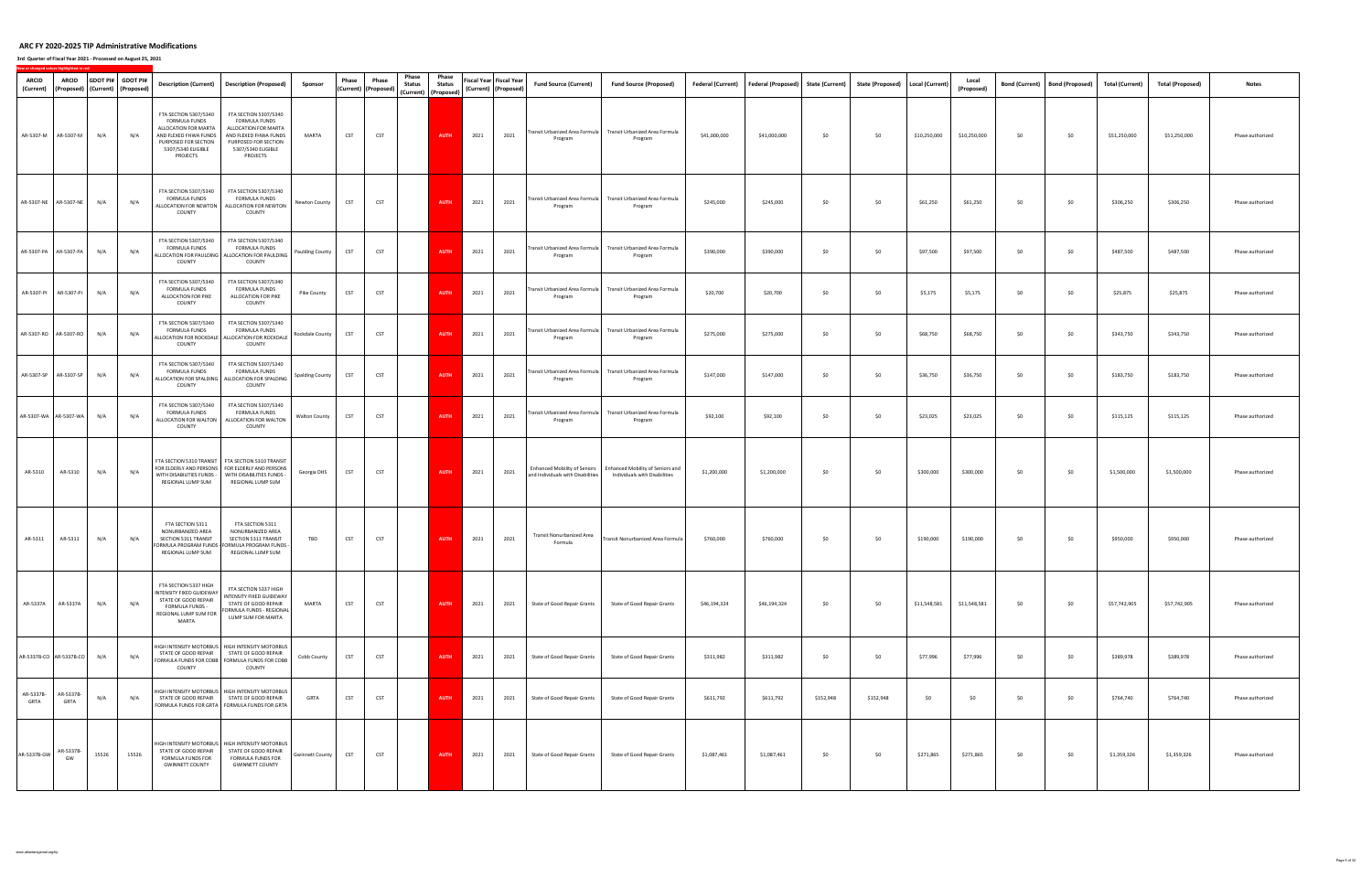**3rd Quarter of Fiscal Year 2021 ‐ Processed on August 25, 2021**

| ARCID<br>(Current) | <b>ARCID</b><br>(Proposed) (Current) (Proposed) | GDOT PI# GDOT PI# |       |                                                                                                                                                                 | Description (Current) Description (Proposed)                                                                                                                                     | Sponsor                | Phase      | Phase<br>(Current) (Proposed) | Phase<br><b>Status</b> | Phase<br><b>Status</b><br>(Current) (Proposed) |      | Fiscal Year Fiscal Year<br>(Current) (Proposed) | <b>Fund Source (Current)</b>                                      | <b>Fund Source (Proposed)</b>                                              |              | Federal (Current) Federal (Proposed) State (Current) |           | State (Proposed)   Local (Current) |              | Local<br>(Proposed) | <b>Bond (Current)</b> | <b>Bond (Proposed)</b> | <b>Total (Current)</b> | <b>Total (Proposed)</b> | <b>Notes</b>     |
|--------------------|-------------------------------------------------|-------------------|-------|-----------------------------------------------------------------------------------------------------------------------------------------------------------------|----------------------------------------------------------------------------------------------------------------------------------------------------------------------------------|------------------------|------------|-------------------------------|------------------------|------------------------------------------------|------|-------------------------------------------------|-------------------------------------------------------------------|----------------------------------------------------------------------------|--------------|------------------------------------------------------|-----------|------------------------------------|--------------|---------------------|-----------------------|------------------------|------------------------|-------------------------|------------------|
|                    | AR-5307-M AR-5307-M                             | N/A               | N/A   | FTA SECTION 5307/5340<br><b>FORMULA FUNDS</b><br>ALLOCATION FOR MARTA<br>AND FLEXED FHWA FUNDS<br>PURPOSED FOR SECTION<br>5307/5340 ELIGIBLE<br><b>PROJECTS</b> | FTA SECTION 5307/5340<br><b>FORMULA FUNDS</b><br>ALLOCATION FOR MARTA<br>AND FLEXED FHWA FUNDS<br>PURPOSED FOR SECTION<br>5307/5340 ELIGIBLE<br>PROJECTS                         | MARTA                  | <b>CST</b> | <b>CST</b>                    |                        | <b>AUTH</b>                                    | 2021 | 2021                                            | Program                                                           | Transit Urbanized Area Formula   Transit Urbanized Area Formula<br>Program | \$41,000,000 | \$41,000,000                                         | \$0       | \$0                                | \$10,250,000 | \$10,250,000        | \$0                   | \$0                    | \$51,250,000           | \$51,250,000            | Phase authorized |
|                    | AR-5307-NE AR-5307-NE                           | N/A               | N/A   | FTA SECTION 5307/5340<br>FORMULA FUNDS<br>COUNTY                                                                                                                | FTA SECTION 5307/5340<br><b>FORMULA FUNDS</b><br>ALLOCATION FOR NEWTON ALLOCATION FOR NEWTON<br>COUNTY                                                                           | Newton County          | <b>CST</b> | <b>CST</b>                    |                        | AUTH                                           | 2021 | 2021                                            | Program                                                           | Transit Urbanized Area Formula Transit Urbanized Area Formula<br>Program   | \$245,000    | \$245,000                                            | \$0       | \$0                                | \$61,250     | \$61,250            | \$0                   | \$0                    | \$306,250              | \$306,250               | Phase authorized |
|                    | AR-5307-PA AR-5307-PA                           | N/A               | N/A   | FTA SECTION 5307/5340<br>FORMULA FUNDS<br>COUNTY                                                                                                                | FTA SECTION 5307/5340<br>FORMULA FUNDS<br>ALLOCATION FOR PAULDING ALLOCATION FOR PAULDING<br>COUNTY                                                                              | <b>Paulding County</b> | <b>CST</b> | <b>CST</b>                    |                        | <b>AUTH</b>                                    | 2021 | 2021                                            | Program                                                           | Transit Urbanized Area Formula Transit Urbanized Area Formula<br>Program   | \$390,000    | \$390,000                                            | \$0       | \$0                                | \$97,500     | \$97,500            | \$0                   | \$0                    | \$487,500              | \$487,500               | Phase authorized |
|                    | AR-5307-PI AR-5307-PI                           | N/A               | N/A   | FTA SECTION 5307/5340<br><b>FORMULA FUNDS</b><br>ALLOCATION FOR PIKE<br>COUNTY                                                                                  | FTA SECTION 5307/5340<br>FORMULA FUNDS<br>ALLOCATION FOR PIKE<br>COUNTY                                                                                                          | Pike County            | <b>CST</b> | <b>CST</b>                    |                        | <b>AUTH</b>                                    | 2021 | 2021                                            | Program                                                           | Transit Urbanized Area Formula Transit Urbanized Area Formula<br>Program   | \$20,700     | \$20,700                                             | \$0       | \$0                                | \$5,175      | \$5,175             | \$0                   | \$0                    | \$25,875               | \$25,875                | Phase authorized |
|                    | AR-5307-RO AR-5307-RO                           | N/A               | N/A   | FTA SECTION 5307/5340<br>FORMULA FUNDS<br>COUNTY                                                                                                                | FTA SECTION 5307/5340<br><b>FORMULA FUNDS</b><br>ALLOCATION FOR ROCKDALE ALLOCATION FOR ROCKDALE<br>COUNTY                                                                       | Rockdale County        | <b>CST</b> | <b>CST</b>                    |                        | <b>AUTH</b>                                    | 2021 | 2021                                            | Program                                                           | Transit Urbanized Area Formula Transit Urbanized Area Formula<br>Program   | \$275,000    | \$275,000                                            | \$0       | \$0                                | \$68,750     | \$68,750            | \$0                   | \$0                    | \$343,750              | \$343,750               | Phase authorized |
|                    | AR-5307-SP AR-5307-SP                           | N/A               | N/A   | FTA SECTION 5307/5340<br><b>FORMULA FUNDS</b><br>COUNTY                                                                                                         | FTA SECTION 5307/5340<br><b>FORMULA FUNDS</b><br>ALLOCATION FOR SPALDING ALLOCATION FOR SPALDING<br>COUNTY                                                                       | <b>Spalding County</b> | CST        | <b>CST</b>                    |                        | <b>AUTH</b>                                    | 2021 | 2021                                            | Program                                                           | Transit Urbanized Area Formula Transit Urbanized Area Formula<br>Program   | \$147,000    | \$147,000                                            | \$0       | \$0                                | \$36,750     | \$36,750            | \$0                   | \$0                    | \$183,750              | \$183,750               | Phase authorized |
|                    | AR-5307-WA AR-5307-WA                           | N/A               | N/A   | FTA SECTION 5307/5340<br>FORMULA FUNDS<br>COUNTY                                                                                                                | FTA SECTION 5307/5340<br><b>FORMULA FUNDS</b><br>ALLOCATION FOR WALTON ALLOCATION FOR WALTON<br>COUNTY                                                                           | <b>Walton County</b>   | <b>CST</b> | <b>CST</b>                    |                        | <b>AUTH</b>                                    | 2021 | 2021                                            | Program                                                           | Transit Urbanized Area Formula   Transit Urbanized Area Formula<br>Program | \$92,100     | \$92,100                                             | \$0       | \$0                                | \$23,025     | \$23,025            | \$0                   | \$0                    | \$115,125              | \$115,125               | Phase authorized |
| AR-5310            | AR-5310                                         | N/A               | N/A   | REGIONAL LUMP SUM                                                                                                                                               | FTA SECTION 5310 TRANSIT FTA SECTION 5310 TRANSIT<br>FOR ELDERLY AND PERSONS FOR ELDERLY AND PERSONS<br>WITH DISABILITIES FUNDS - WITH DISABILITIES FUNDS -<br>REGIONAL LUMP SUM | Georgia DHS            | <b>CST</b> | <b>CST</b>                    |                        | <b>AUTH</b>                                    | 2021 | 2021                                            | Enhanced Mobility of Seniors<br>and Individuals with Disabilities | Enhanced Mobility of Seniors and<br>Individuals with Disabilities          | \$1,200,000  | \$1,200,000                                          | \$0       | \$0                                | \$300,000    | \$300,000           | \$0                   | \$0                    | \$1,500,000            | \$1,500,000             | Phase authorized |
| AR-5311            | AR-5311                                         | N/A               | N/A   | FTA SECTION 5311<br>NONURBANIZED AREA<br>SECTION 5311 TRANSIT<br>REGIONAL LUMP SUM                                                                              | FTA SECTION 5311<br>NONURBANIZED AREA<br>SECTION 5311 TRANSIT<br>FORMULA PROGRAM FUNDS - FORMULA PROGRAM FUNDS -<br>REGIONAL LUMP SUM                                            | TBD                    | <b>CST</b> | <b>CST</b>                    |                        | <b>AUTH</b>                                    | 2021 | 2021                                            | <b>Transit Nonurbanized Area</b><br>Formula                       | Transit Nonurbanized Area Formula                                          | \$760,000    | \$760,000                                            | \$0       | \$0                                | \$190,000    | \$190,000           | \$0                   | \$0                    | \$950,000              | \$950,000               | Phase authorized |
| AR-5337A           | AR-5337A                                        | N/A               | N/A   | FTA SECTION 5337 HIGH<br>NTENSITY FIXED GUIDEWAY<br>STATE OF GOOD REPAIR<br>FORMULA FUNDS -<br>REGIONAL LUMP SUM FOR<br>MARTA                                   | FTA SECTION 5337 HIGH<br>INTENSITY FIXED GUIDEWAY<br>STATE OF GOOD REPAIR<br>FORMULA FUNDS - REGIONAL<br>LUMP SUM FOR MARTA                                                      | MARTA                  | <b>CST</b> | <b>CST</b>                    |                        | AUTH                                           | 2021 | 2021                                            | State of Good Repair Grants                                       | State of Good Repair Grants                                                | \$46,194,324 | \$46,194,324                                         | \$0       | \$0                                | \$11,548,581 | \$11,548,581        | \$0                   | \$0                    | \$57,742,905           | \$57,742,905            | Phase authorized |
|                    | AR-5337B-CO AR-5337B-CO                         | N/A               | N/A   | STATE OF GOOD REPAIR<br>COUNTY                                                                                                                                  | HIGH INTENSITY MOTORBUS   HIGH INTENSITY MOTORBUS<br>STATE OF GOOD REPAIR<br>FORMULA FUNDS FOR COBB   FORMULA FUNDS FOR COBB<br>COUNTY                                           | Cobb County            | <b>CST</b> | <b>CST</b>                    |                        | <b>AUTH</b>                                    | 2021 | 2021                                            | State of Good Repair Grants                                       | State of Good Repair Grants                                                | \$311,982    | \$311,982                                            | \$0       | \$0                                | \$77,996     | \$77,996            | \$0                   | \$0                    | \$389,978              | \$389,978               | Phase authorized |
| AR-5337B-<br>GRTA  | AR-5337B-<br>GRTA                               | N/A               | N/A   |                                                                                                                                                                 | HIGH INTENSITY MOTORBUS   HIGH INTENSITY MOTORBUS<br>STATE OF GOOD REPAIR STATE OF GOOD REPAIR<br>FORMULA FUNDS FOR GRTA   FORMULA FUNDS FOR GRTA                                | <b>GRTA</b>            | CST        | <b>CST</b>                    |                        | <b>AUTH</b>                                    | 2021 | 2021                                            | State of Good Repair Grants                                       | State of Good Repair Grants                                                | \$611,792    | \$611,792                                            | \$152,948 | \$152,948                          | \$0          | \$0                 | \$0                   | \$0                    | \$764,740              | \$764,740               | Phase authorized |
| AR-5337B-GW        | AR-5337B-<br>GW                                 | 15526             | 15526 | STATE OF GOOD REPAIR<br>FORMULA FUNDS FOR<br><b>GWINNETT COUNTY</b>                                                                                             | HIGH INTENSITY MOTORBUS   HIGH INTENSITY MOTORBUS<br>STATE OF GOOD REPAIR<br>FORMULA FUNDS FOR<br><b>GWINNETT COUNTY</b>                                                         | <b>Gwinnett County</b> | <b>CST</b> | <b>CST</b>                    |                        | <b>AUTH</b>                                    | 2021 | 2021                                            | State of Good Repair Grants                                       | State of Good Repair Grants                                                | \$1,087,461  | \$1,087,461                                          | \$0       | \$0                                | \$271,865    | \$271,865           | \$0                   | \$0                    | \$1,359,326            | \$1,359,326             | Phase authorized |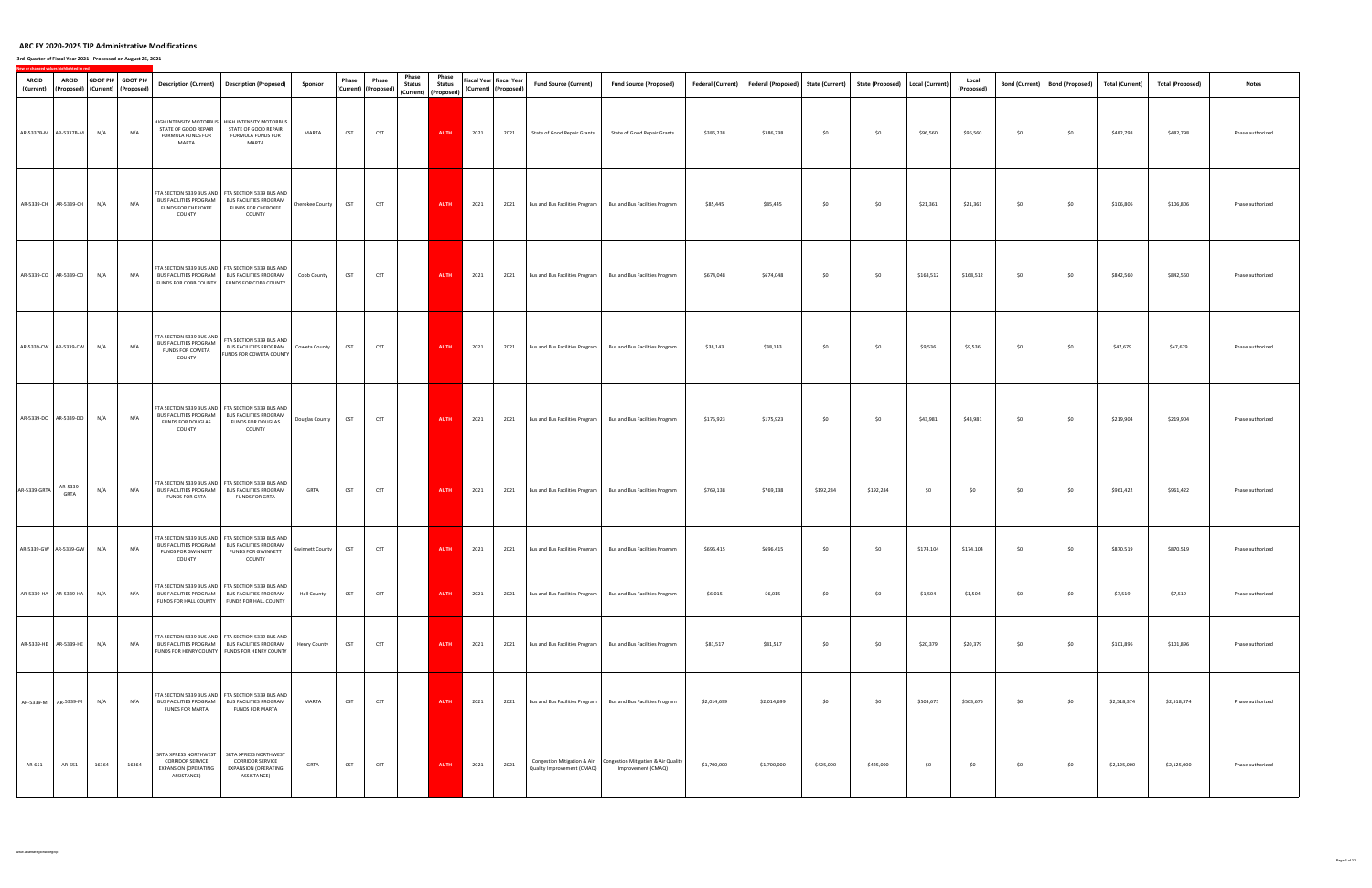| <b>ARCID</b><br>(Current) | <b>ARCID</b><br>(Proposed) (Current) (Proposed) |       | GDOT PI# GDOT PI# | <b>Description (Current)</b>                                                                   | <b>Description (Proposed)</b>                                                                                                                       | Sponsor                | Phase      | Phase<br>Phase<br><b>Status</b><br>(Current) (Proposed) | Phase<br><b>Status</b><br>(Current) (Proposed) |      | Fiscal Year Fiscal Year<br>(Current) (Proposed) | <b>Fund Source (Current)</b>   | <b>Fund Source (Proposed)</b>                                                         | Federal (Current) | Federal (Proposed) State (Current) |           | State (Proposed)   Local (Current) |           | Local<br>(Proposed) |     | Bond (Current) Bond (Proposed) | <b>Total (Current)</b> | <b>Total (Proposed)</b> | <b>Notes</b>     |
|---------------------------|-------------------------------------------------|-------|-------------------|------------------------------------------------------------------------------------------------|-----------------------------------------------------------------------------------------------------------------------------------------------------|------------------------|------------|---------------------------------------------------------|------------------------------------------------|------|-------------------------------------------------|--------------------------------|---------------------------------------------------------------------------------------|-------------------|------------------------------------|-----------|------------------------------------|-----------|---------------------|-----|--------------------------------|------------------------|-------------------------|------------------|
|                           | AR-5337B-M   AR-5337B-M                         | N/A   | N/A               | STATE OF GOOD REPAIR<br>FORMULA FUNDS FOR<br>MARTA                                             | HIGH INTENSITY MOTORBUS   HIGH INTENSITY MOTORBUS<br>STATE OF GOOD REPAIR<br>FORMULA FUNDS FOR<br>MARTA                                             | MARTA                  | <b>CST</b> | <b>CST</b>                                              | <b>AUTH</b>                                    | 2021 | 2021                                            | State of Good Repair Grants    | State of Good Repair Grants                                                           | \$386,238         | \$386,238                          | \$0       | \$0                                | \$96,560  | \$96,560            | \$0 | \$0                            | \$482,798              | \$482,798               | Phase authorized |
|                           | AR-5339-CH AR-5339-CH                           | N/A   | N/A               | <b>BUS FACILITIES PROGRAM</b><br>FUNDS FOR CHEROKEE<br>COUNTY                                  | FTA SECTION 5339 BUS AND FTA SECTION 5339 BUS AND<br><b>BUS FACILITIES PROGRAM</b><br><b>FUNDS FOR CHEROKEE</b><br>COUNTY                           | Cherokee County        | <b>CST</b> | <b>CST</b>                                              | AUTH                                           | 2021 | 2021                                            | Bus and Bus Facilities Program | Bus and Bus Facilities Program                                                        | \$85,445          | \$85,445                           | \$0       | \$0                                | \$21,361  | \$21,361            | \$0 | \$0                            | \$106,806              | \$106,806               | Phase authorized |
|                           | AR-5339-CO   AR-5339-CO                         | N/A   | N/A               | <b>BUS FACILITIES PROGRAM</b>                                                                  | FTA SECTION 5339 BUS AND   FTA SECTION 5339 BUS AND<br><b>BUS FACILITIES PROGRAM</b><br>FUNDS FOR COBB COUNTY FUNDS FOR COBB COUNTY                 | Cobb County            | <b>CST</b> | <b>CST</b>                                              | <b>AUTH</b>                                    | 2021 | 2021                                            | Bus and Bus Facilities Program | Bus and Bus Facilities Program                                                        | \$674,048         | \$674,048                          | \$0       | \$0                                | \$168,512 | \$168,512           | \$0 | \$0                            | \$842,560              | \$842,560               | Phase authorized |
|                           | AR-5339-CW AR-5339-CW                           | N/A   | N/A               | FTA SECTION 5339 BUS AND<br><b>BUS FACILITIES PROGRAM</b><br><b>FUNDS FOR COWETA</b><br>COUNTY | FTA SECTION 5339 BUS AND<br>BUS FACILITIES PROGRAM Coweta County<br>FUNDS FOR COWETA COUNTY                                                         |                        | <b>CST</b> | <b>CST</b>                                              | <b>AUTH</b>                                    | 2021 | 2021                                            | Bus and Bus Facilities Program | Bus and Bus Facilities Program                                                        | \$38,143          | \$38,143                           | \$0       | \$0                                | \$9,536   | \$9,536             | \$0 | \$0                            | \$47,679               | \$47,679                | Phase authorized |
|                           | AR-5339-DO AR-5339-DO                           | N/A   | N/A               | <b>BUS FACILITIES PROGRAM</b><br>FUNDS FOR DOUGLAS<br>COUNTY                                   | FTA SECTION 5339 BUS AND   FTA SECTION 5339 BUS AND<br><b>BUS FACILITIES PROGRAM</b><br><b>FUNDS FOR DOUGLAS</b><br>COUNTY                          | Douglas County         | <b>CST</b> | <b>CST</b>                                              | AUTH                                           | 2021 | 2021                                            | Bus and Bus Facilities Program | Bus and Bus Facilities Program                                                        | \$175,923         | \$175,923                          | \$0       | \$0                                | \$43,981  | \$43,981            | \$0 | \$0                            | \$219,904              | \$219,904               | Phase authorized |
| AR-5339-GRTA              | AR-5339-<br>GRTA                                | N/A   | N/A               | <b>BUS FACILITIES PROGRAM</b><br><b>FUNDS FOR GRTA</b>                                         | FTA SECTION 5339 BUS AND FTA SECTION 5339 BUS AND<br><b>BUS FACILITIES PROGRAM</b><br><b>FUNDS FOR GRTA</b>                                         | GRTA                   | <b>CST</b> | <b>CST</b>                                              | AUTH                                           | 2021 | 2021                                            | Bus and Bus Facilities Program | Bus and Bus Facilities Program                                                        | \$769,138         | \$769,138                          | \$192,284 | \$192,284                          | \$0       | \$0                 | \$0 | \$0                            | \$961,422              | \$961,422               | Phase authorized |
|                           | AR-5339-GW AR-5339-GW N/A                       |       | N/A               | <b>BUS FACILITIES PROGRAM</b><br>FUNDS FOR GWINNETT<br>COUNTY                                  | FTA SECTION 5339 BUS AND FTA SECTION 5339 BUS AND<br><b>BUS FACILITIES PROGRAM</b><br>FUNDS FOR GWINNETT<br>COUNTY                                  | <b>Gwinnett County</b> | <b>CST</b> | <b>CST</b>                                              | <b>AUTH</b>                                    | 2021 | 2021                                            | Bus and Bus Facilities Program | Bus and Bus Facilities Program                                                        | \$696,415         | \$696,415                          | \$0       | \$0                                | \$174,104 | \$174,104           | \$0 | \$0                            | \$870,519              | \$870,519               | Phase authorized |
|                           | AR-5339-HA AR-5339-HA                           | N/A   | N/A               | <b>BUS FACILITIES PROGRAM</b><br>FUNDS FOR HALL COUNTY                                         | FTA SECTION 5339 BUS AND FTA SECTION 5339 BUS AND<br><b>BUS FACILITIES PROGRAM</b><br>FUNDS FOR HALL COUNTY                                         | <b>Hall County</b>     | <b>CST</b> | <b>CST</b>                                              | AUTH                                           | 2021 | 2021                                            | Bus and Bus Facilities Program | Bus and Bus Facilities Program                                                        | \$6,015           | \$6,015                            | \$0       | \$0                                | \$1,504   | \$1,504             | \$0 | \$0                            | \$7,519                | \$7,519                 | Phase authorized |
|                           | AR-5339-HE AR-5339-HE                           | N/A   | N/A               |                                                                                                | FTA SECTION 5339 BUS AND FTA SECTION 5339 BUS AND<br>BUS FACILITIES PROGRAM BUS FACILITIES PROGRAM<br>FUNDS FOR HENRY COUNTY FUNDS FOR HENRY COUNTY | <b>Henry County</b>    | <b>CST</b> | <b>CST</b>                                              | AUTH                                           | 2021 | 2021                                            | Bus and Bus Facilities Program | Bus and Bus Facilities Program                                                        | \$81,517          | \$81,517                           | \$0       | \$0                                | \$20,379  | \$20,379            | \$0 | \$0                            | \$101,896              | \$101,896               | Phase authorized |
|                           | AR-5339-M AR-5339-M                             | N/A   | N/A               | <b>BUS FACILITIES PROGRAM</b><br><b>FUNDS FOR MARTA</b>                                        | FTA SECTION 5339 BUS AND   FTA SECTION 5339 BUS AND<br><b>BUS FACILITIES PROGRAM</b><br><b>FUNDS FOR MARTA</b>                                      | MARTA                  | <b>CST</b> | <b>CST</b>                                              | <b>AUTH</b>                                    | 2021 | 2021                                            | Bus and Bus Facilities Program | Bus and Bus Facilities Program                                                        | \$2,014,699       | \$2,014,699                        | \$0       | \$0                                | \$503,675 | \$503,675           | \$0 | \$0                            | \$2,518,374            | \$2,518,374             | Phase authorized |
| AR-651                    | AR-651                                          | 16364 | 16364             | SRTA XPRESS NORTHWEST<br><b>CORRIDOR SERVICE</b><br>EXPANSION (OPERATING<br>ASSISTANCE)        | SRTA XPRESS NORTHWEST<br><b>CORRIDOR SERVICE</b><br><b>EXPANSION (OPERATING</b><br>ASSISTANCE)                                                      | GRTA                   | <b>CST</b> | <b>CST</b>                                              | AUTH                                           | 2021 | 2021                                            | Quality Improvement (CMAQ)     | Congestion Mitigation & Air Congestion Mitigation & Air Quality<br>Improvement (CMAQ) | \$1,700,000       | \$1,700,000                        | \$425,000 | \$425,000                          | \$0       | \$0                 | \$0 | \$0                            | \$2,125,000            | \$2,125,000             | Phase authorized |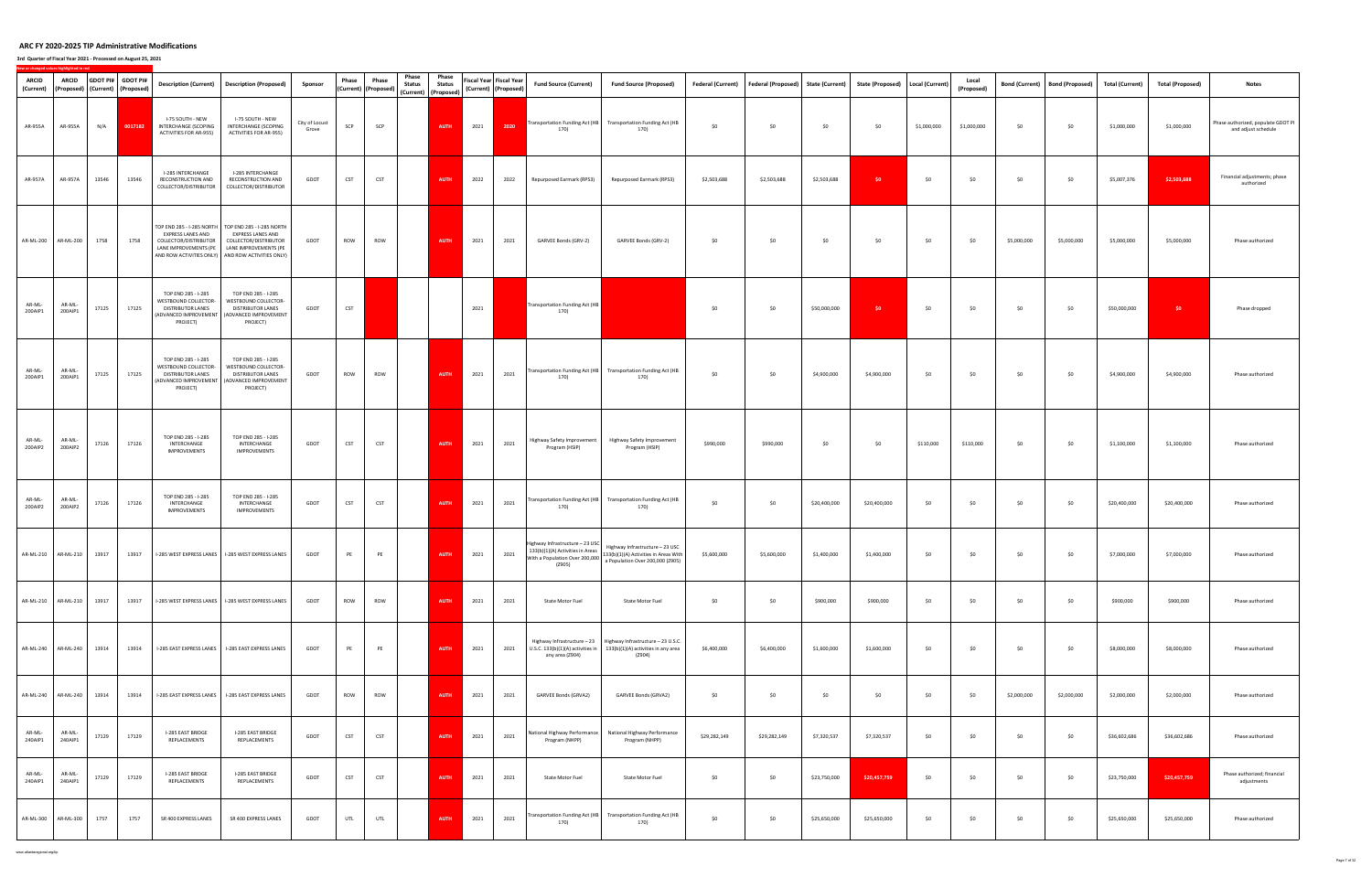#### **3rd Quarter of Fiscal Year 2021 ‐ Processed on August 25, 2021**

| ARCID<br>(Current) | <b>ARCID</b><br>(Proposed)   (Current)   (Proposed) |       | GDOT PI# GDOT PI# | <b>Description (Current)</b>                                                                          | <b>Description (Proposed)</b>                                                                                                                                                                                    | Sponsor                 | Phase      | Phase<br>(Current) (Proposed) | Phase<br><b>Status</b><br>(Current) (Proposed) | Phase<br><b>Status</b> |      | Fiscal Year Fiscal Year<br>(Current) (Proposed) | <b>Fund Source (Current)</b>                                                        | <b>Fund Source (Proposed)</b>                                                                                                               | Federal (Current) | Federal (Proposed) State (Current) |              | State (Proposed) Local (Current) |             | Local<br>(Proposed) |             | Bond (Current) Bond (Proposed) | <b>Total (Current)</b> | <b>Total (Proposed)</b> | <b>Notes</b>                                              |
|--------------------|-----------------------------------------------------|-------|-------------------|-------------------------------------------------------------------------------------------------------|------------------------------------------------------------------------------------------------------------------------------------------------------------------------------------------------------------------|-------------------------|------------|-------------------------------|------------------------------------------------|------------------------|------|-------------------------------------------------|-------------------------------------------------------------------------------------|---------------------------------------------------------------------------------------------------------------------------------------------|-------------------|------------------------------------|--------------|----------------------------------|-------------|---------------------|-------------|--------------------------------|------------------------|-------------------------|-----------------------------------------------------------|
| AR-955A            | AR-955A                                             | N/A   | 0017182           | I-75 SOUTH - NEW<br>INTERCHANGE (SCOPING<br>ACTIVITIES FOR AR-955)                                    | I-75 SOUTH - NEW<br>INTERCHANGE (SCOPING<br>ACTIVITIES FOR AR-955)                                                                                                                                               | City of Locust<br>Grove | SCP        | SCP                           |                                                | <b>AUTH</b>            | 2021 | 2020                                            | <b>Transportation Funding Act (HB</b><br>170)                                       | <b>Transportation Funding Act (HB</b><br>170)                                                                                               | \$0               | \$0                                | \$0          | \$0                              | \$1,000,000 | \$1,000,000         | \$0         | \$0                            | \$1,000,000            | \$1,000,000             | Phase authorized, populate GDOT PI<br>and adjust schedule |
| AR-957A            | AR-957A                                             | 13546 | 13546             | I-285 INTERCHANGE<br>RECONSTRUCTION AND                                                               | I-285 INTERCHANGE<br>RECONSTRUCTION AND<br>COLLECTOR/DISTRIBUTOR COLLECTOR/DISTRIBUTOR                                                                                                                           | GDOT                    | <b>CST</b> | <b>CST</b>                    |                                                | <b>AUTH</b>            | 2022 | 2022                                            | Repurposed Earmark (RPS3)                                                           | Repurposed Earmark (RPS3)                                                                                                                   | \$2,503,688       | \$2,503,688                        | \$2,503,688  | \$0                              | \$0         | \$0                 | \$0         | \$0                            | \$5,007,376            | \$2,503,688             | Financial adjustments; phase<br>authorized                |
|                    | AR-ML-200 AR-ML-200                                 | 1758  | 1758              | EXPRESS LANES AND<br>COLLECTOR/DISTRIBUTOR                                                            | TOP END 285 - I-285 NORTH   TOP END 285 - I-285 NORTH<br><b>EXPRESS LANES AND</b><br>COLLECTOR/DISTRIBUTOR<br>LANE IMPROVEMENTS (PE   LANE IMPROVEMENTS (PE<br>AND ROW ACTIVITIES ONLY) AND ROW ACTIVITIES ONLY) | GDOT                    | ROW        | ROW                           |                                                | <b>AUTH</b>            | 2021 | 2021                                            | GARVEE Bonds (GRV-2)                                                                | GARVEE Bonds (GRV-2)                                                                                                                        | \$0               | \$0                                | \$0          | \$0                              | \$0         | \$0                 | \$5,000,000 | \$5,000,000                    | \$5,000,000            | \$5,000,000             | Phase authorized                                          |
| AR-ML-<br>200AIP1  | AR-ML-<br>200AIP1                                   | 17125 | 17125             | TOP END 285 - I-285<br>WESTBOUND COLLECTOR-<br>DISTRIBUTOR LANES<br>(ADVANCED IMPROVEMENT<br>PROJECT) | TOP END 285 - I-285<br>WESTBOUND COLLECTOR-<br>DISTRIBUTOR LANES<br>(ADVANCED IMPROVEMENT<br>PROJECT)                                                                                                            | GDOT                    | <b>CST</b> |                               |                                                |                        | 2021 |                                                 | Transportation Funding Act (HB<br>170)                                              |                                                                                                                                             | \$0               | \$0                                | \$50,000,000 | \$0                              | \$0         | \$0                 | \$0         | \$0                            | \$50,000,000           | \$0                     | Phase dropped                                             |
| AR-ML-<br>200AIP1  | AR-ML-<br>200AIP1                                   | 17125 | 17125             | TOP END 285 - I-285<br>WESTBOUND COLLECTOR-<br>DISTRIBUTOR LANES<br>(ADVANCED IMPROVEMENT<br>PROJECT) | TOP END 285 - I-285<br>WESTBOUND COLLECTOR-<br>DISTRIBUTOR LANES<br>(ADVANCED IMPROVEMENT<br>PROJECT)                                                                                                            | GDOT                    | ROW        | ROW                           |                                                | <b>AUTH</b>            | 2021 | 2021                                            | 170)                                                                                | Transportation Funding Act (HB Transportation Funding Act (HB<br>170)                                                                       | \$0               | \$0                                | \$4,900,000  | \$4,900,000                      | \$0         | \$0                 | \$0         | \$0                            | \$4,900,000            | \$4,900,000             | Phase authorized                                          |
| AR-ML-<br>200AIP2  | AR-ML-<br>200AIP2                                   | 17126 | 17126             | TOP END 285 - I-285<br>INTERCHANGE<br>IMPROVEMENTS                                                    | TOP END 285 - I-285<br>INTERCHANGE<br><b>IMPROVEMENTS</b>                                                                                                                                                        | GDOT                    | <b>CST</b> | <b>CST</b>                    |                                                | <b>AUTH</b>            | 2021 | 2021                                            | Highway Safety Improvement<br>Program (HSIP)                                        | Highway Safety Improvement<br>Program (HSIP)                                                                                                | \$990,000         | \$990,000                          | \$0          | \$0                              | \$110,000   | \$110,000           | \$0         | \$0                            | \$1,100,000            | \$1,100,000             | Phase authorized                                          |
| AR-ML-<br>200AIP2  | AR-ML-<br>200AIP2                                   | 17126 | 17126             | TOP END 285 - I-285<br>INTERCHANGE<br>IMPROVEMENTS                                                    | TOP END 285 - I-285<br>INTERCHANGE<br>IMPROVEMENTS                                                                                                                                                               | GDOT                    | CST        | <b>CST</b>                    |                                                | <b>AUTH</b>            | 2021 | 2021                                            | <b>Transportation Funding Act (HB</b><br>170)                                       | <b>Transportation Funding Act (HB</b><br>170)                                                                                               | \$0               | \$0                                | \$20,400,000 | \$20,400,000                     | \$0         | \$0                 | \$0         | \$0                            | \$20,400,000           | \$20,400,000            | Phase authorized                                          |
|                    | AR-ML-210 AR-ML-210 13917                           |       | 13917             |                                                                                                       | I-285 WEST EXPRESS LANES   I-285 WEST EXPRESS LANES                                                                                                                                                              | GDOT                    | PE         | PE                            |                                                | <b>AUTH</b>            | 2021 | 2021                                            | Highway Infrastructure - 23 USC<br>(Z905)                                           | Highway Infrastructure - 23 USC<br>With a Population Over 200,000 133(b)(1)(A) Activities in Areas With<br>a Population Over 200,000 (Z905) | \$5,600,000       | \$5,600,000                        | \$1,400,000  | \$1,400,000                      | \$0         | \$0                 | \$0         | \$0                            | \$7,000,000            | \$7,000,000             | Phase authorized                                          |
|                    | AR-ML-210 AR-ML-210                                 | 13917 | 13917             |                                                                                                       | I-285 WEST EXPRESS LANES   I-285 WEST EXPRESS LANES                                                                                                                                                              | GDOT                    | ROW        | ROW                           |                                                | <b>AUTH</b>            | 2021 | 2021                                            | State Motor Fuel                                                                    | State Motor Fuel                                                                                                                            | \$0               | \$0                                | \$900,000    | \$900,000                        | \$0         | \$0                 | \$0         | \$0                            | \$900,000              | \$900,000               | Phase authorized                                          |
|                    | AR-ML-240 AR-ML-240 13914                           |       | 13914             |                                                                                                       | I-285 EAST EXPRESS LANES   I-285 EAST EXPRESS LANES                                                                                                                                                              | GDOT                    | PE         | PE                            |                                                | <b>AUTH</b>            | 2021 | 2021                                            | Highway Infrastructure - 23<br>U.S.C. 133(b)(1)(A) activities in<br>any area (Z904) | Highway Infrastructure - 23 U.S.C.<br>133(b)(1)(A) activities in any area<br>(Z904)                                                         | \$6,400,000       | \$6,400,000                        | \$1,600,000  | \$1,600,000                      | \$0         | \$0                 | \$0         | \$0                            | \$8,000,000            | \$8,000,000             | Phase authorized                                          |
|                    | AR-ML-240 AR-ML-240                                 | 13914 | 13914             |                                                                                                       | I-285 EAST EXPRESS LANES   I-285 EAST EXPRESS LANES                                                                                                                                                              | GDOT                    | ROW        | ROW                           |                                                | <b>AUTH</b>            | 2021 | 2021                                            | GARVEE Bonds (GRVA2)                                                                | GARVEE Bonds (GRVA2)                                                                                                                        | \$0               | \$0                                | \$0          | \$0                              | \$0         | \$0                 | \$2,000,000 | \$2,000,000                    | \$2,000,000            | \$2,000,000             | Phase authorized                                          |
| AR-ML-<br>240AIP1  | AR-ML-<br>240AIP1                                   | 17129 | 17129             | I-285 EAST BRIDGE<br>REPLACEMENTS                                                                     | I-285 EAST BRIDGE<br>REPLACEMENTS                                                                                                                                                                                | GDOT                    | <b>CST</b> | <b>CST</b>                    |                                                | <b>AUTH</b>            | 2021 | 2021                                            | Program (NHPP)                                                                      | National Highway Performance National Highway Performance<br>Program (NHPP)                                                                 | \$29,282,149      | \$29,282,149                       | \$7,320,537  | \$7,320,537                      | \$0         | \$0                 | \$0         | \$0                            | \$36,602,686           | \$36,602,686            | Phase authorized                                          |
| AR-ML-<br>240AIP1  | AR-ML-<br>240AIP1                                   | 17129 | 17129             | I-285 EAST BRIDGE<br>REPLACEMENTS                                                                     | I-285 EAST BRIDGE<br>REPLACEMENTS                                                                                                                                                                                | GDOT                    | CST        | CST                           |                                                | <b>AUTH</b>            | 2021 | 2021                                            | State Motor Fuel                                                                    | State Motor Fuel                                                                                                                            | \$0               | \$0                                | \$23,750,000 | \$20,457,759                     | \$0         | \$0                 | \$0         | \$0                            | \$23,750,000           | \$20,457,759            | Phase authorized; financial<br>adjustments                |
|                    | AR-ML-300 AR-ML-300                                 | 1757  | 1757              | SR 400 EXPRESS LANES                                                                                  | SR 400 EXPRESS LANES                                                                                                                                                                                             | GDOT                    | UTL        | <b>UTL</b>                    |                                                | <b>AUTH</b>            | 2021 | 2021                                            | Transportation Funding Act (HB<br>170)                                              | <b>Transportation Funding Act (HB</b><br>170)                                                                                               | \$0               | \$0                                | \$25,650,000 | \$25,650,000                     | \$0         | \$0                 | \$0         | \$0                            | \$25,650,000           | \$25,650,000            | Phase authorized                                          |

www.atlantaregional.org/tip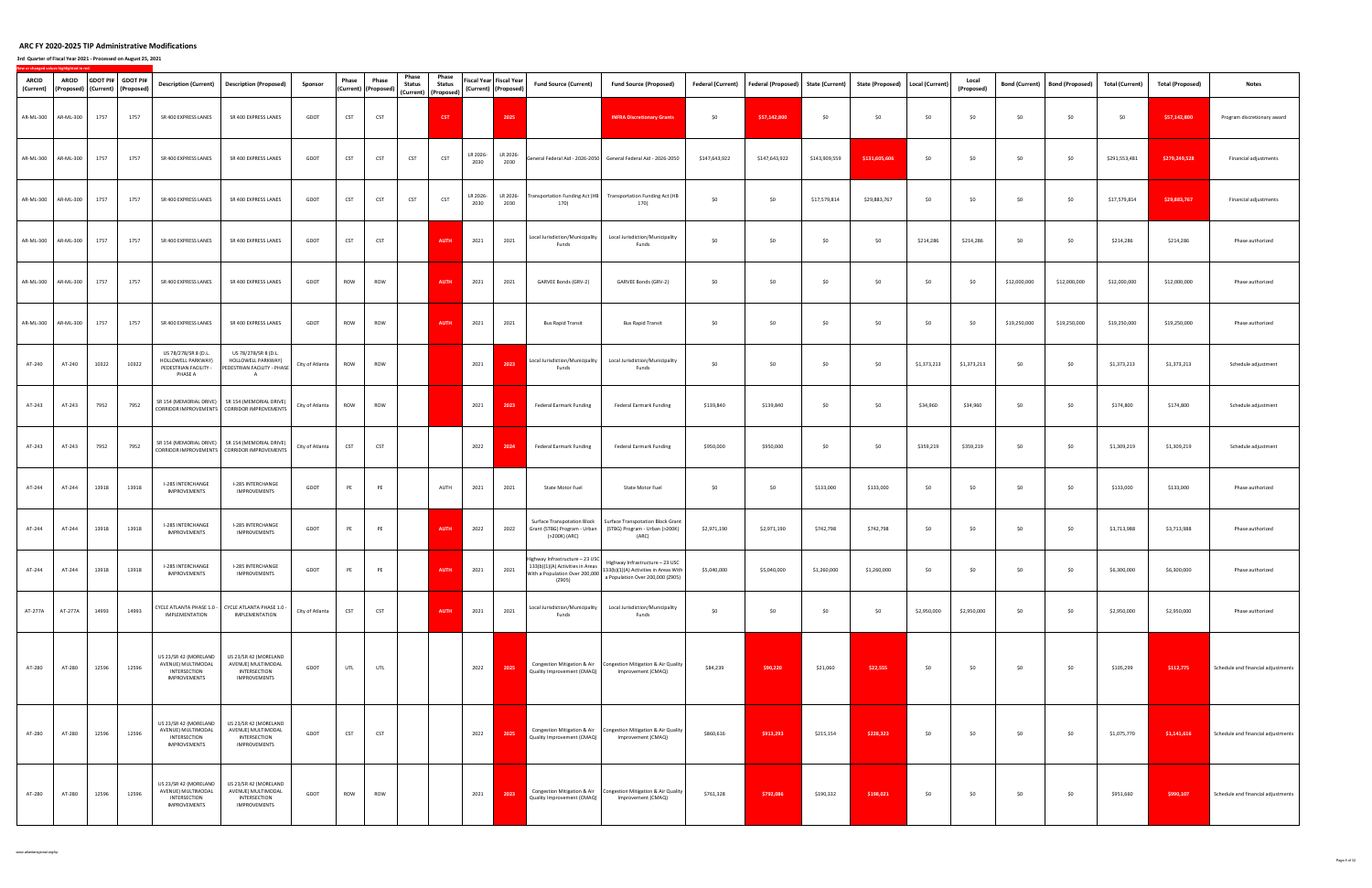**3rd Quarter of Fiscal Year 2021 ‐ Processed on August 25, 2021**

| <b>ARCID</b><br>(Current) | ARCID<br>(Proposed) (Current) (Proposed) |       | GDOT PI# GDOT PI# | <b>Description (Current)</b>                                                       | <b>Description (Proposed)</b>                                                                  | Sponsor         | Phase           | Phase<br>(Current) (Proposed) | Phase<br><b>Status</b><br>(Current) (Proposed) | Phase<br><b>Status</b> |                  | Fiscal Year Fiscal Year<br>(Current) (Proposed) | <b>Fund Source (Current)</b>                                                        | <b>Fund Source (Proposed)</b>                                                                       | <b>Federal (Current)</b> | Federal (Proposed) State (Current) |               | <b>State (Proposed)</b> | Local (Current)    | Local<br>(Proposed) | <b>Bond (Current)</b> | <b>Bond (Proposed)</b> | <b>Total (Current)</b> | <b>Total (Proposed)</b> | <b>Notes</b>                       |
|---------------------------|------------------------------------------|-------|-------------------|------------------------------------------------------------------------------------|------------------------------------------------------------------------------------------------|-----------------|-----------------|-------------------------------|------------------------------------------------|------------------------|------------------|-------------------------------------------------|-------------------------------------------------------------------------------------|-----------------------------------------------------------------------------------------------------|--------------------------|------------------------------------|---------------|-------------------------|--------------------|---------------------|-----------------------|------------------------|------------------------|-------------------------|------------------------------------|
|                           | AR-ML-300 AR-ML-300                      | 1757  | 1757              | SR 400 EXPRESS LANES                                                               | SR 400 EXPRESS LANES                                                                           | GDOT            | <b>CST</b>      | CST                           |                                                | <b>CST</b>             |                  | 2025                                            |                                                                                     | <b>INFRA Discretionary Grants</b>                                                                   | \$0                      | \$57,142,800                       | \$0           | \$0                     | \$0                | \$0                 | \$0                   | \$0                    | \$0                    | \$57,142,800            | Program discretionary award        |
|                           | AR-ML-300 AR-ML-300                      | 1757  | 1757              | SR 400 EXPRESS LANES                                                               | SR 400 EXPRESS LANES                                                                           | GDOT            | <b>CST</b>      | CST                           | <b>CST</b>                                     | <b>CST</b>             | LR 2026-<br>2030 | LR 2026-<br>2030                                |                                                                                     | General Federal Aid - 2026-2050 General Federal Aid - 2026-2050                                     | \$147,643,922            | \$147,643,922                      | \$143,909,559 | \$131,605,606           | \$0                | \$0                 | \$0                   | \$0                    | \$291,553,481          | \$279,249,528           | Financial adjustments              |
|                           | AR-ML-300 AR-ML-300                      | 1757  | 1757              | SR 400 EXPRESS LANES                                                               | SR 400 EXPRESS LANES                                                                           | GDOT            | CST             | <b>CST</b>                    | CST                                            | CST                    | LR 2026-<br>2030 | LR 2026-<br>2030                                | 170)                                                                                | Transportation Funding Act (HB Transportation Funding Act (HB<br>170)                               | \$0                      | \$0                                | \$17,579,814  | \$29,883,767            | \$0                | \$0                 | \$0                   | \$0                    | \$17,579,814           | \$29,883,767            | Financial adjustments              |
|                           | AR-ML-300 AR-ML-300                      | 1757  | 1757              | SR 400 EXPRESS LANES                                                               | SR 400 EXPRESS LANES                                                                           | GDOT            | <b>CST</b>      | <b>CST</b>                    |                                                | <b>AUTH</b>            | 2021             | 2021                                            | Local Jurisdiction/Municipality<br>Funds                                            | Local Jurisdiction/Municipality<br>Funds                                                            | \$0                      | \$0                                | \$0           | \$0                     | \$214,286          | \$214,286           | \$0                   | \$0                    | \$214,286              | \$214,286               | Phase authorized                   |
| AR-ML-300                 | AR-ML-300                                | 1757  | 1757              | SR 400 EXPRESS LANES                                                               | SR 400 EXPRESS LANES                                                                           | GDOT            | ROW             | ROW                           |                                                | <b>AUTH</b>            | 2021             | 2021                                            | GARVEE Bonds (GRV-2)                                                                | GARVEE Bonds (GRV-2)                                                                                | \$0                      | \$0                                | \$0           | \$0                     | \$0                | \$0                 | \$12,000,000          | \$12,000,000           | \$12,000,000           | \$12,000,000            | Phase authorized                   |
|                           | AR-ML-300 AR-ML-300                      | 1757  | 1757              | SR 400 EXPRESS LANES                                                               | SR 400 EXPRESS LANES                                                                           | GDOT            | ROW             | ROW                           |                                                | <b>AUTH</b>            | 2021             | 2021                                            | <b>Bus Rapid Transit</b>                                                            | <b>Bus Rapid Transit</b>                                                                            | \$0                      | \$0                                | \$0           | \$0                     | \$0                | \$0                 | \$19,250,000          | \$19,250,000           | \$19,250,000           | \$19,250,000            | Phase authorized                   |
| AT-240                    | AT-240                                   | 10322 | 10322             | US 78/278/SR 8 (D.L.<br>HOLLOWELL PARKWAY)<br>PEDESTRIAN FACILITY -<br>PHASE A     | US 78/278/SR 8 (D.L.<br>HOLLOWELL PARKWAY)<br>PEDESTRIAN FACILITY - PHASE<br>A                 | City of Atlanta | ROW             | ROW                           |                                                |                        | 2021             | 2023                                            | ocal Jurisdiction/Municipality<br>Funds                                             | Local Jurisdiction/Municipality<br>Funds                                                            | \$0                      | \$0                                | \$0           | \$0                     | \$1,373,213        | \$1,373,213         | \$0                   | \$0                    | \$1,373,213            | \$1,373,213             | Schedule adjustment                |
| AT-243                    | AT-243                                   | 7952  | 7952              |                                                                                    | SR 154 (MEMORIAL DRIVE) SR 154 (MEMORIAL DRIVE)<br>CORRIDOR IMPROVEMENTS CORRIDOR IMPROVEMENTS | City of Atlanta | ROW             | ROW                           |                                                |                        | 2021             | 2023                                            | <b>Federal Earmark Funding</b>                                                      | <b>Federal Earmark Funding</b>                                                                      | \$139,840                | \$139,840                          | \$0           | \$0                     | \$34,960           | \$34,960            | \$0                   | \$0                    | \$174,800              | \$174,800               | Schedule adjustment                |
| AT-243                    | AT-243                                   | 7952  | 7952              |                                                                                    | SR 154 (MEMORIAL DRIVE) SR 154 (MEMORIAL DRIVE)<br>CORRIDOR IMPROVEMENTS CORRIDOR IMPROVEMENTS | City of Atlanta | CST             | CST                           |                                                |                        | 2022             | 2024                                            | Federal Earmark Funding                                                             | Federal Earmark Funding                                                                             | \$950,000                | \$950,000                          | \$0           | \$0                     | \$359,219          | \$359,219           | \$0                   | \$0                    | \$1,309,219            | \$1,309,219             | Schedule adjustment                |
| AT-244                    | AT-244                                   | 13918 | 13918             | I-285 INTERCHANGE<br><b>IMPROVEMENTS</b>                                           | I-285 INTERCHANGE<br><b>IMPROVEMENTS</b>                                                       | GDOT            | PE              | PE                            |                                                | AUTH                   | 2021             | 2021                                            | State Motor Fuel                                                                    | State Motor Fuel                                                                                    | \$0                      | \$0                                | \$133,000     | \$133,000               | \$0                | \$0                 | \$0                   | \$0                    | \$133,000              | \$133,000               | Phase authorized                   |
| AT-244                    | AT-244                                   | 13918 | 13918             | I-285 INTERCHANGE<br>IMPROVEMENTS                                                  | I-285 INTERCHANGE<br>IMPROVEMENTS                                                              | GDOT            | PE              | PE                            |                                                | <b>AUTH</b>            | 2022             | 2022                                            | <b>Surface Transpotation Block</b><br>Grant (STBG) Program - Urban<br>(>200K) (ARC) | <b>Surface Transpotation Block Grant</b><br>(STBG) Program - Urban (>200K)<br>(ARC)                 | \$2,971,190              | \$2,971,190                        | \$742,798     | \$742,798               | \$0                | \$0                 | \$0                   | \$0                    | \$3,713,988            | \$3,713,988             | Phase authorized                   |
|                           | AT-244 AT-244 13918 13918                |       |                   | I-285 INTERCHANGE<br><b>IMPROVEMENTS</b>                                           | I-285 INTERCHANGE<br>IMPROVEMENTS                                                              | GDOT            | PE <sup>1</sup> | PE                            |                                                |                        |                  |                                                 | With a Population Over 200,000<br>(Z905)                                            | Highway Infrastructure - 23 USC Highway Infrastructure - 23 USC<br>a Population Over 200,000 (Z905) |                          |                                    |               |                         | $SO \qquad \qquad$ | SO                  | 50                    |                        | $$0$ \$6,300,000       | \$6,300,000             | Phase authorized                   |
| AT-277A                   | AT-277A                                  | 14993 | 14993             | IMPLEMENTATION                                                                     | CYCLE ATLANTA PHASE 1.0 - CYCLE ATLANTA PHASE 1.0 -<br>IMPLEMENTATION                          | City of Atlanta | CST             | CST                           |                                                | <b>AUTH</b>            | 2021             | 2021                                            | Local Jurisdiction/Municipality<br>Funds                                            | Local Jurisdiction/Municipality<br>Funds                                                            | \$0                      | \$0                                | \$0           | \$0                     | \$2,950,000        | \$2,950,000         | \$0                   | \$0                    | \$2,950,000            | \$2,950,000             | Phase authorized                   |
| AT-280                    | AT-280                                   | 12596 | 12596             | US 23/SR 42 (MORELAND<br>AVENUE) MULTIMODAL<br>INTERSECTION<br><b>IMPROVEMENTS</b> | US 23/SR 42 (MORELAND<br>AVENUE) MULTIMODAL<br>INTERSECTION<br>IMPROVEMENTS                    | GDOT            | UTL             | UTL                           |                                                |                        | 2022             | 2025                                            | Quality Improvement (CMAQ)                                                          | Congestion Mitigation & Air Congestion Mitigation & Air Quality<br>Improvement (CMAQ)               | \$84,239                 | \$90,220                           | \$21,060      | \$22,555                | \$0                | \$0                 | \$0                   | \$0                    | \$105,299              | \$112,775               | Schedule and financial adjustments |
| AT-280                    | AT-280                                   | 12596 | 12596             | US 23/SR 42 (MORELAND<br>AVENUE) MULTIMODAL<br>INTERSECTION<br><b>IMPROVEMENTS</b> | US 23/SR 42 (MORELAND<br>AVENUE) MULTIMODAL<br>INTERSECTION<br><b>IMPROVEMENTS</b>             | GDOT            | <b>CST</b>      | CST                           |                                                |                        | 2022             | 2025                                            | Quality Improvement (CMAQ)                                                          | Congestion Mitigation & Air Congestion Mitigation & Air Quality<br>Improvement (CMAQ)               | \$860,616                | \$913,293                          | \$215,154     | \$228,323               | \$0                | \$0                 | \$0                   | \$0                    | \$1,075,770            | \$1,141,616             | Schedule and financial adjustments |
| AT-280                    | AT-280                                   | 12596 | 12596             | US 23/SR 42 (MORELAND<br>AVENUE) MULTIMODAL<br>INTERSECTION<br><b>IMPROVEMENTS</b> | US 23/SR 42 (MORELAND<br>AVENUE) MULTIMODAL<br>INTERSECTION<br>IMPROVEMENTS                    | GDOT            | ROW             | ROW                           |                                                |                        | 2021             | 2023                                            | Congestion Mitigation & Air<br>Quality Improvement (CMAQ)                           | Congestion Mitigation & Air Quality<br>Improvement (CMAQ)                                           | \$761,328                | \$792,086                          | \$190,332     | \$198,021               | \$0                | \$0                 | \$0                   | \$0                    | \$951,660              | \$990,107               | Schedule and financial adjustments |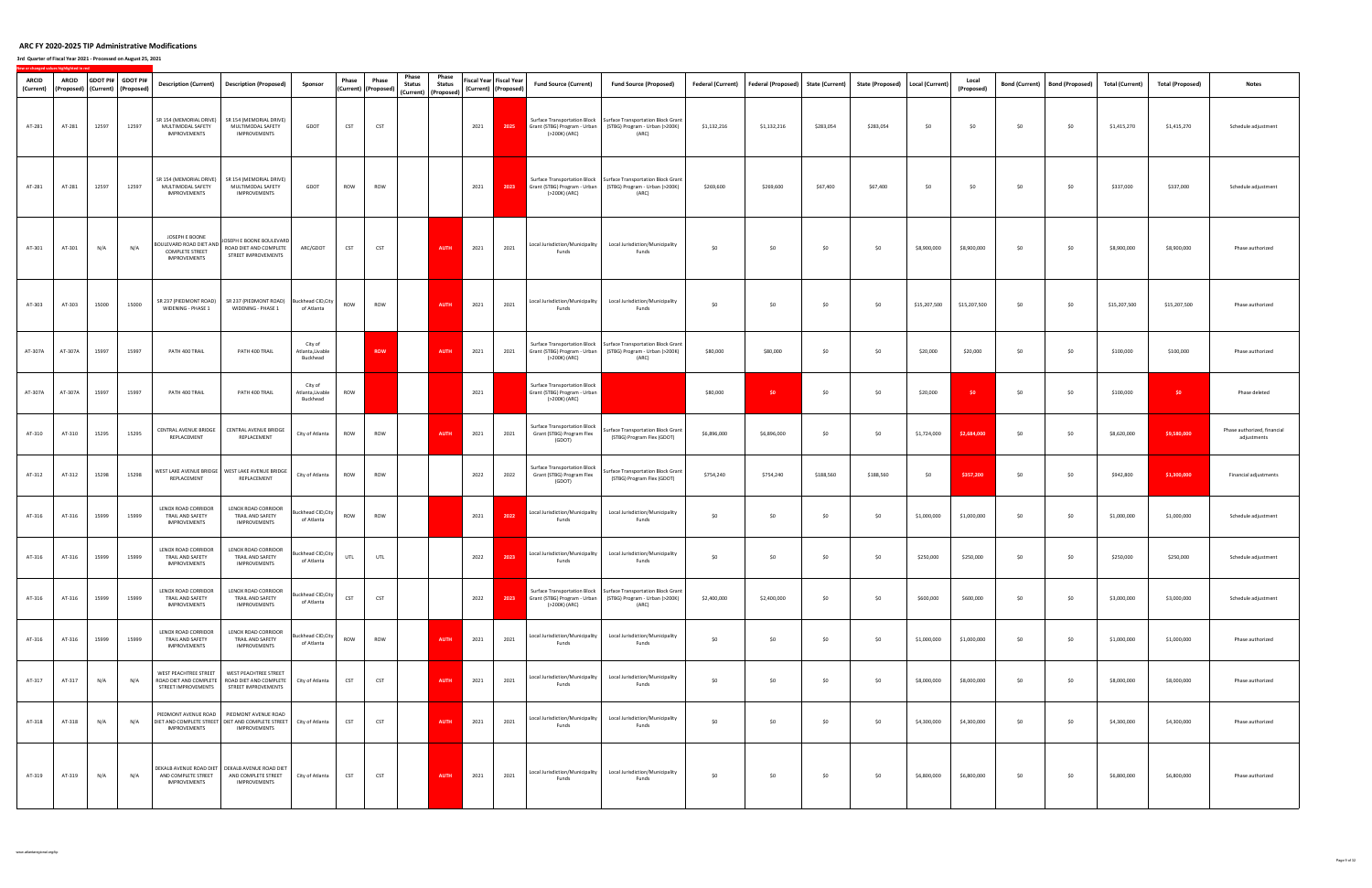| <b>ARCID</b><br>(Current) | ARCID   | (Proposed)   (Current)   (Proposed) | GDOT PI# GDOT PI# |                                                                                     | Description (Current) Description (Proposed)                                                                          | Sponsor                                 | Phase | Phase<br>(Current) (Proposed) | Phase<br><b>Status</b><br>(Current) (Proposed) | Phase<br><b>Status</b> |      | Fiscal Year Fiscal Year<br>(Current) (Proposed) | <b>Fund Source (Current)</b>                                                  | <b>Fund Source (Proposed)</b>                                                                                                             | Federal (Current) | Federal (Proposed) State (Current) |           | State (Proposed) | Local (Current) | Local<br>(Proposed) | <b>Bond (Current)</b> | <b>Bond (Proposed)</b> | <b>Total (Current)</b> | <b>Total (Proposed)</b> | <b>Notes</b>                               |
|---------------------------|---------|-------------------------------------|-------------------|-------------------------------------------------------------------------------------|-----------------------------------------------------------------------------------------------------------------------|-----------------------------------------|-------|-------------------------------|------------------------------------------------|------------------------|------|-------------------------------------------------|-------------------------------------------------------------------------------|-------------------------------------------------------------------------------------------------------------------------------------------|-------------------|------------------------------------|-----------|------------------|-----------------|---------------------|-----------------------|------------------------|------------------------|-------------------------|--------------------------------------------|
| AT-281                    | AT-281  | 12597                               | 12597             | SR 154 (MEMORIAL DRIVE)<br>MULTIMODAL SAFETY<br><b>IMPROVEMENTS</b>                 | SR 154 (MEMORIAL DRIVE)<br>MULTIMODAL SAFETY<br>IMPROVEMENTS                                                          | GDOT                                    | CST   | <b>CST</b>                    |                                                |                        | 2021 | 2025                                            | Grant (STBG) Program - Urban<br>(>200K) (ARC)                                 | Surface Transportation Block   Surface Transportation Block Grant<br>(STBG) Program - Urban (>200K)<br>(ARC)                              | \$1,132,216       | \$1,132,216                        | \$283,054 | \$283,054        | \$0             | \$0                 | \$0                   | \$0                    | \$1,415,270            | \$1,415,270             | Schedule adjustment                        |
| AT-281                    | AT-281  | 12597                               | 12597             | SR 154 (MEMORIAL DRIVE)<br>MULTIMODAL SAFETY<br><b>IMPROVEMENTS</b>                 | SR 154 (MEMORIAL DRIVE)<br>MULTIMODAL SAFETY<br><b>IMPROVEMENTS</b>                                                   | GDOT                                    | ROW   | ROW                           |                                                |                        | 2021 | 2023                                            | Grant (STBG) Program - Urban<br>(>200K) (ARC)                                 | Surface Transportation Block   Surface Transportation Block Grant<br>(STBG) Program - Urban (>200K)<br>(ARC)                              | \$269,600         | \$269,600                          | \$67,400  | \$67,400         | \$0             | \$0                 | \$0                   | \$0                    | \$337,000              | \$337,000               | Schedule adjustment                        |
| AT-301                    | AT-301  | N/A                                 | N/A               | JOSEPH E BOONE<br>BOULEVARD ROAD DIET AND<br><b>COMPLETE STREET</b><br>IMPROVEMENTS | JOSEPH E BOONE BOULEVARD<br>ROAD DIET AND COMPLETE<br>STREET IMPROVEMENTS                                             | ARC/GDOT                                | CST   | <b>CST</b>                    |                                                | <b>AUTH</b>            | 2021 | 2021                                            | Local Jurisdiction/Municipality<br>Funds                                      | Local Jurisdiction/Municipality<br>Funds                                                                                                  | \$0               | \$0                                | \$0       | \$0              | \$8,900,000     | \$8,900,000         | \$0                   | \$0                    | \$8,900,000            | \$8,900,000             | Phase authorized                           |
| AT-303                    | AT-303  | 15000                               | 15000             | SR 237 (PIEDMONT ROAD)<br>WIDENING - PHASE 1                                        | SR 237 (PIEDMONT ROAD)<br>WIDENING - PHASE 1                                                                          | Buckhead CID, City<br>of Atlanta        | ROW   | ROW                           |                                                | <b>AUTH</b>            | 2021 | 2021                                            | Local Jurisdiction/Municipality<br>Funds                                      | Local Jurisdiction/Municipality<br>Funds                                                                                                  | \$0               | \$0                                | \$0       | \$0              | \$15,207,500    | \$15,207,500        | \$0                   | \$0                    | \$15,207,500           | \$15,207,500            | Phase authorized                           |
| AT-307A                   | AT-307A | 15997                               | 15997             | PATH 400 TRAIL                                                                      | PATH 400 TRAIL                                                                                                        | City of<br>Atlanta, Livable<br>Buckhead |       | <b>ROW</b>                    |                                                | <b>AUTH</b>            | 2021 | 2021                                            | Grant (STBG) Program - Urban<br>(>200K) (ARC)                                 | Surface Transportation Block   Surface Transportation Block Grant<br>(STBG) Program - Urban (>200K)<br>(ARC)                              | \$80,000          | \$80,000                           | \$0       | \$0              | \$20,000        | \$20,000            | \$0                   | \$0                    | \$100,000              | \$100,000               | Phase authorized                           |
| AT-307A                   | AT-307A | 15997                               | 15997             | PATH 400 TRAIL                                                                      | PATH 400 TRAIL                                                                                                        | City of<br>Atlanta, Livable<br>Buckhead | ROW   |                               |                                                |                        | 2021 |                                                 | Surface Transportation Block<br>Grant (STBG) Program - Urban<br>(>200K) (ARC) |                                                                                                                                           | \$80,000          | \$0                                | \$0       | \$0              | \$20,000        | \$0                 | \$0                   | \$0                    | \$100,000              | \$0                     | Phase deleted                              |
| AT-310                    | AT-310  | 15295                               | 15295             | CENTRAL AVENUE BRIDGE<br>REPLACEMENT                                                | CENTRAL AVENUE BRIDGE<br>REPLACEMENT                                                                                  | City of Atlanta                         | ROW   | ROW                           |                                                | <b>AUTH</b>            | 2021 | 2021                                            | <b>Surface Transportation Block</b><br>Grant (STBG) Program Flex<br>(GDOT)    | Surface Transportation Block Grant<br>(STBG) Program Flex (GDOT)                                                                          | \$6,896,000       | \$6,896,000                        | \$0       | \$0              | \$1,724,000     | \$2,684,000         | \$0                   | \$0                    | \$8,620,000            | \$9,580,000             | Phase authorized, financial<br>adjustments |
| AT-312                    | AT-312  | 15298                               | 15298             | REPLACEMENT                                                                         | WEST LAKE AVENUE BRIDGE   WEST LAKE AVENUE BRIDGE<br>REPLACEMENT                                                      | City of Atlanta                         | ROW   | ROW                           |                                                |                        | 2022 | 2022                                            | <b>Surface Transportation Block</b><br>Grant (STBG) Program Flex<br>(GDOT)    | Surface Transportation Block Grant<br>(STBG) Program Flex (GDOT)                                                                          | \$754,240         | \$754,240                          | \$188,560 | \$188,560        | \$0             | \$357,200           | \$0                   | \$0                    | \$942,800              | \$1,300,000             | Financial adjustments                      |
| AT-316                    | AT-316  | 15999                               | 15999             | LENOX ROAD CORRIDOR<br>TRAIL AND SAFETY<br><b>IMPROVEMENTS</b>                      | LENOX ROAD CORRIDOR<br>TRAIL AND SAFETY<br><b>IMPROVEMENTS</b>                                                        | <b>Buckhead CID, City</b><br>of Atlanta | ROW   | ROW                           |                                                |                        | 2021 | 2022                                            | Local Jurisdiction/Municipality<br>Funds                                      | Local Jurisdiction/Municipality<br>Funds                                                                                                  | \$0               | \$0                                | \$0       | \$0              | \$1,000,000     | \$1,000,000         | \$0                   | \$0                    | \$1,000,000            | \$1,000,000             | Schedule adjustment                        |
| AT-316                    | AT-316  | 15999                               | 15999             | LENOX ROAD CORRIDOR<br>TRAIL AND SAFETY<br>IMPROVEMENTS                             | LENOX ROAD CORRIDOR<br>TRAIL AND SAFETY<br>IMPROVEMENTS                                                               | <b>Buckhead CID, City</b><br>of Atlanta | UTL   | <b>UTL</b>                    |                                                |                        | 2022 | 2023                                            | Local Jurisdiction/Municipality<br>Funds                                      | Local Jurisdiction/Municipality<br>Funds                                                                                                  | \$0               | \$0                                | \$0       | \$0              | \$250,000       | \$250,000           | \$0                   | \$0                    | \$250,000              | \$250,000               | Schedule adjustment                        |
| AT-316                    | AT-316  | 15999                               | 15999             | LENOX ROAD CORRIDOR<br>TRAIL AND SAFETY<br><b>IMPROVEMENTS</b>                      | LENOX ROAD CORRIDOR<br>TRAIL AND SAFETY<br><b>IMPROVEMENTS</b>                                                        | Buckhead CID, City<br>of Atlanta        | CST   | <b>CST</b>                    |                                                |                        | 2022 | 2023                                            | (>200K) (ARC)                                                                 | Surface Transportation Block Surface Transportation Block Grant<br>Grant (STBG) Program - Urban   (STBG) Program - Urban (>200K)<br>(ARC) | \$2,400,000       | \$2,400,000                        | \$0       | \$0              | \$600,000       | \$600,000           | \$0                   | \$0                    | \$3,000,000            | \$3,000,000             | Schedule adjustment                        |
| AT-316                    | AT-316  | 15999                               | 15999             | LENOX ROAD CORRIDOR<br>TRAIL AND SAFETY<br>IMPROVEMENTS                             | LENOX ROAD CORRIDOR<br>TRAIL AND SAFETY<br>IMPROVEMENTS                                                               | Buckhead CID, City<br>of Atlanta        | ROW   | ROW                           |                                                | <b>AUTH</b>            | 2021 | 2021                                            | Local Jurisdiction/Municipality<br>Funds                                      | Local Jurisdiction/Municipality<br>Funds                                                                                                  | \$0               | \$0                                | \$0       | \$0              | \$1,000,000     | \$1,000,000         | \$0                   | \$0                    | \$1,000,000            | \$1,000,000             | Phase authorized                           |
| AT-317                    | AT-317  | N/A                                 | N/A               | STREET IMPROVEMENTS                                                                 | WEST PEACHTREE STREET WEST PEACHTREE STREET<br>ROAD DIET AND COMPLETE   ROAD DIET AND COMPLETE<br>STREET IMPROVEMENTS | City of Atlanta                         | CST   | <b>CST</b>                    |                                                | <b>AUTH</b>            | 2021 | 2021                                            | Local Jurisdiction/Municipality<br>Funds                                      | Local Jurisdiction/Municipality<br>Funds                                                                                                  | \$0               | \$0                                | \$0       | \$0              | \$8,000,000     | \$8,000,000         | \$0                   | \$0                    | \$8,000,000            | \$8,000,000             | Phase authorized                           |
| AT-318                    | AT-318  | N/A                                 | N/A               | DIET AND COMPLETE STREET DIET AND COMPLETE STREET City of Atlanta<br>IMPROVEMENTS   | PIEDMONT AVENUE ROAD   PIEDMONT AVENUE ROAD<br>IMPROVEMENTS                                                           |                                         | CST   | CST                           |                                                | <b>AUTH</b>            | 2021 | 2021                                            | Local Jurisdiction/Municipality<br>Funds                                      | Local Jurisdiction/Municipality<br>Funds                                                                                                  | \$0               | \$0                                | \$0       | \$0              | \$4,300,000     | \$4,300,000         | \$0                   | \$0                    | \$4,300,000            | \$4,300,000             | Phase authorized                           |
| AT-319                    | AT-319  | N/A                                 | N/A               | AND COMPLETE STREET<br><b>IMPROVEMENTS</b>                                          | DEKALB AVENUE ROAD DIET   DEKALB AVENUE ROAD DIET<br>AND COMPLETE STREET<br>IMPROVEMENTS                              | City of Atlanta                         | CST   | CST                           |                                                | <b>AUTH</b>            | 2021 | 2021                                            | Local Jurisdiction/Municipality<br>Funds                                      | Local Jurisdiction/Municipality<br>Funds                                                                                                  | \$0               | \$0                                | \$0       | \$0              | \$6,800,000     | \$6,800,000         | \$0                   | \$0                    | \$6,800,000            | \$6,800,000             | Phase authorized                           |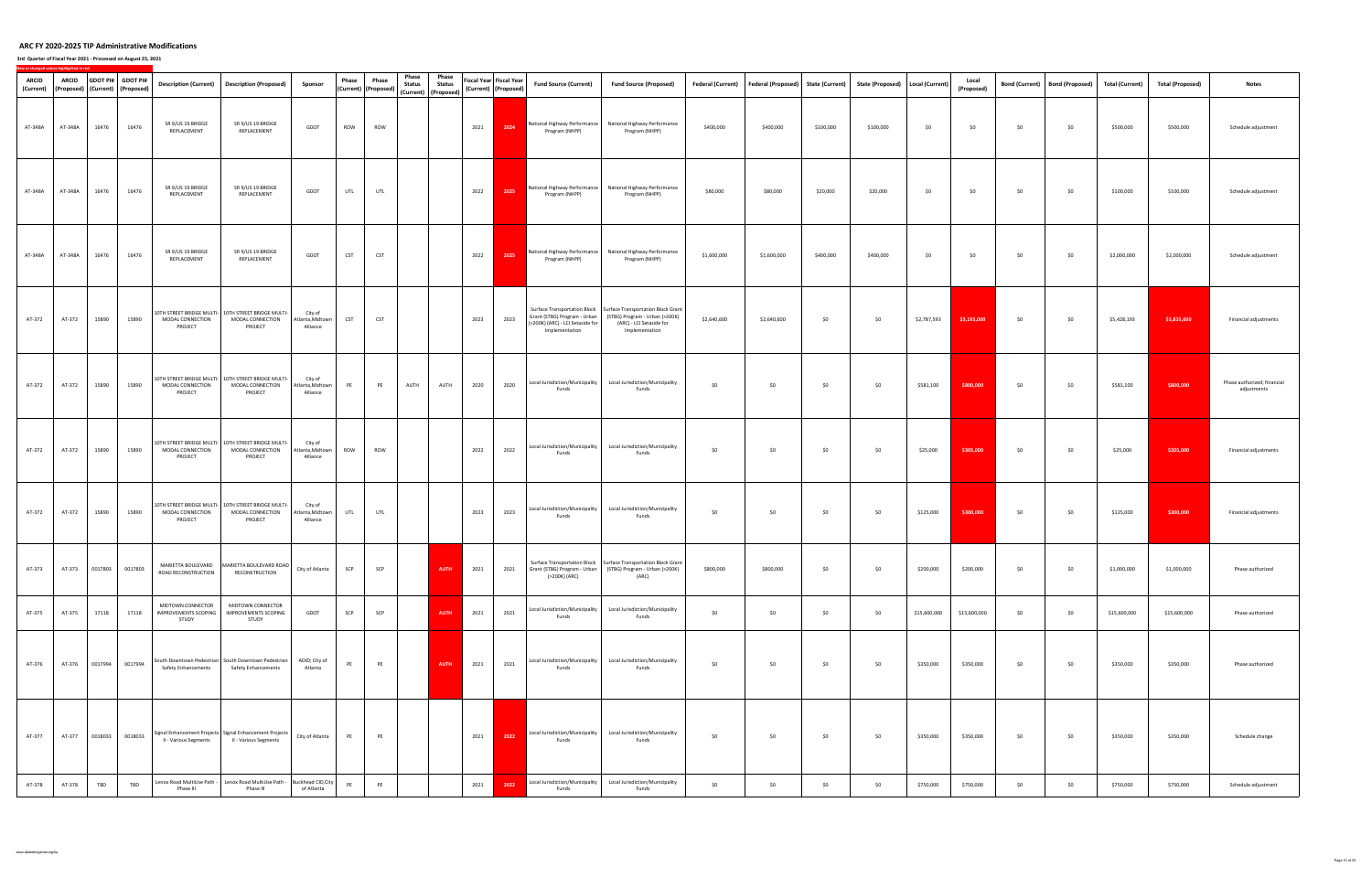## **3rd Quarter of Fiscal Year 2021 ‐ Processed on August 25, 2021**

| <b>ARCID</b><br>ARCID<br>(Proposed) (Current) (Proposed)<br>(Current) | GDOT PI# GDOT PI# |                 |                                                           | Description (Current)   Description (Proposed)                                       | Sponsor                                 | Phase | Phase<br>(Current) (Proposed) | Phase<br><b>Status</b><br>(Current) (Proposed) | Phase<br><b>Status</b> |      | Fiscal Year Fiscal Year<br>(Current) (Proposed) | <b>Fund Source (Current)</b>                                                       | <b>Fund Source (Proposed)</b>                                                                                                                                   | <b>Federal (Current)</b> | Federal (Proposed) State (Current) |           | State (Proposed)   Local (Current)        |              | Local<br>(Proposed) | <b>Bond (Current)</b> | <b>Bond (Proposed)</b> | <b>Total (Current)</b> | <b>Total (Proposed)</b> | <b>Notes</b>                               |
|-----------------------------------------------------------------------|-------------------|-----------------|-----------------------------------------------------------|--------------------------------------------------------------------------------------|-----------------------------------------|-------|-------------------------------|------------------------------------------------|------------------------|------|-------------------------------------------------|------------------------------------------------------------------------------------|-----------------------------------------------------------------------------------------------------------------------------------------------------------------|--------------------------|------------------------------------|-----------|-------------------------------------------|--------------|---------------------|-----------------------|------------------------|------------------------|-------------------------|--------------------------------------------|
| AT-348A<br>AT-348A                                                    | 16476             | 16476           | SR 9/US 19 BRIDGE<br>REPLACEMENT                          | SR 9/US 19 BRIDGE<br>REPLACEMENT                                                     | GDOT                                    | ROW   | ROW                           |                                                |                        | 2021 | 2024                                            | Program (NHPP)                                                                     | National Highway Performance   National Highway Performance<br>Program (NHPP)                                                                                   | \$400,000                | \$400,000                          | \$100,000 | \$100,000                                 | \$0          | \$0                 | \$0                   | \$0                    | \$500,000              | \$500,000               | Schedule adjustment                        |
| AT-348A<br>AT-348A                                                    | 16476             | 16476           | SR 9/US 19 BRIDGE<br>REPLACEMENT                          | SR 9/US 19 BRIDGE<br>REPLACEMENT                                                     | GDOT                                    | UTL   | UTL                           |                                                |                        | 2022 | 2025                                            | Program (NHPP)                                                                     | National Highway Performance National Highway Performance<br>Program (NHPP)                                                                                     | \$80,000                 | \$80,000                           | \$20,000  | \$20,000                                  | \$0          | \$0                 | \$0                   | \$0                    | \$100,000              | \$100,000               | Schedule adjustment                        |
| AT-348A<br>AT-348A                                                    | 16476             | 16476           | SR 9/US 19 BRIDGE<br>REPLACEMENT                          | SR 9/US 19 BRIDGE<br>REPLACEMENT                                                     | GDOT                                    | CST   | <b>CST</b>                    |                                                |                        | 2022 | 2025                                            | Program (NHPP)                                                                     | National Highway Performance   National Highway Performance<br>Program (NHPP)                                                                                   | \$1,600,000              | \$1,600,000                        | \$400,000 | \$400,000                                 | \$0          | \$0                 | \$0                   | \$0                    | \$2,000,000            | \$2,000,000             | Schedule adjustment                        |
| AT-372<br>AT-372                                                      | 15890             | 15890           | MODAL CONNECTION<br>PROJECT                               | 10TH STREET BRIDGE MULTI- 10TH STREET BRIDGE MULTI-<br>MODAL CONNECTION<br>PROJECT   | City of<br>Atlanta, Midtown<br>Alliance | CST   | <b>CST</b>                    |                                                |                        | 2023 | 2023                                            | Grant (STBG) Program - Urban<br>(>200K) (ARC) - LCI Setaside for<br>Implementation | Surface Transportation Block   Surface Transportation Block Grant<br>(STBG) Program - Urban (>200K)<br>(ARC) - LCI Setaside for<br>Implementation               | \$2,640,600              | \$2,640,600                        | \$0       | \$0                                       | \$2,787,593  | \$3,195,000         | \$0                   | \$0                    | \$5,428,193            | \$5,835,600             | Financial adjustments                      |
| AT-372<br>AT-372                                                      | 15890             | 15890           | MODAL CONNECTION<br>PROJECT                               | 10TH STREET BRIDGE MULTI- 10TH STREET BRIDGE MULTI-<br>MODAL CONNECTION<br>PROJECT   | City of<br>Atlanta, Midtown<br>Alliance | PE    | PE                            | AUTH                                           | AUTH                   | 2020 | 2020                                            | Local Jurisdiction/Municipality<br>Funds                                           | Local Jurisdiction/Municipality<br>Funds                                                                                                                        | \$0                      | \$0                                | \$0       | \$0                                       | \$581,100    | \$800,000           | \$0                   | \$0                    | \$581,100              | \$800,000               | Phase authorized; financial<br>adjustments |
| AT-372<br>AT-372                                                      | 15890             | 15890           | MODAL CONNECTION<br>PROJECT                               | 10TH STREET BRIDGE MULTI- 10TH STREET BRIDGE MULTI-<br>MODAL CONNECTION<br>PROJECT   | City of<br>Atlanta, Midtown<br>Alliance | ROW   | ROW                           |                                                |                        | 2022 | 2022                                            | Local Jurisdiction/Municipality<br>Funds                                           | Local Jurisdiction/Municipality<br>Funds                                                                                                                        | \$0                      | \$0                                | \$0       | \$0                                       | \$25,000     | \$305,000           | \$0                   | \$0                    | \$25,000               | \$305,000               | Financial adjustments                      |
| AT-372<br>AT-372                                                      | 15890             | 15890           | MODAL CONNECTION<br>PROJECT                               | 10TH STREET BRIDGE MULTI- 10TH STREET BRIDGE MULTI-<br>MODAL CONNECTION<br>PROJECT   | City of<br>Atlanta, Midtown<br>Alliance | UTL   | UTL                           |                                                |                        | 2023 | 2023                                            | Local Jurisdiction/Municipality<br>Funds                                           | Local Jurisdiction/Municipality<br>Funds                                                                                                                        | \$0                      | \$0                                | \$0       | \$0                                       | \$125,000    | \$300,000           | \$0                   | \$0                    | \$125,000              | \$300,000               | Financial adjustments                      |
| AT-373 AT-373 0017803 0017803                                         |                   |                 | ROAD RECONSTRUCTION                                       | MARIETTA BOULEVARD MARIETTA BOULEVARD ROAD City of Atlanta SCP SCP<br>RECONSTRUCTION |                                         |       |                               |                                                |                        |      |                                                 | (>200K) (ARC)                                                                      | Surface Transportation Block   Surface Transportation Block Grant<br><b>AUTH</b> 2021 2021 Grant (STBG) Program - Urban (STBG) Program - Urban (>200K)<br>(ARC) | \$800,000                |                                    |           | \$800,000 \$0 \$0 \$0 \$200,000 \$200,000 |              |                     |                       | $$0$ \$0 \$1,000,000   |                        | \$1,000,000             | Phase authorized                           |
| AT-375<br>AT-375                                                      | 17118             | 17118           | MIDTOWN CONNECTOR<br><b>IMPROVEMENTS SCOPING</b><br>STUDY | MIDTOWN CONNECTOR<br><b>IMPROVEMENTS SCOPING</b><br>STUDY                            | GDOT                                    | SCP   | SCP                           |                                                | <b>AUTH</b>            | 2021 | 2021                                            | Local Jurisdiction/Municipality<br>Funds                                           | Local Jurisdiction/Municipality<br>Funds                                                                                                                        | \$0                      | \$0                                | \$0       | \$0                                       | \$15,600,000 | \$15,600,000        | \$0                   | \$0                    | \$15,600,000           | \$15,600,000            | Phase authorized                           |
| AT-376<br>AT-376                                                      |                   | 0017994 0017994 | <b>Safety Enhancements</b>                                | South Downtown Pedestrian South Downtown Pedestrian<br>Safety Enhancements           | ADID; City of<br>Atlanta                | PE    | PE                            |                                                | <b>AUTH</b>            | 2021 | 2021                                            | Local Jurisdiction/Municipality<br>Funds                                           | Local Jurisdiction/Municipality<br>Funds                                                                                                                        | \$0                      | \$0                                | \$0       | \$0                                       | \$350,000    | \$350,000           | \$0                   | \$0                    | \$350,000              | \$350,000               | Phase authorized                           |
| AT-377<br>AT-377                                                      |                   | 0018033 0018033 | II - Various Segments                                     | Signal Enhancement Projects Signal Enhancement Projects<br>II - Various Segments     | City of Atlanta                         | PE    | PE                            |                                                |                        | 2021 | 2022                                            | Local Jurisdiction/Municipality<br>Funds                                           | Local Jurisdiction/Municipality<br>Funds                                                                                                                        | \$0                      | \$0                                | \$0       | \$0                                       | \$350,000    | \$350,000           | \$0                   | \$0                    | \$350,000              | \$350,000               | Schedule change                            |
| AT-378<br>AT-378                                                      | TBD               | TBD             | Phase III                                                 | Lenox Road MultiUse Path - Lenox Road MultiUse Path -<br>Phase III                   | Buckhead CID, City<br>of Atlanta        | PE    | PE                            |                                                |                        | 2021 | 2022                                            | Local Jurisdiction/Municipality<br>Funds                                           | Local Jurisdiction/Municipality<br>Funds                                                                                                                        | \$0                      | \$0                                | \$0       | \$0                                       | \$750,000    | \$750,000           | \$0                   | \$0                    | \$750,000              | \$750,000               | Schedule adjustment                        |

www.atlantaregional.org/tip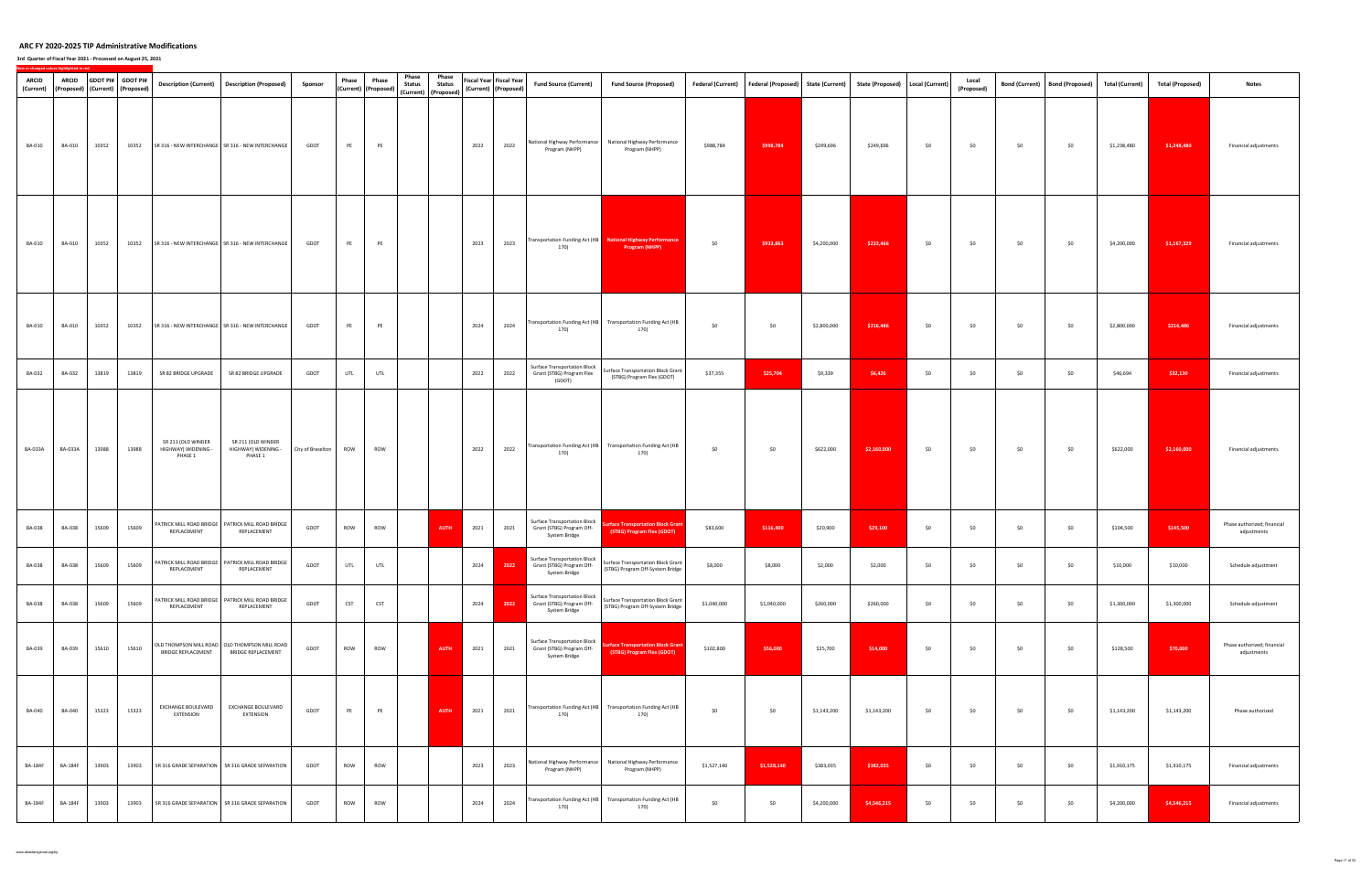| <b>ARCID</b><br>(Current) | <b>ARCID</b>   |       | GDOT PI# GDOT PI#<br>(Proposed) (Current) (Proposed) |                                                    | Description (Current)  Description (Proposed)                                | Sponsor           | Phase<br>(Current) (Proposed) | Phase      | Phase<br><b>Status</b> | Phase<br><b>Status</b><br>(Current) (Proposed) |      | Fiscal Year Fiscal Year<br>(Current) (Proposed) | <b>Fund Source (Current)</b>                                                      | <b>Fund Source (Proposed)</b>                                                 |             | Federal (Current)   Federal (Proposed)   State (Current) |             | State (Proposed)   Local (Current) |     | Local<br>(Proposed) | <b>Bond (Current)</b> | <b>Bond (Proposed)</b> | <b>Total (Current)</b> | <b>Total (Proposed)</b> | <b>Notes</b>                               |
|---------------------------|----------------|-------|------------------------------------------------------|----------------------------------------------------|------------------------------------------------------------------------------|-------------------|-------------------------------|------------|------------------------|------------------------------------------------|------|-------------------------------------------------|-----------------------------------------------------------------------------------|-------------------------------------------------------------------------------|-------------|----------------------------------------------------------|-------------|------------------------------------|-----|---------------------|-----------------------|------------------------|------------------------|-------------------------|--------------------------------------------|
| <b>BA-010</b>             | BA-010         | 10352 |                                                      |                                                    | 10352 SR 316 - NEW INTERCHANGE SR 316 - NEW INTERCHANGE                      | GDOT              | PE                            | PE         |                        |                                                | 2022 | 2022                                            | Program (NHPP)                                                                    | National Highway Performance   National Highway Performance<br>Program (NHPP) | \$988,784   | \$998,784                                                | \$249,696   | \$249,696                          | \$0 | \$0                 | \$0                   | \$0                    | \$1,238,480            | \$1,248,480             | Financial adjustments                      |
| <b>BA-010</b>             | <b>BA-010</b>  | 10352 | 10352                                                |                                                    | SR 316 - NEW INTERCHANGE   SR 316 - NEW INTERCHANGE                          | GDOT              | PE                            | PE         |                        |                                                | 2023 | 2023                                            | 170)                                                                              | Transportation Funding Act (HB National Highway Performance<br>Program (NHPP) | \$0         | \$933,863                                                | \$4,200,000 | \$233,466                          | \$0 | \$0                 | \$0                   | \$0                    | \$4,200,000            | \$1,167,329             | Financial adjustments                      |
| <b>BA-010</b>             | <b>BA-010</b>  | 10352 | 10352                                                |                                                    | SR 316 - NEW INTERCHANGE SR 316 - NEW INTERCHANGE                            | GDOT              | PE                            | PE         |                        |                                                | 2024 | 2024                                            | 170)                                                                              | Transportation Funding Act (HB Transportation Funding Act (HB<br>170)         | \$0         | \$0                                                      | \$2,800,000 | \$216,486                          | \$0 | \$0                 | \$0                   | \$0                    | \$2,800,000            | \$216,486               | Financial adjustments                      |
| <b>BA-032</b>             | BA-032         | 13819 | 13819                                                | SR 82 BRIDGE UPGRADE                               | SR 82 BRIDGE UPGRADE                                                         | GDOT              | UTL                           | UTL        |                        |                                                | 2022 | 2022                                            | <b>Surface Transportation Block</b><br>Grant (STBG) Program Flex<br>(GDOT)        | Surface Transportation Block Grant<br>(STBG) Program Flex (GDOT)              | \$37,355    | \$25,704                                                 | \$9,339     | \$6,426                            | \$0 | \$0                 | \$0                   | \$0                    | \$46,694               | \$32,130                | Financial adjustments                      |
| <b>BA-033A</b>            | <b>BA-033A</b> | 13988 | 13988                                                | SR 211 (OLD WINDER<br>HIGHWAY) WIDENING<br>PHASE 1 | SR 211 (OLD WINDER<br>HIGHWAY) WIDENING -<br>PHASE 1                         | City of Braselton | ROW                           | ROW        |                        |                                                | 2022 | 2022                                            | 170)                                                                              | Transportation Funding Act (HB Transportation Funding Act (HB<br>170)         | \$0         | \$0                                                      | \$622,000   | \$2,160,000                        | \$0 | \$0                 | \$0                   | \$0                    | \$622,000              | \$2,160,000             | Financial adjustments                      |
| BA-038                    | <b>BA-038</b>  | 15609 | 15609                                                | REPLACEMENT                                        | PATRICK MILL ROAD BRIDGE   PATRICK MILL ROAD BRIDGE<br>REPLACEMENT           | GDOT              | ROW                           | ROW        |                        | <b>AUTH</b>                                    | 2021 | 2021                                            | <b>Surface Transportation Block</b><br>Grant (STBG) Program Off-<br>System Bridge | rface Transportation Block Grant<br>(STBG) Program Flex (GDOT)                | \$83,600    | \$116,400                                                | \$20,900    | \$29,100                           | \$0 | \$0                 | \$0                   | \$0                    | \$104,500              | \$145,500               | Phase authorized; financial<br>adjustments |
| <b>BA-038</b>             | <b>BA-038</b>  | 15609 | 15609                                                | REPLACEMENT                                        | PATRICK MILL ROAD BRIDGE   PATRICK MILL ROAD BRIDGE<br>REPLACEMENT           | GDOT              | <b>UTL</b>                    | UTL        |                        |                                                | 2024 | 2022                                            | Surface Transportation Block<br>Grant (STBG) Program Off-<br>System Bridge        | Surface Transportation Block Grant<br>(STBG) Program Off-System Bridge        | \$8,000     | \$8,000                                                  | \$2,000     | \$2,000                            | \$0 | \$0                 | \$0                   | \$0                    | \$10,000               | \$10,000                | Schedule adjustment                        |
| <b>BA-038</b>             | <b>BA-038</b>  | 15609 | 15609                                                | REPLACEMENT                                        | PATRICK MILL ROAD BRIDGE   PATRICK MILL ROAD BRIDGE<br>REPLACEMENT           | GDOT              | <b>CST</b>                    | <b>CST</b> |                        |                                                | 2024 | 2022                                            | <b>Surface Transportation Block</b><br>Grant (STBG) Program Off-<br>System Bridge | Surface Transportation Block Grant<br>(STBG) Program Off-System Bridge        | \$1,040,000 | \$1,040,000                                              | \$260,000   | \$260,000                          | \$0 | \$0                 | \$0                   | \$0                    | \$1,300,000            | \$1,300,000             | Schedule adjustment                        |
| BA-039                    | BA-039         | 15610 | 15610                                                | <b>BRIDGE REPLACEMENT</b>                          | OLD THOMPSON MILL ROAD   OLD THOMPSON MILL ROAD<br><b>BRIDGE REPLACEMENT</b> | GDOT              | ROW                           | ROW        |                        | <b>AUTH</b>                                    | 2021 | 2021                                            | <b>Surface Transportation Block</b><br>Grant (STBG) Program Off-<br>System Bridge | face Transportation Block Grant<br>(STBG) Program Flex (GDOT)                 | \$102,800   | \$56,000                                                 | \$25,700    | \$14,000                           | \$0 | \$0                 | \$0                   | \$0                    | \$128,500              | \$70,000                | Phase authorized; financial<br>adjustments |
| <b>BA-040</b>             | BA-040         | 15323 | 15323                                                | EXCHANGE BOULEVARD<br>EXTENSION                    | EXCHANGE BOULEVARD<br>EXTENSION                                              | GDOT              | PE                            | PE         |                        | AUTH                                           | 2021 | 2021                                            | 170)                                                                              | Transportation Funding Act (HB Transportation Funding Act (HB<br>170)         | \$0         | \$0                                                      | \$1,143,200 | \$1,143,200                        | \$0 | \$0                 | \$0                   | \$0                    | \$1,143,200            | \$1,143,200             | Phase authorized                           |
| <b>BA-184F</b>            | <b>BA-184F</b> | 13903 | 13903                                                |                                                    | SR 316 GRADE SEPARATION SR 316 GRADE SEPARATION                              | GDOT              | ROW                           | ROW        |                        |                                                | 2023 | 2023                                            | Program (NHPP)                                                                    | National Highway Performance   National Highway Performance<br>Program (NHPP) | \$1,527,140 | \$1,528,140                                              | \$383,035   | \$382,035                          | \$0 | \$0                 | \$0                   | \$0                    | \$1,910,175            | \$1,910,175             | Financial adjustments                      |
| <b>BA-184F</b>            | <b>BA-184F</b> | 13903 | 13903                                                |                                                    | SR 316 GRADE SEPARATION   SR 316 GRADE SEPARATION                            | GDOT              | ROW                           | ROW        |                        |                                                | 2024 | 2024                                            | 170)                                                                              | Transportation Funding Act (HB Transportation Funding Act (HB<br>170)         | \$0         | \$0                                                      | \$4,200,000 | \$4,546,215                        | \$0 | \$0                 | \$0                   | \$0                    | \$4,200,000            | \$4,546,215             | Financial adjustments                      |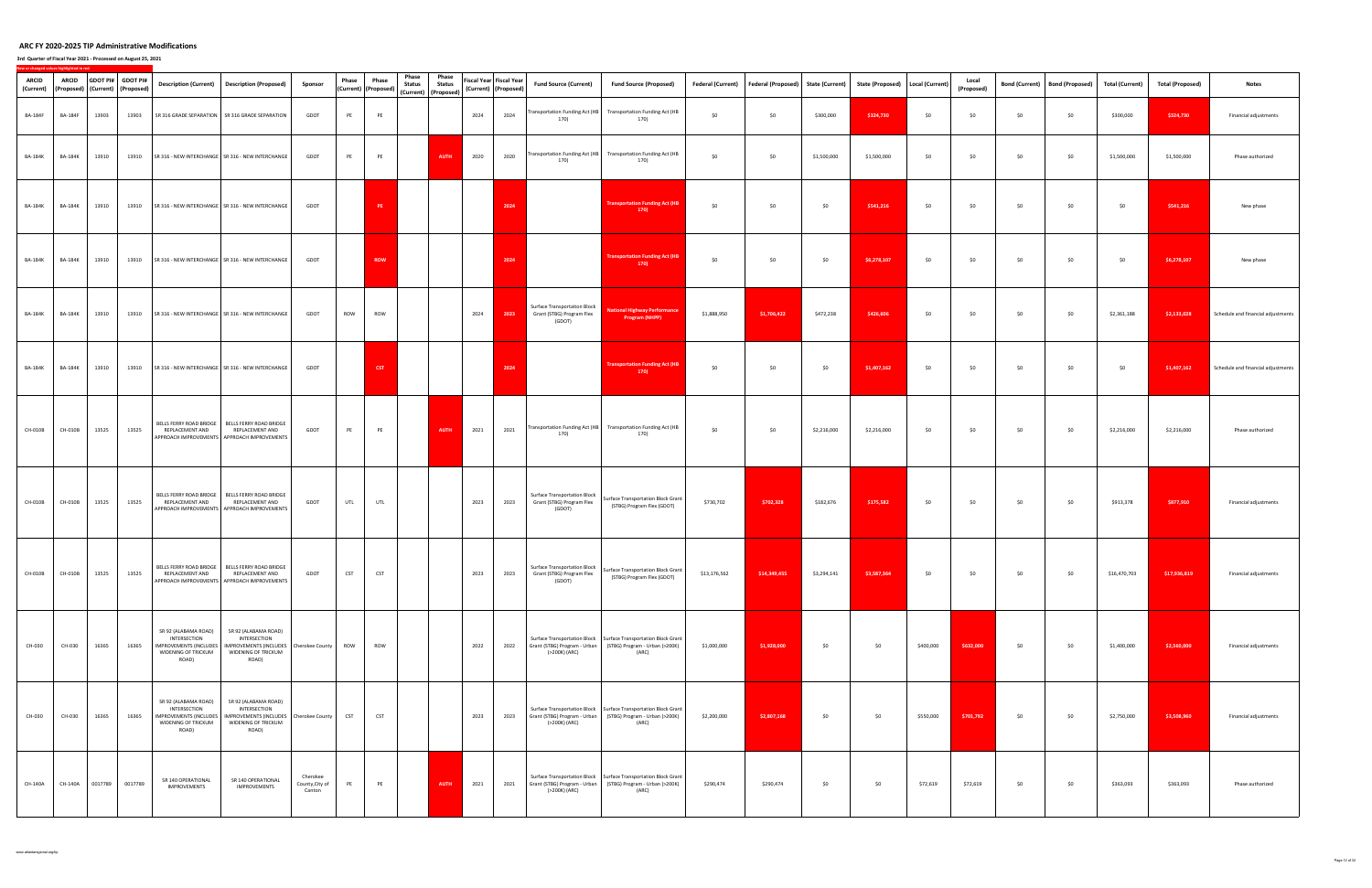| <b>ARCID</b><br>(Current) | <b>ARCID</b>                |       | GDOT PI# GDOT PI#<br>(Proposed) (Current) (Proposed) |                                                                      | Description (Current) Description (Proposed)                                                                                                | Sponsor                               | Phase      | Phase<br>(Current) (Proposed) | Phase<br><b>Status</b> | Phase<br><b>Status</b><br>(Current) (Proposed) | Fiscal Year Fiscal Year<br>(Current) (Proposed) |      | <b>Fund Source (Current)</b>                                               | <b>Fund Source (Proposed)</b>                                                                                                                    |              | Federal (Current) Federal (Proposed) State (Current) |             | State (Proposed)   Local (Current) |           | Local<br>(Proposed) | <b>Bond (Current)</b> | <b>Bond (Proposed)</b> | <b>Total (Current)</b> | <b>Total (Proposed)</b> | <b>Notes</b>                       |
|---------------------------|-----------------------------|-------|------------------------------------------------------|----------------------------------------------------------------------|---------------------------------------------------------------------------------------------------------------------------------------------|---------------------------------------|------------|-------------------------------|------------------------|------------------------------------------------|-------------------------------------------------|------|----------------------------------------------------------------------------|--------------------------------------------------------------------------------------------------------------------------------------------------|--------------|------------------------------------------------------|-------------|------------------------------------|-----------|---------------------|-----------------------|------------------------|------------------------|-------------------------|------------------------------------|
| <b>BA-184F</b>            | <b>BA-184F</b>              | 13903 | 13903                                                |                                                                      | SR 316 GRADE SEPARATION SR 316 GRADE SEPARATION                                                                                             | GDOT                                  | PE         | PE                            |                        |                                                | 2024                                            | 2024 | Transportation Funding Act (HB<br>170)                                     | <b>Transportation Funding Act (HB</b><br>170)                                                                                                    | \$0          | \$0                                                  | \$300,000   | \$324,730                          | \$0       | \$0                 | \$0                   | \$0                    | \$300,000              | \$324,730               | Financial adjustments              |
| <b>BA-184K</b>            | <b>BA-184K</b>              | 13910 | 13910                                                |                                                                      | SR 316 - NEW INTERCHANGE   SR 316 - NEW INTERCHANGE                                                                                         | GDOT                                  | PE         | PE                            |                        | AUTH                                           | 2020                                            | 2020 | 170)                                                                       | Transportation Funding Act (HB Transportation Funding Act (HB<br>170)                                                                            | \$0          | \$0                                                  | \$1,500,000 | \$1,500,000                        | \$0       | \$0                 | \$0                   | \$0                    | \$1,500,000            | \$1,500,000             | Phase authorized                   |
| <b>BA-184K</b>            | <b>BA-184K</b>              | 13910 | 13910                                                |                                                                      | SR 316 - NEW INTERCHANGE   SR 316 - NEW INTERCHANGE                                                                                         | GDOT                                  |            | PE                            |                        |                                                |                                                 | 2024 |                                                                            | <b>Transportation Funding Act (HB</b><br>170                                                                                                     | \$0          | \$0                                                  | \$0         | \$541,216                          | \$0       | \$0                 | \$0                   | \$0                    | \$0                    | \$541,216               | New phase                          |
| <b>BA-184K</b>            | <b>BA-184K</b>              | 13910 |                                                      |                                                                      | 13910 SR 316 - NEW INTERCHANGE SR 316 - NEW INTERCHANGE                                                                                     | GDOT                                  |            | <b>ROW</b>                    |                        |                                                |                                                 | 2024 |                                                                            | <b>Transportation Funding Act (HB</b><br>170                                                                                                     | \$0          | \$0                                                  | \$0         | \$6,278,107                        | \$0       | \$0                 | \$0                   | \$0                    | \$0                    | \$6,278,107             | New phase                          |
| <b>BA-184K</b>            | <b>BA-184K</b>              | 13910 |                                                      |                                                                      | 13910 SR 316 - NEW INTERCHANGE SR 316 - NEW INTERCHANGE                                                                                     | GDOT                                  | ROW        | ROW                           |                        |                                                | 2024                                            | 2023 | <b>Surface Transportation Block</b><br>Grant (STBG) Program Flex<br>(GDOT) | <b>National Highway Performance</b><br><b>Program (NHPP)</b>                                                                                     | \$1,888,950  | \$1,706,422                                          | \$472,238   | \$426,606                          | \$0       | \$0                 | \$0                   | \$0                    | \$2,361,188            | \$2,133,028             | Schedule and financial adjustments |
| <b>BA-184K</b>            | <b>BA-184K</b>              | 13910 |                                                      |                                                                      | 13910 SR 316 - NEW INTERCHANGE SR 316 - NEW INTERCHANGE                                                                                     | GDOT                                  |            | CST                           |                        |                                                |                                                 | 2024 |                                                                            | <b>Transportation Funding Act (HB</b><br>170                                                                                                     | \$0          | \$0                                                  | \$0         | \$1,407,162                        | \$0       | \$0                 | \$0                   | \$0                    | \$0                    | \$1,407,162             | Schedule and financial adjustments |
| CH-010B                   | CH-010B                     | 13525 | 13525                                                | REPLACEMENT AND                                                      | BELLS FERRY ROAD BRIDGE   BELLS FERRY ROAD BRIDGE<br>REPLACEMENT AND<br>APPROACH IMPROVEMENTS APPROACH IMPROVEMENTS                         | GDOT                                  | PE         | PE                            |                        | <b>AUTH</b>                                    | 2021                                            | 2021 | 170)                                                                       | Transportation Funding Act (HB Transportation Funding Act (HB<br>170)                                                                            | \$0          | \$0                                                  | \$2,216,000 | \$2,216,000                        | \$0       | \$0                 | \$0                   | \$0                    | \$2,216,000            | \$2,216,000             | Phase authorized                   |
| CH-010B                   | CH-010B                     | 13525 | 13525                                                | REPLACEMENT AND                                                      | BELLS FERRY ROAD BRIDGE   BELLS FERRY ROAD BRIDGE<br>REPLACEMENT AND<br>APPROACH IMPROVEMENTS APPROACH IMPROVEMENTS                         | GDOT                                  | UTL        | UTL                           |                        |                                                | 2023                                            | 2023 | Surface Transportation Block<br>Grant (STBG) Program Flex<br>(GDOT)        | Surface Transportation Block Grant<br>(STBG) Program Flex (GDOT)                                                                                 | \$730,702    | \$702,328                                            | \$182,676   | \$175,582                          | \$0       | \$0                 | \$0                   | \$0                    | \$913,378              | \$877,910               | Financial adjustments              |
|                           | CH-010B CH-010B 13525 13525 |       |                                                      | REPLACEMENT AND                                                      | BELLS FERRY ROAD BRIDGE   BELLS FERRY ROAD BRIDGE<br>REPLACEMENT AND<br>APPROACH IMPROVEMENTS APPROACH IMPROVEMENTS                         | GDOT                                  |            | CST CST                       |                        |                                                | 2023                                            | 2023 | Grant (STBG) Program Flex<br>(GDOT)                                        | Surface Transportation Block Surface Transportation Block Grant<br>(STBG) Program Flex (GDOT)                                                    | \$13,176,562 | $$14,349,455$ $$3,294,141$                           |             | \$3,587,364                        | \$0       | \$0                 | \$0                   | \$0                    | \$16,470,703           | \$17,936,819            | Financial adjustments              |
| CH-030                    | CH-030                      | 16365 | 16365                                                | SR 92 (ALABAMA ROAD)<br>INTERSECTION<br>WIDENING OF TRICKUM<br>ROAD) | SR 92 (ALABAMA ROAD)<br>INTERSECTION<br>IMPROVEMENTS (INCLUDES   IMPROVEMENTS (INCLUDES   Cherokee County  <br>WIDENING OF TRICKUM<br>ROAD) |                                       | <b>ROW</b> | ROW                           |                        |                                                | 2022                                            |      | (>200K) (ARC)                                                              | Surface Transportation Block   Surface Transportation Block Grant<br>2022 Grant (STBG) Program - Urban (STBG) Program - Urban (>200K)<br>(ARC)   | \$1,000,000  | \$1,928,000                                          | \$0         | \$0                                | \$400,000 | \$632,000           | \$0                   | \$0                    | \$1,400,000            | \$2,560,000             | Financial adjustments              |
| CH-030                    | CH-030                      | 16365 | 16365                                                | SR 92 (ALABAMA ROAD)<br>INTERSECTION<br>WIDENING OF TRICKUM<br>ROAD) | SR 92 (ALABAMA ROAD)<br>INTERSECTION<br>IMPROVEMENTS (INCLUDES   IMPROVEMENTS (INCLUDES   Cherokee County  <br>WIDENING OF TRICKUM<br>ROAD) |                                       | <b>CST</b> | <b>CST</b>                    |                        |                                                | 2023                                            |      | (>200K) (ARC)                                                              | Surface Transportation Block   Surface Transportation Block Grant<br>2023 Grant (STBG) Program - Urban (STBG) Program - Urban (>200K)<br>(ARC)   | \$2,200,000  | \$2,807,168                                          | \$0         | \$0                                | \$550,000 | \$701,792           | \$0                   | \$0                    | \$2,750,000            | \$3,508,960             | Financial adjustments              |
| CH-140A                   |                             |       | CH-140A 0017789 0017789                              | SR 140 OPERATIONAL<br>IMPROVEMENTS                                   | SR 140 OPERATIONAL<br>IMPROVEMENTS                                                                                                          | Cherokee<br>County, City of<br>Canton | PE         | PE                            |                        | <b>AUTH</b>                                    | 2021                                            |      | (>200K) (ARC)                                                              | Surface Transportation Block   Surface Transportation Block Grant  <br>2021 Grant (STBG) Program - Urban (STBG) Program - Urban (>200K)<br>(ARC) | \$290,474    | \$290,474                                            | \$0         | \$0                                | \$72,619  | \$72,619            | \$0                   | \$0                    | \$363,093              | \$363,093               | Phase authorized                   |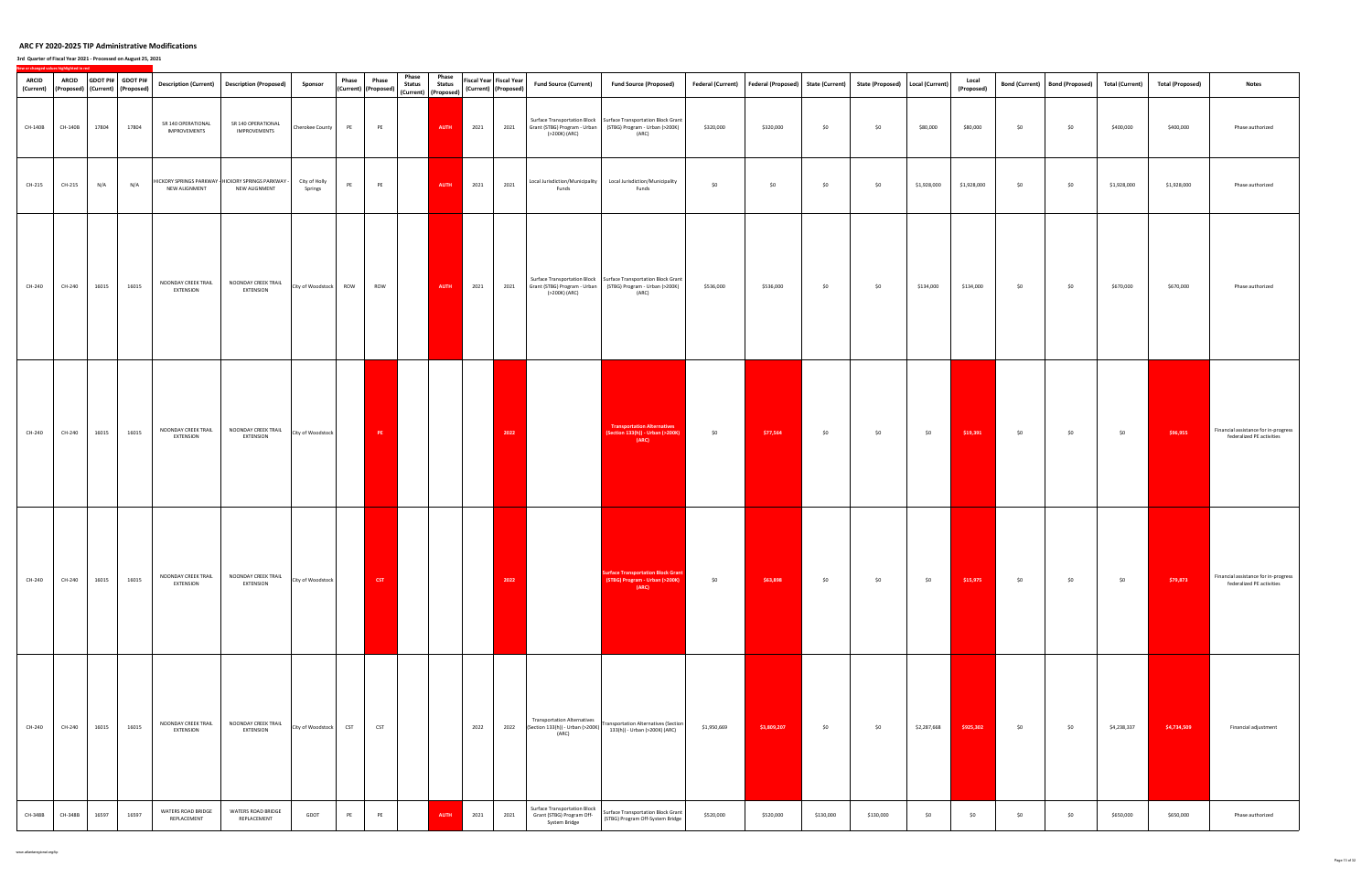| <b>ARCID</b> | <b>ARCID</b> |       | GDOT PI# GDOT PI#<br>(Current) (Proposed) (Current) (Proposed) |                                           | Description (Current)  Description (Proposed)                        | Sponsor                  | Phase      | Phase<br>(Current) (Proposed) | Phase<br><b>Status</b> | Phase<br><b>Status</b>              |      | Fiscal Year Fiscal Year<br>(Current) (Proposed) | <b>Fund Source (Current)</b>                                                      | <b>Fund Source (Proposed)</b>                                                                                                             |             | Federal (Current) Federal (Proposed) State (Current) State (Proposed) Local (Current) |           |           |             | Local<br>(Proposed) |     | Bond (Current) Bond (Proposed) | <b>Total (Current)</b> | <b>Total (Proposed)</b> | <b>Notes</b>                                                      |
|--------------|--------------|-------|----------------------------------------------------------------|-------------------------------------------|----------------------------------------------------------------------|--------------------------|------------|-------------------------------|------------------------|-------------------------------------|------|-------------------------------------------------|-----------------------------------------------------------------------------------|-------------------------------------------------------------------------------------------------------------------------------------------|-------------|---------------------------------------------------------------------------------------|-----------|-----------|-------------|---------------------|-----|--------------------------------|------------------------|-------------------------|-------------------------------------------------------------------|
| CH-140B      | CH-140B      | 17804 | 17804                                                          | SR 140 OPERATIONAL<br><b>IMPROVEMENTS</b> | SR 140 OPERATIONAL<br><b>IMPROVEMENTS</b>                            | Cherokee County          | PE         | PE                            |                        | (Current) (Proposed)<br><b>AUTH</b> | 2021 | 2021                                            | (>200K) (ARC)                                                                     | Surface Transportation Block   Surface Transportation Block Grant<br>Grant (STBG) Program - Urban (STBG) Program - Urban (>200K)<br>(ARC) | \$320,000   | \$320,000                                                                             | \$0       | \$0       | \$80,000    | \$80,000            | \$0 | \$0                            | \$400,000              | \$400,000               | Phase authorized                                                  |
| CH-215       | CH-215       | N/A   | N/A                                                            | NEW ALIGNMENT                             | HICKORY SPRINGS PARKWAY - HICKORY SPRINGS PARKWAY -<br>NEW ALIGNMENT | City of Holly<br>Springs | PE         | PE                            |                        | <b>AUTH</b>                         | 2021 | 2021                                            | Local Jurisdiction/Municipality<br>Funds                                          | Local Jurisdiction/Municipality<br>Funds                                                                                                  | \$0         | \$0                                                                                   | \$0       | \$0       | \$1,928,000 | \$1,928,000         | \$0 | \$0                            | \$1,928,000            | \$1,928,000             | Phase authorized                                                  |
| CH-240       | CH-240       | 16015 | 16015                                                          | NOONDAY CREEK TRAIL<br>EXTENSION          | NOONDAY CREEK TRAIL<br><b>EXTENSION</b>                              | City of Woodstock ROW    |            | ROW                           |                        | AUTH                                | 2021 | 2021                                            | (>200K) (ARC)                                                                     | Surface Transportation Block   Surface Transportation Block Grant<br>Grant (STBG) Program - Urban (STBG) Program - Urban (>200K)<br>(ARC) | \$536,000   | \$536,000                                                                             | \$0       | \$0       | \$134,000   | \$134,000           | \$0 | \$0                            | \$670,000              | \$670,000               | Phase authorized                                                  |
| CH-240       | CH-240       | 16015 | 16015                                                          | NOONDAY CREEK TRAIL<br>EXTENSION          | NOONDAY CREEK TRAIL<br><b>EXTENSION</b>                              | City of Woodstock        |            | PE                            |                        |                                     |      | 2022                                            |                                                                                   | <b>Transportation Alternatives</b><br>Section 133(h)) - Urban (>200K)<br>(ARC)                                                            | \$0         | \$77,564                                                                              | \$0       | \$0       | \$0         | \$19,391            | \$0 | \$0                            | \$0                    | \$96,955                | Financial assistance for in-progress<br>federalized PE activities |
| CH-240       | CH-240       | 16015 | 16015                                                          | NOONDAY CREEK TRAIL<br><b>EXTENSION</b>   | NOONDAY CREEK TRAIL<br><b>EXTENSION</b>                              | City of Woodstock        |            | CST                           |                        |                                     |      | 2022                                            |                                                                                   | <b>Inface Transportation Block Gran</b><br>(STBG) Program - Urban (>200K)<br>(ARC)                                                        | \$0         | \$63,898                                                                              | \$0       | \$0       | \$0         | \$15,975            | \$0 | \$0                            | \$0                    | \$79,873                | Financial assistance for in-progress<br>federalized PE activities |
| CH-240       | CH-240       | 16015 | 16015                                                          | NOONDAY CREEK TRAIL<br><b>EXTENSION</b>   | NOONDAY CREEK TRAIL<br><b>EXTENSION</b>                              | City of Woodstock        | <b>CST</b> | <b>CST</b>                    |                        |                                     | 2022 |                                                 | <b>Transportation Alternatives</b><br>(ARC)                                       | 2022 [Section 133(h)) - Urban (>200K) $\begin{bmatrix} \text{Transportion} \\ \text{max} \end{bmatrix}$<br>133(h)) - Urban (>200K) (ARC)  | \$1,950,669 | \$3,809,207                                                                           | \$0       | \$0       | \$2,287,668 | \$925,302           | \$0 | \$0                            | \$4,238,337            | \$4,734,509             | Financial adjustment                                              |
| CH-348B      | CH-348B      | 16597 | 16597                                                          | WATERS ROAD BRIDGE<br>REPLACEMENT         | WATERS ROAD BRIDGE<br>REPLACEMENT                                    | GDOT                     | PE         | PE                            |                        | <b>AUTH</b>                         | 2021 | 2021                                            | <b>Surface Transportation Block</b><br>Grant (STBG) Program Off-<br>System Bridge | Surface Transportation Block Grant<br>(STBG) Program Off-System Bridge                                                                    | \$520,000   | \$520,000                                                                             | \$130,000 | \$130,000 | \$0         | \$0                 | \$0 | \$0                            | \$650,000              | \$650,000               | Phase authorized                                                  |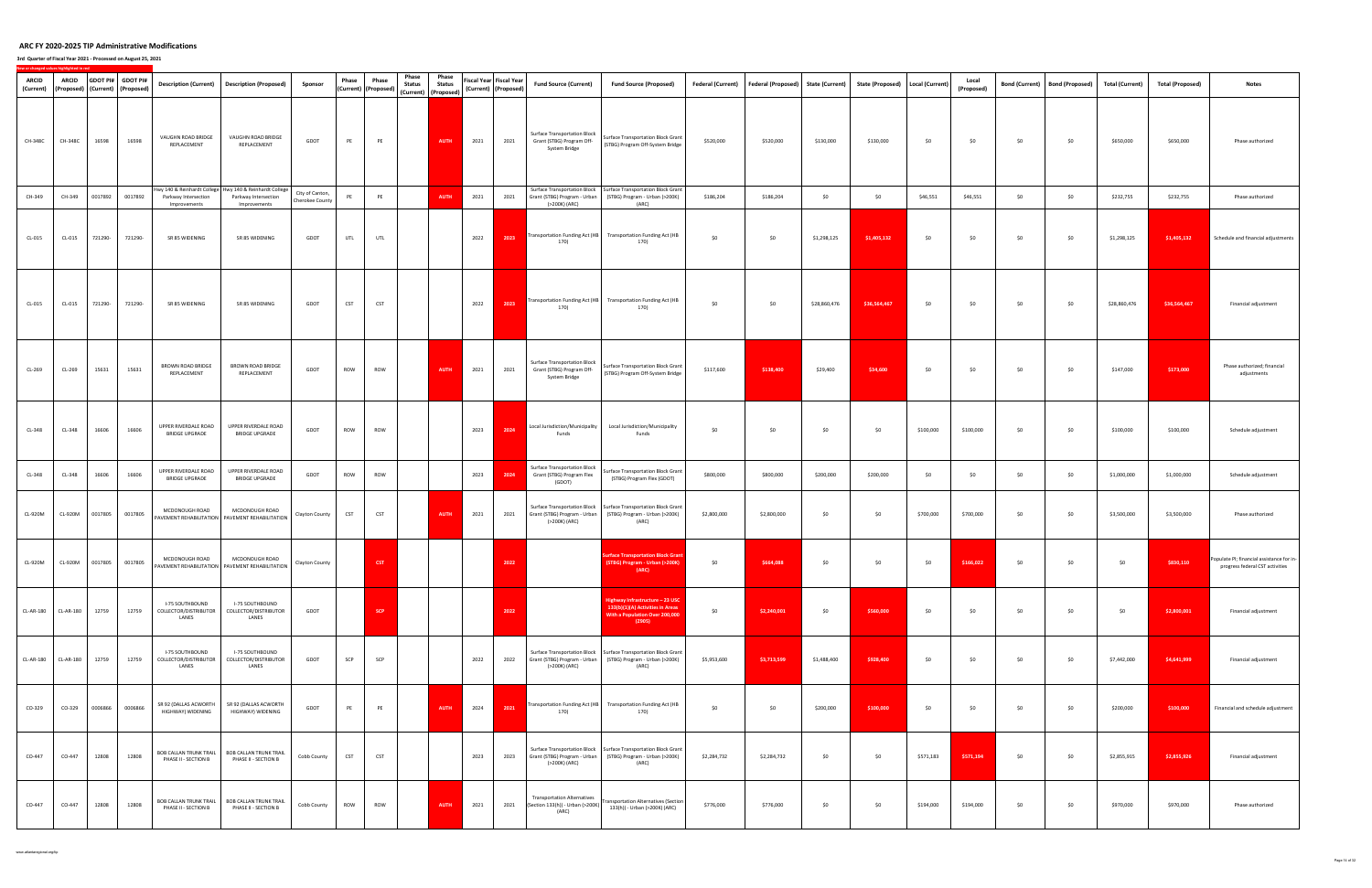## **3rd Quarter of Fiscal Year 2021 ‐ Processed on August 25, 2021**

| <b>ARCID</b><br>(Current) | ARCID     |         | GDOT PI# GDOT PI#<br>(Proposed) (Current) (Proposed) |                                                   | Description (Current)   Description (Proposed)                                                  | Sponsor                            | Phase      | Phase<br>(Current) (Proposed) | Phase<br>Phase<br><b>Status</b><br><b>Status</b><br>(Current) (Proposed) |      | Fiscal Year Fiscal Year<br>(Current) (Proposed) | <b>Fund Source (Current)</b>                                                      | <b>Fund Source (Proposed)</b>                                                                                                               | <b>Federal (Current)</b> | Federal (Proposed) State (Current) |              | State (Proposed)   Local (Current) |           | Local<br>(Proposed) | <b>Bond (Current)</b> | <b>Bond (Proposed)</b> | <b>Total (Current)</b> | <b>Total (Proposed)</b> | <b>Notes</b>                                                                 |
|---------------------------|-----------|---------|------------------------------------------------------|---------------------------------------------------|-------------------------------------------------------------------------------------------------|------------------------------------|------------|-------------------------------|--------------------------------------------------------------------------|------|-------------------------------------------------|-----------------------------------------------------------------------------------|---------------------------------------------------------------------------------------------------------------------------------------------|--------------------------|------------------------------------|--------------|------------------------------------|-----------|---------------------|-----------------------|------------------------|------------------------|-------------------------|------------------------------------------------------------------------------|
| CH-348C                   | CH-348C   | 16598   | 16598                                                | VAUGHN ROAD BRIDGE<br>REPLACEMENT                 | VAUGHN ROAD BRIDGE<br>REPLACEMENT                                                               | GDOT                               | PE         | PE                            | <b>AUTH</b>                                                              | 2021 | 2021                                            | <b>Surface Transportation Block</b><br>Grant (STBG) Program Off-<br>System Bridge | Surface Transportation Block Grant<br>(STBG) Program Off-System Bridge                                                                      | \$520,000                | \$520,000                          | \$130,000    | \$130,000                          | \$0       | \$0                 | \$0                   | \$0                    | \$650,000              | \$650,000               | Phase authorized                                                             |
| CH-349                    | CH-349    | 0017892 | 0017892                                              | Parkway Intersection<br>Improvements              | Hwy 140 & Reinhardt College Hwy 140 & Reinhardt College<br>Parkway Intersection<br>Improvements | City of Canton,<br>Cherokee County | PE         | PE                            | <b>AUTH</b>                                                              | 2021 | 2021                                            | Grant (STBG) Program - Urban<br>(>200K) (ARC)                                     | Surface Transportation Block   Surface Transportation Block Grant<br>(STBG) Program - Urban (>200K)<br>(ARC)                                | \$186,204                | \$186,204                          | \$0          | \$0                                | \$46,551  | \$46,551            | \$0                   | \$0                    | \$232,755              | \$232,755               | Phase authorized                                                             |
| CL-015                    | $CL-015$  | 721290- | 721290-                                              | SR 85 WIDENING                                    | SR 85 WIDENING                                                                                  | GDOT                               | UTL        | UTL                           |                                                                          | 2022 | 2023                                            | 170)                                                                              | Transportation Funding Act (HB Transportation Funding Act (HB<br>170)                                                                       | \$0                      | \$0                                | \$1,298,125  | \$1,405,132                        | \$0       | \$0                 | \$0                   | \$0                    | \$1,298,125            | \$1,405,132             | Schedule and financial adjustments                                           |
| CL-015                    | $CL-015$  | 721290- | 721290-                                              | SR 85 WIDENING                                    | SR 85 WIDENING                                                                                  | GDOT                               | <b>CST</b> | CST                           |                                                                          | 2022 | 2023                                            | Transportation Funding Act (HB<br>170)                                            | <b>Transportation Funding Act (HB</b><br>170)                                                                                               | \$0                      | \$0                                | \$28,860,476 | \$36,564,467                       | \$0       | \$0                 | \$0                   | \$0                    | \$28,860,476           | \$36,564,467            | Financial adjustment                                                         |
| CL-269                    | CL-269    | 15631   | 15631                                                | <b>BROWN ROAD BRIDGE</b><br>REPLACEMENT           | <b>BROWN ROAD BRIDGE</b><br>REPLACEMENT                                                         | GDOT                               | ROW        | ROW                           | <b>AUTH</b>                                                              | 2021 | 2021                                            | <b>Surface Transportation Block</b><br>Grant (STBG) Program Off-<br>System Bridge | <b>Surface Transportation Block Grant</b><br>(STBG) Program Off-System Bridge                                                               | \$117,600                | \$138,400                          | \$29,400     | \$34,600                           | \$0       | \$0                 | \$0                   | \$0                    | \$147,000              | \$173,000               | Phase authorized; financial<br>adjustments                                   |
| CL-348                    | CL-348    | 16606   | 16606                                                | UPPER RIVERDALE ROAD<br><b>BRIDGE UPGRADE</b>     | UPPER RIVERDALE ROAD<br><b>BRIDGE UPGRADE</b>                                                   | GDOT                               | ROW        | ROW                           |                                                                          | 2023 | 2024                                            | Local Jurisdiction/Municipality<br>Funds                                          | Local Jurisdiction/Municipality<br>Funds                                                                                                    | \$0                      | \$0                                | \$0          | \$0                                | \$100,000 | \$100,000           | \$0                   | \$0                    | \$100,000              | \$100,000               | Schedule adjustment                                                          |
| CL-348                    | CL-348    | 16606   | 16606                                                | UPPER RIVERDALE ROAD<br><b>BRIDGE UPGRADE</b>     | UPPER RIVERDALE ROAD<br><b>BRIDGE UPGRADE</b>                                                   | GDOT                               | ROW        | ROW                           |                                                                          | 2023 | 2024                                            | <b>Surface Transportation Block</b><br>Grant (STBG) Program Flex<br>(GDOT)        | Surface Transportation Block Grant<br>(STBG) Program Flex (GDOT)                                                                            | \$800,000                | \$800,000                          | \$200,000    | \$200,000                          | \$0       | \$0                 | \$0                   | \$0                    | \$1,000,000            | \$1,000,000             | Schedule adjustment                                                          |
| CL-920M                   | CL-920M   | 0017805 | 0017805                                              | MCDONOUGH ROAD                                    | MCDONOUGH ROAD<br>PAVEMENT REHABILITATION   PAVEMENT REHABILITATION                             | Clayton County                     | <b>CST</b> | CST                           | <b>AUTH</b>                                                              | 2021 | 2021                                            | (>200K) (ARC)                                                                     | Surface Transportation Block   Surface Transportation Block Grant<br>Grant (STBG) Program - Urban (STBG) Program - Urban (>200K)<br>(ARC)   | \$2,800,000              | \$2,800,000                        | \$0          | \$0                                | \$700,000 | \$700,000           | \$0                   | \$0                    | \$3,500,000            | \$3,500,000             | Phase authorized                                                             |
| CL-920M                   | CL-920M   |         | 0017805 0017805                                      | MCDONOUGH ROAD                                    | MCDONOUGH ROAD<br>PAVEMENT REHABILITATION   PAVEMENT REHABILITATION                             | Clayton County                     |            | CST                           |                                                                          |      | 2022                                            |                                                                                   | <b>Surface Transportation Block Grant</b><br>(STBG) Program - Urban (>200K)                                                                 | \$0                      | \$664,088                          | \$0          | \$0                                | \$0       | \$166,022           | \$0                   | \$0                    | \$0                    | \$830,110               | Populate PI; financial assistance for in-<br>progress federal CST activities |
| <b>CL-AR-180</b>          | CL-AR-180 | 12759   | 12759                                                | I-75 SOUTHBOUND<br>COLLECTOR/DISTRIBUTOR<br>LANES | I-75 SOUTHBOUND<br>COLLECTOR/DISTRIBUTOR<br>LANES                                               | GDOT                               |            | <b>SCP</b>                    |                                                                          |      | 2022                                            |                                                                                   | Highway Infrastructure - 23 USC<br>133(b)(1)(A) Activities in Areas<br>With a Population Over 200,000<br>(2905)                             | \$0                      | \$2,240,001                        | \$0          | \$560,000                          | \$0       | \$0                 | \$0                   | \$0                    | \$0                    | \$2,800,001             | Financial adjustment                                                         |
| CL-AR-180                 | CL-AR-180 | 12759   | 12759                                                | I-75 SOUTHBOUND<br>COLLECTOR/DISTRIBUTOR<br>LANES | I-75 SOUTHBOUND<br>COLLECTOR/DISTRIBUTOR<br>LANES                                               | GDOT                               | SCP        | SCP                           |                                                                          | 2022 | 2022                                            | Grant (STBG) Program - Urban<br>(>200K) (ARC)                                     | Surface Transportation Block   Surface Transportation Block Grant<br>(STBG) Program - Urban (>200K)<br>(ARC)                                | \$5,953,600              | \$3,713,599                        | \$1,488,400  | \$928,400                          | \$0       | \$0                 | \$0                   | \$0                    | \$7,442,000            | \$4,641,999             | Financial adjustment                                                         |
| CO-329                    | CO-329    | 0006866 | 0006866                                              | SR 92 (DALLAS ACWORTH<br>HIGHWAY) WIDENING        | SR 92 (DALLAS ACWORTH<br>HIGHWAY) WIDENING                                                      | GDOT                               | PE         | PE                            | <b>AUTH</b>                                                              | 2024 | 2021                                            | 170)                                                                              | Transportation Funding Act (HB Transportation Funding Act (HB<br>170)                                                                       | \$0                      | \$0                                | \$200,000    | \$100,000                          | \$0       | \$0                 | \$0                   | \$0                    | \$200,000              | \$100,000               | Financial and schedule adjustment                                            |
| CO-447                    | CO-447    | 12808   | 12808                                                | BOB CALLAN TRUNK TRAIL<br>PHASE II - SECTION B    | <b>BOB CALLAN TRUNK TRAIL</b><br>PHASE II - SECTION B                                           | Cobb County                        | <b>CST</b> | <b>CST</b>                    |                                                                          | 2023 | 2023                                            | (>200K) (ARC)                                                                     | Surface Transportation Block   Surface Transportation Block Grant<br>Grant (STBG) Program - Urban   (STBG) Program - Urban (>200K)<br>(ARC) | \$2,284,732              | \$2,284,732                        | \$0          | \$0                                | \$571,183 | \$571,194           | \$0                   | \$0                    | \$2,855,915            | \$2,855,926             | Financial adjustment                                                         |
| CO-447                    | CO-447    | 12808   | 12808                                                | BOB CALLAN TRUNK TRAIL<br>PHASE II - SECTION B    | <b>BOB CALLAN TRUNK TRAIL</b><br>PHASE II - SECTION B                                           | Cobb County                        | ROW        | ROW                           | <b>AUTH</b>                                                              | 2021 | 2021                                            | <b>Transportation Alternatives</b><br>(Section 133(h)) - Urban (>200K)<br>(ARC)   | ransportation Alternatives (Section<br>133(h)) - Urban (>200K) (ARC)                                                                        | \$776,000                | \$776,000                          | \$0          | \$0                                | \$194,000 | \$194,000           | \$0                   | \$0                    | \$970,000              | \$970,000               | Phase authorized                                                             |

www.atlantaregional.org/tip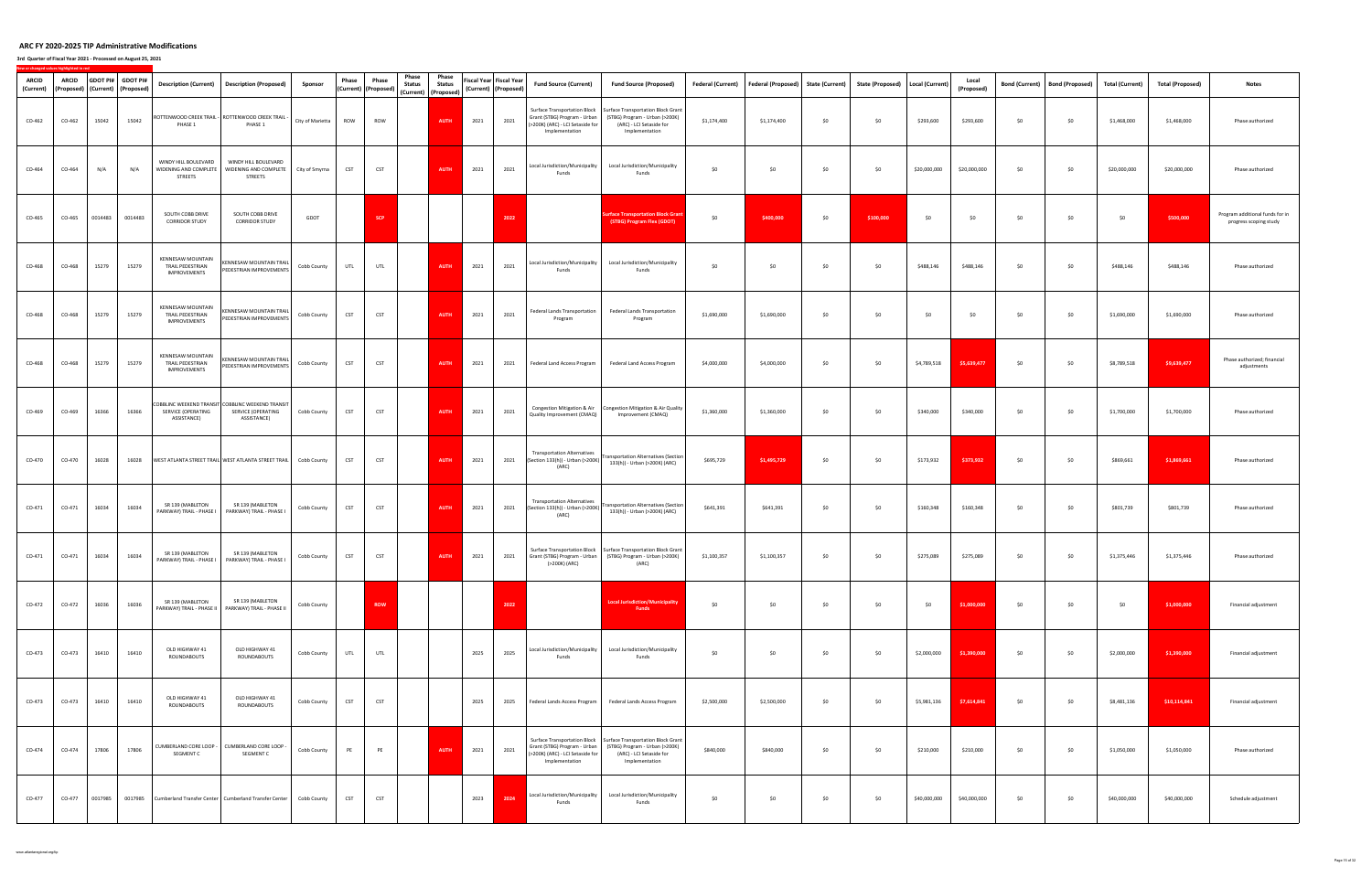| <b>ARCID</b><br>(Current) | <b>ARCID</b><br>(Proposed) (Current) (Proposed) |         | GDOT PI# GDOT PI# | <b>Description (Current)</b>                                        | <b>Description (Proposed)</b>                                                          | Sponsor          | Phase      | Phase<br>(Current) (Proposed) | Phase<br><b>Status</b> | Phase<br><b>Status</b><br>(Current) (Proposed) |      | Fiscal Year Fiscal Year<br>(Current) (Proposed) | <b>Fund Source (Current)</b>                                                                                              | <b>Fund Source (Proposed)</b>                                                                                                                                                    | Federal (Current) | <b>Federal (Proposed)</b> | <b>State (Current)</b> | State (Proposed)   Local (Current) |              | Local<br>(Proposed) | <b>Bond (Current)</b> | <b>Bond (Proposed)</b> | <b>Total (Current)</b> | <b>Total (Proposed)</b> | <b>Notes</b>                                              |
|---------------------------|-------------------------------------------------|---------|-------------------|---------------------------------------------------------------------|----------------------------------------------------------------------------------------|------------------|------------|-------------------------------|------------------------|------------------------------------------------|------|-------------------------------------------------|---------------------------------------------------------------------------------------------------------------------------|----------------------------------------------------------------------------------------------------------------------------------------------------------------------------------|-------------------|---------------------------|------------------------|------------------------------------|--------------|---------------------|-----------------------|------------------------|------------------------|-------------------------|-----------------------------------------------------------|
| CO-462                    | CO-462                                          | 15042   | 15042             | PHASE 1                                                             | OTTENWOOD CREEK TRAIL - ROTTENWOOD CREEK TRAIL -<br>PHASE 1                            | City of Marietta | ROW        | ROW                           |                        | <b>AUTH</b>                                    | 2021 | 2021                                            | <b>Surface Transportation Block</b><br>Grant (STBG) Program - Urban<br>(>200K) (ARC) - LCI Setaside for<br>Implementation | Surface Transportation Block Grant<br>(STBG) Program - Urban (>200K)<br>(ARC) - LCI Setaside for<br>Implementation                                                               | \$1,174,400       | \$1,174,400               | \$0                    | \$0                                | \$293,600    | \$293,600           | \$0                   | \$0                    | \$1,468,000            | \$1,468,000             | Phase authorized                                          |
| CO-464                    | CO-464                                          | N/A     | N/A               | WINDY HILL BOULEVARD<br>WIDENING AND COMPLETE<br>STREETS            | WINDY HILL BOULEVARD<br>WIDENING AND COMPLETE<br><b>STREETS</b>                        | City of Smyrna   | <b>CST</b> | <b>CST</b>                    |                        | AUTH                                           | 2021 | 2021                                            | Local Jurisdiction/Municipality<br>Funds                                                                                  | Local Jurisdiction/Municipality<br>Funds                                                                                                                                         | \$0               | \$0                       | \$0                    | \$0                                | \$20,000,000 | \$20,000,000        | \$0                   | \$0                    | \$20,000,000           | \$20,000,000            | Phase authorized                                          |
| CO-465                    | CO-465                                          | 0014483 | 0014483           | SOUTH COBB DRIVE<br><b>CORRIDOR STUDY</b>                           | SOUTH COBB DRIVE<br><b>CORRIDOR STUDY</b>                                              | GDOT             |            | <b>SCP</b>                    |                        |                                                |      | 2022                                            |                                                                                                                           | urface Transportation Block Grant<br>(STBG) Program Flex (GDOT)                                                                                                                  | \$0               | \$400,000                 | \$0                    | \$100,000                          | \$0          | \$0                 | \$0                   | \$0                    | \$0                    | \$500,000               | Program additional funds for in<br>progress scoping study |
| CO-468                    | CO-468                                          | 15279   | 15279             | KENNESAW MOUNTAIN<br>TRAIL PEDESTRIAN<br>IMPROVEMENTS               | <b>CENNESAW MOUNTAIN TRAIL</b><br>PEDESTRIAN IMPROVEMENTS                              | Cobb County      | UTL        | UTL                           |                        | <b>AUTH</b>                                    | 2021 | 2021                                            | Local Jurisdiction/Municipality<br>Funds                                                                                  | Local Jurisdiction/Municipality<br>Funds                                                                                                                                         | \$0               | \$0                       | \$0                    | \$0                                | \$488,146    | \$488,146           | \$0                   | \$0                    | \$488,146              | \$488,146               | Phase authorized                                          |
| CO-468                    | CO-468                                          | 15279   | 15279             | <b>KENNESAW MOUNTAIN</b><br>TRAIL PEDESTRIAN<br><b>IMPROVEMENTS</b> | <b>CENNESAW MOUNTAIN TRAIL</b><br>PEDESTRIAN IMPROVEMENTS                              | Cobb County      | <b>CST</b> | <b>CST</b>                    |                        | AUTH                                           | 2021 | 2021                                            | Federal Lands Transportation<br>Program                                                                                   | Federal Lands Transportation<br>Program                                                                                                                                          | \$1,690,000       | \$1,690,000               | \$0                    | \$0                                | \$0          | \$0                 | \$0                   | \$0                    | \$1,690,000            | \$1,690,000             | Phase authorized                                          |
| CO-468                    | CO-468                                          | 15279   | 15279             | KENNESAW MOUNTAIN<br>TRAIL PEDESTRIAN<br><b>IMPROVEMENTS</b>        | <b>CENNESAW MOUNTAIN TRAIL</b><br>PEDESTRIAN IMPROVEMENTS                              | Cobb County      | <b>CST</b> | <b>CST</b>                    |                        | <b>AUTH</b>                                    | 2021 | 2021                                            | Federal Land Access Program                                                                                               | Federal Land Access Program                                                                                                                                                      | \$4,000,000       | \$4,000,000               | \$0                    | \$0                                | \$4,789,518  | \$5,639,477         | \$0                   | \$0                    | \$8,789,518            | \$9,639,477             | Phase authorized; financial<br>adjustments                |
| CO-469                    | CO-469                                          | 16366   | 16366             | SERVICE (OPERATING<br>ASSISTANCE)                                   | COBBLINC WEEKEND TRANSIT COBBLINC WEEKEND TRANSIT<br>SERVICE (OPERATING<br>ASSISTANCE) | Cobb County      | <b>CST</b> | <b>CST</b>                    |                        | <b>AUTH</b>                                    | 2021 | 2021                                            | Congestion Mitigation & Air<br>Quality Improvement (CMAQ)                                                                 | Congestion Mitigation & Air Quality<br>Improvement (CMAQ)                                                                                                                        | \$1,360,000       | \$1,360,000               | \$0                    | \$0                                | \$340,000    | \$340,000           | \$0                   | \$0                    | \$1,700,000            | \$1,700,000             | Phase authorized                                          |
| CO-470                    | CO-470                                          | 16028   | 16028             |                                                                     | WEST ATLANTA STREET TRAIL WEST ATLANTA STREET TRAIL                                    | Cobb County      | <b>CST</b> | <b>CST</b>                    |                        | AUTH                                           | 2021 | 2021                                            | <b>Transportation Alternatives</b><br>(Section 133(h)) - Urban (>200K)<br>(ARC)                                           | <b>Transportation Alternatives (Section</b><br>133(h)) - Urban (>200K) (ARC)                                                                                                     | \$695,729         | \$1,495,729               | \$0                    | \$0                                | \$173,932    | \$373,932           | \$0                   | \$0                    | \$869,661              | \$1,869,661             | Phase authorized                                          |
| CO-471                    | CO-471                                          | 16034   | 16034             | SR 139 (MABLETON                                                    | SR 139 (MABLETON<br>PARKWAY) TRAIL - PHASE I PARKWAY) TRAIL - PHASE I                  | Cobb County      | <b>CST</b> | <b>CST</b>                    |                        | <b>AUTH</b>                                    | 2021 | 2021                                            | <b>Transportation Alternatives</b><br>(Section 133(h)) - Urban (>200K)<br>(ARC)                                           | <b>Transportation Alternatives (Section</b><br>133(h)) - Urban (>200K) (ARC)                                                                                                     | \$641,391         | \$641,391                 | \$0                    | \$0                                | \$160,348    | \$160,348           | \$0                   | \$0                    | \$801,739              | \$801,739               | Phase authorized                                          |
| CO-471                    | CO-471                                          | 16034   | 16034             | SR 139 (MABLETON                                                    | SR 139 (MABLETON<br>PARKWAY) TRAIL - PHASE I PARKWAY) TRAIL - PHASE I                  | Cobb County      | <b>CST</b> | <b>CST</b>                    |                        | <b>AUTH</b>                                    | 2021 | 2021                                            | (>200K) (ARC)                                                                                                             | Surface Transportation Block   Surface Transportation Block Grant<br>Grant (STBG) Program - Urban (STBG) Program - Urban (>200K)<br>(ARC)                                        | \$1,100,357       | \$1,100,357               | \$0                    | \$0                                | \$275,089    | \$275,089           | \$0                   | \$0                    | \$1,375,446            | \$1,375,446             | Phase authorized                                          |
| CO-472                    | CO-472                                          | 16036   | 16036             | SR 139 (MABLETON                                                    | SR 139 (MABLETON<br>PARKWAY) TRAIL - PHASE II   PARKWAY) TRAIL - PHASE II              | Cobb County      |            | <b>ROW</b>                    |                        |                                                |      | 2022                                            |                                                                                                                           | <b>Local Jurisdiction/Municipality</b><br><b>Funds</b>                                                                                                                           | \$0               | \$0                       | \$0                    | \$0                                | \$0          | \$1,000,000         | \$0                   | \$0                    | \$0                    | \$1,000,000             | Financial adjustment                                      |
| CO-473                    | CO-473                                          | 16410   | 16410             | OLD HIGHWAY 41<br>ROUNDABOUTS                                       | OLD HIGHWAY 41<br>ROUNDABOUTS                                                          | Cobb County      | UTL        | UTL                           |                        |                                                | 2025 | 2025                                            | Local Jurisdiction/Municipality<br>Funds                                                                                  | Local Jurisdiction/Municipality<br>Funds                                                                                                                                         | \$0               | \$0                       | \$0                    | \$0                                | \$2,000,000  | \$1,390,000         | \$0                   | \$0                    | \$2,000,000            | \$1,390,000             | Financial adjustment                                      |
| CO-473                    | CO-473                                          | 16410   | 16410             | OLD HIGHWAY 41<br>ROUNDABOUTS                                       | OLD HIGHWAY 41<br>ROUNDABOUTS                                                          | Cobb County      | <b>CST</b> | <b>CST</b>                    |                        |                                                | 2025 | 2025                                            | Federal Lands Access Program                                                                                              | Federal Lands Access Program                                                                                                                                                     | \$2,500,000       | \$2,500,000               | \$0                    | \$0                                | \$5,981,136  | \$7,614,841         | \$0                   | \$0                    | \$8,481,136            | \$10,114,841            | Financial adjustment                                      |
| CO-474                    | CO-474                                          | 17806   | 17806             | SEGMENT C                                                           | CUMBERLAND CORE LOOP - CUMBERLAND CORE LOOP -<br>SEGMENT C                             | Cobb County      | PE         | PE                            |                        | <b>AUTH</b>                                    | 2021 | 2021                                            | (>200K) (ARC) - LCI Setaside for<br>Implementation                                                                        | Surface Transportation Block   Surface Transportation Block Grant<br>Grant (STBG) Program - Urban   (STBG) Program - Urban (>200K)<br>(ARC) - LCI Setaside for<br>Implementation | \$840,000         | \$840,000                 | \$0                    | \$0                                | \$210,000    | \$210,000           | \$0                   | \$0                    | \$1,050,000            | \$1,050,000             | Phase authorized                                          |
| CO-477                    | CO-477                                          | 0017985 |                   |                                                                     | 0017985 Cumberland Transfer Center   Cumberland Transfer Center                        | Cobb County      | <b>CST</b> | <b>CST</b>                    |                        |                                                | 2023 | 2024                                            | Local Jurisdiction/Municipality<br>Funds                                                                                  | Local Jurisdiction/Municipality<br>Funds                                                                                                                                         | \$0               | \$0                       | \$0                    | \$0                                | \$40,000,000 | \$40,000,000        | \$0                   | \$0                    | \$40,000,000           | \$40,000,000            | Schedule adjustment                                       |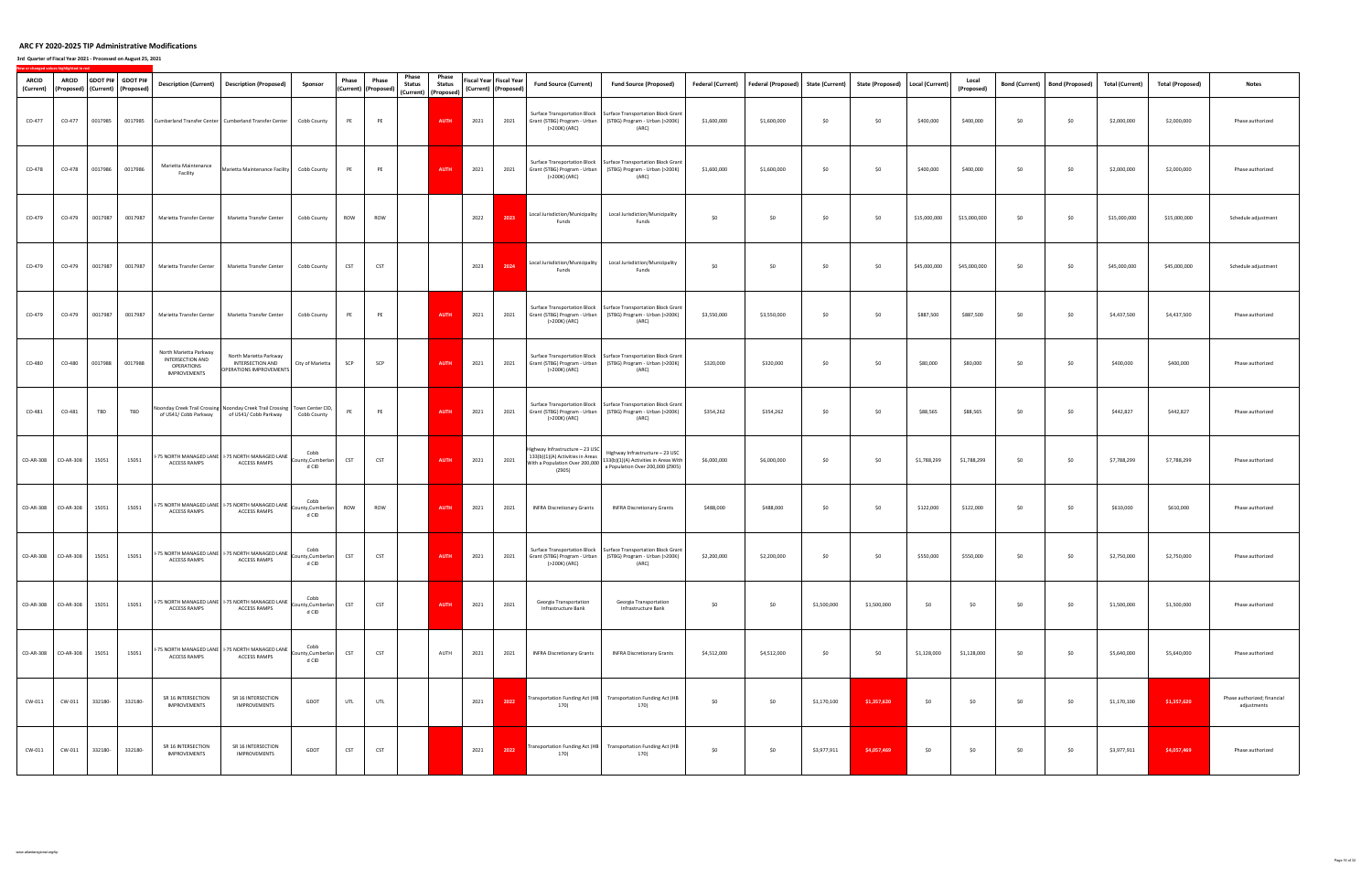**3rd Quarter of Fiscal Year 2021 ‐ Processed on August 25, 2021**

| <b>ARCID</b><br>(Current) | <b>ARCID</b><br>(Proposed)   (Current)   (Proposed) |         | GDOT PI# GDOT PI# | <b>Description (Current)</b>                                                           | <b>Description (Proposed)</b>                                                    | Sponsor                            | Phase      | Phase<br>(Current) (Proposed) | Phase<br><b>Status</b> | Phase<br><b>Status</b><br>(Current) (Proposed) |      | Fiscal Year Fiscal Year<br>(Current) (Proposed) | <b>Fund Source (Current)</b>                  | <b>Fund Source (Proposed)</b>                                                                                                               | <b>Federal (Current)</b> | Federal (Proposed) | <b>State (Current)</b> | State (Proposed)   Local (Current) |              | Local<br>(Proposed) | <b>Bond (Current)</b> | <b>Bond (Proposed)</b> | <b>Total (Current)</b> | <b>Total (Proposed)</b> | <b>Notes</b>                               |
|---------------------------|-----------------------------------------------------|---------|-------------------|----------------------------------------------------------------------------------------|----------------------------------------------------------------------------------|------------------------------------|------------|-------------------------------|------------------------|------------------------------------------------|------|-------------------------------------------------|-----------------------------------------------|---------------------------------------------------------------------------------------------------------------------------------------------|--------------------------|--------------------|------------------------|------------------------------------|--------------|---------------------|-----------------------|------------------------|------------------------|-------------------------|--------------------------------------------|
| CO-477                    | CO-477                                              | 0017985 |                   |                                                                                        | 0017985 Cumberland Transfer Center Cumberland Transfer Center                    | Cobb County                        | PE         | PE                            |                        | <b>AUTH</b>                                    | 2021 | 2021                                            | (>200K) (ARC)                                 | Surface Transportation Block   Surface Transportation Block Grant<br>Grant (STBG) Program - Urban   (STBG) Program - Urban (>200K)<br>(ARC) | \$1,600,000              | \$1,600,000        | \$0                    | \$0                                | \$400,000    | \$400,000           | \$0                   | \$0                    | \$2,000,000            | \$2,000,000             | Phase authorized                           |
| CO-478                    | CO-478                                              | 0017986 | 0017986           | Marietta Maintenance<br>Facility                                                       | Marietta Maintenance Facility    Cobb County                                     |                                    | PE         | PE                            |                        | <b>AUTH</b>                                    | 2021 | 2021                                            | Grant (STBG) Program - Urban<br>(>200K) (ARC) | Surface Transportation Block   Surface Transportation Block Grant<br>(STBG) Program - Urban (>200K)<br>(ARC)                                | \$1,600,000              | \$1,600,000        | \$0                    | \$0                                | \$400,000    | \$400,000           | \$0                   | \$0                    | \$2,000,000            | \$2,000,000             | Phase authorized                           |
| CO-479                    | CO-479                                              | 0017987 | 0017987           | Marietta Transfer Center                                                               | Marietta Transfer Center                                                         | Cobb County                        | ROW        | ROW                           |                        |                                                | 2022 | 2023                                            | Local Jurisdiction/Municipality<br>Funds      | Local Jurisdiction/Municipality<br>Funds                                                                                                    | \$0                      | \$0                | \$0                    | \$0                                | \$15,000,000 | \$15,000,000        | \$0                   | \$0                    | \$15,000,000           | \$15,000,000            | Schedule adjustment                        |
| CO-479                    | CO-479                                              | 0017987 | 0017987           | Marietta Transfer Center                                                               | Marietta Transfer Center                                                         | Cobb County                        | <b>CST</b> | <b>CST</b>                    |                        |                                                | 2023 | 2024                                            | Local Jurisdiction/Municipality<br>Funds      | Local Jurisdiction/Municipality<br>Funds                                                                                                    | \$0                      | \$0                | \$0                    | \$0                                | \$45,000,000 | \$45,000,000        | \$0                   | \$0                    | \$45,000,000           | \$45,000,000            | Schedule adjustment                        |
| CO-479                    | CO-479                                              | 0017987 | 0017987           | Marietta Transfer Center                                                               | Marietta Transfer Center                                                         | Cobb County                        | PE         | PE                            |                        | <b>AUTH</b>                                    | 2021 | 2021                                            | (>200K) (ARC)                                 | Surface Transportation Block   Surface Transportation Block Grant<br>Grant (STBG) Program - Urban (STBG) Program - Urban (>200K)<br>(ARC)   | \$3,550,000              | \$3,550,000        | \$0                    | \$0                                | \$887,500    | \$887,500           | \$0                   | \$0                    | \$4,437,500            | \$4,437,500             | Phase authorized                           |
| CO-480                    | CO-480                                              | 0017988 | 0017988           | North Marietta Parkway<br>INTERSECTION AND<br><b>OPERATIONS</b><br><b>IMPROVEMENTS</b> | North Marietta Parkway<br>INTERSECTION AND<br>OPERATIONS IMPROVEMENTS            | City of Marietta                   | SCP        | SCP                           |                        | <b>AUTH</b>                                    | 2021 | 2021                                            | (>200K) (ARC)                                 | Surface Transportation Block   Surface Transportation Block Grant<br>Grant (STBG) Program - Urban   (STBG) Program - Urban (>200K)<br>(ARC) | \$320,000                | \$320,000          | \$0                    | \$0                                | \$80,000     | \$80,000            | \$0                   | \$0                    | \$400,000              | \$400,000               | Phase authorized                           |
| CO-481                    | CO-481                                              | TBD     | TBD               | of US41/ Cobb Parkway                                                                  | onday Creek Trail Crossing Noonday Creek Trail Crossing<br>of US41/ Cobb Parkway | Town Center CID<br>Cobb County     | PE         | PE                            |                        | <b>AUTH</b>                                    | 2021 | 2021                                            | (>200K) (ARC)                                 | Surface Transportation Block   Surface Transportation Block Grant<br>Grant (STBG) Program - Urban (STBG) Program - Urban (>200K)<br>(ARC)   | \$354,262                | \$354,262          | \$0                    | \$0                                | \$88,565     | \$88,565            | \$0                   | \$0                    | \$442,827              | \$442,827               | Phase authorized                           |
|                           | CO-AR-308 CO-AR-308                                 | 15051   | 15051             | <b>ACCESS RAMPS</b>                                                                    | -75 NORTH MANAGED LANE I-75 NORTH MANAGED LANE<br>ACCESS RAMPS                   | Cobb<br>County, Cumberlar<br>d CID | <b>CST</b> | <b>CST</b>                    |                        | AUTH                                           | 2021 | 2021                                            | Highway Infrastructure - 23 USC<br>(Z905)     | Highway Infrastructure - 23 USC<br>With a Population Over 200,000 133(b)(1)(A) Activities in Areas With<br>a Population Over 200,000 (Z905) | \$6,000,000              | \$6,000,000        | \$0                    | \$0                                | \$1,788,299  | \$1,788,299         | \$0                   | \$0                    | \$7,788,299            | \$7,788,299             | Phase authorized                           |
|                           | CO-AR-308 CO-AR-308                                 | 15051   | 15051             | ACCESS RAMPS                                                                           | -75 NORTH MANAGED LANE I-75 NORTH MANAGED LANE<br>ACCESS RAMPS                   | Cobb<br>County, Cumberlan<br>d CID | ROW        | ROW                           |                        | <b>AUTH</b>                                    | 2021 | 2021                                            | <b>INFRA Discretionary Grants</b>             | <b>INFRA Discretionary Grants</b>                                                                                                           | \$488,000                | \$488,000          | \$0                    | \$0                                | \$122,000    | \$122,000           | \$0                   | \$0                    | \$610,000              | \$610,000               | Phase authorized                           |
|                           | CO-AR-308 CO-AR-308 15051                           |         | 15051             | <b>ACCESS RAMPS</b>                                                                    | -75 NORTH MANAGED LANE I-75 NORTH MANAGED LANE<br>ACCESS RAMPS                   | Cobb<br>County, Cumberlan<br>d CID | <b>CST</b> | <b>CST</b>                    |                        | <b>AUTH</b>                                    | 2021 | 2021                                            | (>200K) (ARC)                                 | Surface Transportation Block   Surface Transportation Block Grant<br>Grant (STBG) Program - Urban (STBG) Program - Urban (>200K)<br>(ARC)   | \$2,200,000              | \$2,200,000        | \$0                    | \$0                                | \$550,000    | \$550,000           | \$0                   | \$0                    | \$2,750,000            | \$2,750,000             | Phase authorized                           |
| CO-AR-308                 | CO-AR-308                                           | 15051   | 15051             | ACCESS RAMPS                                                                           | 75 NORTH MANAGED LANE I-75 NORTH MANAGED LANE<br>ACCESS RAMPS                    | Cobb<br>unty, Cumberlan<br>d CID   | <b>CST</b> | <b>CST</b>                    |                        | <b>AUTH</b>                                    | 2021 | 2021                                            | Georgia Transportation<br>Infrastructure Bank | Georgia Transportation<br>Infrastructure Bank                                                                                               | \$0                      | \$0                | \$1,500,000            | \$1,500,000                        | \$0          | <b>SO</b>           | \$0                   | \$0                    | \$1,500,000            | \$1,500,000             | Phase authorized                           |
|                           | CO-AR-308 CO-AR-308                                 | 15051   | 15051             | <b>ACCESS RAMPS</b>                                                                    | -75 NORTH MANAGED LANE   I-75 NORTH MANAGED LANE<br>ACCESS RAMPS                 | Cobb<br>County, Cumberlar<br>d CID | <b>CST</b> | <b>CST</b>                    |                        | AUTH                                           | 2021 | 2021                                            | <b>INFRA Discretionary Grants</b>             | <b>INFRA Discretionary Grants</b>                                                                                                           | \$4,512,000              | \$4,512,000        | \$0                    | \$0                                | \$1,128,000  | \$1,128,000         | \$0                   | \$0                    | \$5,640,000            | \$5,640,000             | Phase authorized                           |
| CW-011                    | CW-011                                              | 332180- | 332180-           | SR 16 INTERSECTION<br><b>IMPROVEMENTS</b>                                              | SR 16 INTERSECTION<br><b>IMPROVEMENTS</b>                                        | GDOT                               | UTL        | UTL                           |                        |                                                | 2021 | 2022                                            | 170)                                          | ransportation Funding Act (HB Transportation Funding Act (HB<br>170)                                                                        | \$0                      | \$0                | \$1,170,100            | \$1,357,620                        | \$0          | \$0                 | \$0                   | \$0                    | \$1,170,100            | \$1,357,620             | Phase authorized; financial<br>adjustments |
| CW-011                    | CW-011                                              | 332180- | 332180-           | SR 16 INTERSECTION<br><b>IMPROVEMENTS</b>                                              | SR 16 INTERSECTION<br><b>IMPROVEMENTS</b>                                        | GDOT                               | <b>CST</b> | <b>CST</b>                    |                        |                                                | 2021 | 2022                                            | 170)                                          | Fransportation Funding Act (HB Transportation Funding Act (HB<br>170)                                                                       | \$0                      | \$0                | \$3,977,911            | \$4,057,469                        | \$0          | \$0                 | \$0                   | \$0                    | \$3,977,911            | \$4,057,469             | Phase authorized                           |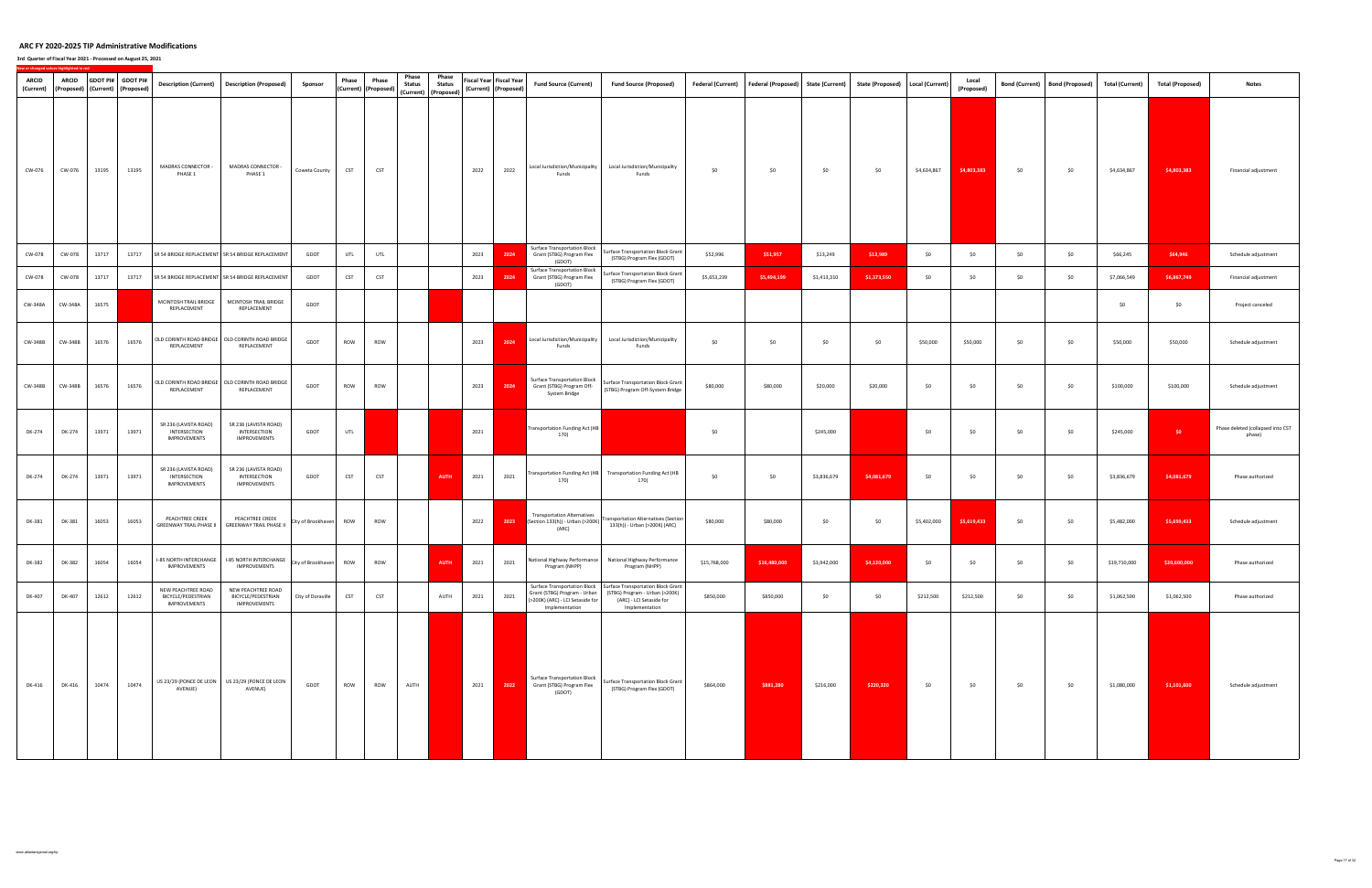**3rd Quarter of Fiscal Year 2021 ‐ Processed on August 25, 2021**

| <b>ARCID</b><br>(Current) | ARCID   |       | GDOT PI# GDOT PI#<br>(Proposed) (Current) (Proposed) |                                                                 | Description (Current)   Description (Proposed)                        | Sponsor            | Phase      | Phase<br>(Current) (Proposed) | Phase<br><b>Status</b><br>(Current) | Phase<br><b>Status</b><br>(Proposed) | (Current) (Proposed) | Fiscal Year Fiscal Year | <b>Fund Source (Current)</b>                                                       | <b>Fund Source (Proposed)</b>                                                                                                                     | <b>Federal (Current)</b> | Federal (Proposed) State (Current) |             | <b>State (Proposed)</b> | Local (Current) | Local<br>(Proposed) | <b>Bond (Current)</b> | <b>Bond (Proposed)</b> | <b>Total (Current)</b> | <b>Total (Proposed)</b> | <b>Notes</b>                                |
|---------------------------|---------|-------|------------------------------------------------------|-----------------------------------------------------------------|-----------------------------------------------------------------------|--------------------|------------|-------------------------------|-------------------------------------|--------------------------------------|----------------------|-------------------------|------------------------------------------------------------------------------------|---------------------------------------------------------------------------------------------------------------------------------------------------|--------------------------|------------------------------------|-------------|-------------------------|-----------------|---------------------|-----------------------|------------------------|------------------------|-------------------------|---------------------------------------------|
| CW-076                    | CW-076  | 13195 | 13195                                                | MADRAS CONNECTOR -<br>PHASE 1                                   | MADRAS CONNECTOR -<br>PHASE 1                                         | Coweta County      | <b>CST</b> | <b>CST</b>                    |                                     |                                      | 2022                 | 2022                    | Local Jurisdiction/Municipality<br>Funds                                           | Local Jurisdiction/Municipality<br>Funds                                                                                                          | \$0                      | \$0                                | \$0         | \$0                     | \$4,634,867     | \$4,803,383         | \$0                   | \$0                    | \$4,634,867            | \$4,803,383             | Financial adjustment                        |
| CW-078                    | CW-078  | 13717 | 13717                                                |                                                                 | SR 54 BRIDGE REPLACEMENT SR 54 BRIDGE REPLACEMENT                     | GDOT               | UTL        | UTL                           |                                     |                                      | 2023                 | 2024                    | Surface Transportation Block<br>Grant (STBG) Program Flex<br>(GDOT)                | Surface Transportation Block Grant<br>(STBG) Program Flex (GDOT)                                                                                  | \$52,996                 | \$51,957                           | \$13,249    | \$12,989                | \$0             | \$0                 | \$0                   | \$0                    | \$66,245               | \$64,946                | Schedule adjustment                         |
| CW-078                    | CW-078  | 13717 | 13717                                                |                                                                 | SR 54 BRIDGE REPLACEMENT SR 54 BRIDGE REPLACEMENT                     | GDOT               | <b>CST</b> | <b>CST</b>                    |                                     |                                      | 2023                 | 2024                    | <b>Surface Transportation Block</b><br>Grant (STBG) Program Flex<br>(GDOT)         | iurface Transportation Block Grant<br>(STBG) Program Flex (GDOT)                                                                                  | \$5,653,239              | \$5,494,199                        | \$1,413,310 | \$1,373,550             | \$0             | \$0                 | \$0                   | \$0                    | \$7,066,549            | \$6,867,749             | Financial adjustment                        |
| CW-348A                   | CW-348A | 16575 |                                                      | MCINTOSH TRAIL BRIDGE<br>REPLACEMENT                            | MCINTOSH TRAIL BRIDGE<br>REPLACEMENT                                  | GDOT               |            |                               |                                     |                                      |                      |                         |                                                                                    |                                                                                                                                                   |                          |                                    |             |                         |                 |                     |                       |                        | \$0                    | \$0                     | Project canceled                            |
| CW-348B                   | CW-348B | 16576 | 16576                                                | REPLACEMENT                                                     | OLD CORINTH ROAD BRIDGE   OLD CORINTH ROAD BRIDGE<br>REPLACEMENT      | GDOT               | ROW        | ROW                           |                                     |                                      | 2023                 | 2024                    | Local Jurisdiction/Municipality<br>Funds                                           | Local Jurisdiction/Municipality<br>Funds                                                                                                          | \$0                      | \$0                                | \$0         | \$0                     | \$50,000        | \$50,000            | \$0                   | \$0                    | \$50,000               | \$50,000                | Schedule adjustment                         |
| CW-348B                   | CW-348B | 16576 | 16576                                                | REPLACEMENT                                                     | OLD CORINTH ROAD BRIDGE   OLD CORINTH ROAD BRIDGE<br>REPLACEMENT      | GDOT               | ROW        | ROW                           |                                     |                                      | 2023                 | 2024                    | Surface Transportation Block<br>Grant (STBG) Program Off-<br>System Bridge         | Surface Transportation Block Grant<br>(STBG) Program Off-System Bridge                                                                            | \$80,000                 | \$80,000                           | \$20,000    | \$20,000                | \$0             | \$0                 | \$0                   | \$0                    | \$100,000              | \$100,000               | Schedule adjustment                         |
| DK-274                    | DK-274  | 13971 | 13971                                                | SR 236 (LAVISTA ROAD)<br>INTERSECTION<br>IMPROVEMENTS           | SR 236 (LAVISTA ROAD)<br>INTERSECTION<br>IMPROVEMENTS                 | GDOT               | UTL        |                               |                                     |                                      | 2021                 |                         | <b>Fransportation Funding Act (HB</b><br>170)                                      |                                                                                                                                                   | \$0                      |                                    | \$245,000   |                         | \$0             | \$0                 | \$0                   | \$0                    | \$245,000              | $50 -$                  | Phase deleted (collapsed into CST<br>phase) |
| DK-274                    | DK-274  | 13971 | 13971                                                | SR 236 (LAVISTA ROAD)<br>INTERSECTION<br>IMPROVEMENTS           | SR 236 (LAVISTA ROAD)<br>INTERSECTION<br>IMPROVEMENTS                 | GDOT               | <b>CST</b> | <b>CST</b>                    |                                     | AUTH                                 | 2021                 | 2021                    | Transportation Funding Act (HB<br>170)                                             | <b>Transportation Funding Act (HB</b><br>170)                                                                                                     | \$0                      | \$0                                | \$3,836,679 | \$4,081,679             | \$0             | \$0                 | \$0                   | \$0                    | \$3,836,679            | \$4,081,679             | Phase authorized                            |
| DK-381                    | DK-381  | 16053 | 16053                                                | PEACHTREE CREEK<br><b>GREENWAY TRAIL PHASE II</b>               | PEACHTREE CREEK<br><b>GREENWAY TRAIL PHASE II</b>                     | City of Brookhaven | ROW        | ROW                           |                                     |                                      | 2022                 | 2023                    | <b>Transportation Alternatives</b><br>Section 133(h)) - Urban (>200K)<br>(ARC)     | <b>Fransportation Alternatives (Section</b><br>133(h)) - Urban (>200K) (ARC)                                                                      | \$80,000                 | \$80,000                           | \$0         | \$0                     | \$5,402,000     | \$5,619,433         | \$0                   | \$0                    | \$5,482,000            | \$5,699,433             | Schedule adjustment                         |
| DK-382                    | DK-382  | 16054 | 16054                                                | IMPROVEMENTS                                                    | -85 NORTH INTERCHANGE   I-85 NORTH INTERCHANGE<br><b>IMPROVEMENTS</b> | City of Brookhaven | ROW        | ROW                           |                                     | <b>AUTH</b>                          | 2021                 | 2021                    | Program (NHPP)                                                                     | National Highway Performance National Highway Performance<br>Program (NHPP)                                                                       | \$15,768,000             | \$16,480,000                       | \$3,942,000 | \$4,120,000             | \$0             | \$0                 | \$0                   | \$0                    | \$19,710,000           | \$20,600,000            | Phase authorized                            |
| DK-407                    | DK-407  | 12612 | 12612                                                | NEW PEACHTREE ROAD<br>BICYCLE/PEDESTRIAN<br><b>IMPROVEMENTS</b> | NEW PEACHTREE ROAD<br>BICYCLE/PEDESTRIAN<br><b>IMPROVEMENTS</b>       | City of Doraville  | <b>CST</b> | <b>CST</b>                    |                                     | AUTH                                 | 2021                 | 2021                    | Grant (STBG) Program - Urban<br>(>200K) (ARC) - LCI Setaside for<br>Implementation | Surface Transportation Block   Surface Transportation Block Grant<br>(STBG) Program - Urban (>200K)<br>(ARC) - LCI Setaside for<br>Implementation | \$850,000                | \$850,000                          | \$0         | \$0                     | \$212,500       | \$212,500           | \$0                   | \$0                    | \$1,062,500            | \$1,062,500             | Phase authorized                            |
| DK-416                    | DK-416  | 10474 | 10474                                                | AVENUE)                                                         | US 23/29 (PONCE DE LEON US 23/29 (PONCE DE LEON<br>AVENUE)            | GDOT               | ROW        | ROW                           | AUTH                                |                                      | 2021                 | 2022                    | Surface Transportation Block<br>Grant (STBG) Program Flex<br>(GDOT)                | Surface Transportation Block Grant<br>(STBG) Program Flex (GDOT)                                                                                  | \$864,000                | \$881,280                          | \$216,000   | \$220,320               | \$0             | \$0                 | \$0                   | \$0                    | \$1,080,000            | \$1,101,600             | Schedule adjustment                         |

www.atlantaregional.org/tip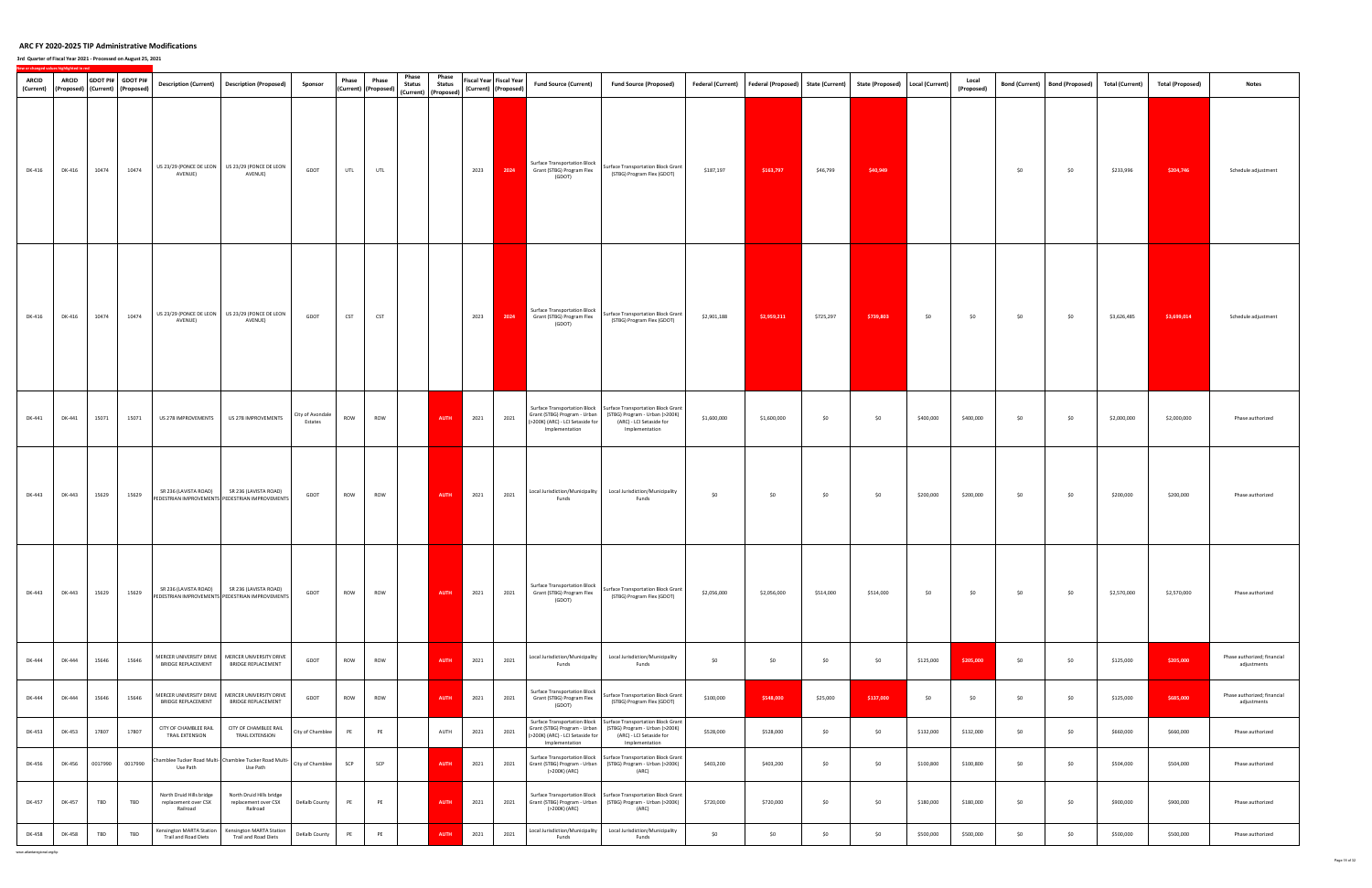| <b>ARCID</b><br>(Current) | <b>ARCID</b><br>(Proposed) (Current) (Proposed) |         | GDOT PI# GDOT PI# |                                                              | Description (Current)   Description (Proposed)                                                 | Sponsor                     | Phase<br>(Current) (Proposed) | Phase      | Phase<br><b>Status</b> | Phase<br><b>Status</b><br>(Current) (Proposed) |      | Fiscal Year Fiscal Year<br>(Current) (Proposed) | <b>Fund Source (Current)</b>                                                                                       | <b>Fund Source (Proposed)</b>                                                                                                                     |             | Federal (Current) Federal (Proposed) | <b>State (Current)</b> | State (Proposed)   Local (Current) |           | Local<br>(Proposed) |     | Bond (Current)   Bond (Proposed) | <b>Total (Current)</b> | <b>Total (Proposed)</b> | <b>Notes</b>                               |
|---------------------------|-------------------------------------------------|---------|-------------------|--------------------------------------------------------------|------------------------------------------------------------------------------------------------|-----------------------------|-------------------------------|------------|------------------------|------------------------------------------------|------|-------------------------------------------------|--------------------------------------------------------------------------------------------------------------------|---------------------------------------------------------------------------------------------------------------------------------------------------|-------------|--------------------------------------|------------------------|------------------------------------|-----------|---------------------|-----|----------------------------------|------------------------|-------------------------|--------------------------------------------|
| DK-416                    | DK-416                                          | 10474   | 10474             | AVENUE)                                                      | US 23/29 (PONCE DE LEON US 23/29 (PONCE DE LEON<br>AVENUE)                                     | GDOT                        | UTL                           | UTL        |                        |                                                | 2023 | 2024                                            | <b>Surface Transportation Block</b><br>Grant (STBG) Program Flex<br>(GDOT)                                         | Surface Transportation Block Grant<br>(STBG) Program Flex (GDOT)                                                                                  | \$187,197   | \$163,797                            | \$46,799               | \$40,949                           |           |                     | \$0 | \$0                              | \$233,996              | \$204,746               | Schedule adjustment                        |
| DK-416                    | DK-416                                          | 10474   | 10474             | AVENUE)                                                      | US 23/29 (PONCE DE LEON US 23/29 (PONCE DE LEON<br>AVENUE)                                     | GDOT                        | <b>CST</b>                    | <b>CST</b> |                        |                                                | 2023 | 2024                                            | <b>Surface Transportation Block</b><br>Grant (STBG) Program Flex<br>(GDOT)                                         | Surface Transportation Block Grant<br>(STBG) Program Flex (GDOT)                                                                                  | \$2,901,188 | \$2,959,211                          | \$725,297              | \$739,803                          | \$0       | \$0                 | \$0 | \$0                              | \$3,626,485            | \$3,699,014             | Schedule adjustment                        |
| DK-441                    | DK-441                                          | 15071   | 15071             | US 278 IMPROVEMENTS                                          | US 278 IMPROVEMENTS                                                                            | City of Avondale<br>Estates | ROW                           | ROW        |                        | <b>AUTH</b>                                    | 2021 | 2021                                            | Grant (STBG) Program - Urban<br>(>200K) (ARC) - LCI Setaside for<br>Implementation                                 | Surface Transportation Block   Surface Transportation Block Grant<br>(STBG) Program - Urban (>200K)<br>(ARC) - LCI Setaside for<br>Implementation | \$1,600,000 | \$1,600,000                          | \$0                    | \$0                                | \$400,000 | \$400,000           | \$0 | \$0                              | \$2,000,000            | \$2,000,000             | Phase authorized                           |
| DK-443                    | DK-443                                          | 15629   | 15629             |                                                              | SR 236 (LAVISTA ROAD) SR 236 (LAVISTA ROAD)<br>PEDESTRIAN IMPROVEMENTS PEDESTRIAN IMPROVEMENTS | GDOT                        | ROW                           | ROW        |                        | <b>AUTH</b>                                    | 2021 | 2021                                            | Local Jurisdiction/Municipality<br>Funds                                                                           | Local Jurisdiction/Municipality<br>Funds                                                                                                          | \$0         | \$0                                  | \$0                    | \$0                                | \$200,000 | \$200,000           | \$0 | \$0                              | \$200,000              | \$200,000               | Phase authorized                           |
| DK-443                    | DK-443                                          | 15629   | 15629             | SR 236 (LAVISTA ROAD)                                        | SR 236 (LAVISTA ROAD)<br>PEDESTRIAN IMPROVEMENTS PEDESTRIAN IMPROVEMENTS                       | GDOT                        | ROW                           | ROW        |                        | <b>AUTH</b>                                    | 2021 | 2021                                            | Surface Transportation Block<br>Grant (STBG) Program Flex<br>(GDOT)                                                | Surface Transportation Block Grant<br>(STBG) Program Flex (GDOT)                                                                                  | \$2,056,000 | \$2,056,000                          | \$514,000              | \$514,000                          | \$0       | \$0                 | \$0 | \$0                              | \$2,570,000            | \$2,570,000             | Phase authorized                           |
| DK-444                    | DK-444                                          | 15646   | 15646             | BRIDGE REPLACEMENT                                           | MERCER UNIVERSITY DRIVE   MERCER UNIVERSITY DRIVE<br>BRIDGE REPLACEMENT                        | GDOT                        | ROW                           | ROW        |                        | <b>AUTH</b>                                    | 2021 | 2021                                            | Local Jurisdiction/Municipality<br>Funds                                                                           | Local Jurisdiction/Municipality<br>Funds                                                                                                          | \$0         | \$0                                  | \$0                    | \$0                                | \$125,000 | \$205,000           | \$0 | \$0                              | \$125,000              | \$205,000               | Phase authorized; financial<br>adjustments |
| DK-444                    | DK-444                                          | 15646   | 15646             | <b>BRIDGE REPLACEMENT</b>                                    | MERCER UNIVERSITY DRIVE   MERCER UNIVERSITY DRIVE<br><b>BRIDGE REPLACEMENT</b>                 | GDOT                        | ROW                           | ROW        |                        | <b>AUTH</b>                                    | 2021 | 2021                                            | Surface Transportation Block<br>Grant (STBG) Program Flex<br>(GDOT)                                                | Surface Transportation Block Grant<br>(STBG) Program Flex (GDOT)                                                                                  | \$100,000   | \$548,000                            | \$25,000               | \$137,000                          | \$0       | \$0                 | \$0 | \$0                              | \$125,000              | \$685,000               | Phase authorized; financial<br>adjustments |
| DK-453                    | DK-453                                          | 17807   | 17807             | CITY OF CHAMBLEE RAIL<br>TRAIL EXTENSION                     | CITY OF CHAMBLEE RAIL<br>TRAIL EXTENSION                                                       | City of Chamblee            | PE                            | PE         |                        | AUTH                                           | 2021 | 2021                                            | Surface Transportation Block<br>Grant (STBG) Program - Urban<br>(>200K) (ARC) - LCI Setaside for<br>Implementation | Surface Transportation Block Grant<br>(STBG) Program - Urban (>200K)<br>(ARC) - LCI Setaside for<br>Implementation                                | \$528,000   | \$528,000                            | \$0                    | \$0                                | \$132,000 | \$132,000           | \$0 | \$0                              | \$660,000              | \$660,000               | Phase authorized                           |
| DK-456                    | DK-456                                          | 0017990 | 0017990           | Use Path                                                     | Chamblee Tucker Road Multi- Chamblee Tucker Road Multi-<br>Use Path                            | City of Chamblee            | SCP                           | SCP        |                        | <b>AUTH</b>                                    | 2021 | 2021                                            | Surface Transportation Block<br>Grant (STBG) Program - Urban<br>(>200K) (ARC)                                      | Surface Transportation Block Grant<br>(STBG) Program - Urban (>200K)<br>(ARC)                                                                     | \$403,200   | \$403,200                            | \$0                    | \$0                                | \$100,800 | \$100,800           | \$0 | \$0                              | \$504,000              | \$504,000               | Phase authorized                           |
| DK-457                    | DK-457                                          | TBD     | TBD               | North Druid Hills bridge<br>replacement over CSX<br>Railroad | North Druid Hills bridge<br>replacement over CSX<br>Railroad                                   | DeKalb County               | PE                            | PE         |                        | <b>AUTH</b>                                    | 2021 | 2021                                            | Grant (STBG) Program - Urban<br>(>200K) (ARC)                                                                      | Surface Transportation Block   Surface Transportation Block Grant<br>(STBG) Program - Urban (>200K)<br>(ARC)                                      | \$720,000   | \$720,000                            | \$0                    | \$0                                | \$180,000 | \$180,000           | \$0 | \$0                              | \$900,000              | \$900,000               | Phase authorized                           |
| DK-458                    | DK-458                                          | TBD     | TBD               | Censington MARTA Station<br>Trail and Road Diets             | Kensington MARTA Station<br>Trail and Road Diets                                               | DeKalb County               | PE                            | PE         |                        | <b>AUTH</b>                                    | 2021 | 2021                                            | Local Jurisdiction/Municipality<br>Funds                                                                           | Local Jurisdiction/Municipality<br>Funds                                                                                                          | \$0         | \$0                                  | \$0                    | \$0                                | \$500,000 | \$500,000           | \$0 | \$0                              | \$500,000              | \$500,000               | Phase authorized                           |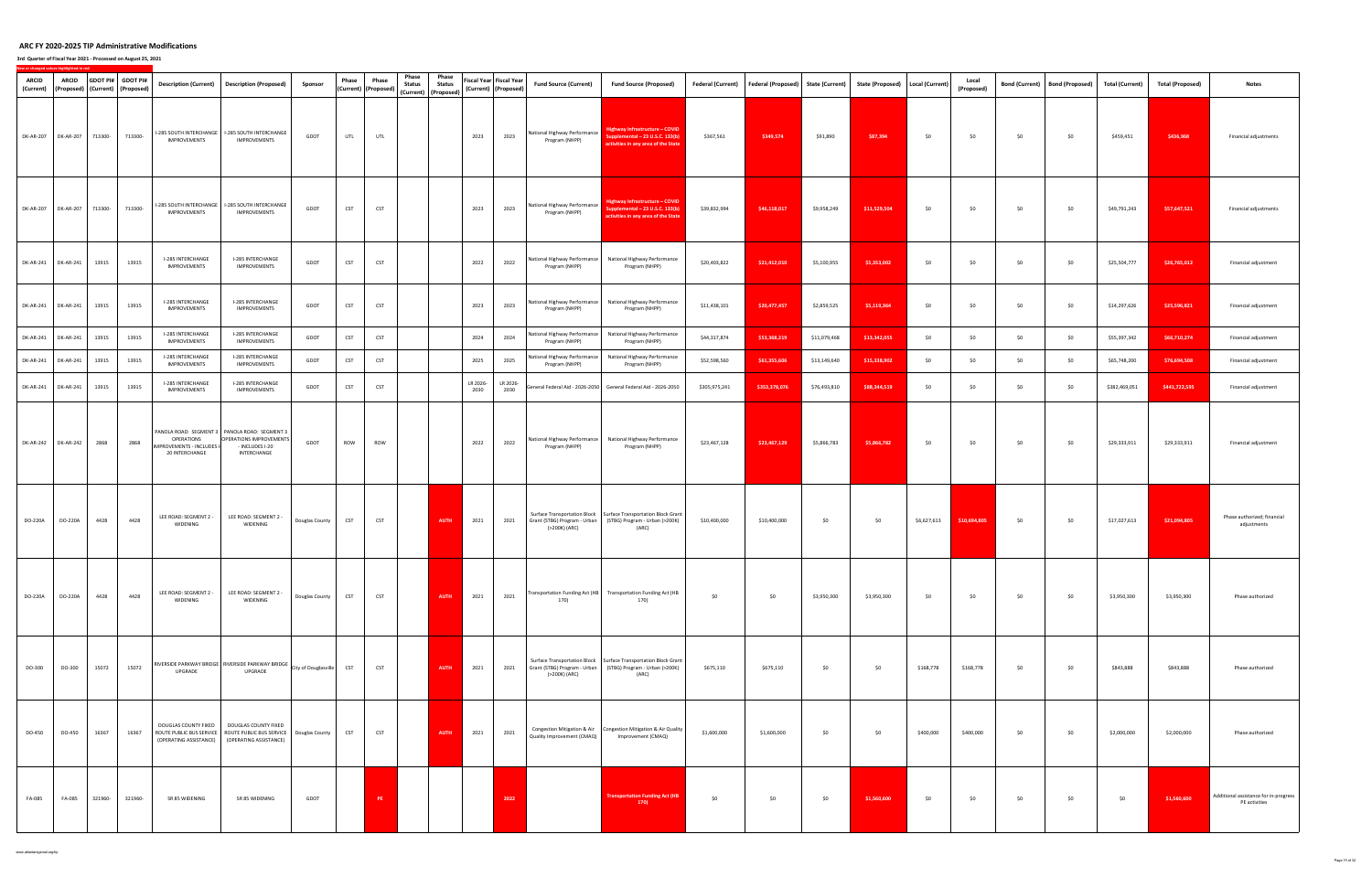| <b>ARCID</b>     | <b>ARCID</b>                |         | GDOT PI# GDOT PI#                          |                                                           | Description (Current) Description (Proposed)                                                                             | Sponsor        | Phase      | Phase                       | Phase<br><b>Status</b> | Phase<br><b>Status</b> |                  | Fiscal Year Fiscal Year      | <b>Fund Source (Current)</b>                   | <b>Fund Source (Proposed)</b>                                                                                                             | <b>Federal (Current)</b> | <b>Federal (Proposed)</b> | <b>State (Current)</b> | State (Proposed)   Local (Current) |             | Local             | <b>Bond (Current)</b> | <b>Bond (Proposed)</b> | <b>Total (Current)</b> | <b>Total (Proposed)</b> | <b>Notes</b>                                           |
|------------------|-----------------------------|---------|--------------------------------------------|-----------------------------------------------------------|--------------------------------------------------------------------------------------------------------------------------|----------------|------------|-----------------------------|------------------------|------------------------|------------------|------------------------------|------------------------------------------------|-------------------------------------------------------------------------------------------------------------------------------------------|--------------------------|---------------------------|------------------------|------------------------------------|-------------|-------------------|-----------------------|------------------------|------------------------|-------------------------|--------------------------------------------------------|
| (Current)        | DK-AR-207 DK-AR-207 713300- |         | (Proposed) (Current) (Proposed)<br>713300- | <b>IMPROVEMENTS</b>                                       | -285 SOUTH INTERCHANGE   I-285 SOUTH INTERCHANGE<br>IMPROVEMENTS                                                         | GDOT           | UTL        | (Current) (Proposed)<br>UTL |                        | (Current) (Proposed)   | 2023             | (Current) (Proposed)<br>2023 | National Highway Performance<br>Program (NHPP) | Highway Infrastructure - COVID<br>Supplemental - 23 U.S.C. 133(b)<br>activities in any area of the State                                  | \$367,561                | \$349,574                 | \$91,890               | \$87,394                           | \$0         | (Proposed)<br>\$0 | \$0                   | \$0                    | \$459,451              | \$436,968               | Financial adjustments                                  |
| DK-AR-207        | DK-AR-207 713300-           |         | 713300-                                    | <b>IMPROVEMENTS</b>                                       | -285 SOUTH INTERCHANGE   I-285 SOUTH INTERCHANGE<br><b>IMPROVEMENTS</b>                                                  | GDOT           | CST        | <b>CST</b>                  |                        |                        | 2023             | 2023                         | National Highway Performance<br>Program (NHPP) | Highway Infrastructure – COVID<br>pplemental - 23 U.S.C. 133(b)<br><b>Interatable 20 area of the State</b>                                | \$39,832,994             | \$46,118,017              | \$9,958,249            | \$11,529,504                       | \$0         | \$0               | \$0                   | \$0                    | \$49,791,243           | \$57,647,521            | Financial adjustments                                  |
| DK-AR-241        | DK-AR-241                   | 13915   | 13915                                      | I-285 INTERCHANGE<br><b>IMPROVEMENTS</b>                  | I-285 INTERCHANGE<br><b>IMPROVEMENTS</b>                                                                                 | GDOT           | CST        | <b>CST</b>                  |                        |                        | 2022             | 2022                         | Program (NHPP)                                 | National Highway Performance National Highway Performance<br>Program (NHPP)                                                               | \$20,403,822             | \$21,412,010              | \$5,100,955            | \$5,353,002                        | \$0         | \$0               | \$0                   | \$0                    | \$25,504,777           | \$26,765,012            | Financial adjustment                                   |
| DK-AR-241        | DK-AR-241                   | 13915   | 13915                                      | I-285 INTERCHANGE<br>IMPROVEMENTS                         | I-285 INTERCHANGE<br>IMPROVEMENTS                                                                                        | GDOT           | CST        | <b>CST</b>                  |                        |                        | 2023             | 2023                         | Program (NHPP)                                 | National Highway Performance   National Highway Performance<br>Program (NHPP)                                                             | \$11,438,101             | \$20,477,457              | \$2,859,525            | \$5,119,364                        | \$0         | \$0               | \$0                   | \$0                    | \$14,297,626           | \$25,596,821            | Financial adjustment                                   |
| DK-AR-241        | DK-AR-241                   | 13915   | 13915                                      | I-285 INTERCHANGE<br><b>IMPROVEMENTS</b>                  | <b>I-285 INTERCHANGE</b><br>IMPROVEMENTS                                                                                 | GDOT           | <b>CST</b> | <b>CST</b>                  |                        |                        | 2024             | 2024                         | National Highway Performance<br>Program (NHPP) | National Highway Performance<br>Program (NHPP)                                                                                            | \$44,317,874             | \$53,368,219              | \$11,079,468           | \$13,342,055                       | \$0         | \$0               | \$0                   | \$0                    | \$55,397,342           | \$66,710,274            | Financial adjustment                                   |
| <b>DK-AR-241</b> | DK-AR-241                   | 13915   | 13915                                      | I-285 INTERCHANGE<br><b>IMPROVEMENTS</b>                  | I-285 INTERCHANGE<br><b>IMPROVEMENTS</b>                                                                                 | GDOT           | <b>CST</b> | <b>CST</b>                  |                        |                        | 2025             | 2025                         | Program (NHPP)                                 | National Highway Performance National Highway Performance<br>Program (NHPP)                                                               | \$52,598,560             | \$61,355,606              | \$13,149,640           | \$15,338,902                       | \$0         | \$0               | \$0                   | \$0                    | \$65,748,200           | \$76,694,508            | Financial adjustment                                   |
| DK-AR-241        | DK-AR-241                   | 13915   | 13915                                      | I-285 INTERCHANGE<br><b>IMPROVEMENTS</b>                  | I-285 INTERCHANGE<br><b>IMPROVEMENTS</b>                                                                                 | GDOT           | <b>CST</b> | <b>CST</b>                  |                        |                        | LR 2026-<br>2030 | LR 2026-<br>2030             |                                                | General Federal Aid - 2026-2050 General Federal Aid - 2026-2050                                                                           | \$305,975,241            | \$353,378,076             | \$76,493,810           | \$88,344,519                       | \$0         | \$0               | \$0                   | \$0                    | \$382,469,051          | \$441,722,595           | Financial adjustment                                   |
| <b>DK-AR-242</b> | <b>DK-AR-242</b>            | 2868    | 2868                                       | OPERATIONS<br>MPROVEMENTS - INCLUDES I-<br>20 INTERCHANGE | PANOLA ROAD: SEGMENT 3 PANOLA ROAD: SEGMENT 3<br>OPERATIONS IMPROVEMENTS<br>- INCLUDES I-20<br>INTERCHANGE               | GDOT           | ROW        | ROW                         |                        |                        | 2022             | 2022                         | Program (NHPP)                                 | National Highway Performance   National Highway Performance<br>Program (NHPP)                                                             | \$23,467,128             | \$23,467,129              | \$5,866,783            | \$5,866,782                        | \$0         | \$0               | \$0                   | \$0                    | \$29,333,911           | \$29,333,911            | Financial adjustment                                   |
| DO-220A          | DO-220A                     | 4428    | 4428                                       | LEE ROAD: SEGMENT 2 -<br>WIDENING                         | LEE ROAD: SEGMENT 2 -<br>WIDENING                                                                                        | Douglas County | <b>CST</b> | CST                         |                        | <b>AUTH</b>            | 2021             | 2021                         | (>200K) (ARC)                                  | Surface Transportation Block   Surface Transportation Block Grant<br>Grant (STBG) Program - Urban (STBG) Program - Urban (>200K)<br>(ARC) | \$10,400,000             | \$10,400,000              | \$0                    | \$0                                | \$6,627,613 | \$10,694,805      | \$0                   | \$0                    | \$17,027,613           | \$21,094,805            | Phase authorized; financial<br>adjustments             |
| DO-220A          | DO-220A                     | 4428    | 4428                                       | LEE ROAD: SEGMENT 2 -<br>WIDENING                         | LEE ROAD: SEGMENT 2 -<br>WIDENING                                                                                        | Douglas County | <b>CST</b> | <b>CST</b>                  |                        | AUTH                   | 2021             | 2021                         | 170)                                           | Transportation Funding Act (HB Transportation Funding Act (HB<br>170)                                                                     | \$0                      | \$0                       | \$3,950,300            | \$3,950,300                        | \$0         | \$0               | \$0                   | \$0                    | \$3,950,300            | \$3,950,300             | Phase authorized                                       |
| DO-300           | DO-300                      | 15072   | 15072                                      | UPGRADE                                                   | RIVERSIDE PARKWAY BRIDGE   RIVERSIDE PARKWAY BRIDGE   City of Douglasville<br>UPGRADE                                    |                | <b>CST</b> | <b>CST</b>                  |                        | AUTH                   | 2021             | 2021                         | (>200K) (ARC)                                  | Surface Transportation Block   Surface Transportation Block Grant<br>Grant (STBG) Program - Urban (STBG) Program - Urban (>200K)<br>(ARC) | \$675,110                | \$675,110                 | \$0                    | \$0                                | \$168,778   | \$168,778         | \$0                   | \$0                    | \$843,888              | \$843,888               | Phase authorized                                       |
| DO-450           | DO-450                      | 16367   | 16367                                      | DOUGLAS COUNTY FIXED<br>(OPERATING ASSISTANCE)            | DOUGLAS COUNTY FIXED<br>ROUTE PUBLIC BUS SERVICE   ROUTE PUBLIC BUS SERVICE   Douglas County  <br>(OPERATING ASSISTANCE) |                | <b>CST</b> | <b>CST</b>                  |                        | <b>AUTH</b>            | 2021             | 2021                         | Quality Improvement (CMAQ)                     | Congestion Mitigation & Air Congestion Mitigation & Air Quality<br>Improvement (CMAQ)                                                     | \$1,600,000              | \$1,600,000               | \$0                    | \$0                                | \$400,000   | \$400,000         | \$0                   | \$0                    | \$2,000,000            | \$2,000,000             | Phase authorized                                       |
| FA-085           | FA-085                      | 321960- | 321960-                                    | SR 85 WIDENING                                            | SR 85 WIDENING                                                                                                           | GDOT           |            | $\ensuremath{\mathsf{PE}}$  |                        |                        |                  | 2022                         |                                                | <b>Transportation Funding Act (HB</b><br>170                                                                                              | \$0                      | \$0                       | \$0                    | \$1,560,600                        | \$0         | \$0               | \$0                   | \$0                    | \$0                    | \$1,560,600             | Additional assistance for in-progress<br>PE activities |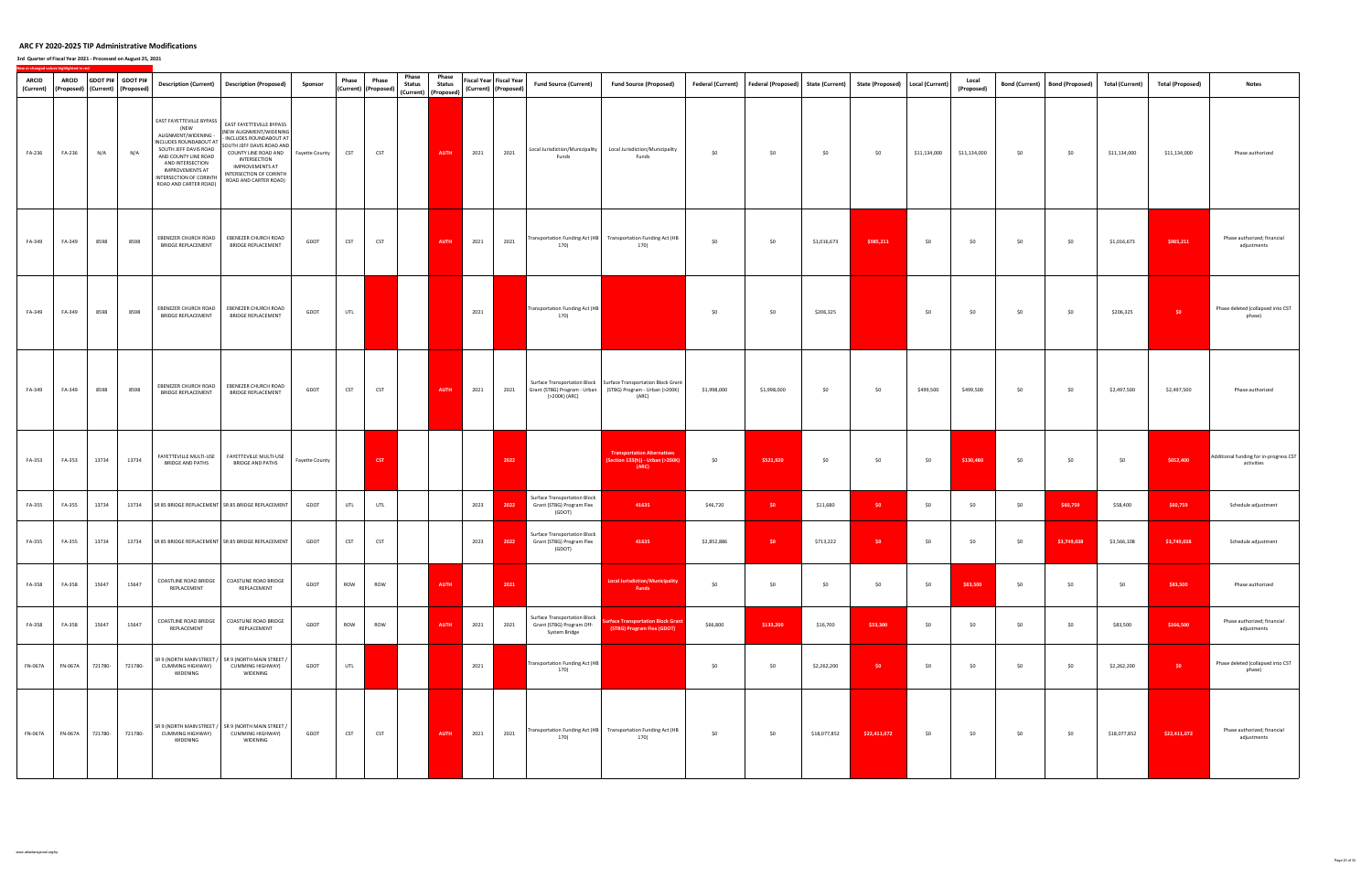| <b>ARCID</b><br>(Current) | <b>ARCID</b><br>(Proposed)   (Current)   (Proposed) |         | GDOT PI# GDOT PI# |                                                                                                                                                                                                                                       | Description (Current) Description (Proposed)                                                                                                                                                                                       | Sponsor        | Phase      | Phase<br>(Current) (Proposed) | Phase<br><b>Status</b> | Phase<br><b>Status</b><br>(Current) (Proposed) |      | <b>Fiscal Year Fiscal Year</b><br>(Current) (Proposed) | <b>Fund Source (Current)</b>                                                      | <b>Fund Source (Proposed)</b>                                                                                                             | Federal (Current) Federal (Proposed) |             | <b>State (Current)</b> | State (Proposed)   Local (Current) |              | Local<br>(Proposed) |     | Bond (Current) Bond (Proposed) | <b>Total (Current)</b> | <b>Total (Proposed)</b> | <b>Notes</b>                                         |
|---------------------------|-----------------------------------------------------|---------|-------------------|---------------------------------------------------------------------------------------------------------------------------------------------------------------------------------------------------------------------------------------|------------------------------------------------------------------------------------------------------------------------------------------------------------------------------------------------------------------------------------|----------------|------------|-------------------------------|------------------------|------------------------------------------------|------|--------------------------------------------------------|-----------------------------------------------------------------------------------|-------------------------------------------------------------------------------------------------------------------------------------------|--------------------------------------|-------------|------------------------|------------------------------------|--------------|---------------------|-----|--------------------------------|------------------------|-------------------------|------------------------------------------------------|
| FA-236                    | FA-236                                              | N/A     | N/A               | EAST FAYETTEVILLE BYPASS<br>(NEW<br>ALIGNMENT/WIDENING -<br>INCLUDES ROUNDABOUT AT<br>SOUTH JEFF DAVIS ROAD<br>AND COUNTY LINE ROAD<br>AND INTERSECTION<br><b>IMPROVEMENTS AT</b><br>INTERSECTION OF CORINTH<br>ROAD AND CARTER ROAD) | EAST FAYETTEVILLE BYPASS<br>(NEW ALIGNMENT/WIDENING<br>- INCLUDES ROUNDABOUT AT<br>SOUTH JEFF DAVIS ROAD AND<br>COUNTY LINE ROAD AND<br>INTERSECTION<br><b>IMPROVEMENTS AT</b><br>INTERSECTION OF CORINTH<br>ROAD AND CARTER ROAD) | Fayette County | <b>CST</b> | <b>CST</b>                    |                        | <b>AUTH</b>                                    | 2021 | 2021                                                   | Local Jurisdiction/Municipality<br>Funds                                          | Local Jurisdiction/Municipality<br>Funds                                                                                                  | \$0                                  | \$0         | \$0                    | \$0                                | \$11,134,000 | \$11,134,000        | \$0 | \$0                            | \$11,134,000           | \$11,134,000            | Phase authorized                                     |
| FA-349                    | FA-349                                              | 8598    | 8598              | EBENEZER CHURCH ROAD<br>BRIDGE REPLACEMENT                                                                                                                                                                                            | EBENEZER CHURCH ROAD<br><b>BRIDGE REPLACEMENT</b>                                                                                                                                                                                  | GDOT           | <b>CST</b> | <b>CST</b>                    |                        | <b>AUTH</b>                                    | 2021 | 2021                                                   | 170)                                                                              | Transportation Funding Act (HB Transportation Funding Act (HB<br>170)                                                                     | \$0                                  | \$0         | \$1,016,673            | \$985,211                          | \$0          | \$0                 | \$0 | \$0                            | \$1,016,673            | \$985,211               | Phase authorized; financial<br>adjustments           |
| FA-349                    | FA-349                                              | 8598    | 8598              | EBENEZER CHURCH ROAD<br><b>BRIDGE REPLACEMENT</b>                                                                                                                                                                                     | EBENEZER CHURCH ROAD<br>BRIDGE REPLACEMENT                                                                                                                                                                                         | GDOT           | UTL        |                               |                        |                                                | 2021 |                                                        | Transportation Funding Act (HB<br>170)                                            |                                                                                                                                           | \$0                                  | \$0         | \$206,325              |                                    | \$0          | \$0                 | \$0 | \$0                            | \$206,325              | $50 -$                  | Phase deleted (collapsed into CST<br>phase)          |
| FA-349                    | FA-349                                              | 8598    | 8598              | EBENEZER CHURCH ROAD<br><b>BRIDGE REPLACEMENT</b>                                                                                                                                                                                     | EBENEZER CHURCH ROAD<br>BRIDGE REPLACEMENT                                                                                                                                                                                         | GDOT           | <b>CST</b> | <b>CST</b>                    |                        | <b>AUTH</b>                                    | 2021 | 2021                                                   | (>200K) (ARC)                                                                     | Surface Transportation Block   Surface Transportation Block Grant<br>Grant (STBG) Program - Urban (STBG) Program - Urban (>200K)<br>(ARC) | \$1,998,000                          | \$1,998,000 | \$0                    | \$0                                | \$499,500    | \$499,500           | \$0 | \$0                            | \$2,497,500            | \$2,497,500             | Phase authorized                                     |
| FA-353                    | FA-353                                              | 13734   | 13734             | FAYETTEVILLE MULTI-USE<br><b>BRIDGE AND PATHS</b>                                                                                                                                                                                     | FAYETTEVILLE MULTI-USE<br><b>BRIDGE AND PATHS</b>                                                                                                                                                                                  | Fayette County |            | CST                           |                        |                                                |      | 2022                                                   |                                                                                   | <b>Transportation Alternatives</b><br>Section 133(h)) - Urban (>200K)<br>(ARC)                                                            | \$0                                  | \$521,920   | \$0                    | \$0                                | \$0          | \$130,480           | \$0 | \$0                            | \$0                    | \$652,400               | Additional funding for in-progress CST<br>activities |
| FA-355                    | FA-355                                              | 13734   |                   |                                                                                                                                                                                                                                       | 13734 SR 85 BRIDGE REPLACEMENT SR 85 BRIDGE REPLACEMENT                                                                                                                                                                            | GDOT           | UTL        | UTL                           |                        |                                                | 2023 | 2022                                                   | <b>Surface Transportation Block</b><br>Grant (STBG) Program Flex<br>(GDOT)        | 41635                                                                                                                                     | \$46,720                             | \$0         | \$11,680               | \$0                                | \$0          | \$0                 | \$0 | \$60,759                       | \$58,400               | \$60,759                | Schedule adjustment                                  |
| FA-355                    | FA-355                                              | 13734   |                   |                                                                                                                                                                                                                                       | 13734 SR 85 BRIDGE REPLACEMENT SR 85 BRIDGE REPLACEMENT                                                                                                                                                                            | GDOT           | <b>CST</b> | <b>CST</b>                    |                        |                                                | 2023 | 2022                                                   | <b>Surface Transportation Block</b><br>Grant (STBG) Program Flex<br>(GDOT)        | 41635                                                                                                                                     | \$2,852,886                          | \$0         | \$713,222              | \$0                                | \$0          | \$0                 | \$0 | \$3,749,038                    | \$3,566,108            | \$3,749,038             | Schedule adjustment                                  |
| FA-358                    | FA-358                                              | 15647   | 15647             | COASTLINE ROAD BRIDGE<br>REPLACEMENT                                                                                                                                                                                                  | COASTLINE ROAD BRIDGE<br>REPLACEMENT                                                                                                                                                                                               | GDOT           | ROW        | ROW                           |                        | <b>AUTH</b>                                    |      | 2021                                                   |                                                                                   | ocal Jurisdiction/Municipality<br>Funds                                                                                                   | \$0                                  | \$0         | \$0                    | \$0                                | \$0          | \$83,500            | \$0 | \$0                            | \$0                    | \$83,500                | Phase authorized                                     |
| FA-358                    | FA-358                                              | 15647   | 15647             | COASTLINE ROAD BRIDGE<br>REPLACEMENT                                                                                                                                                                                                  | COASTLINE ROAD BRIDGE<br>REPLACEMENT                                                                                                                                                                                               | GDOT           | ROW        | ROW                           |                        | <b>AUTH</b>                                    | 2021 | 2021                                                   | <b>Surface Transportation Block</b><br>Grant (STBG) Program Off-<br>System Bridge | urface Transportation Block Grant<br>(STBG) Program Flex (GDOT)                                                                           | \$66,800                             | \$133,200   | \$16,700               | \$33,300                           | \$0          | \$0                 | \$0 | \$0                            | \$83,500               | \$166,500               | Phase authorized; financial<br>adjustments           |
| <b>FN-067A</b>            | <b>FN-067A</b>                                      | 721780- | 721780-           | CUMMING HIGHWAY)<br>WIDENING                                                                                                                                                                                                          | SR 9 (NORTH MAIN STREET / SR 9 (NORTH MAIN STREET /<br>CUMMING HIGHWAY)<br>WIDENING                                                                                                                                                | GDOT           | UTL        |                               |                        |                                                | 2021 |                                                        | Fransportation Funding Act (HB<br>170)                                            |                                                                                                                                           | \$0                                  | \$0         | \$2,262,200            | \$0                                | \$0          | \$0                 | \$0 | \$0                            | \$2,262,200            | \$0                     | Phase deleted (collapsed into CST<br>phase)          |
| <b>FN-067A</b>            | <b>FN-067A</b>                                      | 721780- | 721780-           | SR 9 (NORTH MAIN STREET /<br>CUMMING HIGHWAY)<br>WIDENING                                                                                                                                                                             | SR 9 (NORTH MAIN STREET /<br>CUMMING HIGHWAY)<br>WIDENING                                                                                                                                                                          | GDOT           | <b>CST</b> | <b>CST</b>                    |                        | <b>AUTH</b>                                    | 2021 | 2021                                                   | 170)                                                                              | Transportation Funding Act (HB Transportation Funding Act (HB<br>170)                                                                     | \$0                                  | \$0         | \$18,077,852           | \$22,411,072                       | \$0          | \$0                 | \$0 | \$0                            | \$18,077,852           | \$22,411,072            | Phase authorized; financial<br>adjustments           |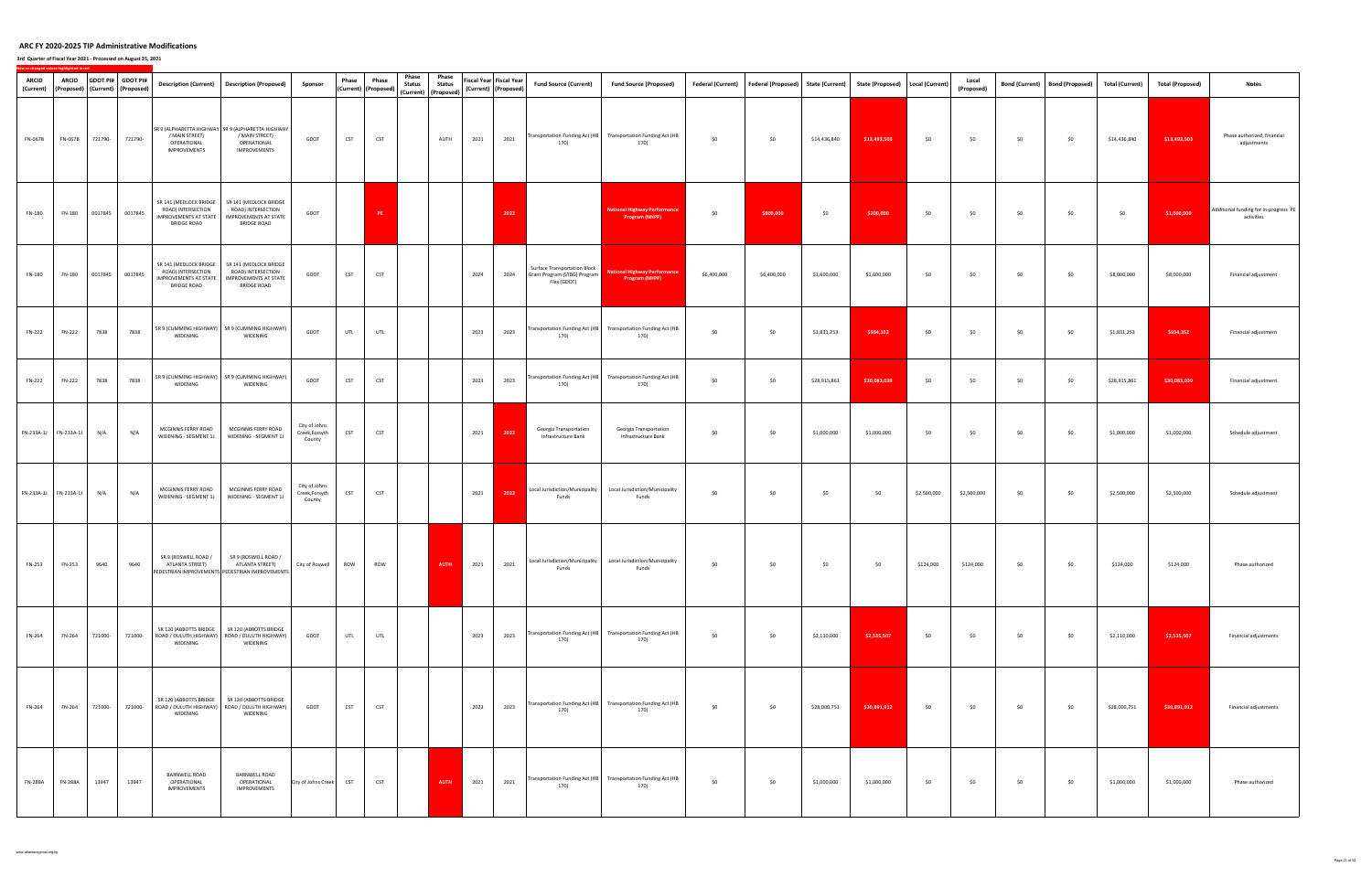| <b>ARCID</b><br>(Current) |                | <b>ARCID</b> |         | GDOT PI# GDOT PI#<br>(Proposed) (Current) (Proposed) |                                                                                             | Description (Current)  Description (Proposed)                                                                        | Sponsor                                   | Phase      | Phase<br>(Current) (Proposed) | Phase<br><b>Status</b> | Phase<br><b>Status</b><br>(Current) (Proposed) |      | Fiscal Year Fiscal Year<br>(Current) (Proposed) | <b>Fund Source (Current)</b>                                                | <b>Fund Source (Proposed)</b>                                            | <b>Federal (Current)</b> | Federal (Proposed) State (Current) |              | State (Proposed)   Local (Current) |             | Local<br>(Proposed) | <b>Bond (Current)</b> | <b>Bond (Proposed)</b> | Total (Current) | <b>Total (Proposed)</b> | <b>Notes</b>                                        |
|---------------------------|----------------|--------------|---------|------------------------------------------------------|---------------------------------------------------------------------------------------------|----------------------------------------------------------------------------------------------------------------------|-------------------------------------------|------------|-------------------------------|------------------------|------------------------------------------------|------|-------------------------------------------------|-----------------------------------------------------------------------------|--------------------------------------------------------------------------|--------------------------|------------------------------------|--------------|------------------------------------|-------------|---------------------|-----------------------|------------------------|-----------------|-------------------------|-----------------------------------------------------|
| FN-067B                   | FN-067B        |              | 721790- | 721790-                                              | / MAIN STREET)<br>OPERATIONAL<br>IMPROVEMENTS                                               | SR 9 (ALPHARETTA HIGHWAY SR 9 (ALPHARETTA HIGHWAY<br>/ MAIN STREET)<br>OPERATIONAL<br>IMPROVEMENTS                   | GDOT                                      | <b>CST</b> | <b>CST</b>                    |                        | AUTH                                           | 2021 | 2021                                            | 170)                                                                        | Transportation Funding Act (HB Transportation Funding Act (HB<br>170)    | \$0                      | \$0                                | \$14,436,840 | \$13,493,503                       | \$0         | \$0                 | \$0                   | \$0                    | \$14,436,840    | \$13,493,503            | Phase authorized; financial<br>adjustments          |
| FN-180                    | FN-180         |              | 0017845 | 0017845                                              | SR 141 (MEDLOCK BRIDGE<br>ROAD) INTERSECTION<br>IMPROVEMENTS AT STATE<br><b>BRIDGE ROAD</b> | SR 141 (MEDLOCK BRIDGE<br>ROAD) INTERSECTION<br>IMPROVEMENTS AT STATE<br><b>BRIDGE ROAD</b>                          | GDOT                                      |            | PE                            |                        |                                                |      | 2022                                            |                                                                             | <b>National Highway Performance</b><br><b>Program (NHPP)</b>             | \$0                      | \$800,000                          | \$0          | \$200,000                          | \$0         | \$0                 | \$0                   | \$0                    | \$0             | \$1,000,000             | Additional funding for in-progress PE<br>activities |
| FN-180                    | FN-180         |              | 0017845 | 0017845                                              | SR 141 (MEDLOCK BRIDGE<br>ROAD) INTERSECTION<br>IMPROVEMENTS AT STATE<br><b>BRIDGE ROAD</b> | SR 141 (MEDLOCK BRIDGE<br>ROAD) INTERSECTION<br>IMPROVEMENTS AT STATE<br><b>BRIDGE ROAD</b>                          | GDOT                                      | <b>CST</b> | <b>CST</b>                    |                        |                                                | 2024 | 2024                                            | Surface Transportation Block<br>Grant Program (STBG) Program<br>Flex (GDOT) | <b>National Highway Performance</b><br>Program (NHPP)                    | \$6,400,000              | \$6,400,000                        | \$1,600,000  | \$1,600,000                        | \$0         | \$0                 | \$0                   | \$0                    | \$8,000,000     | \$8,000,000             | Financial adjustment                                |
| FN-222                    | FN-222         |              | 7838    | 7838                                                 | WIDENING                                                                                    | SR 9 (CUMMING HIGHWAY) SR 9 (CUMMING HIGHWAY)<br>WIDENING                                                            | GDOT                                      | UTL        | UTL                           |                        |                                                | 2023 | 2023                                            | 170)                                                                        | Transportation Funding Act (HB Transportation Funding Act (HB<br>170)    | \$0                      | \$0                                | \$1,831,253  | \$934,352                          | \$0         | \$0                 | \$0                   | \$0                    | \$1,831,253     | \$934,352               | Financial adjustment                                |
| <b>FN-222</b>             | FN-222         |              | 7838    | 7838                                                 | WIDENING                                                                                    | SR 9 (CUMMING HIGHWAY) SR 9 (CUMMING HIGHWAY)<br>WIDENING                                                            | GDOT                                      | <b>CST</b> | <b>CST</b>                    |                        |                                                | 2023 | 2023                                            | 170)                                                                        | Transportation Funding Act (HB Transportation Funding Act (HB<br>170)    | \$0                      | \$0                                | \$28,915,861 | \$30,083,039                       | \$0         | \$0                 | \$0                   | \$0                    | \$28,915,861    | \$30,083,039            | Financial adjustment                                |
| FN-233A-1J FN-233A-1J     |                |              | N/A     | N/A                                                  | MCGINNIS FERRY ROAD<br>WIDENING - SEGMENT 1J                                                | MCGINNIS FERRY ROAD<br>WIDENING - SEGMENT 1J                                                                         | City of Johns<br>Creek, Forsyth<br>County | CST        | <b>CST</b>                    |                        |                                                | 2021 | 2022                                            | Georgia Transportation<br>Infrastructure Bank                               | Georgia Transportation<br>Infrastructure Bank                            | \$0                      | \$0                                | \$1,000,000  | \$1,000,000                        | \$0         | \$0                 | \$0                   | \$0                    | \$1,000,000     | \$1,000,000             | Schedule adjustment                                 |
| FN-233A-1J FN-233A-1J     |                |              | N/A     | N/A                                                  | MCGINNIS FERRY ROAD<br>WIDENING - SEGMENT 1J                                                | MCGINNIS FERRY ROAD<br>WIDENING - SEGMENT 1J                                                                         | City of Johns<br>Creek, Forsyth<br>County | CST        | <b>CST</b>                    |                        |                                                | 2021 | 2022                                            | Local Jurisdiction/Municipality<br>Funds                                    | Local Jurisdiction/Municipality<br>Funds                                 | \$0                      | \$0                                | \$0          | \$0                                | \$2,500,000 | \$2,500,000         | \$0                   | \$0                    | \$2,500,000     | \$2,500,000             | Schedule adjustment                                 |
| FN-253                    | FN-253         |              | 9640    | 9640                                                 | SR 9 (ROSWELL ROAD /<br>ATLANTA STREET)                                                     | SR 9 (ROSWELL ROAD /<br>ATLANTA STREET)<br>PEDESTRIAN IMPROVEMENTS PEDESTRIAN IMPROVEMENTS                           | City of Roswell                           | ROW        | ROW                           |                        | <b>AUTH</b>                                    | 2021 | 2021                                            | Funds                                                                       | Local Jurisdiction/Municipality Local Jurisdiction/Municipality<br>Funds | \$0                      | \$0                                | \$0          | \$0                                | \$124,000   | \$124,000           | \$0                   | \$0                    | \$124,000       | \$124,000               | Phase authorized                                    |
| FN-264                    | FN-264         |              | 721000- |                                                      | WIDENING                                                                                    | SR 120 (ABBOTTS BRIDGE   SR 120 (ABBOTTS BRIDGE<br>721000- ROAD / DULUTH HIGHWAY) ROAD / DULUTH HIGHWAY)<br>WIDENING | GDOT                                      | UTL        | UTL                           |                        |                                                | 2023 | 2023                                            | 170)                                                                        | Transportation Funding Act (HB Transportation Funding Act (HB<br>170)    | \$0                      | \$0                                | \$2,110,000  | \$2,535,507                        | \$0         | \$0                 | \$0                   | \$0                    | \$2,110,000     | \$2,535,507             | Financial adjustments                               |
| FN-264                    | FN-264         |              | 721000- |                                                      | WIDENING                                                                                    | SR 120 (ABBOTTS BRIDGE   SR 120 (ABBOTTS BRIDGE<br>721000- ROAD / DULUTH HIGHWAY) ROAD / DULUTH HIGHWAY)<br>WIDENING | GDOT                                      | <b>CST</b> | CST                           |                        |                                                | 2023 | 2023                                            | 170)                                                                        | Transportation Funding Act (HB Transportation Funding Act (HB<br>170)    | \$0                      | \$0                                | \$28,000,751 | \$30,891,912                       | \$0         | \$0                 | \$0                   | \$0                    | \$28,000,751    | \$30,891,912            | Financial adjustments                               |
| <b>FN-288A</b>            | <b>FN-288A</b> |              | 13947   | 13947                                                | BARNWELL ROAD<br>OPERATIONAL<br>IMPROVEMENTS                                                | <b>BARNWELL ROAD</b><br>OPERATIONAL<br>IMPROVEMENTS                                                                  | City of Johns Creek                       | <b>CST</b> | <b>CST</b>                    |                        | <b>AUTH</b>                                    | 2021 | 2021                                            | 170)                                                                        | Transportation Funding Act (HB Transportation Funding Act (HB<br>170)    | \$0                      | \$0                                | \$1,000,000  | \$1,000,000                        | \$0         | \$0                 | \$0                   | \$0                    | \$1,000,000     | \$1,000,000             | Phase authorized                                    |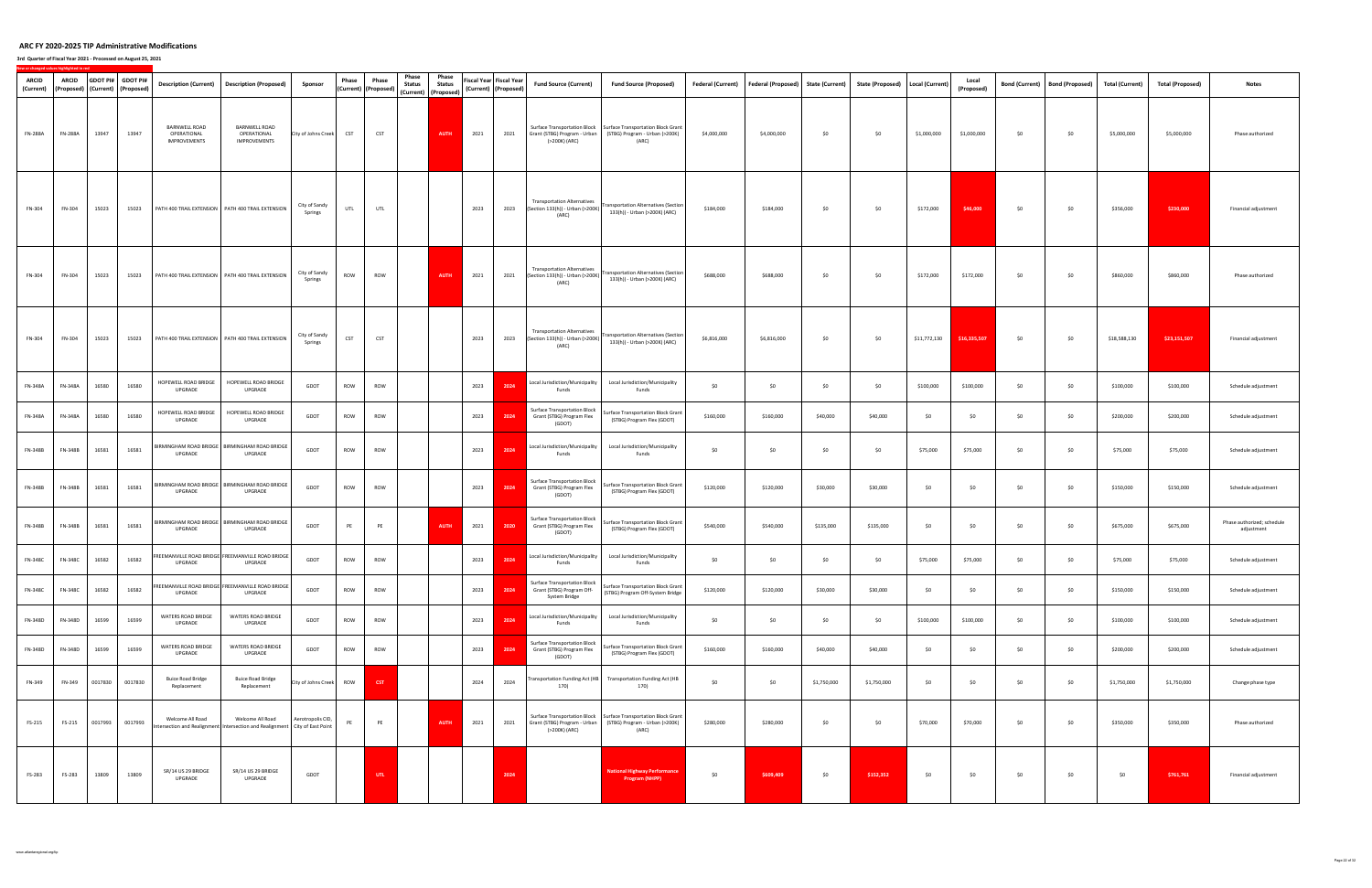| ARCID<br>(Current) | <b>ARCID</b>   |         | GDOT PI# GDOT PI#<br>(Proposed) (Current) (Proposed) | <b>Description (Current)</b>                               | <b>Description (Proposed)</b>                                                                     | Sponsor                  | Phase      | Phase<br>(Current) (Proposed) | Phase<br><b>Status</b> | Phase<br><b>Status</b><br>(Current) (Proposed) |      | Fiscal Year Fiscal Year<br>(Current) (Proposed) | <b>Fund Source (Current)</b>                                                      | <b>Fund Source (Proposed)</b>                                                                                                             | Federal (Current) | <b>Federal (Proposed)</b> | <b>State (Current)</b> | State (Proposed)   Local (Current) |              | Local<br>(Proposed) | <b>Bond (Current)</b> | <b>Bond (Proposed)</b> | <b>Total (Current)</b> | <b>Total (Proposed)</b> | <b>Notes</b>                             |
|--------------------|----------------|---------|------------------------------------------------------|------------------------------------------------------------|---------------------------------------------------------------------------------------------------|--------------------------|------------|-------------------------------|------------------------|------------------------------------------------|------|-------------------------------------------------|-----------------------------------------------------------------------------------|-------------------------------------------------------------------------------------------------------------------------------------------|-------------------|---------------------------|------------------------|------------------------------------|--------------|---------------------|-----------------------|------------------------|------------------------|-------------------------|------------------------------------------|
| <b>FN-288A</b>     | <b>FN-288A</b> | 13947   | 13947                                                | <b>BARNWELL ROAD</b><br>OPERATIONAL<br><b>IMPROVEMENTS</b> | <b>BARNWELL ROAD</b><br>OPERATIONAL<br>IMPROVEMENTS                                               | City of Johns Creek      | <b>CST</b> | <b>CST</b>                    |                        | <b>AUTH</b>                                    | 2021 | 2021                                            | Grant (STBG) Program - Urban<br>(>200K) (ARC)                                     | Surface Transportation Block   Surface Transportation Block Grant<br>(STBG) Program - Urban (>200K)<br>(ARC)                              | \$4,000,000       | \$4,000,000               | \$0                    | \$0                                | \$1,000,000  | \$1,000,000         | \$0                   | \$0                    | \$5,000,000            | \$5,000,000             | Phase authorized                         |
| FN-304             | FN-304         | 15023   | 15023                                                |                                                            | PATH 400 TRAIL EXTENSION   PATH 400 TRAIL EXTENSION                                               | City of Sandy<br>Springs | UTL        | UTL                           |                        |                                                | 2023 | 2023                                            | <b>Transportation Alternatives</b><br>(Section 133(h)) - Urban (>200K)<br>(ARC)   | <b>Transportation Alternatives (Section</b><br>133(h)) - Urban (>200K) (ARC)                                                              | \$184,000         | \$184,000                 | \$0                    | \$0                                | \$172,000    | \$46,000            | \$0                   | \$0                    | \$356,000              | \$230,000               | Financial adjustment                     |
| FN-304             | FN-304         | 15023   | 15023                                                |                                                            | PATH 400 TRAIL EXTENSION PATH 400 TRAIL EXTENSION                                                 | City of Sandy<br>Springs | ROW        | ROW                           |                        | <b>AUTH</b>                                    | 2021 | 2021                                            | <b>Transportation Alternatives</b><br>(Section 133(h)) - Urban (>200K)<br>(ARC)   | <b>Transportation Alternatives (Section</b><br>133(h)) - Urban (>200K) (ARC)                                                              | \$688,000         | \$688,000                 | \$0                    | \$0                                | \$172,000    | \$172,000           | \$0                   | \$0                    | \$860,000              | \$860,000               | Phase authorized                         |
| FN-304             | FN-304         | 15023   | 15023                                                |                                                            | PATH 400 TRAIL EXTENSION   PATH 400 TRAIL EXTENSION                                               | City of Sandy<br>Springs | CST        | CST                           |                        |                                                | 2023 | 2023                                            | <b>Transportation Alternatives</b><br>(Section 133(h)) - Urban (>200K)<br>(ARC)   | <b>Transportation Alternatives (Section</b><br>133(h)) - Urban (>200K) (ARC)                                                              | \$6,816,000       | \$6,816,000               | \$0                    | \$0                                | \$11,772,130 | \$16,335,507        | \$0                   | \$0                    | \$18,588,130           | \$23,151,507            | Financial adjustment                     |
| <b>FN-348A</b>     | <b>FN-348A</b> | 16580   | 16580                                                | HOPEWELL ROAD BRIDGE<br>UPGRADE                            | HOPEWELL ROAD BRIDGE<br>UPGRADE                                                                   | GDOT                     | ROW        | ROW                           |                        |                                                | 2023 | 2024                                            | Local Jurisdiction/Municipality<br>Funds                                          | Local Jurisdiction/Municipality<br>Funds                                                                                                  | \$0               | \$0                       | \$0                    | \$0                                | \$100,000    | \$100,000           | \$0                   | \$0                    | \$100,000              | \$100,000               | Schedule adjustment                      |
| <b>FN-348A</b>     | <b>FN-348A</b> | 16580   | 16580                                                | HOPEWELL ROAD BRIDGE<br>UPGRADE                            | HOPEWELL ROAD BRIDGE<br>UPGRADE                                                                   | GDOT                     | ROW        | ROW                           |                        |                                                | 2023 | 2024                                            | Surface Transportation Block<br>Grant (STBG) Program Flex<br>(GDOT)               | <b>Surface Transportation Block Grant</b><br>(STBG) Program Flex (GDOT)                                                                   | \$160,000         | \$160,000                 | \$40,000               | \$40,000                           | \$0          | \$0                 | \$0                   | \$0                    | \$200,000              | \$200,000               | Schedule adjustment                      |
| FN-348B            | <b>FN-348B</b> | 16581   | 16581                                                | RMINGHAM ROAD BRIDGE<br>UPGRADE                            | <b>BIRMINGHAM ROAD BRIDGE</b><br>UPGRADE                                                          | GDOT                     | ROW        | ROW                           |                        |                                                | 2023 | 2024                                            | Local Jurisdiction/Municipality<br>Funds                                          | Local Jurisdiction/Municipality<br>Funds                                                                                                  | \$0               | \$0                       | \$0                    | \$0                                | \$75,000     | \$75,000            | \$0                   | \$0                    | \$75,000               | \$75,000                | Schedule adjustment                      |
| FN-348B            | FN-348B        | 16581   | 16581                                                | UPGRADE                                                    | BIRMINGHAM ROAD BRIDGE   BIRMINGHAM ROAD BRIDGE<br>UPGRADE                                        | GDOT                     | ROW        | ROW                           |                        |                                                | 2023 | 2024                                            | Surface Transportation Block<br>Grant (STBG) Program Flex<br>(GDOT)               | Surface Transportation Block Grant<br>(STBG) Program Flex (GDOT)                                                                          | \$120,000         | \$120,000                 | \$30,000               | \$30,000                           | \$0          | \$0                 | \$0                   | \$0                    | \$150,000              | \$150,000               | Schedule adjustment                      |
| FN-348B            | <b>FN-348B</b> | 16581   | 16581                                                | <b>IRMINGHAM ROAD BRIDGE</b><br>UPGRADE                    | <b>BIRMINGHAM ROAD BRIDGE</b><br>UPGRADE                                                          | GDOT                     | PE         | PE                            |                        | <b>AUTH</b>                                    | 2021 | 2020                                            | <b>Surface Transportation Block</b><br>Grant (STBG) Program Flex<br>(GDOT)        | Surface Transportation Block Grant<br>(STBG) Program Flex (GDOT)                                                                          | \$540,000         | \$540,000                 | \$135,000              | \$135,000                          | \$0          | \$0                 | \$0                   | \$0                    | \$675,000              | \$675,000               | Phase authorized; schedule<br>adjustment |
| <b>FN-348C</b>     | <b>FN-348C</b> | 16582   | 16582                                                | UPGRADE                                                    | FREEMANVILLE ROAD BRIDGE FREEMANVILLE ROAD BRIDGE<br>UPGRADE                                      | GDOT                     | ROW        | ROW                           |                        |                                                | 2023 | 2024                                            | Local Jurisdiction/Municipality<br>Funds                                          | Local Jurisdiction/Municipality<br>Funds                                                                                                  | \$0               | \$0                       | \$0                    | \$0                                | \$75,000     | \$75,000            | \$0                   | \$0                    | \$75,000               | \$75,000                | Schedule adjustment                      |
| <b>FN-348C</b>     | <b>FN-348C</b> | 16582   | 16582                                                | UPGRADE                                                    | FREEMANVILLE ROAD BRIDGE FREEMANVILLE ROAD BRIDGE<br>UPGRADE                                      | GDOT                     | ROW        | ROW                           |                        |                                                | 2023 | 2024                                            | <b>Surface Transportation Block</b><br>Grant (STBG) Program Off-<br>System Bridge | Surface Transportation Block Grant<br>(STBG) Program Off-System Bridge                                                                    | \$120,000         | \$120,000                 | \$30,000               | \$30,000                           | \$0          | \$0                 | \$0                   | \$0                    | \$150,000              | \$150,000               | Schedule adjustment                      |
| FN-348D            | FN-348D        | 16599   | 16599                                                | WATERS ROAD BRIDGE<br>UPGRADE                              | WATERS ROAD BRIDGE<br>UPGRADE                                                                     | GDOT                     | ROW        | ROW                           |                        |                                                | 2023 | 2024                                            | Local Jurisdiction/Municipality<br>Funds                                          | Local Jurisdiction/Municipality<br>Funds                                                                                                  | \$0               | \$0                       | \$0                    | \$0                                | \$100,000    | \$100,000           | \$0                   | \$0                    | \$100,000              | \$100,000               | Schedule adjustment                      |
| FN-348D            | FN-348D        | 16599   | 16599                                                | WATERS ROAD BRIDGE<br>UPGRADE                              | WATERS ROAD BRIDGE<br>UPGRADE                                                                     | GDOT                     | ROW        | ROW                           |                        |                                                | 2023 | 2024                                            | Surface Transportation Block<br>Grant (STBG) Program Flex<br>(GDOT)               | Surface Transportation Block Grant<br>(STBG) Program Flex (GDOT)                                                                          | \$160,000         | \$160,000                 | \$40,000               | \$40,000                           | \$0          | \$0                 | \$0                   | \$0                    | \$200,000              | \$200,000               | Schedule adjustment                      |
| FN-349             | FN-349         | 0017830 | 0017830                                              | <b>Buice Road Bridge</b><br>Replacement                    | <b>Buice Road Bridge</b><br>Replacement                                                           | City of Johns Creek      | <b>ROW</b> | CST                           |                        |                                                | 2024 | 2024                                            | 170)                                                                              | Transportation Funding Act (HB Transportation Funding Act (HB<br>170)                                                                     | \$0               | \$0                       | \$1,750,000            | \$1,750,000                        | \$0          | \$0                 | \$0                   | \$0                    | \$1,750,000            | \$1,750,000             | Change phase type                        |
| FS-215             | FS-215         | 0017993 | 0017993                                              | Welcome All Road                                           | Welcome All Road<br>ntersection and Realignment Intersection and Realignment   City of East Point | Aerotropolis CID,        | PE         | PE                            |                        | <b>AUTH</b>                                    | 2021 | 2021                                            | (>200K) (ARC)                                                                     | Surface Transportation Block   Surface Transportation Block Grant<br>Grant (STBG) Program - Urban (STBG) Program - Urban (>200K)<br>(ARC) | \$280,000         | \$280,000                 | \$0                    | \$0                                | \$70,000     | \$70,000            | \$0                   | \$0                    | \$350,000              | \$350,000               | Phase authorized                         |
| FS-283             | FS-283         | 13809   | 13809                                                | SR/14 US 29 BRIDGE<br>UPGRADE                              | SR/14 US 29 BRIDGE<br>UPGRADE                                                                     | GDOT                     |            | UTL                           |                        |                                                |      | 2024                                            |                                                                                   | <b>National Highway Performance</b><br><b>Program (NHPP)</b>                                                                              | \$0               | \$609,409                 | \$0                    | \$152,352                          | \$0          | \$0                 | \$0                   | \$0                    | \$0                    | \$761,761               | Financial adjustment                     |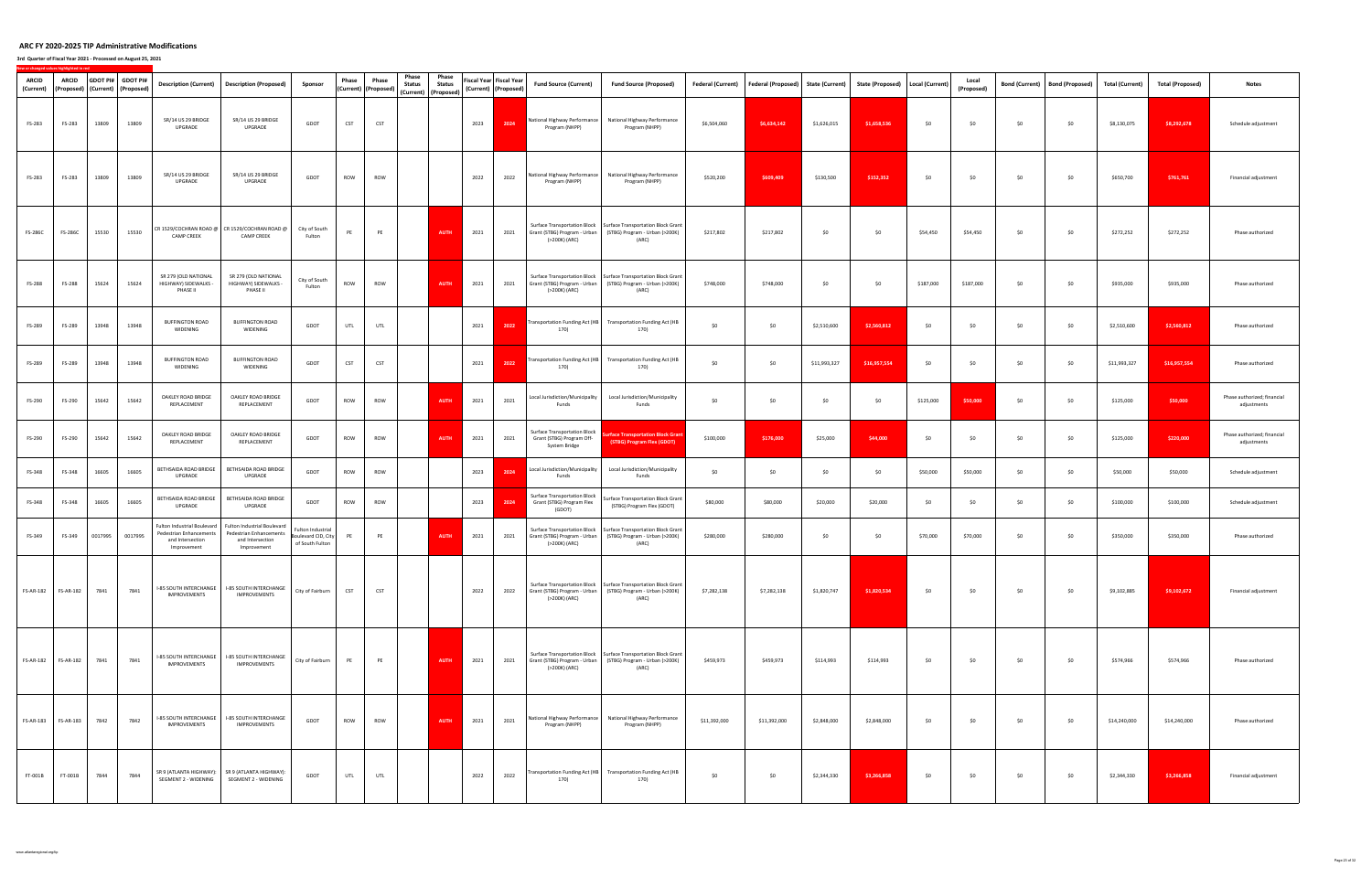| ARCID<br>(Current) | <b>ARCID</b><br>(Proposed)   (Current)   (Proposed) | GDOT PI# GDOT PI# |         | <b>Description (Current)</b>                                                              | <b>Description (Proposed)</b>                                                             | Sponsor                                                     | Phase      | Phase<br>(Current) (Proposed) | Phase<br><b>Status</b> | Phase<br><b>Status</b><br>(Current) (Proposed) |      | Fiscal Year Fiscal Year<br>(Current) (Proposed) | <b>Fund Source (Current)</b>                                                      | <b>Fund Source (Proposed)</b>                                                                                                             | Federal (Current) | <b>Federal (Proposed)</b> | <b>State (Current)</b> | State (Proposed)   Local (Current) |           | Local<br>(Proposed) | <b>Bond (Current)</b> | <b>Bond (Proposed)</b> | <b>Total (Current)</b> | <b>Total (Proposed)</b> | <b>Notes</b>                               |
|--------------------|-----------------------------------------------------|-------------------|---------|-------------------------------------------------------------------------------------------|-------------------------------------------------------------------------------------------|-------------------------------------------------------------|------------|-------------------------------|------------------------|------------------------------------------------|------|-------------------------------------------------|-----------------------------------------------------------------------------------|-------------------------------------------------------------------------------------------------------------------------------------------|-------------------|---------------------------|------------------------|------------------------------------|-----------|---------------------|-----------------------|------------------------|------------------------|-------------------------|--------------------------------------------|
| FS-283             | FS-283                                              | 13809             | 13809   | SR/14 US 29 BRIDGE<br>UPGRADE                                                             | SR/14 US 29 BRIDGE<br>UPGRADE                                                             | GDOT                                                        | CST        | <b>CST</b>                    |                        |                                                | 2023 | 2024                                            | Program (NHPP)                                                                    | Vational Highway Performance   National Highway Performance<br>Program (NHPP)                                                             | \$6,504,060       | \$6,634,142               | \$1,626,015            | \$1,658,536                        | \$0       | \$0                 | \$0                   | \$0                    | \$8,130,075            | \$8,292,678             | Schedule adjustment                        |
| FS-283             | FS-283                                              | 13809             | 13809   | SR/14 US 29 BRIDGE<br>UPGRADE                                                             | SR/14 US 29 BRIDGE<br>UPGRADE                                                             | GDOT                                                        | ROW        | ROW                           |                        |                                                | 2022 | 2022                                            | Program (NHPP)                                                                    | National Highway Performance   National Highway Performance<br>Program (NHPP)                                                             | \$520,200         | \$609,409                 | \$130,500              | \$152,352                          | \$0       | \$0                 | \$0                   | \$0                    | \$650,700              | \$761,761               | Financial adjustment                       |
| FS-286C            | FS-286C                                             | 15530             | 15530   | <b>CAMP CREEK</b>                                                                         | CR 1529/COCHRAN ROAD @ CR 1529/COCHRAN ROAD @<br><b>CAMP CREEK</b>                        | City of South<br>Fulton                                     | PE         | PE                            |                        | AUTH                                           | 2021 | 2021                                            | (>200K) (ARC)                                                                     | Surface Transportation Block   Surface Transportation Block Grant<br>Grant (STBG) Program - Urban (STBG) Program - Urban (>200K)<br>(ARC) | \$217,802         | \$217,802                 | \$0                    | \$0                                | \$54,450  | \$54,450            | \$0                   | \$0                    | \$272,252              | \$272,252               | Phase authorized                           |
| FS-288             | FS-288                                              | 15624             | 15624   | SR 279 (OLD NATIONAL<br>HIGHWAY) SIDEWALKS -<br>PHASE II                                  | SR 279 (OLD NATIONAL<br>HIGHWAY) SIDEWALKS -<br>PHASE II                                  | City of South<br>Fulton                                     | ROW        | ROW                           |                        | <b>AUTH</b>                                    | 2021 | 2021                                            | Grant (STBG) Program - Urban<br>(>200K) (ARC)                                     | Surface Transportation Block   Surface Transportation Block Grant<br>(STBG) Program - Urban (>200K)<br>(ARC)                              | \$748,000         | \$748,000                 | \$0                    | \$0                                | \$187,000 | \$187,000           | \$0                   | \$0                    | \$935,000              | \$935,000               | Phase authorized                           |
| FS-289             | FS-289                                              | 13948             | 13948   | <b>BUFFINGTON ROAD</b><br>WIDENING                                                        | <b>BUFFINGTON ROAD</b><br>WIDENING                                                        | GDOT                                                        | <b>UTL</b> | UTL                           |                        |                                                | 2021 | 2022                                            | 170)                                                                              | ransportation Funding Act (HB Transportation Funding Act (HB<br>170)                                                                      | \$0               | \$0                       | \$2,510,600            | \$2,560,812                        | \$0       | \$0                 | \$0                   | \$0                    | \$2,510,600            | \$2,560,812             | Phase authorized                           |
| FS-289             | FS-289                                              | 13948             | 13948   | <b>BUFFINGTON ROAD</b><br>WIDENING                                                        | <b>BUFFINGTON ROAD</b><br>WIDENING                                                        | GDOT                                                        | <b>CST</b> | <b>CST</b>                    |                        |                                                | 2021 | 2022                                            | 170)                                                                              | ransportation Funding Act (HB Transportation Funding Act (HB<br>170)                                                                      | \$0               | \$0                       | \$11,993,327           | \$16,957,554                       | \$0       | \$0                 | \$0                   | \$0                    | \$11,993,327           | \$16,957,554            | Phase authorized                           |
| FS-290             | FS-290                                              | 15642             | 15642   | OAKLEY ROAD BRIDGE<br>REPLACEMENT                                                         | OAKLEY ROAD BRIDGE<br>REPLACEMENT                                                         | GDOT                                                        | ROW        | ROW                           |                        | <b>AUTH</b>                                    | 2021 | 2021                                            | Local Jurisdiction/Municipality<br>Funds                                          | Local Jurisdiction/Municipality<br>Funds                                                                                                  | \$0               | \$0                       | \$0                    | \$0                                | \$125,000 | \$50,000            | \$0                   | \$0                    | \$125,000              | \$50,000                | Phase authorized; financial<br>adjustments |
| FS-290             | FS-290                                              | 15642             | 15642   | OAKLEY ROAD BRIDGE<br>REPLACEMENT                                                         | OAKLEY ROAD BRIDGE<br>REPLACEMENT                                                         | GDOT                                                        | ROW        | ROW                           |                        | <b>AUTH</b>                                    | 2021 | 2021                                            | <b>Surface Transportation Block</b><br>Grant (STBG) Program Off-<br>System Bridge | rface Transportation Block Grant<br>(STBG) Program Flex (GDOT)                                                                            | \$100,000         | \$176,000                 | \$25,000               | \$44,000                           | \$0       | \$0                 | \$0                   | \$0                    | \$125,000              | \$220,000               | Phase authorized; financial<br>adjustments |
| FS-348             | FS-348                                              | 16605             | 16605   | BETHSAIDA ROAD BRIDGE<br>UPGRADE                                                          | BETHSAIDA ROAD BRIDGE<br>UPGRADE                                                          | GDOT                                                        | ROW        | ROW                           |                        |                                                | 2023 | 2024                                            | Local Jurisdiction/Municipality<br>Funds                                          | Local Jurisdiction/Municipality<br>Funds                                                                                                  | \$0               | \$0                       | \$0                    | \$0                                | \$50,000  | \$50,000            | \$0                   | \$0                    | \$50,000               | \$50,000                | Schedule adjustment                        |
| FS-348             | FS-348                                              | 16605             | 16605   | BETHSAIDA ROAD BRIDGE<br>UPGRADE                                                          | BETHSAIDA ROAD BRIDGE<br>UPGRADE                                                          | GDOT                                                        | ROW        | ROW                           |                        |                                                | 2023 | 2024                                            | <b>Surface Transportation Block</b><br>Grant (STBG) Program Flex<br>(GDOT)        | Surface Transportation Block Grant<br>(STBG) Program Flex (GDOT)                                                                          | \$80,000          | \$80,000                  | \$20,000               | \$20,000                           | \$0       | \$0                 | \$0                   | \$0                    | \$100,000              | \$100,000               | Schedule adjustment                        |
| FS-349             | FS-349                                              | 0017995           | 0017995 | Fulton Industrial Boulevard<br>Pedestrian Enhancements<br>and Intersection<br>Improvement | Fulton Industrial Boulevard<br>Pedestrian Enhancements<br>and Intersection<br>Improvement | Fulton Industrial<br>Boulevard CID, City<br>of South Fulton | PE         | PE                            |                        | AUTH                                           | 2021 | 2021                                            | Grant (STBG) Program - Urban<br>(>200K) (ARC)                                     | Surface Transportation Block   Surface Transportation Block Grant<br>(STBG) Program - Urban (>200K)<br>(ARC)                              | \$280,000         | \$280,000                 | \$0                    | \$0                                | \$70,000  | \$70,000            | \$0                   | \$0                    | \$350,000              | \$350,000               | Phase authorized                           |
| <b>FS-AR-182</b>   | FS-AR-182                                           | 7841              | 7841    | I-85 SOUTH INTERCHANGE<br>IMPROVEMENTS                                                    | <b>I-85 SOUTH INTERCHANGE</b><br>IMPROVEMENTS                                             | City of Fairburn                                            | <b>CST</b> | <b>CST</b>                    |                        |                                                | 2022 | 2022                                            | (>200K) (ARC)                                                                     | Surface Transportation Block   Surface Transportation Block Grant<br>Grant (STBG) Program - Urban (STBG) Program - Urban (>200K)<br>(ARC) | \$7,282,138       | \$7,282,138               | \$1,820,747            | \$1,820,534                        | \$0       | \$0                 | \$0                   | \$0                    | \$9,102,885            | \$9,102,672             | Financial adjustment                       |
|                    |                                                     | 7841              | 7841    | I-85 SOUTH INTERCHANGE<br>IMPROVEMENTS                                                    | I-85 SOUTH INTERCHANGE<br><b>IMPROVEMENTS</b>                                             | City of Fairburn                                            | PE         | PE                            |                        | <b>AUTH</b>                                    | 2021 | 2021                                            | (>200K) (ARC)                                                                     | Surface Transportation Block   Surface Transportation Block Grant<br>Grant (STBG) Program - Urban (STBG) Program - Urban (>200K)<br>(ARC) | \$459,973         | \$459,973                 | \$114,993              | \$114,993                          | \$0       | \$0                 | \$0                   | \$0                    | \$574,966              | \$574,966               | Phase authorized                           |
|                    | FS-AR-183    FS-AR-183                              | 7842              | 7842    | I-85 SOUTH INTERCHANGE<br>IMPROVEMENTS                                                    | <b>I-85 SOUTH INTERCHANGE</b><br>IMPROVEMENTS                                             | GDOT                                                        | ROW        | ROW                           |                        | AUTH                                           | 2021 | 2021                                            | Program (NHPP)                                                                    | National Highway Performance National Highway Performance<br>Program (NHPP)                                                               | \$11,392,000      | \$11,392,000              | \$2,848,000            | \$2,848,000                        | \$0       | \$0                 | \$0                   | \$0                    | \$14,240,000           | \$14,240,000            | Phase authorized                           |
| FT-001B            | FT-001B                                             | 7844              | 7844    | SEGMENT 2 - WIDENING                                                                      | SR 9 (ATLANTA HIGHWAY): SR 9 (ATLANTA HIGHWAY):<br>SEGMENT 2 - WIDENING                   | GDOT                                                        | UTL        | UTL                           |                        |                                                | 2022 | 2022                                            | 170)                                                                              | Transportation Funding Act (HB Transportation Funding Act (HB<br>170)                                                                     | \$0               | \$0                       | \$2,344,330            | \$3,266,858                        | \$0       | \$0                 | \$0                   | \$0                    | \$2,344,330            | \$3,266,858             | Financial adjustment                       |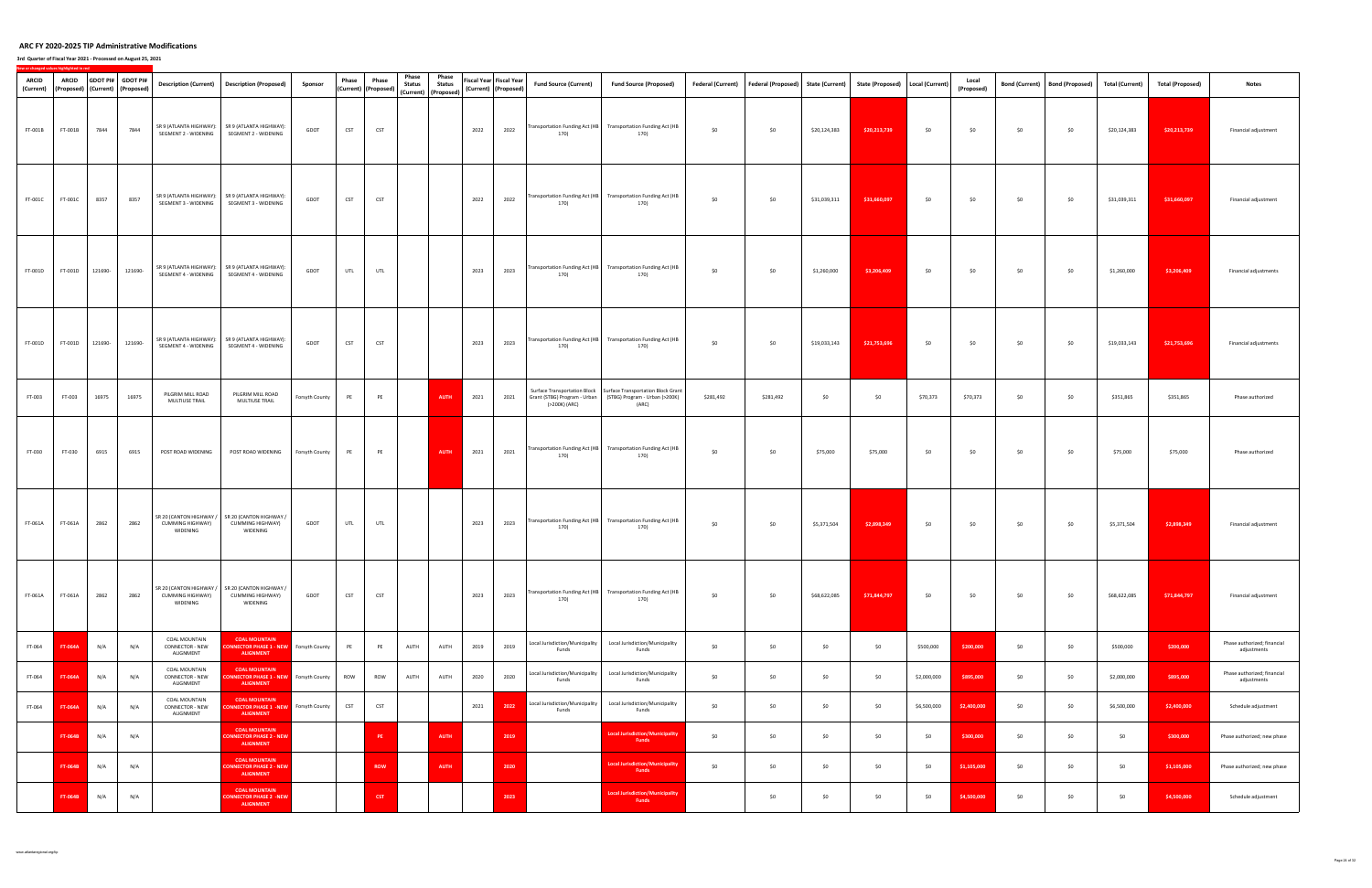| ARCID<br>(Current) | <b>ARCID</b><br>(Proposed) (Current) (Proposed) |         | GDOT PI# GDOT PI# |                                                         | Description (Current)   Description (Proposed)                                           | Sponsor        | Phase      | Phase<br>(Current) (Proposed) | Phase<br><b>Status</b><br>(Current) (Proposed) | Phase<br><b>Status</b> |      | Fiscal Year Fiscal Year<br>(Current) (Proposed) | <b>Fund Source (Current)</b>             | <b>Fund Source (Proposed)</b>                                                                                                             | Federal (Current) | Federal (Proposed) State (Current) |              | State (Proposed)   Local (Current) |             | Local<br>(Proposed) |     | Bond (Current)   Bond (Proposed) | <b>Total (Current)</b> | <b>Total (Proposed)</b> | <b>Notes</b>                               |
|--------------------|-------------------------------------------------|---------|-------------------|---------------------------------------------------------|------------------------------------------------------------------------------------------|----------------|------------|-------------------------------|------------------------------------------------|------------------------|------|-------------------------------------------------|------------------------------------------|-------------------------------------------------------------------------------------------------------------------------------------------|-------------------|------------------------------------|--------------|------------------------------------|-------------|---------------------|-----|----------------------------------|------------------------|-------------------------|--------------------------------------------|
| FT-001B            | FT-001B                                         | 7844    | 7844              | SEGMENT 2 - WIDENING                                    | SR 9 (ATLANTA HIGHWAY): SR 9 (ATLANTA HIGHWAY):<br>SEGMENT 2 - WIDENING                  | GDOT           | <b>CST</b> | <b>CST</b>                    |                                                |                        | 2022 | 2022                                            | 170)                                     | Transportation Funding Act (HB Transportation Funding Act (HB<br>170)                                                                     | \$0               | \$0                                | \$20,124,383 | \$20,213,739                       | \$0         | \$0                 | \$0 | \$0                              | \$20,124,383           | \$20,213,739            | Financial adjustment                       |
| FT-001C            | FT-001C                                         | 8357    | 8357              | SEGMENT 3 - WIDENING                                    | SR 9 (ATLANTA HIGHWAY): SR 9 (ATLANTA HIGHWAY):<br>SEGMENT 3 - WIDENING                  | GDOT           | <b>CST</b> | <b>CST</b>                    |                                                |                        | 2022 | 2022                                            | 170)                                     | Transportation Funding Act (HB Transportation Funding Act (HB<br>170)                                                                     | \$0               | \$0                                | \$31,039,311 | \$31,660,097                       | \$0         | \$0                 | \$0 | \$0                              | \$31,039,311           | \$31,660,097            | Financial adjustment                       |
| FT-001D            | FT-001D                                         | 121690- | 121690-           | SEGMENT 4 - WIDENING                                    | SR 9 (ATLANTA HIGHWAY): SR 9 (ATLANTA HIGHWAY):<br>SEGMENT 4 - WIDENING                  | GDOT           | <b>UTL</b> | UTL                           |                                                |                        | 2023 | 2023                                            | 170)                                     | Transportation Funding Act (HB Transportation Funding Act (HB<br>170)                                                                     | \$0               | \$0                                | \$1,260,000  | \$3,206,409                        | \$0         | \$0                 | \$0 | \$0                              | \$1,260,000            | \$3,206,409             | Financial adjustments                      |
| FT-001D            | FT-001D                                         | 121690- | 121690-           | SEGMENT 4 - WIDENING                                    | SR 9 (ATLANTA HIGHWAY): SR 9 (ATLANTA HIGHWAY):<br>SEGMENT 4 - WIDENING                  | GDOT           | <b>CST</b> | <b>CST</b>                    |                                                |                        | 2023 | 2023                                            | 170)                                     | Transportation Funding Act (HB Transportation Funding Act (HB<br>170)                                                                     | \$0               | \$0                                | \$19,033,143 | \$21,753,696                       | \$0         | \$0                 | \$0 | \$0                              | \$19,033,143           | \$21,753,696            | Financial adjustments                      |
| FT-003             | FT-003                                          | 16975   | 16975             | PILGRIM MILL ROAD<br>MULTIUSE TRAIL                     | PILGRIM MILL ROAD<br>MULTIUSE TRAIL                                                      | Forsyth County | PE         | PE                            |                                                | <b>AUTH</b>            | 2021 | 2021                                            | (>200K) (ARC)                            | Surface Transportation Block   Surface Transportation Block Grant<br>Grant (STBG) Program - Urban (STBG) Program - Urban (>200K)<br>(ARC) | \$281,492         | \$281,492                          | \$0          | \$0                                | \$70,373    | \$70,373            | \$0 | \$0                              | \$351,865              | \$351,865               | Phase authorized                           |
| FT-030             | FT-030                                          | 6915    | 6915              | POST ROAD WIDENING                                      | POST ROAD WIDENING                                                                       | Forsyth County | PE         | PE                            |                                                | <b>AUTH</b>            | 2021 | 2021                                            | 170)                                     | Transportation Funding Act (HB Transportation Funding Act (HB<br>170)                                                                     | \$0               | \$0                                | \$75,000     | \$75,000                           | \$0         | \$0                 | \$0 | \$0                              | \$75,000               | \$75,000                | Phase authorized                           |
| FT-061A            | FT-061A                                         | 2862    | 2862              | SR 20 (CANTON HIGHWAY /<br>CUMMING HIGHWAY)<br>WIDENING | SR 20 (CANTON HIGHWAY /<br><b>CUMMING HIGHWAY)</b><br>WIDENING                           | GDOT           | <b>UTL</b> | <b>UTL</b>                    |                                                |                        | 2023 | 2023                                            | 170)                                     | Transportation Funding Act (HB Transportation Funding Act (HB<br>170)                                                                     | \$0               | \$0                                | \$5,371,504  | \$2,898,349                        | \$0         | \$0                 | \$0 | \$0                              | \$5,371,504            | \$2,898,349             | Financial adjustment                       |
| FT-061A            | FT-061A                                         | 2862    | 2862              | <b>CUMMING HIGHWAY)</b><br>WIDENING                     | SR 20 (CANTON HIGHWAY / SR 20 (CANTON HIGHWAY /<br>CUMMING HIGHWAY)<br>WIDENING          | GDOT           | <b>CST</b> | <b>CST</b>                    |                                                |                        | 2023 | 2023                                            | 170)                                     | Transportation Funding Act (HB Transportation Funding Act (HB<br>170)                                                                     | \$0               | \$0                                | \$68,622,085 | \$71,844,797                       | \$0         | \$0                 | \$0 | \$0                              | \$68,622,085           | \$71,844,797            | Financial adjustment                       |
| FT-064             | <b>FT-064A</b>                                  | N/A     | N/A               | COAL MOUNTAIN<br>CONNECTOR - NEW<br>ALIGNMENT           | <b>COAL MOUNTAIN</b><br><b>NNECTOR PHASE 1 - NEW</b> Forsyth County<br><b>ALIGNMENT</b>  |                | PE         | PE                            | AUTH                                           | AUTH                   | 2019 | 2019                                            | Local Jurisdiction/Municipality<br>Funds | Local Jurisdiction/Municipality<br>Funds                                                                                                  | \$0               | \$0                                | \$0          | \$0                                | \$500,000   | \$200,000           | \$0 | \$0                              | \$500,000              | \$200,000               | Phase authorized; financial<br>adjustments |
| FT-064             | FT-064A                                         | N/A     | N/A               | COAL MOUNTAIN<br>CONNECTOR - NEW<br>ALIGNMENT           | <b>COAL MOUNTAIN</b><br><b>ONNECTOR PHASE 1 - NEW</b> Forsyth County<br><b>ALIGNMENT</b> |                | ROW        | ROW                           | AUTH                                           | AUTH                   | 2020 | 2020                                            | Local Jurisdiction/Municipality<br>Funds | Local Jurisdiction/Municipality<br>Funds                                                                                                  | \$0               | \$0                                | \$0          | \$0                                | \$2,000,000 | \$895,000           | \$0 | \$0                              | \$2,000,000            | \$895,000               | Phase authorized; financial<br>adjustments |
| FT-064             | FT-064A                                         | N/A     | N/A               | COAL MOUNTAIN<br>CONNECTOR - NEW<br>ALIGNMENT           | <b>COAL MOUNTAIN</b><br><b>ONNECTOR PHASE 1 -NEW</b> Forsyth County<br><b>ALIGNMENT</b>  |                | <b>CST</b> | <b>CST</b>                    |                                                |                        | 2021 | 2022                                            | Local Jurisdiction/Municipality<br>Funds | Local Jurisdiction/Municipality<br>Funds                                                                                                  | \$0               | \$0                                | \$0          | \$0                                | \$6,500,000 | \$2,400,000         | \$0 | \$0                              | \$6,500,000            | \$2,400,000             | Schedule adjustment                        |
|                    | FT-064B                                         | N/A     | N/A               |                                                         | <b>COAL MOUNTAIN</b><br><b>CONNECTOR PHASE 2 - NEW</b><br><b>ALIGNMENT</b>               |                |            | PE                            |                                                | <b>AUTH</b>            |      | 2019                                            |                                          | <b>Local Jurisdiction/Municipality</b><br>Funds                                                                                           | \$0               | \$0                                | \$0          | \$0                                | \$0         | \$300,000           | \$0 | \$0                              | \$0                    | \$300,000               | Phase authorized; new phase                |
|                    | <b>FT-064B</b>                                  | N/A     | N/A               |                                                         | <b>COAL MOUNTAIN</b><br><b>CONNECTOR PHASE 2 - NEW</b><br><b>ALIGNMENT</b>               |                |            | <b>ROW</b>                    |                                                | <b>AUTH</b>            |      | 2020                                            |                                          | <b>Local Jurisdiction/Municipality</b><br><b>Funds</b>                                                                                    | \$0               | \$0                                | \$0          | \$0                                | \$0         | \$1,105,000         | \$0 | \$0                              | \$0                    | \$1,105,000             | Phase authorized; new phase                |
|                    | FT-064B                                         | N/A     | N/A               |                                                         | <b>COAL MOUNTAIN</b><br><b>CONNECTOR PHASE 2 -NEW</b><br><b>ALIGNMENT</b>                |                |            | <b>CST</b>                    |                                                |                        |      | 2023                                            |                                          | <b>Local Jurisdiction/Municipality</b><br>Funds                                                                                           |                   | \$0                                | \$0          | \$0                                | \$0         | \$4,500,000         | \$0 | \$0                              | \$0                    | \$4,500,000             | Schedule adjustment                        |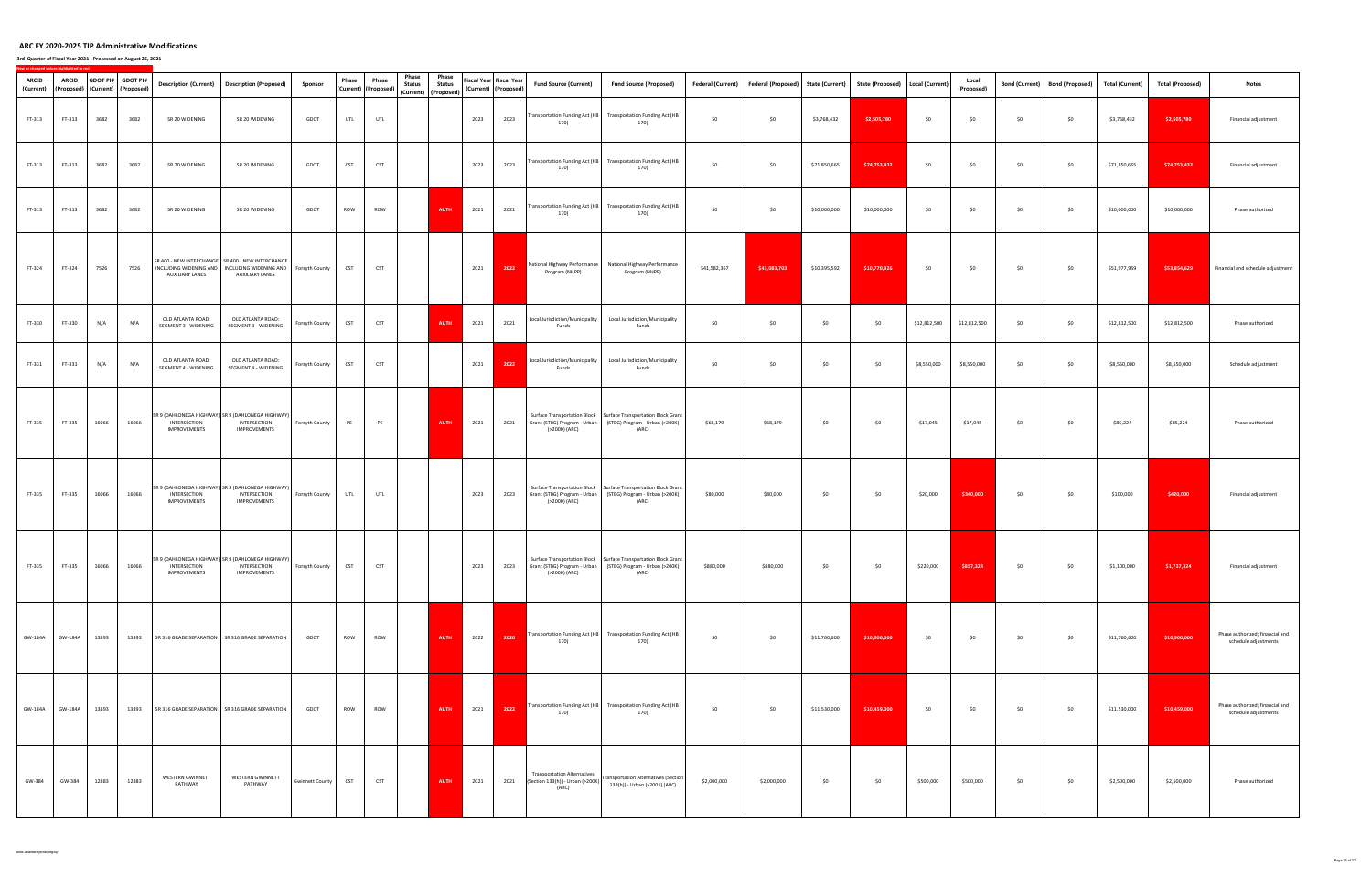| ARCID<br>(Current) | ARCID           |       | GDOT PI# GDOT PI#<br>(Proposed) (Current) (Proposed) |                                           | Description (Current) Description (Proposed)                                                                    | Sponsor                | Phase      | Phase<br>(Current) (Proposed) | Phase<br><b>Status</b> | Phase<br><b>Status</b> |      | Fiscal Year Fiscal Year<br>(Current) (Proposed) | <b>Fund Source (Current)</b>                                                    | <b>Fund Source (Proposed)</b>                                                                                                                  |              | Federal (Current) Federal (Proposed) | <b>State (Current)</b> | State (Proposed)   Local (Current) |              | Local<br>(Proposed) |     | Bond (Current) Bond (Proposed) | <b>Total (Current)</b> | <b>Total (Proposed)</b> | <b>Notes</b>                                            |
|--------------------|-----------------|-------|------------------------------------------------------|-------------------------------------------|-----------------------------------------------------------------------------------------------------------------|------------------------|------------|-------------------------------|------------------------|------------------------|------|-------------------------------------------------|---------------------------------------------------------------------------------|------------------------------------------------------------------------------------------------------------------------------------------------|--------------|--------------------------------------|------------------------|------------------------------------|--------------|---------------------|-----|--------------------------------|------------------------|-------------------------|---------------------------------------------------------|
| FT-313             | FT-313          | 3682  | 3682                                                 | SR 20 WIDENING                            | SR 20 WIDENING                                                                                                  | GDOT                   | UTL        | UTL                           |                        | (Current) (Proposed)   | 2023 | 2023                                            | 170)                                                                            | Transportation Funding Act (HB Transportation Funding Act (HB<br>170)                                                                          | \$0          | \$0                                  | \$3,768,432            | \$2,505,780                        | \$0          | \$0                 | \$0 | \$0                            | \$3,768,432            | \$2,505,780             | Financial adjustment                                    |
| FT-313             | FT-313          | 3682  | 3682                                                 | SR 20 WIDENING                            | SR 20 WIDENING                                                                                                  | GDOT                   | <b>CST</b> | <b>CST</b>                    |                        |                        | 2023 | 2023                                            | 170)                                                                            | Transportation Funding Act (HB Transportation Funding Act (HB<br>170)                                                                          | \$0          | \$0                                  | \$71,850,665           | \$74,753,432                       | \$0          | \$0                 | \$0 | \$0                            | \$71,850,665           | \$74,753,432            | Financial adjustment                                    |
| FT-313             | FT-313          | 3682  | 3682                                                 | SR 20 WIDENING                            | SR 20 WIDENING                                                                                                  | GDOT                   | ROW        | ROW                           |                        | <b>AUTH</b>            | 2021 | 2021                                            | Transportation Funding Act (HB<br>170)                                          | <b>Transportation Funding Act (HB</b><br>170)                                                                                                  | \$0          | \$0                                  | \$10,000,000           | \$10,000,000                       | \$0          | \$0                 | \$0 | \$0                            | \$10,000,000           | \$10,000,000            | Phase authorized                                        |
| FT-324             | FT-324          | 7526  | 7526                                                 | INCLUDING WIDENING AND<br>AUXILIARY LANES | SR 400 - NEW INTERCHANGE   SR 400 - NEW INTERCHANGE<br>INCLUDING WIDENING AND Forsyth County<br>AUXILIARY LANES |                        | <b>CST</b> | <b>CST</b>                    |                        |                        | 2021 | 2022                                            | Program (NHPP)                                                                  | National Highway Performance   National Highway Performance<br>Program (NHPP)                                                                  | \$41,582,367 | \$43,083,703                         | \$10,395,592           | \$10,770,926                       | \$0          | \$0                 | \$0 | \$0                            | \$51,977,959           | \$53,854,629            | Financial and schedule adjustment                       |
| FT-330             | FT-330          | N/A   | N/A                                                  | OLD ATLANTA ROAD:<br>SEGMENT 3 - WIDENING | OLD ATLANTA ROAD:<br>SEGMENT 3 - WIDENING                                                                       | Forsyth County         | <b>CST</b> | <b>CST</b>                    |                        | <b>AUTH</b>            | 2021 | 2021                                            | Local Jurisdiction/Municipality<br>Funds                                        | Local Jurisdiction/Municipality<br>Funds                                                                                                       | \$0          | \$0                                  | \$0                    | \$0                                | \$12,812,500 | \$12,812,500        | \$0 | \$0                            | \$12,812,500           | \$12,812,500            | Phase authorized                                        |
| FT-331             | FT-331          | N/A   | N/A                                                  | OLD ATLANTA ROAD:<br>SEGMENT 4 - WIDENING | OLD ATLANTA ROAD:<br>SEGMENT 4 - WIDENING                                                                       | Forsyth County         | <b>CST</b> | <b>CST</b>                    |                        |                        | 2021 | 2022                                            | Local Jurisdiction/Municipality<br>Funds                                        | Local Jurisdiction/Municipality<br>Funds                                                                                                       | \$0          | \$0                                  | \$0                    | \$0                                | \$8,550,000  | \$8,550,000         | \$0 | \$0                            | \$8,550,000            | \$8,550,000             | Schedule adjustment                                     |
| FT-335             | FT-335          | 16066 | 16066                                                | INTERSECTION<br>IMPROVEMENTS              | SR 9 (DAHLONEGA HIGHWAY) SR 9 (DAHLONEGA HIGHWAY)<br>INTERSECTION<br>IMPROVEMENTS                               | Forsyth County         | PE         | PE                            |                        | <b>AUTH</b>            | 2021 | 2021                                            | (>200K) (ARC)                                                                   | Surface Transportation Block   Surface Transportation Block Grant<br>Grant (STBG) Program - Urban (STBG) Program - Urban (>200K)<br>(ARC)      | \$68,179     | \$68,179                             | \$0                    | \$0                                | \$17,045     | \$17,045            | \$0 | \$0                            | \$85,224               | \$85,224                | Phase authorized                                        |
| FT-335             | FT-335          | 16066 | 16066                                                | INTERSECTION<br><b>IMPROVEMENTS</b>       | SR 9 (DAHLONEGA HIGHWAY) SR 9 (DAHLONEGA HIGHWAY)<br>INTERSECTION<br>IMPROVEMENTS                               | Forsyth County         | UTL        | UTL                           |                        |                        | 2023 | 2023                                            | (>200K) (ARC)                                                                   | Surface Transportation Block   Surface Transportation Block Grant<br>Grant (STBG) Program - Urban (STBG) Program - Urban (>200K)<br>(ARC)      | \$80,000     | \$80,000                             | \$0                    | \$0                                | \$20,000     | \$340,000           | \$0 | \$0                            | \$100,000              | \$420,000               | Financial adjustment                                    |
|                    | FT-335   FT-335 | 16066 | 16066                                                | INTERSECTION<br>IMPROVEMENTS              | SR 9 (DAHLONEGA HIGHWAY) SR 9 (DAHLONEGA HIGHWAY)<br>INTERSECTION<br>IMPROVEMENTS                               | Forsyth County         | <b>CST</b> | <b>CST</b>                    |                        |                        | 2023 |                                                 | (>200K) (ARC)                                                                   | Surface Transportation Block   Surface Transportation Block Grant<br>2023 Grant (STBG) Program - Urban (STBG) Program - Urban (>200K)<br>(ARC) | \$880,000    | \$880,000                            | \$0                    | \$0                                | \$220,000    | \$857,324           | \$0 | \$0                            | \$1,100,000            | \$1,737,324             | Financial adjustment                                    |
| GW-184A            | GW-184A         | 13893 | 13893                                                |                                           | SR 316 GRADE SEPARATION SR 316 GRADE SEPARATION                                                                 | GDOT                   | ROW        | ROW                           |                        | AUTH                   | 2022 | 2020                                            | 170)                                                                            | Transportation Funding Act (HB Transportation Funding Act (HB<br>170)                                                                          | \$0          | \$0                                  | \$11,760,600           | \$10,900,000                       | \$0          | \$0                 | \$0 | \$0                            | \$11,760,600           | \$10,900,000            | Phase authorized; financial and<br>schedule adjustments |
| GW-184A            | GW-184A         | 13893 | 13893                                                |                                           | SR 316 GRADE SEPARATION SR 316 GRADE SEPARATION                                                                 | GDOT                   | ROW        | ROW                           |                        | <b>AUTH</b>            | 2021 | 2022                                            | 170)                                                                            | Transportation Funding Act (HB Transportation Funding Act (HB<br>170)                                                                          | \$0          | \$0                                  | \$11,530,000           | \$10,459,000                       | \$0          | \$0                 | \$0 | \$0                            | \$11,530,000           | \$10,459,000            | Phase authorized; financial and<br>schedule adjustments |
| GW-384             | GW-384          | 12883 | 12883                                                | WESTERN GWINNETT<br>PATHWAY               | WESTERN GWINNETT<br>PATHWAY                                                                                     | <b>Gwinnett County</b> | <b>CST</b> | <b>CST</b>                    |                        | <b>AUTH</b>            | 2021 | 2021                                            | <b>Transportation Alternatives</b><br>(Section 133(h)) - Urban (>200K)<br>(ARC) | <b>Transportation Alternatives (Section</b><br>133(h)) - Urban (>200K) (ARC)                                                                   | \$2,000,000  | \$2,000,000                          | \$0                    | \$0                                | \$500,000    | \$500,000           | \$0 | \$0                            | \$2,500,000            | \$2,500,000             | Phase authorized                                        |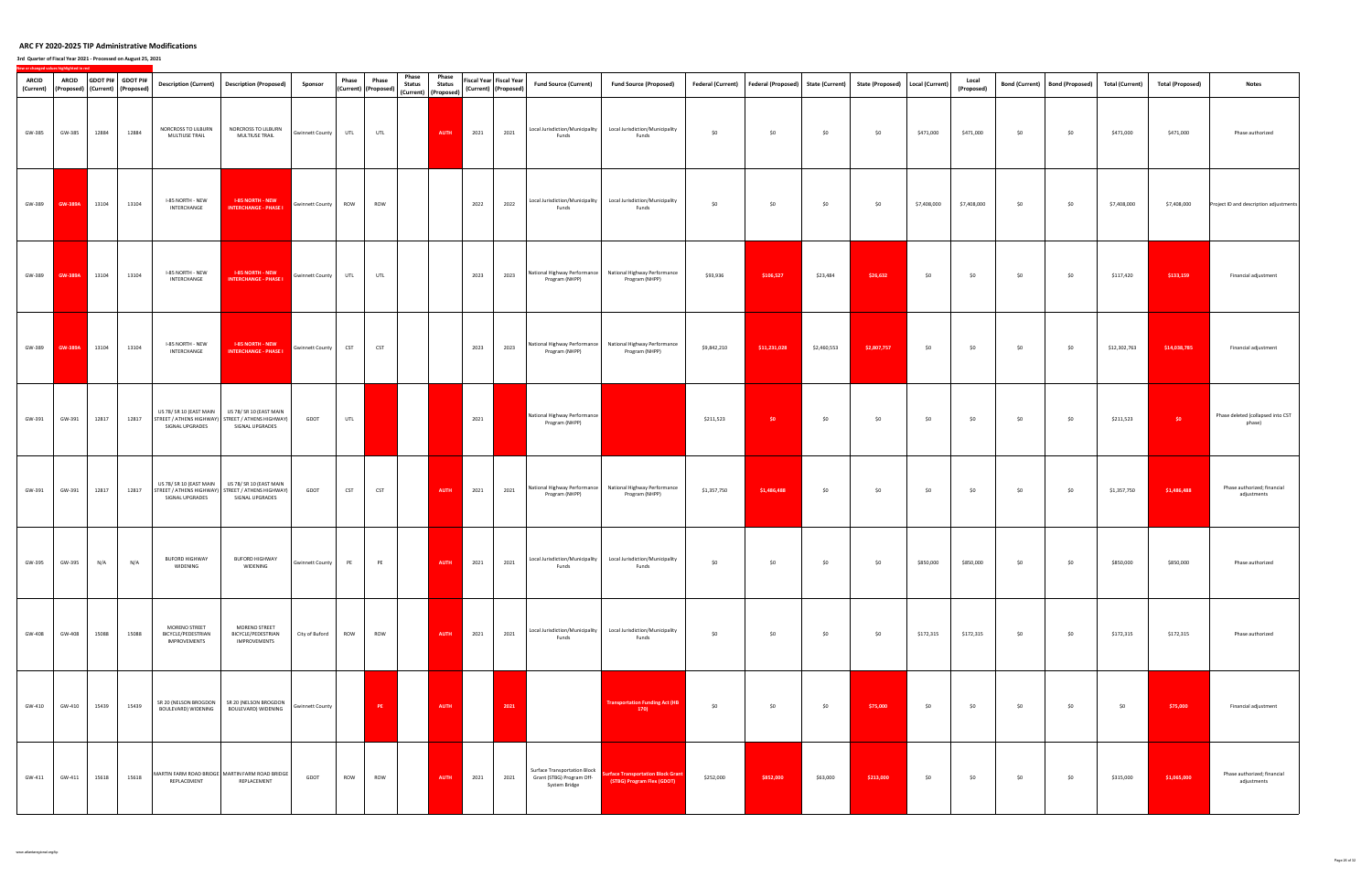| ARCID<br>(Current) | <b>ARCID</b>   |       | GDOT PI# GDOT PI#<br>(Proposed) (Current) (Proposed) |                                                            | Description (Current)  Description (Proposed)                                                   | Sponsor                | Phase      | Phase<br>(Current) (Proposed) | Phase<br><b>Status</b> | Phase<br><b>Status</b><br>(Current) (Proposed) |      | Fiscal Year Fiscal Year<br>(Current) (Proposed) | <b>Fund Source (Current)</b>                                                      | <b>Fund Source (Proposed)</b>                                                 |             | Federal (Current)   Federal (Proposed)   State (Current)   State (Proposed)   Local (Current) |             |             |             | Local<br>(Proposed) | <b>Bond (Current)</b> | <b>Bond (Proposed)</b> | <b>Total (Current)</b> | <b>Total (Proposed)</b> | <b>Notes</b>                                |
|--------------------|----------------|-------|------------------------------------------------------|------------------------------------------------------------|-------------------------------------------------------------------------------------------------|------------------------|------------|-------------------------------|------------------------|------------------------------------------------|------|-------------------------------------------------|-----------------------------------------------------------------------------------|-------------------------------------------------------------------------------|-------------|-----------------------------------------------------------------------------------------------|-------------|-------------|-------------|---------------------|-----------------------|------------------------|------------------------|-------------------------|---------------------------------------------|
| GW-385             | GW-385         | 12884 | 12884                                                | NORCROSS TO LILBURN<br>MULTIUSE TRAIL                      | NORCROSS TO LILBURN<br>MULTIUSE TRAIL                                                           | Gwinnett County        | UTL        | UTL                           |                        | AUTH                                           | 2021 | 2021                                            | Local Jurisdiction/Municipality<br>Funds                                          | Local Jurisdiction/Municipality<br>Funds                                      | \$0         | \$0                                                                                           | \$0         | \$0         | \$471,000   | \$471,000           | \$0                   | \$0                    | \$471,000              | \$471,000               | Phase authorized                            |
| GW-389             | <b>GW-389A</b> | 13104 | 13104                                                | I-85 NORTH - NEW<br>INTERCHANGE                            | <b>I-85 NORTH - NEW</b><br><b>INTERCHANGE - PHASE I</b>                                         | <b>Gwinnett County</b> | ROW        | ROW                           |                        |                                                | 2022 | 2022                                            | Local Jurisdiction/Municipality<br>Funds                                          | Local Jurisdiction/Municipality<br>Funds                                      | \$0         | \$0                                                                                           | \$0         | \$0         | \$7,408,000 | \$7,408,000         | \$0                   | \$0                    | \$7,408,000            | \$7,408,000             | Project ID and description adjustments      |
| GW-389             | <b>GW-389A</b> | 13104 | 13104                                                | I-85 NORTH - NEW<br>INTERCHANGE                            | <b>I-85 NORTH - NEW</b><br><b>INTERCHANGE - PHASE I</b>                                         | <b>Gwinnett County</b> | UTL        | UTL                           |                        |                                                | 2023 | 2023                                            | Program (NHPP)                                                                    | National Highway Performance National Highway Performance<br>Program (NHPP)   | \$93,936    | \$106,527                                                                                     | \$23,484    | \$26,632    | \$0         | \$0                 | \$0                   | \$0                    | \$117,420              | \$133,159               | Financial adjustment                        |
| GW-389             | <b>GW-389A</b> | 13104 | 13104                                                | I-85 NORTH - NEW<br>INTERCHANGE                            | <b>I-85 NORTH - NEW</b><br><b>INTERCHANGE - PHASE I</b>                                         | <b>Gwinnett County</b> | <b>CST</b> | <b>CST</b>                    |                        |                                                | 2023 | 2023                                            | Program (NHPP)                                                                    | National Highway Performance   National Highway Performance<br>Program (NHPP) | \$9,842,210 | \$11,231,028                                                                                  | \$2,460,553 | \$2,807,757 | \$0         | \$0                 | \$0                   | \$0                    | \$12,302,763           | \$14,038,785            | Financial adjustment                        |
| GW-391             | GW-391         | 12817 | 12817                                                | US 78/ SR 10 (EAST MAIN<br>SIGNAL UPGRADES                 | US 78/ SR 10 (EAST MAIN<br>STREET / ATHENS HIGHWAY) STREET / ATHENS HIGHWAY)<br>SIGNAL UPGRADES | GDOT                   | UTL        |                               |                        |                                                | 2021 |                                                 | National Highway Performance<br>Program (NHPP)                                    |                                                                               | \$211,523   | \$0                                                                                           | \$0         | \$0         | \$0         | \$0                 | \$0                   | \$0                    | \$211,523              | \$0                     | Phase deleted (collapsed into CST<br>phase) |
| GW-391             | GW-391         | 12817 | 12817                                                | US 78/ SR 10 (EAST MAIN<br>SIGNAL UPGRADES                 | US 78/ SR 10 (EAST MAIN<br>STREET / ATHENS HIGHWAY) STREET / ATHENS HIGHWAY)<br>SIGNAL UPGRADES | GDOT                   | CST        | CST                           |                        | <b>AUTH</b>                                    | 2021 | 2021                                            | Program (NHPP)                                                                    | National Highway Performance   National Highway Performance<br>Program (NHPP) | \$1,357,750 | \$1,486,488                                                                                   | \$0         | \$0         | \$0         | \$0                 | \$0                   | \$0                    | \$1,357,750            | \$1,486,488             | Phase authorized; financial<br>adjustments  |
| GW-395             | GW-395         | N/A   | N/A                                                  | BUFORD HIGHWAY<br>WIDENING                                 | <b>BUFORD HIGHWAY</b><br>WIDENING                                                               | <b>Gwinnett County</b> | PE         | PE                            |                        | <b>AUTH</b>                                    | 2021 | 2021                                            | Funds                                                                             | Local Jurisdiction/Municipality Local Jurisdiction/Municipality<br>Funds      | \$0         | \$0                                                                                           | \$0         | \$0         | \$850,000   | \$850,000           | \$0                   | \$0                    | \$850,000              | \$850,000               | Phase authorized                            |
| GW-408             | GW-408         | 15088 | 15088                                                | MORENO STREET<br>BICYCLE/PEDESTRIAN<br><b>IMPROVEMENTS</b> | MORENO STREET<br>BICYCLE/PEDESTRIAN<br>IMPROVEMENTS                                             | City of Buford         | ROW        | ROW                           |                        | AUTH                                           | 2021 | 2021                                            | Local Jurisdiction/Municipality<br>Funds                                          | Local Jurisdiction/Municipality<br>Funds                                      | \$0         | \$0                                                                                           | \$0         | \$0         | \$172,315   | \$172,315           | \$0                   | \$0                    | \$172,315              | \$172,315               | Phase authorized                            |
| GW-410             | GW-410         | 15439 | 15439                                                | BOULEVARD) WIDENING                                        | SR 20 (NELSON BROGDON SR 20 (NELSON BROGDON<br>BOULEVARD) WIDENING                              | <b>Gwinnett County</b> |            | PE :                          |                        | <b>AUTH</b>                                    |      | 2021                                            |                                                                                   | <b>Transportation Funding Act (HB</b><br>170)                                 | \$0         | \$0                                                                                           | \$0         | \$75,000    | \$0         | \$0                 | \$0                   | \$0                    | \$0                    | \$75,000                | Financial adjustment                        |
| GW-411             | GW-411         | 15618 | 15618                                                | REPLACEMENT                                                | MARTIN FARM ROAD BRIDGE MARTIN FARM ROAD BRIDGE<br>REPLACEMENT                                  | GDOT                   | ROW        | ROW                           |                        | AUTH                                           | 2021 | 2021                                            | <b>Surface Transportation Block</b><br>Grant (STBG) Program Off-<br>System Bridge | <b>Surface Transportation Block Grant</b><br>(STBG) Program Flex (GDOT)       | \$252,000   | \$852,000                                                                                     | \$63,000    | \$213,000   | \$0         | \$0                 | \$0                   | \$0                    | \$315,000              | \$1,065,000             | Phase authorized; financial<br>adjustments  |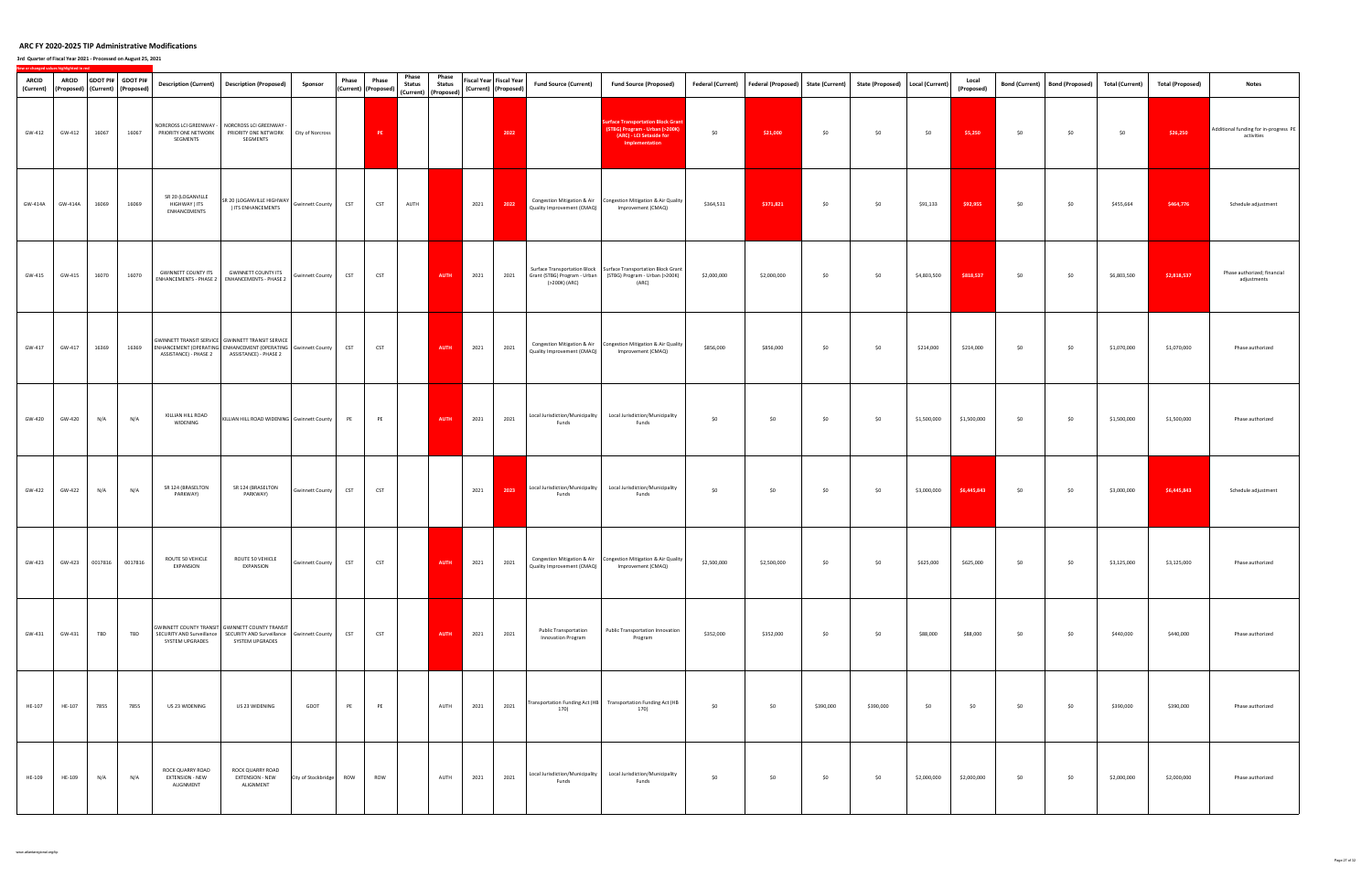| ARCID   | <b>ARCID</b><br>(Current)   (Proposed)   (Current)   (Proposed) |       | GDOT PI# GDOT PI#      |                                                             | Description (Current)   Description (Proposed)                                                                                              | Sponsor                | Phase      | Phase<br>(Current) (Proposed) | Phase<br><b>Status</b> | Phase<br><b>Status</b><br>(Current) (Proposed) |      | Fiscal Year Fiscal Year<br>(Current) (Proposed) | <b>Fund Source (Current)</b>                              | <b>Fund Source (Proposed)</b>                                                                                                             | <b>Federal (Current)</b> | Federal (Proposed) State (Current) |           | State (Proposed)   Local (Current) |             | Local<br>(Proposed) |     | Bond (Current)   Bond (Proposed) | Total (Current) | <b>Total (Proposed)</b> | <b>Notes</b>                                        |
|---------|-----------------------------------------------------------------|-------|------------------------|-------------------------------------------------------------|---------------------------------------------------------------------------------------------------------------------------------------------|------------------------|------------|-------------------------------|------------------------|------------------------------------------------|------|-------------------------------------------------|-----------------------------------------------------------|-------------------------------------------------------------------------------------------------------------------------------------------|--------------------------|------------------------------------|-----------|------------------------------------|-------------|---------------------|-----|----------------------------------|-----------------|-------------------------|-----------------------------------------------------|
| GW-412  | GW-412                                                          | 16067 | 16067                  | NORCROSS LCI GREENWAY -<br>PRIORITY ONE NETWORK<br>SEGMENTS | NORCROSS LCI GREENWAY -<br>PRIORITY ONE NETWORK<br>SEGMENTS                                                                                 | City of Norcross       |            | PE                            |                        |                                                |      | 2022                                            |                                                           | urface Transportation Block Grant<br>(STBG) Program - Urban (>200K)<br>(ARC) - LCI Setaside for<br>Implementation                         | \$0                      | \$21,000                           | \$0       | \$0                                | \$0         | \$5,250             | \$0 | \$0                              | \$0             | \$26,250                | Additional funding for in-progress PE<br>activities |
| GW-414A | GW-414A                                                         | 16069 | 16069                  | SR 20 (LOGANVILLE<br>HIGHWAY ) ITS<br>ENHANCEMENTS          | SR 20 (LOGANVILLE HIGHWAY<br>) ITS ENHANCEMENTS                                                                                             | Gwinnett County        | <b>CST</b> | <b>CST</b>                    | AUTH                   |                                                | 2021 | 2022                                            | Quality Improvement (CMAQ)                                | Congestion Mitigation & Air   Congestion Mitigation & Air Quality<br>Improvement (CMAQ)                                                   | \$364,531                | \$371,821                          | \$0       | \$0                                | \$91,133    | \$92,955            | \$0 | \$0                              | \$455,664       | \$464,776               | Schedule adjustment                                 |
| GW-415  | GW-415                                                          | 16070 | 16070                  | <b>GWINNETT COUNTY ITS</b>                                  | <b>GWINNETT COUNTY ITS</b><br>ENHANCEMENTS - PHASE 2   ENHANCEMENTS - PHASE 2                                                               | Gwinnett County CST    |            | <b>CST</b>                    |                        | <b>AUTH</b>                                    | 2021 | 2021                                            | (>200K) (ARC)                                             | Surface Transportation Block   Surface Transportation Block Grant<br>Grant (STBG) Program - Urban (STBG) Program - Urban (>200K)<br>(ARC) | \$2,000,000              | \$2,000,000                        | \$0       | \$0                                | \$4,803,500 | \$818,537           | \$0 | \$0                              | \$6,803,500     | \$2,818,537             | Phase authorized; financial<br>adjustments          |
| GW-417  | GW-417                                                          | 16369 | 16369                  | ASSISTANCE) - PHASE 2                                       | GWINNETT TRANSIT SERVICE GWINNETT TRANSIT SERVICE<br>ENHANCEMENT (OPERATING ENHANCEMENT (OPERATING Gwinnett County<br>ASSISTANCE) - PHASE 2 |                        | <b>CST</b> | <b>CST</b>                    |                        | <b>AUTH</b>                                    | 2021 | 2021                                            | Quality Improvement (CMAQ)                                | Congestion Mitigation & Air Congestion Mitigation & Air Quality<br>Improvement (CMAQ)                                                     | \$856,000                | \$856,000                          | \$0       | \$0                                | \$214,000   | \$214,000           | \$0 | \$0                              | \$1,070,000     | \$1,070,000             | Phase authorized                                    |
| GW-420  | GW-420                                                          | N/A   | N/A                    | KILLIAN HILL ROAD<br>WIDENING                               | KILLIAN HILL ROAD WIDENING Gwinnett County                                                                                                  |                        | PE         | PE                            |                        | <b>AUTH</b>                                    | 2021 | 2021                                            | Local Jurisdiction/Municipality<br>Funds                  | Local Jurisdiction/Municipality<br>Funds                                                                                                  | \$0                      | \$0                                | \$0       | \$0                                | \$1,500,000 | \$1,500,000         | \$0 | \$0                              | \$1,500,000     | \$1,500,000             | Phase authorized                                    |
| GW-422  | GW-422                                                          | N/A   | N/A                    | SR 124 (BRASELTON<br>PARKWAY)                               | SR 124 (BRASELTON<br>PARKWAY)                                                                                                               | <b>Gwinnett County</b> | <b>CST</b> | CST                           |                        |                                                | 2021 | 2023                                            | Local Jurisdiction/Municipality<br>Funds                  | Local Jurisdiction/Municipality<br>Funds                                                                                                  | \$0                      | \$0                                | \$0       | \$0                                | \$3,000,000 | \$6,445,843         | \$0 | \$0                              | \$3,000,000     | \$6,445,843             | Schedule adjustment                                 |
| GW-423  |                                                                 |       | GW-423 0017816 0017816 | ROUTE 50 VEHICLE<br>EXPANSION                               | ROUTE 50 VEHICLE<br>EXPANSION                                                                                                               | <b>Gwinnett County</b> | <b>CST</b> | <b>CST</b>                    |                        | <b>AUTH</b>                                    | 2021 | 2021                                            | Quality Improvement (CMAQ)                                | Congestion Mitigation & Air Congestion Mitigation & Air Quality<br>Improvement (CMAQ)                                                     | \$2,500,000              | \$2,500,000                        | \$0       | \$0                                | \$625,000   | \$625,000           | \$0 | \$0                              | \$3,125,000     | \$3,125,000             | Phase authorized                                    |
| GW-431  | GW-431                                                          | TBD   | <b>TBD</b>             | SYSTEM UPGRADES                                             | GWINNETT COUNTY TRANSIT GWINNETT COUNTY TRANSIT<br>SECURITY AND Surveillance SECURITY AND Surveillance Gwinnett County<br>SYSTEM UPGRADES   |                        | <b>CST</b> | <b>CST</b>                    |                        | AUTH                                           | 2021 | 2021                                            | <b>Public Transportation</b><br><b>Innovation Program</b> | Public Transportation Innovation<br>Program                                                                                               | \$352,000                | \$352,000                          | \$0       | \$0                                | \$88,000    | \$88,000            | \$0 | \$0                              | \$440,000       | \$440,000               | Phase authorized                                    |
| HE-107  | HE-107                                                          | 7855  | 7855                   | US 23 WIDENING                                              | US 23 WIDENING                                                                                                                              | GDOT                   | PE         | PE                            |                        | AUTH                                           | 2021 | 2021                                            | 170)                                                      | Transportation Funding Act (HB Transportation Funding Act (HB<br>170)                                                                     | \$0                      | \$0                                | \$390,000 | \$390,000                          | \$0         | \$0                 | \$0 | \$0                              | \$390,000       | \$390,000               | Phase authorized                                    |
| HE-109  | HE-109                                                          | N/A   | N/A                    | ROCK QUARRY ROAD<br><b>EXTENSION - NEW</b><br>ALIGNMENT     | ROCK QUARRY ROAD<br><b>EXTENSION - NEW</b><br>ALIGNMENT                                                                                     | City of Stockbridge    | <b>ROW</b> | ROW                           |                        | AUTH                                           | 2021 | 2021                                            | Local Jurisdiction/Municipality<br>Funds                  | Local Jurisdiction/Municipality<br>Funds                                                                                                  | \$0                      | \$0                                | \$0       | \$0                                | \$2,000,000 | \$2,000,000         | \$0 | \$0                              | \$2,000,000     | \$2,000,000             | Phase authorized                                    |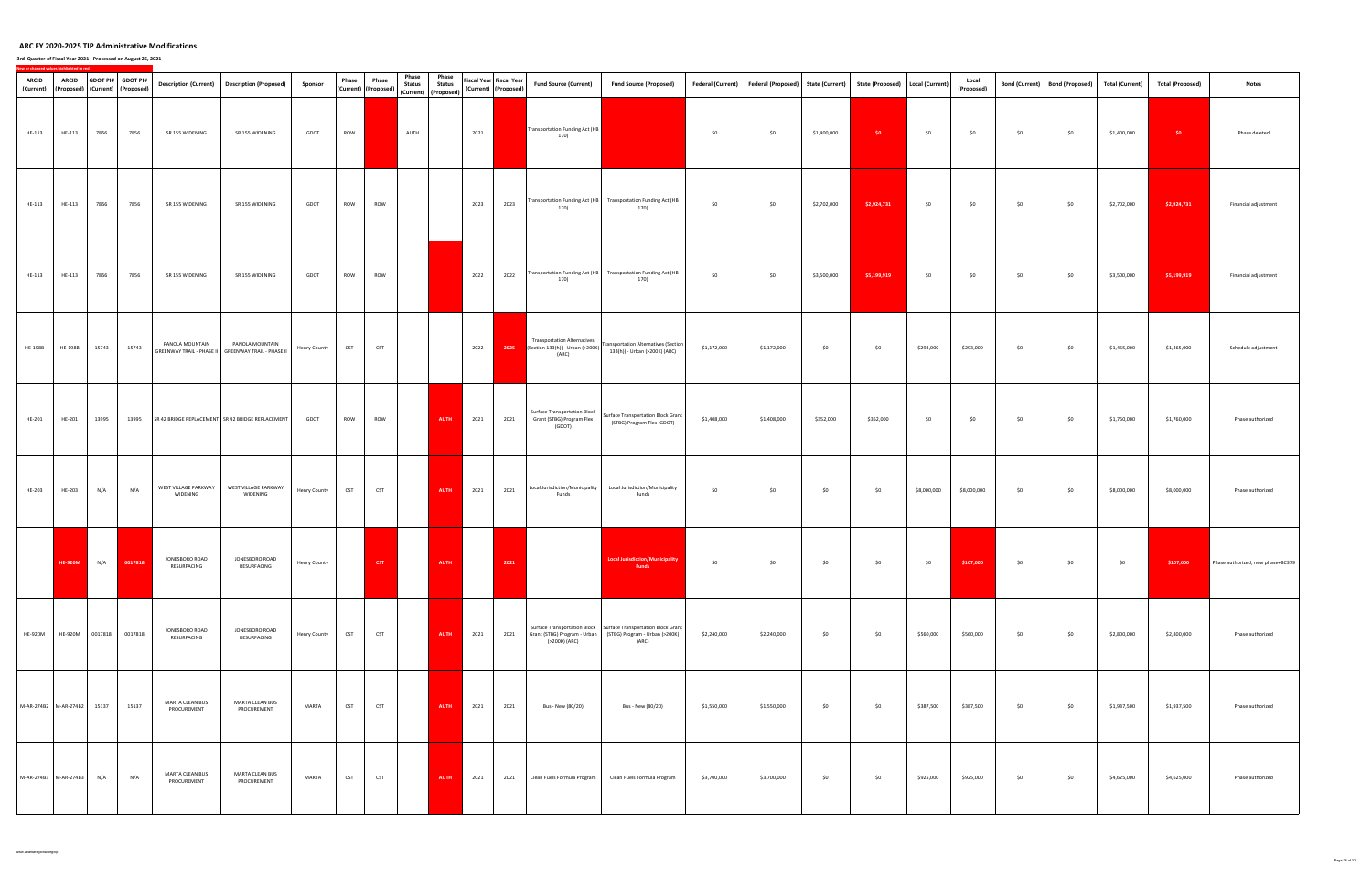| <b>ARCID</b><br>(Current) | <b>ARCID</b><br>(Proposed) (Current) (Proposed) |       | GDOT PI# GDOT PI# |                                  | Description (Current)   Description (Proposed)                           | Sponsor             | Phase      | Phase<br>(Current) (Proposed) | Phase<br><b>Status</b><br>(Current) (Proposed) | Phase<br><b>Status</b> |      | Fiscal Year Fiscal Year<br>(Current) (Proposed) | <b>Fund Source (Current)</b>                                                    | <b>Fund Source (Proposed)</b>                                                                                                             | <b>Federal (Current)</b> | Federal (Proposed) State (Current) |             | State (Proposed)   Local (Current) |             | Local<br>(Proposed) |     | Bond (Current)   Bond (Proposed) | <b>Total (Current)</b> | <b>Total (Proposed)</b> | <b>Notes</b>                      |
|---------------------------|-------------------------------------------------|-------|-------------------|----------------------------------|--------------------------------------------------------------------------|---------------------|------------|-------------------------------|------------------------------------------------|------------------------|------|-------------------------------------------------|---------------------------------------------------------------------------------|-------------------------------------------------------------------------------------------------------------------------------------------|--------------------------|------------------------------------|-------------|------------------------------------|-------------|---------------------|-----|----------------------------------|------------------------|-------------------------|-----------------------------------|
| HE-113                    | HE-113                                          | 7856  | 7856              | SR 155 WIDENING                  | SR 155 WIDENING                                                          | GDOT                | ROW        |                               | AUTH                                           |                        | 2021 |                                                 | Transportation Funding Act (HB<br>170)                                          |                                                                                                                                           | \$0                      | \$0                                | \$1,400,000 | \$0                                | \$0         | \$0                 | \$0 | \$0                              | \$1,400,000            | \$0                     | Phase deleted                     |
| HE-113                    | HE-113                                          | 7856  | 7856              | SR 155 WIDENING                  | SR 155 WIDENING                                                          | GDOT                | ROW        | ROW                           |                                                |                        | 2023 | 2023                                            | Transportation Funding Act (HB<br>170)                                          | <b>Transportation Funding Act (HB</b><br>170)                                                                                             | \$0                      | \$0                                | \$2,702,000 | \$2,924,731                        | \$0         | \$0                 | \$0 | \$0                              | \$2,702,000            | \$2,924,731             | Financial adjustment              |
| HE-113                    | HE-113                                          | 7856  | 7856              | SR 155 WIDENING                  | SR 155 WIDENING                                                          | GDOT                | ROW        | ROW                           |                                                |                        | 2022 | 2022                                            | 170)                                                                            | Transportation Funding Act (HB Transportation Funding Act (HB<br>170)                                                                     | \$0                      | \$0                                | \$3,500,000 | \$5,199,919                        | \$0         | \$0                 | \$0 | \$0                              | \$3,500,000            | \$5,199,919             | Financial adjustment              |
| <b>HE-198B</b>            | <b>HE-198B</b>                                  | 15743 | 15743             | PANOLA MOUNTAIN                  | PANOLA MOUNTAIN<br>GREENWAY TRAIL - PHASE II   GREENWAY TRAIL - PHASE II | <b>Henry County</b> | <b>CST</b> | <b>CST</b>                    |                                                |                        | 2022 | 2025                                            | <b>Transportation Alternatives</b><br>(Section 133(h)) - Urban (>200K)<br>(ARC) | Fransportation Alternatives (Section<br>133(h)) - Urban (>200K) (ARC)                                                                     | \$1,172,000              | \$1,172,000                        | \$0         | \$0                                | \$293,000   | \$293,000           | \$0 | \$0                              | \$1,465,000            | \$1,465,000             | Schedule adjustment               |
| HE-201                    | HE-201                                          | 13995 | 13995             |                                  | SR 42 BRIDGE REPLACEMENT SR 42 BRIDGE REPLACEMENT                        | GDOT                | ROW        | ROW                           |                                                | <b>AUTH</b>            | 2021 | 2021                                            | Surface Transportation Block<br>Grant (STBG) Program Flex<br>(GDOT)             | Surface Transportation Block Grant<br>(STBG) Program Flex (GDOT)                                                                          | \$1,408,000              | \$1,408,000                        | \$352,000   | \$352,000                          | \$0         | \$0                 | \$0 | \$0                              | \$1,760,000            | \$1,760,000             | Phase authorized                  |
| HE-203                    | HE-203                                          | N/A   | N/A               | WEST VILLAGE PARKWAY<br>WIDENING | WEST VILLAGE PARKWAY<br>WIDENING                                         | <b>Henry County</b> | <b>CST</b> | <b>CST</b>                    |                                                | <b>AUTH</b>            | 2021 | 2021                                            | Local Jurisdiction/Municipality<br>Funds                                        | Local Jurisdiction/Municipality<br>Funds                                                                                                  | \$0                      | \$0                                | \$0         | \$0                                | \$8,000,000 | \$8,000,000         | \$0 | \$0                              | \$8,000,000            | \$8,000,000             | Phase authorized                  |
|                           | <b>HE-920M</b>                                  | N/A   | 0017818           | JONESBORO ROAD<br>RESURFACING    | JONESBORO ROAD<br>RESURFACING                                            | <b>Henry County</b> |            | CST                           |                                                | <b>AUTH</b>            |      | 2021                                            |                                                                                 | <b>Local Jurisdiction/Municipality</b><br>Funds                                                                                           | \$0                      | \$0                                | \$0         | \$0                                | \$0         | \$107,000           | \$0 | \$0                              | \$0                    | \$107,000               | Phase authorized; new phase+BC379 |
| <b>HE-920M</b>            | HE-920M 0017818                                 |       | 0017818           | JONESBORO ROAD<br>RESURFACING    | JONESBORO ROAD<br>RESURFACING                                            | <b>Henry County</b> | <b>CST</b> | <b>CST</b>                    |                                                | <b>AUTH</b>            | 2021 | 2021                                            | (>200K) (ARC)                                                                   | Surface Transportation Block   Surface Transportation Block Grant<br>Grant (STBG) Program - Urban (STBG) Program - Urban (>200K)<br>(ARC) | \$2,240,000              | \$2,240,000                        | \$0         | \$0                                | \$560,000   | \$560,000           | \$0 | \$0                              | \$2,800,000            | \$2,800,000             | Phase authorized                  |
|                           | M-AR-274B2 M-AR-274B2 15137                     |       | 15137             | MARTA CLEAN BUS<br>PROCUREMENT   | MARTA CLEAN BUS<br>PROCUREMENT                                           | MARTA               | <b>CST</b> | <b>CST</b>                    |                                                | <b>AUTH</b>            | 2021 | 2021                                            | Bus - New (80/20)                                                               | Bus - New (80/20)                                                                                                                         | \$1,550,000              | \$1,550,000                        | \$0         | \$0                                | \$387,500   | \$387,500           | \$0 | \$0                              | \$1,937,500            | \$1,937,500             | Phase authorized                  |
|                           | M-AR-274B3 M-AR-274B3                           | N/A   | N/A               | MARTA CLEAN BUS<br>PROCUREMENT   | MARTA CLEAN BUS<br>PROCUREMENT                                           | MARTA               | <b>CST</b> | <b>CST</b>                    |                                                | AUTH                   | 2021 | 2021                                            | Clean Fuels Formula Program                                                     | Clean Fuels Formula Program                                                                                                               | \$3,700,000              | \$3,700,000                        | \$0         | \$0                                | \$925,000   | \$925,000           | \$0 | \$0                              | \$4,625,000            | \$4,625,000             | Phase authorized                  |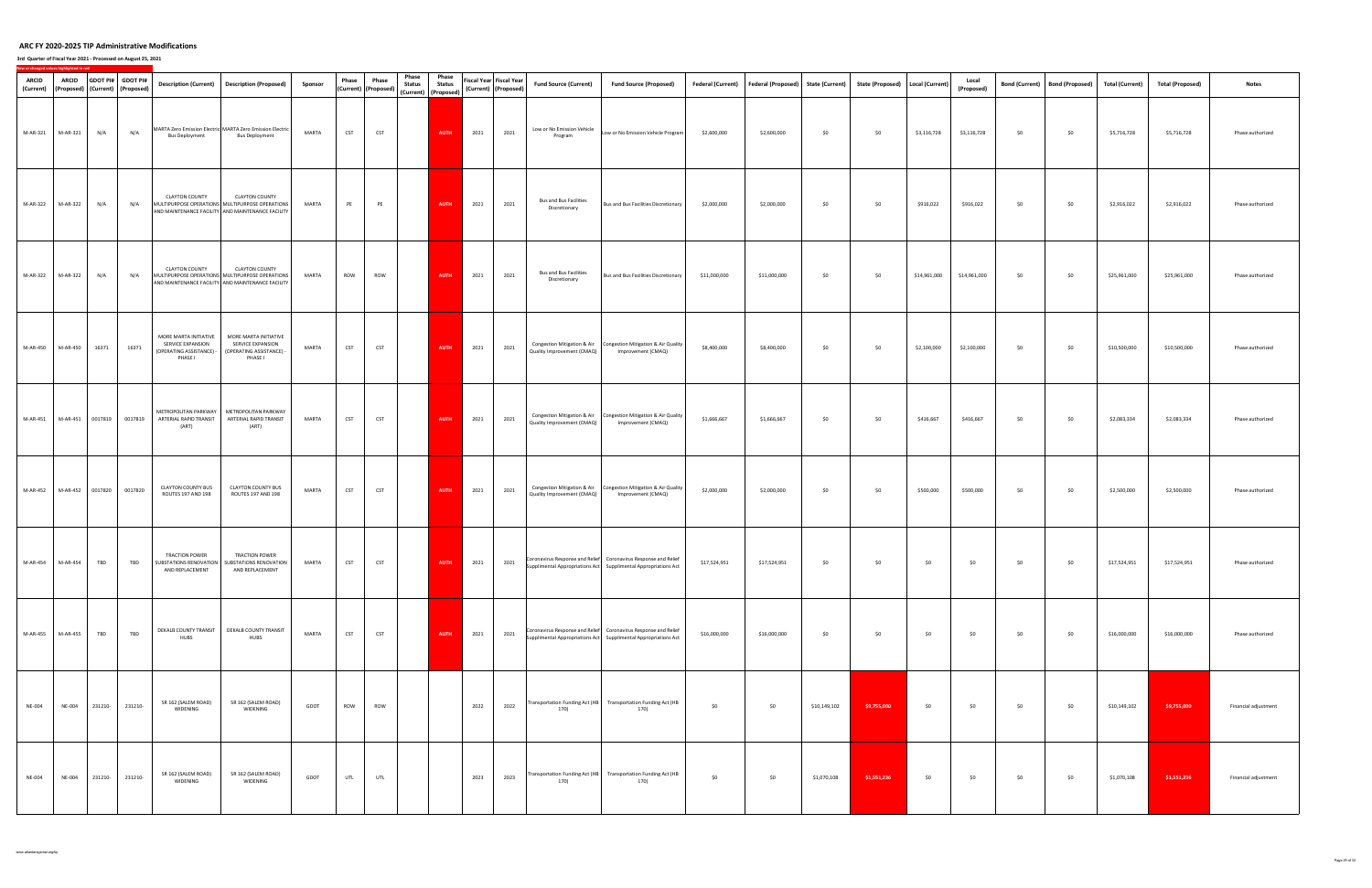| <b>ARCID</b><br>(Current) | <b>ARCID</b>              |                  | GDOT PI# GDOT PI#<br>(Proposed) (Current) (Proposed) |                                                                                   | Description (Current)  Description (Proposed)                                                                                 | Sponsor      | Phase      | Phase<br>(Current) (Proposed) | Phase<br><b>Status</b> | Phase<br><b>Status</b><br>(Current) (Proposed) |      | Fiscal Year Fiscal Year<br>(Current) (Proposed) | <b>Fund Source (Current)</b>                   | <b>Fund Source (Proposed)</b>                                                                                                      |              | Federal (Current)   Federal (Proposed)   State (Current) |              | State (Proposed)   Local (Current) |              | Local<br>(Proposed) | <b>Bond (Current)</b> | <b>Bond (Proposed)</b> | <b>Total (Current)</b> | <b>Total (Proposed)</b> | <b>Notes</b>         |
|---------------------------|---------------------------|------------------|------------------------------------------------------|-----------------------------------------------------------------------------------|-------------------------------------------------------------------------------------------------------------------------------|--------------|------------|-------------------------------|------------------------|------------------------------------------------|------|-------------------------------------------------|------------------------------------------------|------------------------------------------------------------------------------------------------------------------------------------|--------------|----------------------------------------------------------|--------------|------------------------------------|--------------|---------------------|-----------------------|------------------------|------------------------|-------------------------|----------------------|
|                           | M-AR-321 M-AR-321         | N/A              | N/A                                                  | <b>Bus Deployment</b>                                                             | MARTA Zero Emission Electric MARTA Zero Emission Electric<br><b>Bus Deployment</b>                                            | MARTA        | <b>CST</b> | <b>CST</b>                    |                        | <b>AUTH</b>                                    | 2021 | 2021                                            | Low or No Emission Vehicle<br>Program          | Low or No Emission Vehicle Program                                                                                                 | \$2,600,000  | \$2,600,000                                              | \$0          | \$0                                | \$3,116,728  | \$3,116,728         | \$0                   | \$0                    | \$5,716,728            | \$5,716,728             | Phase authorized     |
| M-AR-322                  | M-AR-322                  | N/A              | N/A                                                  | <b>CLAYTON COUNTY</b>                                                             | <b>CLAYTON COUNTY</b><br>MULTIPURPOSE OPERATIONS MULTIPURPOSE OPERATIONS<br>AND MAINTENANCE FACILITY AND MAINTENANCE FACILITY | MARTA        | PE         | PE                            |                        | <b>AUTH</b>                                    | 2021 | 2021                                            | <b>Bus and Bus Facilities</b><br>Discretionary | Bus and Bus Facilities Discretionary                                                                                               | \$2,000,000  | \$2,000,000                                              | \$0          | \$0                                | \$916,022    | \$916,022           | \$0                   | \$0                    | \$2,916,022            | \$2,916,022             | Phase authorized     |
|                           | M-AR-322 M-AR-322         | N/A              | N/A                                                  | <b>CLAYTON COUNTY</b>                                                             | <b>CLAYTON COUNTY</b><br>MULTIPURPOSE OPERATIONS MULTIPURPOSE OPERATIONS<br>AND MAINTENANCE FACILITY AND MAINTENANCE FACILITY | MARTA        | ROW        | ROW                           |                        | <b>AUTH</b>                                    | 2021 | 2021                                            | <b>Bus and Bus Facilities</b><br>Discretionary | Bus and Bus Facilities Discretionary                                                                                               | \$11,000,000 | \$11,000,000                                             | \$0          | \$0                                | \$14,961,000 | \$14,961,000        | \$0                   | \$0                    | \$25,961,000           | \$25,961,000            | Phase authorized     |
|                           | M-AR-450 M-AR-450         | 16371            | 16371                                                | MORE MARTA INITIATIVE<br>SERVICE EXPANSION<br>(OPERATING ASSISTANCE) -<br>PHASE I | MORE MARTA INITIATIVE<br>SERVICE EXPANSION<br>(OPERATING ASSISTANCE) -<br>PHASE I                                             | MARTA        | <b>CST</b> | <b>CST</b>                    |                        | AUTH                                           | 2021 | 2021                                            | Quality Improvement (CMAQ)                     | Congestion Mitigation & Air Congestion Mitigation & Air Quality<br>Improvement (CMAQ)                                              | \$8,400,000  | \$8,400,000                                              | \$0          | \$0                                | \$2,100,000  | \$2,100,000         | \$0                   | \$0                    | \$10,500,000           | \$10,500,000            | Phase authorized     |
| M-AR-451                  |                           | M-AR-451 0017819 | 0017819                                              | ARTERIAL RAPID TRANSIT<br>(ART)                                                   | METROPOLITAN PARKWAY   METROPOLITAN PARKWAY<br>ARTERIAL RAPID TRANSIT<br>(ART)                                                | MARTA        | <b>CST</b> | <b>CST</b>                    |                        | AUTH                                           | 2021 | 2021                                            | Quality Improvement (CMAQ)                     | Congestion Mitigation & Air   Congestion Mitigation & Air Quality<br>Improvement (CMAQ)                                            | \$1,666,667  | \$1,666,667                                              | \$0          | \$0                                | \$416,667    | \$416,667           | \$0                   | \$0                    | \$2,083,334            | \$2,083,334             | Phase authorized     |
|                           | M-AR-452 M-AR-452 0017820 |                  | 0017820                                              | <b>CLAYTON COUNTY BUS</b><br>ROUTES 197 AND 198                                   | <b>CLAYTON COUNTY BUS</b><br>ROUTES 197 AND 198                                                                               | MARTA        | <b>CST</b> | CST                           |                        | <b>AUTH</b>                                    | 2021 | 2021                                            | Quality Improvement (CMAQ)                     | Congestion Mitigation & Air Congestion Mitigation & Air Quality<br>Improvement (CMAQ)                                              | \$2,000,000  | \$2,000,000                                              | \$0          | \$0                                | \$500,000    | \$500,000           | \$0                   | \$0                    | \$2,500,000            | \$2,500,000             | Phase authorized     |
|                           | M-AR-454 M-AR-454 TBD     |                  | <b>TBD</b>                                           | TRACTION POWER                                                                    | <b>TRACTION POWER</b><br>SUBSTATIONS RENOVATION   SUBSTATIONS RENOVATION  <br>AND REPLACEMENT   AND REPLACEMENT               | <b>MARTA</b> | <b>CST</b> | <b>CST</b>                    |                        | AUTH                                           | 2021 | 2021                                            |                                                | Coronavirus Response and Relief Coronavirus Response and Relief<br>Supplimental Appropriations Act Supplimental Appropriations Act | \$17,524,951 | \$17,524,951                                             | \$0          | \$0                                | \$0          | \$0                 | \$0                   | \$0                    | \$17,524,951           | \$17,524,951            | Phase authorized     |
|                           | M-AR-455 M-AR-455         | TBD              | TBD                                                  | <b>HUBS</b>                                                                       | DEKALB COUNTY TRANSIT   DEKALB COUNTY TRANSIT<br>HUBS                                                                         | MARTA        | <b>CST</b> | <b>CST</b>                    |                        | AUTH                                           | 2021 | 2021                                            |                                                | Coronavirus Response and Relief Coronavirus Response and Relief<br>Supplimental Appropriations Act Supplimental Appropriations Act | \$16,000,000 | \$16,000,000                                             | \$0          | \$0                                | \$0          | \$0                 | \$0                   | \$0                    | \$16,000,000           | \$16,000,000            | Phase authorized     |
| <b>NE-004</b>             | <b>NE-004</b>             | 231210-          | 231210-                                              | SR 162 (SALEM ROAD)<br>WIDENING                                                   | SR 162 (SALEM ROAD)<br>WIDENING                                                                                               | GDOT         | ROW        | ROW                           |                        |                                                | 2022 | 2022                                            | 170)                                           | Transportation Funding Act (HB Transportation Funding Act (HB<br>170)                                                              | \$0          | \$0                                                      | \$10,149,102 | \$9,755,000                        | \$0          | \$0                 | \$0                   | \$0                    | \$10,149,102           | \$9,755,000             | Financial adjustment |
| <b>NE-004</b>             | NE-004                    | 231210-          | 231210-                                              | SR 162 (SALEM ROAD)<br>WIDENING                                                   | SR 162 (SALEM ROAD)<br>WIDENING                                                                                               | GDOT         | UTL        | UTL                           |                        |                                                | 2023 | 2023                                            | 170)                                           | Transportation Funding Act (HB Transportation Funding Act (HB<br>170)                                                              | \$0          | \$0                                                      | \$1,070,108  | \$1,551,236                        | \$0          | \$0                 | \$0                   | \$0                    | \$1,070,108            | \$1,551,236             | Financial adjustment |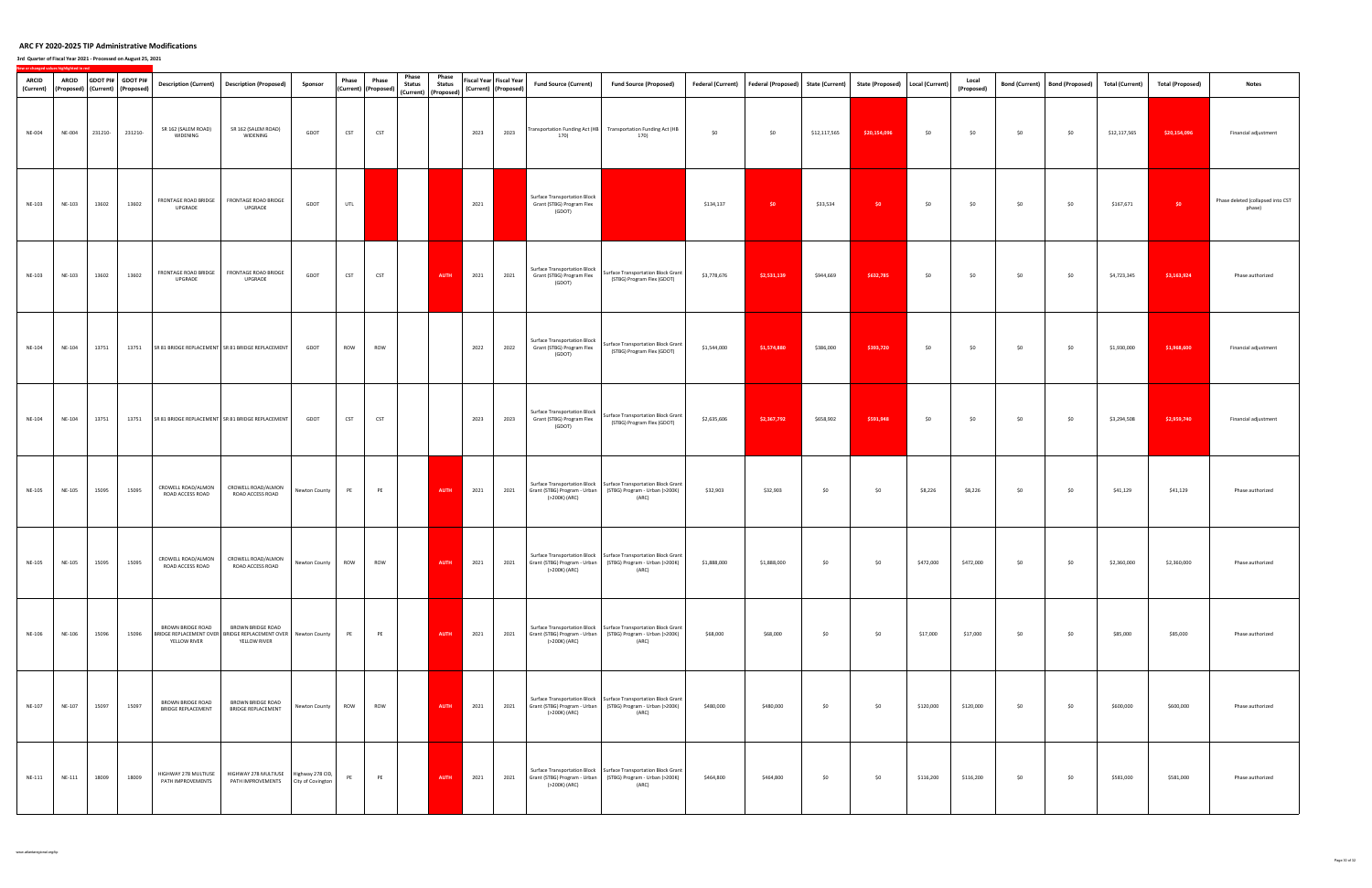| ARCID<br>(Current) | <b>ARCID</b>  |         | GDOT PI# GDOT PI#<br>(Proposed) (Current) (Proposed) |                                                | Description (Current)  Description (Proposed)                                                      | Sponsor       | Phase      | Phase<br>(Current) (Proposed) | Phase<br><b>Status</b> | Phase<br><b>Status</b><br>(Current) (Proposed) |      | Fiscal Year Fiscal Year<br>(Current) (Proposed) | <b>Fund Source (Current)</b>                                               | <b>Fund Source (Proposed)</b>                                                                                                                  |             | Federal (Current)   Federal (Proposed)   State (Current)   State (Proposed)   Local (Current) |              |              |           | Local<br>(Proposed) | <b>Bond (Current)</b> | Bond (Proposed) | <b>Total (Current)</b> | <b>Total (Proposed)</b> | <b>Notes</b>                                |
|--------------------|---------------|---------|------------------------------------------------------|------------------------------------------------|----------------------------------------------------------------------------------------------------|---------------|------------|-------------------------------|------------------------|------------------------------------------------|------|-------------------------------------------------|----------------------------------------------------------------------------|------------------------------------------------------------------------------------------------------------------------------------------------|-------------|-----------------------------------------------------------------------------------------------|--------------|--------------|-----------|---------------------|-----------------------|-----------------|------------------------|-------------------------|---------------------------------------------|
| <b>NE-004</b>      | <b>NE-004</b> | 231210- | 231210-                                              | SR 162 (SALEM ROAD)<br>WIDENING                | SR 162 (SALEM ROAD)<br>WIDENING                                                                    | GDOT          | <b>CST</b> | <b>CST</b>                    |                        |                                                | 2023 | 2023                                            | 170)                                                                       | Transportation Funding Act (HB Transportation Funding Act (HB<br>170)                                                                          | \$0         | \$0                                                                                           | \$12,117,565 | \$20,154,096 | \$0       | \$0                 | \$0                   | \$0             | \$12,117,565           | \$20,154,096            | Financial adjustment                        |
| NE-103             | NE-103        | 13602   | 13602                                                | FRONTAGE ROAD BRIDGE<br>UPGRADE                | FRONTAGE ROAD BRIDGE<br>UPGRADE                                                                    | GDOT          | UTL        |                               |                        |                                                | 2021 |                                                 | <b>Surface Transportation Block</b><br>Grant (STBG) Program Flex<br>(GDOT) |                                                                                                                                                | \$134,137   | \$0                                                                                           | \$33,534     | \$0          | \$0       | \$0                 | \$0                   | \$0             | \$167,671              | \$0                     | Phase deleted (collapsed into CST<br>phase) |
| NE-103             | NE-103        | 13602   | 13602                                                | FRONTAGE ROAD BRIDGE<br>UPGRADE                | FRONTAGE ROAD BRIDGE<br>UPGRADE                                                                    | GDOT          | <b>CST</b> | <b>CST</b>                    |                        | <b>AUTH</b>                                    | 2021 | 2021                                            | <b>Surface Transportation Block</b><br>Grant (STBG) Program Flex<br>(GDOT) | Surface Transportation Block Grant<br>(STBG) Program Flex (GDOT)                                                                               | \$3,778,676 | \$2,531,139                                                                                   | \$944,669    | \$632,785    | \$0       | \$0                 | \$0                   | \$0             | \$4,723,345            | \$3,163,924             | Phase authorized                            |
| NE-104             | NE-104        | 13751   | 13751                                                |                                                | SR 81 BRIDGE REPLACEMENT SR 81 BRIDGE REPLACEMENT                                                  | GDOT          | ROW        | ROW                           |                        |                                                | 2022 | 2022                                            | <b>Surface Transportation Block</b><br>Grant (STBG) Program Flex<br>(GDOT) | Surface Transportation Block Grant<br>(STBG) Program Flex (GDOT)                                                                               | \$1,544,000 | \$1,574,880                                                                                   | \$386,000    | \$393,720    | \$0       | \$0                 | \$0                   | \$0             | \$1,930,000            | \$1,968,600             | Financial adjustment                        |
| NE-104             | NE-104        | 13751   | 13751                                                |                                                | SR 81 BRIDGE REPLACEMENT SR 81 BRIDGE REPLACEMENT                                                  | GDOT          | <b>CST</b> | <b>CST</b>                    |                        |                                                | 2023 | 2023                                            | Surface Transportation Block<br>Grant (STBG) Program Flex<br>(GDOT)        | Surface Transportation Block Grant<br>(STBG) Program Flex (GDOT)                                                                               | \$2,635,606 | \$2,367,792                                                                                   | \$658,902    | \$591,948    | \$0       | \$0                 | \$0                   | \$0             | \$3,294,508            | \$2,959,740             | Financial adjustment                        |
| <b>NE-105</b>      | NE-105        | 15095   | 15095                                                | CROWELL ROAD/ALMON<br>ROAD ACCESS ROAD         | CROWELL ROAD/ALMON<br>ROAD ACCESS ROAD                                                             | Newton County | PE         | PE                            |                        | <b>AUTH</b>                                    | 2021 | 2021                                            | (>200K) (ARC)                                                              | Surface Transportation Block   Surface Transportation Block Grant<br>Grant (STBG) Program - Urban (STBG) Program - Urban (>200K)<br>(ARC)      | \$32,903    | \$32,903                                                                                      | \$0          | \$0          | \$8,226   | \$8,226             | \$0                   | \$0             | \$41,129               | \$41,129                | Phase authorized                            |
| <b>NE-105</b>      | NE-105        | 15095   | 15095                                                | CROWELL ROAD/ALMON<br>ROAD ACCESS ROAD         | CROWELL ROAD/ALMON<br>ROAD ACCESS ROAD                                                             | Newton County | ROW        | ROW                           |                        | <b>AUTH</b>                                    | 2021 | 2021                                            | (>200K) (ARC)                                                              | Surface Transportation Block   Surface Transportation Block Grant<br>Grant (STBG) Program - Urban (STBG) Program - Urban (>200K)<br>(ARC)      | \$1,888,000 | \$1,888,000                                                                                   | \$0          | \$0          | \$472,000 | \$472,000           | \$0                   | \$0             | \$2,360,000            | \$2,360,000             | Phase authorized                            |
| NE-106             | NE-106        | 15096   | 15096                                                | <b>BROWN BRIDGE ROAD</b><br>YELLOW RIVER       | BROWN BRIDGE ROAD<br>BRIDGE REPLACEMENT OVER BRIDGE REPLACEMENT OVER Newton County<br>YELLOW RIVER |               | PE         | PE                            |                        | AUTH                                           | 2021 | 2021                                            | (>200K) (ARC)                                                              | Surface Transportation Block   Surface Transportation Block Grant<br>Grant (STBG) Program - Urban (STBG) Program - Urban (>200K)<br>(ARC)      | \$68,000    | \$68,000                                                                                      | \$0          | \$0          | \$17,000  | \$17,000            | \$0                   | \$0             | \$85,000               | \$85,000                | Phase authorized                            |
| NE-107             | NE-107        | 15097   | 15097                                                | BROWN BRIDGE ROAD<br><b>BRIDGE REPLACEMENT</b> | <b>BROWN BRIDGE ROAD</b><br><b>BRIDGE REPLACEMENT</b>                                              | Newton County | <b>ROW</b> | ROW                           |                        | <b>AUTH</b>                                    | 2021 | 2021                                            | (>200K) (ARC)                                                              | Surface Transportation Block   Surface Transportation Block Grant  <br>Grant (STBG) Program - Urban (STBG) Program - Urban (>200K)<br>(ARC)    | \$480,000   | \$480,000                                                                                     | \$0          | \$0          | \$120,000 | \$120,000           | \$0                   | \$0             | \$600,000              | \$600,000               | Phase authorized                            |
| NE-111             | NE-111        | 18009   | 18009                                                | HIGHWAY 278 MULTIUSE<br>PATH IMPROVEMENTS      | HIGHWAY 278 MULTIUSE Highway 278 CID,<br>PATH IMPROVEMENTS City of Covington                       |               | PE         | PE                            |                        | AUTH                                           | 2021 |                                                 | (>200K) (ARC)                                                              | Surface Transportation Block   Surface Transportation Block Grant<br>2021 Grant (STBG) Program - Urban (STBG) Program - Urban (>200K)<br>(ARC) | \$464,800   | \$464,800                                                                                     | \$0          | \$0          | \$116,200 | \$116,200           | \$0                   | \$0             | \$581,000              | \$581,000               | Phase authorized                            |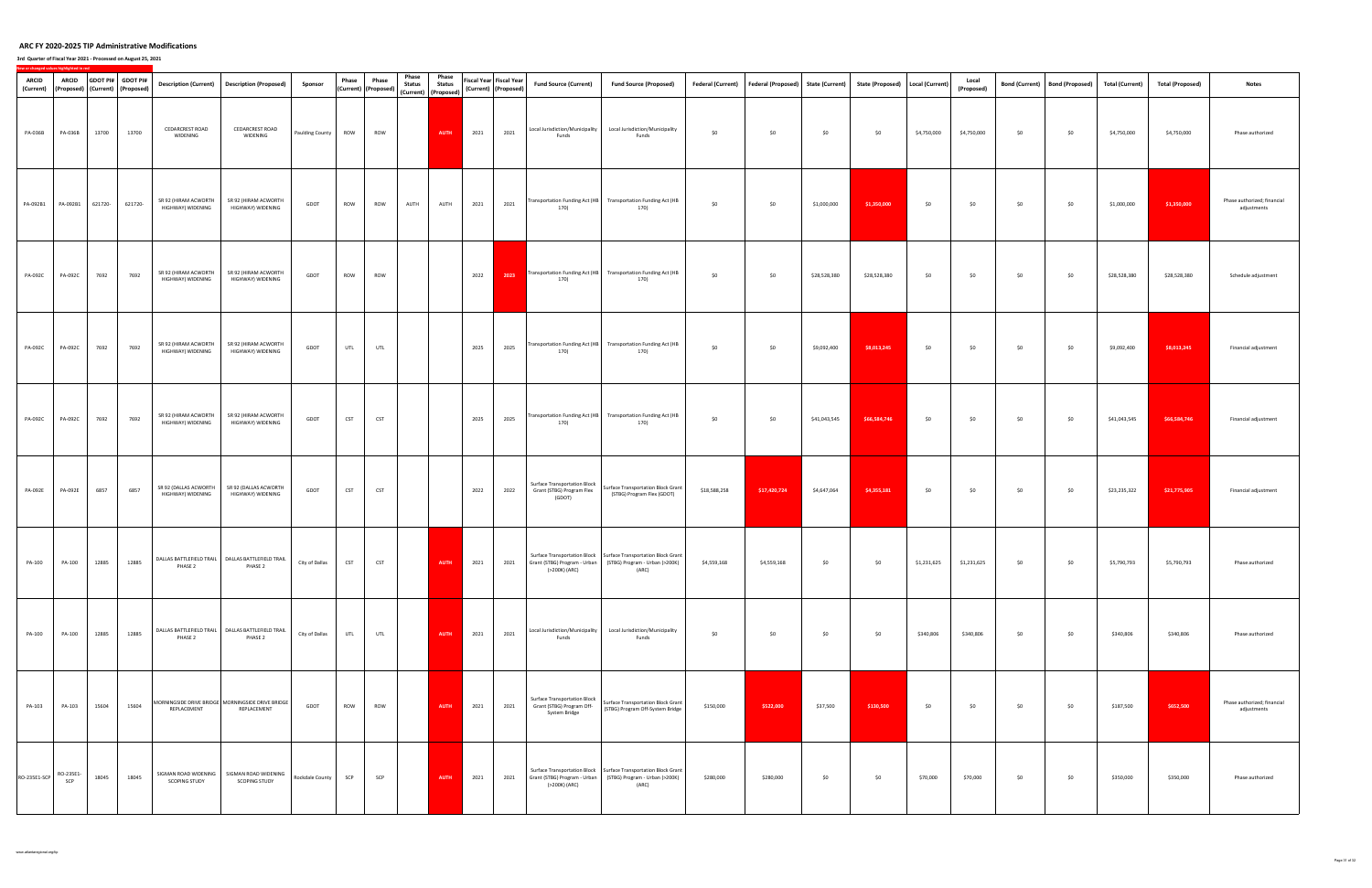| <b>ARCID</b><br>(Current) | <b>ARCID</b>            |         | GDOT PI# GDOT PI#<br>(Proposed) (Current) (Proposed) |                                              | Description (Current)  Description (Proposed)                    | Sponsor                | Phase      | Phase<br>(Current) (Proposed) | Phase<br><b>Status</b> | Phase<br><b>Status</b><br>(Current) (Proposed) |      | <b>Fiscal Year Fiscal Year</b><br>(Current) (Proposed) | <b>Fund Source (Current)</b>                                                      | <b>Fund Source (Proposed)</b>                                                                                                               |              | Federal (Current)   Federal (Proposed)   State (Current)   State (Proposed)   Local (Current) |              |              |             | Local<br>(Proposed) | <b>Bond (Current)</b> | Bond (Proposed) | <b>Total (Current)</b> | <b>Total (Proposed)</b> | <b>Notes</b>                               |
|---------------------------|-------------------------|---------|------------------------------------------------------|----------------------------------------------|------------------------------------------------------------------|------------------------|------------|-------------------------------|------------------------|------------------------------------------------|------|--------------------------------------------------------|-----------------------------------------------------------------------------------|---------------------------------------------------------------------------------------------------------------------------------------------|--------------|-----------------------------------------------------------------------------------------------|--------------|--------------|-------------|---------------------|-----------------------|-----------------|------------------------|-------------------------|--------------------------------------------|
| PA-036B                   | PA-036B                 | 13700   | 13700                                                | <b>CEDARCREST ROAD</b><br>WIDENING           | <b>CEDARCREST ROAD</b><br>WIDENING                               | <b>Paulding County</b> | ROW        | ROW                           |                        | AUTH                                           | 2021 | 2021                                                   | Local Jurisdiction/Municipality<br>Funds                                          | Local Jurisdiction/Municipality<br>Funds                                                                                                    | \$0          | \$0                                                                                           | \$0          | \$0          | \$4,750,000 | \$4,750,000         | \$0                   | \$0             | \$4,750,000            | \$4,750,000             | Phase authorized                           |
| PA-092B1                  | PA-092B1                | 621720- | 621720-                                              | SR 92 (HIRAM ACWORTH<br>HIGHWAY) WIDENING    | SR 92 (HIRAM ACWORTH<br>HIGHWAY) WIDENING                        | GDOT                   | ROW        | ROW                           | AUTH                   | AUTH                                           | 2021 | 2021                                                   | 170)                                                                              | Transportation Funding Act (HB Transportation Funding Act (HB<br>170)                                                                       | \$0          | \$0                                                                                           | \$1,000,000  | \$1,350,000  | \$0         | \$0                 | \$0                   | \$0             | \$1,000,000            | \$1,350,000             | Phase authorized; financial<br>adjustments |
| PA-092C                   | PA-092C                 | 7692    | 7692                                                 | SR 92 (HIRAM ACWORTH<br>HIGHWAY) WIDENING    | SR 92 (HIRAM ACWORTH<br>HIGHWAY) WIDENING                        | GDOT                   | ROW        | ROW                           |                        |                                                | 2022 | 2023                                                   | 170)                                                                              | Fransportation Funding Act (HB Transportation Funding Act (HB<br>170)                                                                       | \$0          | \$0                                                                                           | \$28,528,380 | \$28,528,380 | \$0         | \$0                 | \$0                   | \$0             | \$28,528,380           | \$28,528,380            | Schedule adjustment                        |
| PA-092C                   | PA-092C                 | 7692    | 7692                                                 | SR 92 (HIRAM ACWORTH<br>HIGHWAY) WIDENING    | SR 92 (HIRAM ACWORTH<br>HIGHWAY) WIDENING                        | GDOT                   | UTL        | UTL                           |                        |                                                | 2025 | 2025                                                   | 170)                                                                              | Transportation Funding Act (HB Transportation Funding Act (HB<br>170)                                                                       | \$0          | \$0                                                                                           | \$9,092,400  | \$8,013,245  | \$0         | \$0                 | \$0                   | \$0             | \$9,092,400            | \$8,013,245             | Financial adjustment                       |
| PA-092C                   | PA-092C                 | 7692    | 7692                                                 | SR 92 (HIRAM ACWORTH<br>HIGHWAY) WIDENING    | SR 92 (HIRAM ACWORTH<br>HIGHWAY) WIDENING                        | GDOT                   | <b>CST</b> | <b>CST</b>                    |                        |                                                | 2025 | 2025                                                   | 170)                                                                              | Transportation Funding Act (HB Transportation Funding Act (HB<br>170)                                                                       | \$0          | \$0                                                                                           | \$41,043,545 | \$66,584,746 | \$0         | \$0                 | \$0                   | \$0             | \$41,043,545           | \$66,584,746            | Financial adjustment                       |
| <b>PA-092E</b>            | <b>PA-092E</b>          | 6857    | 6857                                                 | SR 92 (DALLAS ACWORTH<br>HIGHWAY) WIDENING   | SR 92 (DALLAS ACWORTH<br>HIGHWAY) WIDENING                       | GDOT                   | <b>CST</b> | <b>CST</b>                    |                        |                                                | 2022 | 2022                                                   | <b>Surface Transportation Block</b><br>Grant (STBG) Program Flex<br>(GDOT)        | Surface Transportation Block Grant<br>(STBG) Program Flex (GDOT)                                                                            | \$18,588,258 | \$17,420,724                                                                                  | \$4,647,064  | \$4,355,181  | \$0         | \$0                 | \$0                   | \$0             | \$23,235,322           | \$21,775,905            | Financial adjustment                       |
| PA-100                    | PA-100                  | 12885   | 12885                                                | PHASE 2                                      | DALLAS BATTLEFIELD TRAIL   DALLAS BATTLEFIELD TRAIL<br>PHASE 2   | City of Dallas         | <b>CST</b> | <b>CST</b>                    |                        | <b>AUTH</b>                                    | 2021 | 2021                                                   | (>200K) (ARC)                                                                     | Surface Transportation Block   Surface Transportation Block Grant<br>Grant (STBG) Program - Urban   (STBG) Program - Urban (>200K)<br>(ARC) | \$4,559,168  | \$4,559,168                                                                                   | \$0          | \$0          | \$1,231,625 | \$1,231,625         | \$0                   | \$0             | \$5,790,793            | \$5,790,793             | Phase authorized                           |
| PA-100                    | PA-100                  | 12885   | 12885                                                | PHASE 2                                      | DALLAS BATTLEFIELD TRAIL   DALLAS BATTLEFIELD TRAIL<br>PHASE 2   | City of Dallas         | UTL        | UTL                           |                        | AUTH                                           | 2021 | 2021                                                   | Local Jurisdiction/Municipality<br>Funds                                          | Local Jurisdiction/Municipality<br>Funds                                                                                                    | \$0          | \$0                                                                                           | \$0          | \$0          | \$340,806   | \$340,806           | \$0                   | \$0             | \$340,806              | \$340,806               | Phase authorized                           |
| PA-103                    | PA-103                  | 15604   | 15604                                                | REPLACEMENT                                  | MORNINGSIDE DRIVE BRIDGE MORNINGSIDE DRIVE BRIDGE<br>REPLACEMENT | GDOT                   | ROW        | ROW                           |                        | AUTH                                           | 2021 | 2021                                                   | <b>Surface Transportation Block</b><br>Grant (STBG) Program Off-<br>System Bridge | Surface Transportation Block Grant<br>(STBG) Program Off-System Bridge                                                                      | \$150,000    | \$522,000                                                                                     | \$37,500     | \$130,500    | \$0         | \$0                 | \$0                   | \$0             | \$187,500              | \$652,500               | Phase authorized; financial<br>adjustments |
| RO-235E1-SCP              | RO-235E1-<br><b>SCP</b> | 18045   | 18045                                                | SIGMAN ROAD WIDENING<br><b>SCOPING STUDY</b> | SIGMAN ROAD WIDENING<br><b>SCOPING STUDY</b>                     | Rockdale County        | SCP        | SCP                           |                        | AUTH                                           | 2021 | 2021                                                   | (>200K) (ARC)                                                                     | Surface Transportation Block   Surface Transportation Block Grant<br>Grant (STBG) Program - Urban (STBG) Program - Urban (>200K)<br>(ARC)   | \$280,000    | \$280,000                                                                                     | \$0          | \$0          | \$70,000    | \$70,000            | \$0                   | \$0             | \$350,000              | \$350,000               | Phase authorized                           |